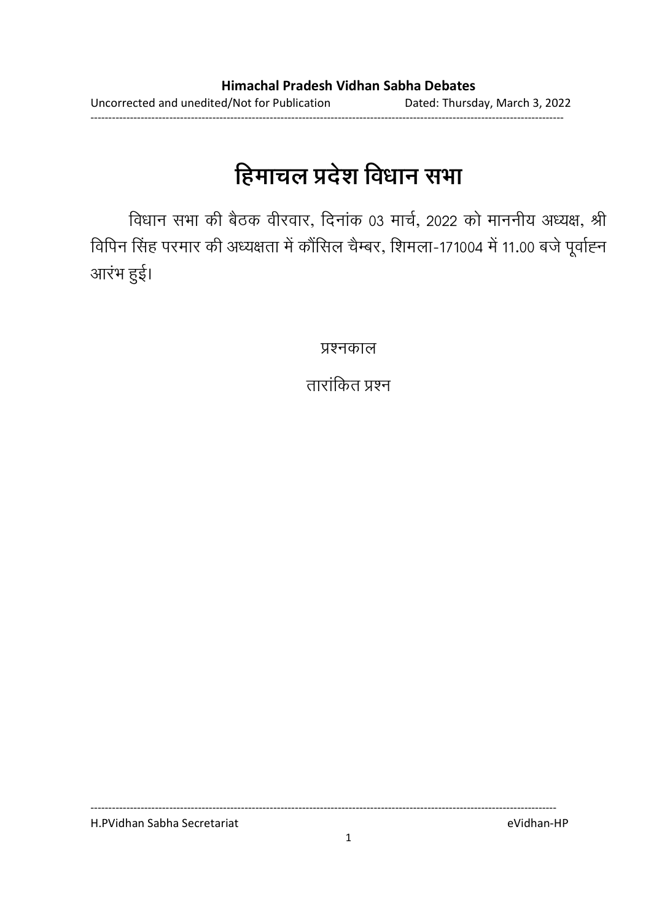# हिमाचल प्रदेश विधान सभा

विधान सभा की बैठक वीरवार, दिनाक 03 मार्च, 2022 को माननीय अध्यक्ष, श्री विपिन सिंह परमार की अध्यक्षता में कौसिल चैम्बर, शिमला-171004 में 11.00 बर्ज पूर्वाह्न आरंभ हुई।

प्रश्नकाल

तारांकित प्रश्न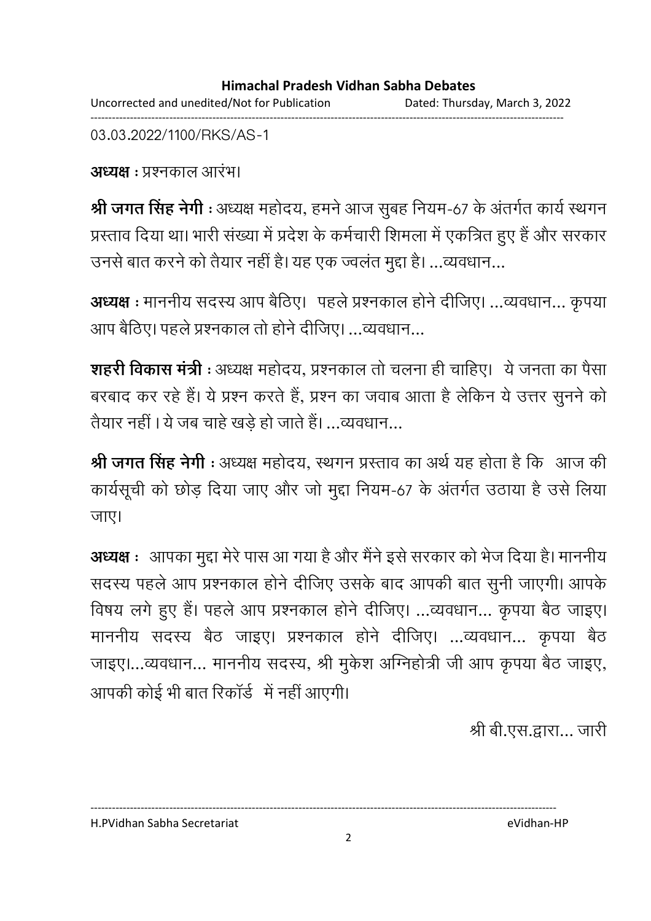#### **Himachal Pradesh Vidhan Sabha Debates**  Uncorrected and unedited/Not for Publication Dated: Thursday, March 3, 2022 ------------------------------------------------------------------------------------------------------------------------------------

03.03.2022/1100/RKS/AS-1

**अध्यक्ष** : प्रश्नकाल आरंभ।

**श्री जगत सिंह नेगी** : अध्यक्ष महोदय, हमने आज सुबह नियम-67 के अंतर्गत कार्य स्थगन प्रस्ताव दिया था। भारी संख्या में प्रदेश के कर्मचारी शिमला में एकत्रित हुए हैं और सरकार उनसे बात करने को तैयार नहीं है। यह एक ज्वलत मुद्दा है। …व्यवधान…

**अध्यक्ष** : माननीय सदस्य आप बैठिए। पहले प्रश्नकाल होने दीजिए। …व्यवधान… कृपया आप बैठिए। पहले प्रश्नकाल तो होने दीजिए। …व्यवधान…

**शहरी विकास मंत्री** : अध्यक्ष महोदय, प्रश्नकाल तो चलना ही चाहिए। ये जनता का पैसा बरबाद कर रहे हैं। ये प्रश्न करते हैं, प्रश्न का जवाब आता है लेकिन ये उत्तर सुनने को तैयार नहीं । ये जब चाहे खड़े हो जाते हैं। …व्यवधान…

**श्री जगत सिंह नेगी** : अध्यक्ष महोदय, स्थगन प्रस्ताव का अर्थ यह होता है कि आज की कार्यसूची को छोड़ दिया जाए और जो मुद्दा नियम-67 के अंतर्गत उठाया है उसे लिया जाए।

**अध्यक्ष** ः आपका मुद्दा मेरे पास आ गया है और मैंने इसे सरकार को भेज दिया है। माननीय सदस्य पहले आप प्रश्नकाल होने दीजिए उसके बाद आपकी बात सुनी जाएगी। आपके विषय लगे हुए हैं। पहले आप प्रश्नकाल होने दीजिए। …व्यवधान… कृपया बैठ जाइए। माननीय सदस्य बैठ जाइए। प्रश्नकाल होने दीजिए। …व्यवधान… कृपया बैठ जाइए।…व्यवधान… माननीय सदस्य, श्री मुकेश आंग्नेहोत्री जी आप कृपया बैठ जाइए, आपकी कोई भी बात रिकार्ड में नहीं आएगी।

श्री बी.एस.द्वारा… जारी

H.PVidhan Sabha Secretariat eVidhan-HP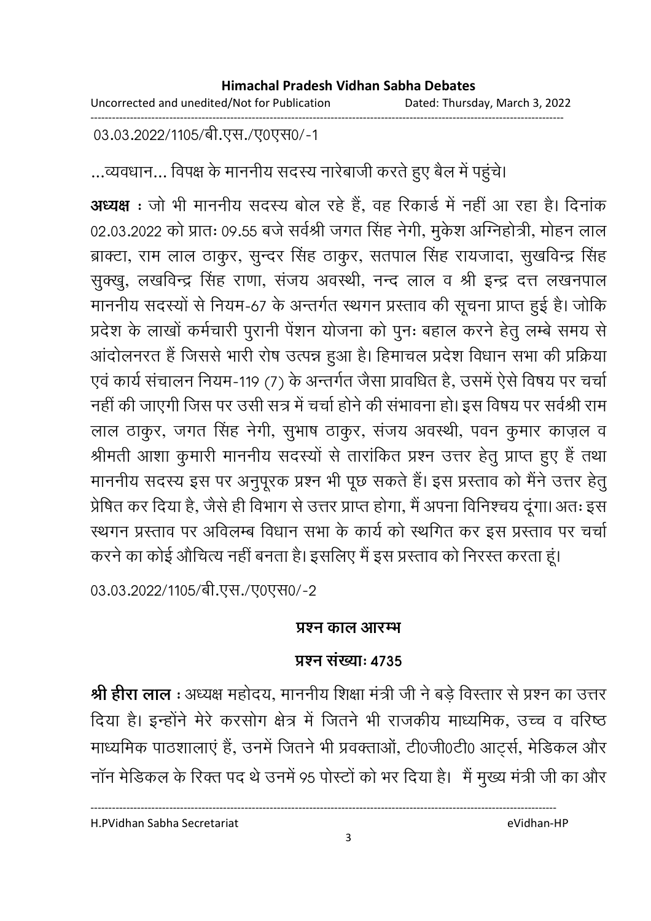Uncorrected and unedited/Not for Publication Dated: Thursday, March 3, 2022 ------------------------------------------------------------------------------------------------------------------------------------

03.03.2022/1105/बी.एस./ए0एस0/-1

...व्यवधान... विपक्ष के माननीय सदस्य नारेबाजी करते हुए बैल में पहुंचे।

**अध्यक्ष** : जो भी माननीय सदस्य बोल रहे हैं, वह रिकार्ड में नहीं आ रहा है। दिनाक 02.03.2022 को प्रातः 09.55 बर्ज सर्वश्री जगत सिंह नेगी, मुकेश ओग्नेहोत्री, मोहन लाल ब्राक्टा, राम लाल ठाकुर, सुन्दर सिंह ठाकुर, सतपाल सिंह रायजादा, सुखर्विन्द्र सिंह सुक्खु, लखविन्द्र सिंह राणा, सजय अवस्थी, नन्द लाल व श्री इन्द्र दत्त लखनपाल माननीय सदस्यों से नियम-67 के अन्तर्गत स्थगन प्रस्ताव की सूचना प्राप्त हुई है। जोकि प्रदेश के लाखों कर्मचारी पुरानी पेशन योजना को पुनः बहाल करने हेतु लम्बे समय से आदोलनरत है जिससे भारी रोष उत्पन्न हुआ है। हिमाचल प्रदेश विधान सभा की प्रक्रिया एवं कार्य संचालन नियम-119 (7) के अन्तर्गत जैसा प्रावधित है, उसमें ऐसे विषय पर चर्चा नहीं की जाएगी जिस पर उसी सत्र में चर्चा होने की सभावना हो। इस विषय पर सर्वश्री राम लाल ठाकुर, जगत सिंह नेगी, सुभाष ठाकुर, सजय अवस्थी, पवन कुमार काज़ल व श्रीमती आशा कुमारी माननीय सदस्यों से तारांकित प्रश्न उत्तर हेतु प्राप्त हुए हैं तथा माननीय सदस्य इस पर अनुपूरक प्रश्न भी पूछ सकते हैं। इस प्रस्ताव को मैंने उत्तर हेतु प्रेषित कर दिया है, जैसे ही विभाग से उत्तर प्राप्त होगा, मैं अपना विनिश्चय दूंगा। अतः इस रथगन प्रस्ताव पर अविलम्ब विधान सभा के कार्य को स्थगित कर इस प्रस्ताव पर चर्चा करने का कोई औचित्य नहीं बनता है। इसलिए मैं इस प्रस्ताव को निरस्त करता हूं।

03.03.2022/1105/बी.एस./ए0एस0/-2

### <u>प्रश्न काल आरम्भ</u>

### **प्रश्न संख्या: 4735**

**श्री हीरा लाल** : अध्यक्ष महोदय, माननीय शिक्षा मंत्री जी ने बड़े विस्तार से प्रश्न का उत्तर दिया है। इन्होंने मेरे करसोंग क्षेत्र में जितने भी राजकीय माध्यमिक, उच्च व वरिष्ठ माध्यमिक पाठशालाए हैं, उनमें जितने भी प्रवक्ताओं, टी0जी0टी0 आर्ट्स, मेडिकल और नान मेडिकल के रिक्त पद थे उनमें 95 परिटों को भर दिया है। मैं मुख्य मंत्री जी का और

H.PVidhan Sabha Secretariat eVidhan-HP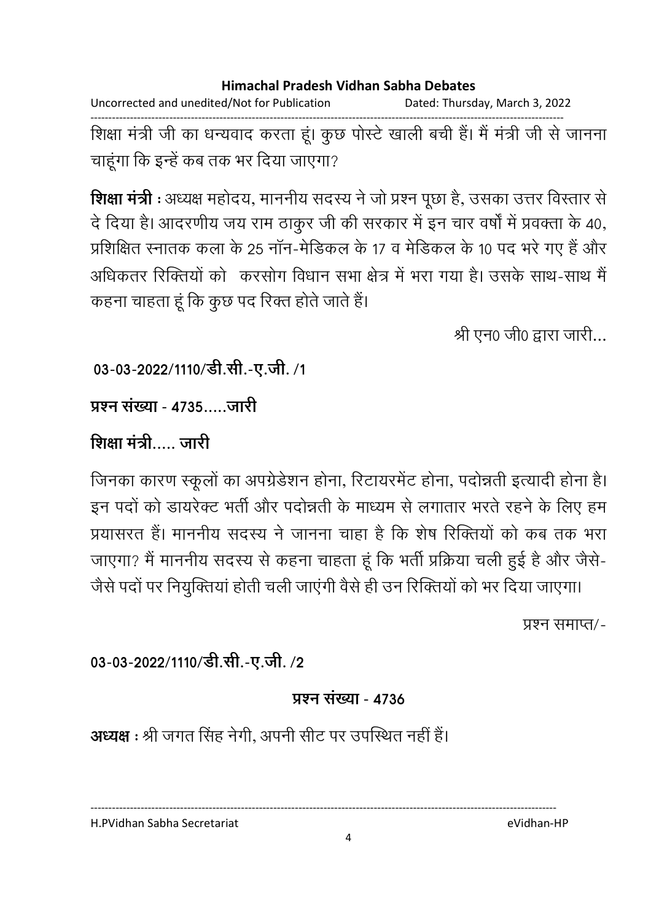Uncorrected and unedited/Not for Publication Dated: Thursday, March 3, 2022

------------------------------------------------------------------------------------------------------------------------------------ शिक्षा मंत्री जी का धन्यवाद करता हूं। कुछ पोस्टे खाली बची है। मैं मंत्री जी से जानना चाहूंगा कि इन्हें कब तक भर दिया जाएगा?

**शिक्षा मंत्री** : अध्यक्ष महोदय, माननीय सदस्य ने जो प्रश्न पूछा है, उसका उत्तर विस्तार से दे दिया है। आदरणीय जय राम ठाकुर जी की सरकार में इन चार वर्षों में प्रवक्ता के 40, प्रशिक्षित स्नातक कला के 25 नान-मेडिकल के 17 व मेडिकल के 10 पद भरे गए हैं और आंधकतर रिक्तियों को "करसोग विधान सभा क्षेत्र में भरा गया है। उसके साथ-साथ मैं कहना चाहता हूं कि कुछ पद रिक्त होते जाते हैं।

श्री एन0 जी0 द्वारा जारी...

03-03-2022/1110/डी.सी.-ए.जी. /1

प्रश्न संख्या - 4735 जारी

### शिक्षा मंत्री….. जारी

जिनका कारण स्कूलों का अपग्रेडेशन होना, रिटायरमेंट होना, पर्दान्नती इत्यादी होना है। इन पर्दा को डायरेक्ट भर्ती और पर्दान्नती के माध्यम से लगातार भरते रहने के लिए हम प्रयासरत है। माननीय सदस्य ने जानना चाहा है कि शेष रिक्तियों को कब तक भरा जाएगा? मैं माननीय सदस्य से कहना चाहता हूं कि भर्ती प्रक्रिया चली हुई है और जैसे-जैसे पर्दा पर नियुक्तिया होती चली जाएगी वैसे ही उन रिक्तियों को भर दिया जाएगा।

प्रश्न समाप्त⁄ -

03-03-2022/1110/डी.सी.-ए.जी. /2

### **प्रश्न संख्या - 4736**

**अध्यक्ष :** श्री जगत सिंह नेगी, अपनी सीट पर उपस्थित नहीं हैं।

H.PVidhan Sabha Secretariat eVidhan-HP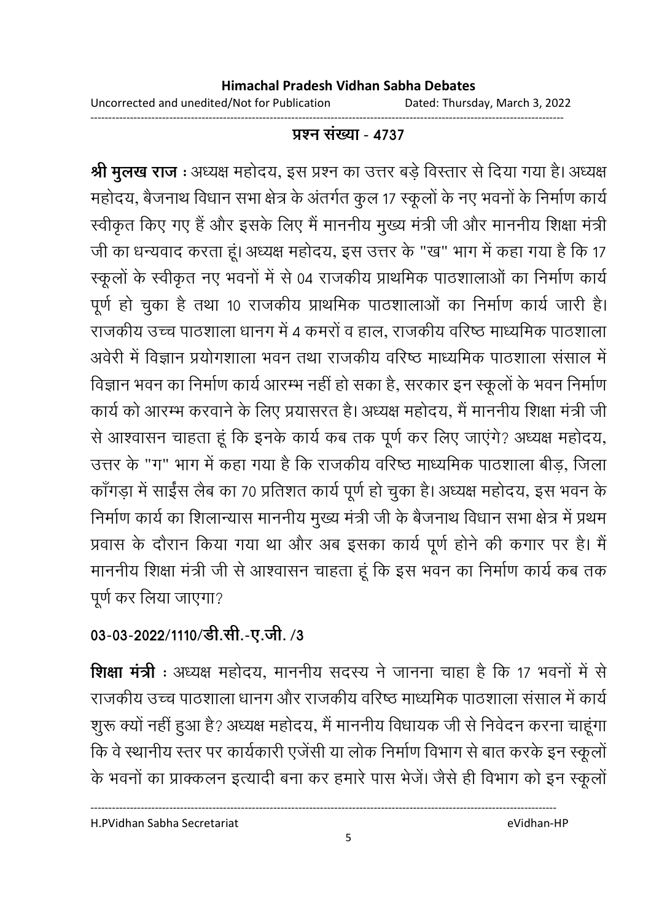------------------------------------------------------------------------------------------------------------------------------------

### <u> प्रश्न संख्या - 4737</u>

**श्री मुलख राज :** अध्यक्ष महोदय, इस प्रश्न का उत्तर बड़े विस्तार से दिया गया है। अध्यक्ष महोदय, बैजनाथ विधान सभा क्षेत्र के अंतर्गत कुल 17 स्कूलों के नए भवनों के निर्माण कार्य स्वीकृत किए गए हैं और इसके लिए मैं माननीय मुख्य मंत्री जी और माननीय शिक्षा मंत्री. जी का धन्यवाद करता हूं। अध्यक्ष महोदय, इस उत्तर के "ख" भाग में कहा गया है कि 17 स्कूलों के स्वीकृत नए भवनों में से 04 राजकीय प्राथमिक पाठशालाओं का निर्माण कार्य पूर्ण हो चुका है तथा 10 राजकीय प्राथमिक पाठशालाओं का निर्माण कार्य जारी है। राजकीय उच्च पाठशाला धानग में 4 कमरों व हाल, राजकीय वरिष्ठ माध्यमिक पाठशाला. अवेरी में विज्ञान प्रयोगशाला भवन तथा राजकीय वरिष्ठ माध्यमिक पाठशाला संसाल में विज्ञान भवन का निर्माण कार्य आरम्भ नहीं हो सका है, सरकार इन स्कूलों के भवन निर्माण कार्य को आरम्भ करवाने के लिए प्रयासरत है। अध्यक्ष महोदय, मैं माननीय शिक्षा मंत्री जी से आश्वासन चाहता हूं कि इनके कार्य कब तक पूर्ण कर लिए जाएंगे? अध्यक्ष महोदय, उत्तर के "ग" भाग में कहा गया है कि राजकीय वरिष्ठ माध्यमिक पाठशाला बीड़, जिला कागड़ा में साईस लैब का 70 प्रतिशत कार्य पूर्ण हो चुका है। अध्यक्ष महोदय, इस भवन के निर्माण कार्य का शिलान्यास माननीय मुख्य मंत्री जी के बैजनाथ विधान सभा क्षेत्र में प्रथम प्रवास के दौरान किया गया था और अब इसका कार्य पूर्ण होने की कगार पर है। मैं माननीय शिक्षा मंत्री जी से आश्वासन चाहता हूं कि इस भवन का निर्माण कार्य कब तक पूर्ण कर लिया जाएगा?

# 03-03-2022/1110/डी.सी.-ए.जी. /3

**शिक्षा मंत्री** : अध्यक्ष महोदय, माननीय सदस्य ने जानना चाहा है कि 17 भवनों में से राजकीय उच्च पाठशाला धानग और राजकीय वरिष्ठ माध्यमिक पाठशाला संसाल में कार्य शुरू क्यो नहीं हुआ है? अध्यक्ष महोदय, मैं माननीय विधायक जी से निवेदन करना चाहूंगा कि वे स्थानीय स्तर पर कार्यकारी एजेंसी या लोक निर्माण विभाग से बात करके इन स्कूलो के भवनों का प्राक्कलन इत्यादी बना कर हमारे पास भेजे। जैसे ही विभाग को इन स्कूलो

5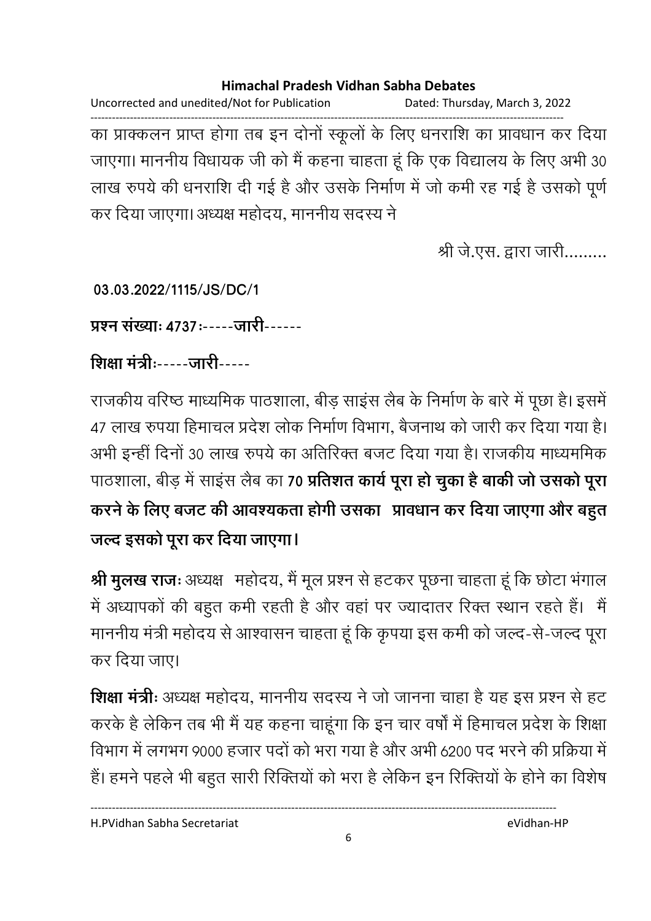Uncorrected and unedited/Not for Publication Dated: Thursday, March 3, 2022 ------------------------------------------------------------------------------------------------------------------------------------ का प्राक्कलन प्राप्त होगा तब इन दोनों स्कूलों के लिए धनराशि का प्रावधान कर दिया जाएगा। माननीय विधायक जी को मैं कहना चाहता हूं कि एक विद्यालय के लिए अभी 30 लाख रुपये की धनराशि दी गई है और उसके निर्माण में जो कमी रह गई है उसको पूर्ण कर दिया जाएगा। अध्यक्ष महोदय, माननीय सदस्य ने

श्री जे.एस. द्वारा जारी.........

**03.03.2022/1115/JS/DC/1**

प्रश्न संख्याः **4737:-----जारी------**

शिक्षा मंत्रीः-----जारी-----

राजकीय वरिष्ठ माध्यमिक पाठशाला, बीड़ साइस लैब के निर्माण के बारे में पूछा है। इसमें 47 लाख रुपया हिमाचल प्रदेश लोक निर्माण विभाग, बैजनाथ को जारी कर दिया गया है। अभी इन्हीं दिनों 30 लाख रुपये का अतिरिक्त बजट दिया गया है। राजकीय माध्यममिक पाठशाला, बीड़ में साइस लैब का **70 प्रतिशत कार्य पूरा हो चुका है बाकी जो उसको पूरा** करने के लिए बजट की आवश्यकता होगी उसका प्रावधान कर दिया जाएगा और बहुत जल्द इसको पूरा कर दिया जाएगा।

श्री मुलख राजः अध्यक्ष महोदय, मैं मूल प्रश्न से हटकर पूछना चाहता हूं कि छोटा भंगाल में अध्यापकों की बहुत कमी रहती है और वहां पर ज्यादांतर रिक्त स्थान रहते हैं। मैं माननीय मंत्री महोदय से आश्वासन चाहता हूं कि कृपया इस कमी को जल्द-से-जल्द पूरा कर दिया जाए।

**शिक्षा मंत्रीः** अध्यक्ष महोदय, माननीय सदस्य ने जो जानना चाहा है यह इस प्रश्न से हट करके हैं लेकिन तब भी मैं यह कहना चाहूंगा कि इन चार वर्षों में हिमाचल प्रदेश के शिक्षा विभाग में लगभग 9000 हजार पर्दा को भरा गया है और अभी 6200 पद भरने की प्रक्रिया में | है। हमने पहले भी बहुत सारी रिक्तियों को भरा है लेकिन इन रिक्तियों के होने का विशेष

H.PVidhan Sabha Secretariat eVidhan-HP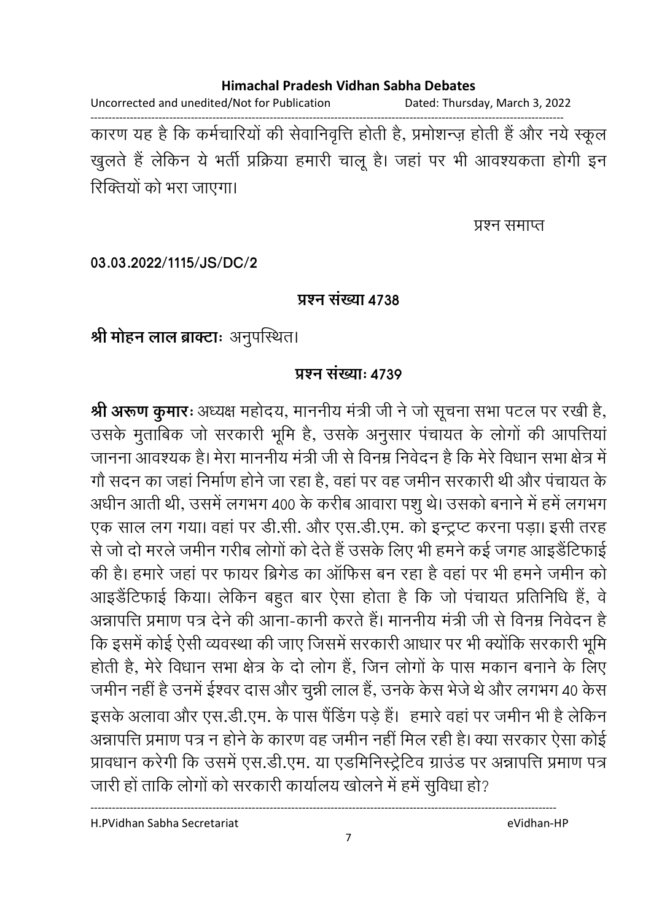Uncorrected and unedited/Not for Publication Dated: Thursday, March 3, 2022

------------------------------------------------------------------------------------------------------------------------------------ कारण यह है कि कर्मचारियों की सेवानिवृत्ति होती है, प्रमोशन्ज़ होती है और नये स्कूल खुलते हैं लेकिन ये भर्ती प्रक्रिया हमारी चालू है। जहां पर भी आवश्यकता होगी इन रिक्तियों को भरा जाएगा।

प्रश्न समाप्त

**03.03.2022/1115/JS/DC/2**

#### **प्रश्न संख्या 4738**

श्री मोहन लाल ब्राक्टाः अनुपस्थित।

### **प्रश्न संख्या: 4739**

**श्री अरूण कुमारः** अध्यक्ष महोदय, माननीय मंत्री जी ने जो सूचना सभा पटल पर रखी है, उसके मुताबिक जो सरकारी भूमि है, उसके अनुसार पंचायत के लोगों की आपत्तिया जानना आवश्यक है। मेरा माननीय मंत्री जी से विनम्र निर्वेदन है कि मेरे विधान सभा क्षेत्र में गों सदन का जहां निर्माण होने जा रहा है, वहां पर वह जमीन सरकारी थी और पंचायत के अर्धीन आती थी, उसमें लगभग 400 के करीब आवारा पशु थे। उसको बनाने में हमें लगभग एक साल लग गया। वहां पर डी.सी. और एस.डी.एम. को इन्ट्रप्ट करना पड़ा। इसी तरह से जो दो मरले जमीन गरीब लोगों को देते हैं उसके लिए भी हमने कई जगह आइडेंटिफाई की है। हमारे जहां पर फायर ब्रिगेंड का आफिस बन रहा है वहां पर भी हमने जमीन को आइंडेंटिफाई किया। लेकिन बहुत बार ऐसा होता है कि जो पंचायत प्रतिनिधि है, वे अन्नापत्ति प्रमाण पत्र देने की आना-कानी करते हैं। माननीय मंत्री जी से विनम्र निवेदन हैं-कि इसमें कोई ऐसी व्यवस्था की जाए जिसमें सरकारी आधार पर भी क्योंकि सरकारी भूमि होती है, मेरे विधान सभा क्षेत्र के दो लोग है, जिन लोगों के पास मकान बनाने के लिए जमीन नहीं है उनमें ईश्वर दास और चुन्नी लाल हैं, उनके कैस भेजें थे और लगभग 40 कैस इसके अलावा और एस.डी.एम. के पास पैडिंग पड़े हैं। हमारे वहां पर जमीन भी है लेकिन अन्नापत्ति प्रमाण पत्र न होने के कारण वह जमीन नहीं मिल रही है। क्या सरकार ऐसा कोई प्रावधान करेगी कि उसमें एस.डी.एम. या एडमिनिस्ट्रेटिव ग्राउड पर अन्नापत्ति प्रमाण पत्र जारी हो ताकि लोगों को सरकारी कार्यालय खोलने में हमें सुविधा हो?

H.PVidhan Sabha Secretariat eVidhan-HP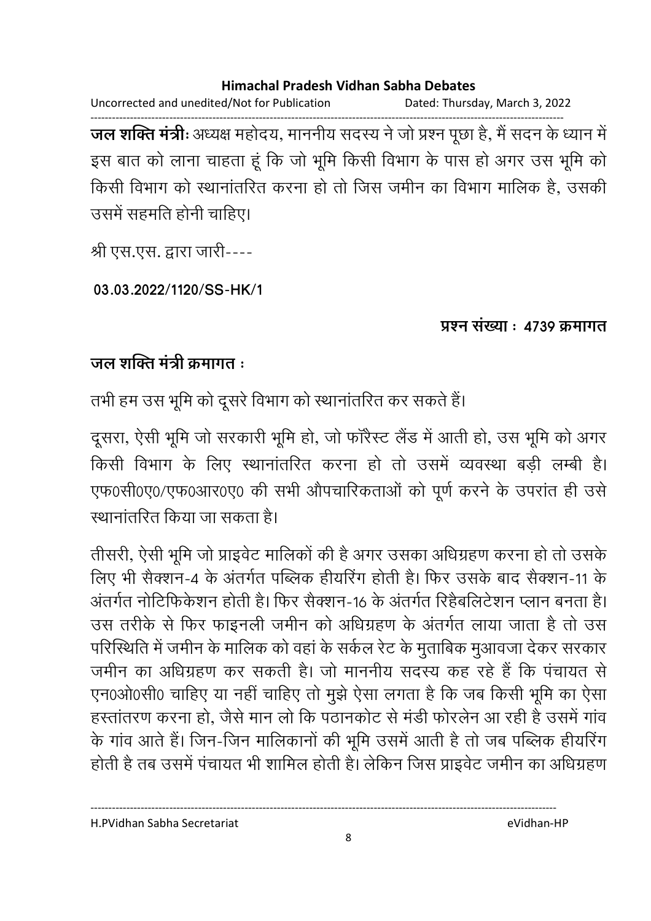Uncorrected and unedited/Not for Publication Dated: Thursday, March 3, 2022

------------------------------------------------------------------------------------------------------------------------------------ **जल शक्ति मंत्री:** अध्यक्ष महोदय, माननीय सदस्य ने जो प्रश्न पूछा है, मैं सदन के ध्यान में इस बात को लाना चाहता हूं कि जो भूमि किसी विभाग के पास हो अगर उस भूमि को किसी विभाग को स्थानातरित करना हो तो जिस जमीन का विभाग मालिक है, उसकी उसमें सहमति होनी चाहिए।

श्री एस.एस. द्वारा जारी----

**03.03.2022/1120/SS-HK/1**

### प्रश्न संख्या : 4739 क्रमागत

### जल शक्ति मंत्री क्रमागत **:**

तभी हम उस भूमि को दूसरे विभाग को स्थानातरित कर सकते हैं।

दूसरा, ऐसी भूमि जो सरकारी भूमि हो, जो फारैस्ट लैंड में आती हो, उस भूमि को अगर किसी विभाग के लिए स्थानातरित करना हो तो उसमें व्यवस्था बड़ी लम्बी हैं। एफ0सी0ए0/एफ0आर0ए0 की सभी औपचारिकताओं को पूर्ण करने के उपरांत ही उसे <u>रथानांतरित किया जा सकता है।</u>

तीसरी, ऐसी भूमि जो प्राइवेट मालिको की है अगर उसका अधिग्रहण करना हो तो उसके लिए भी सैक्शन-4 के अंतर्गत पब्लिक हैयिरिंग होती है। फिर उसके बाद सैक्शन-11 के अंतर्गत नोटिफिर्कशन होती है। फिर सैक्शन-16 के अंतर्गत रिहैबलिटेशन प्लान बनता है। उस तरीके से फिर फाइनली जमीन को अधिग्रहण के अंतर्गत लाया जाता है तो उस परिस्थिति में जमीन के मालिक को वहां के सकेल रेंट के मुताबिक मुआवजा देकर सरकार. जमीन का अधिग्रहण कर सकती है। जो माननीय सदस्य कह रहे हैं कि पंचायत से एन0ओ0सी0 चाहिए या नहीं चाहिए तो मुझे ऐसा लगता है कि जब किसी भूमि का ऐसा हस्तातरण करना हो, जैसे मान लो कि पठानकोट से मर्डी फोरलेन आ रही है उसमें गाव के गांव आते हैं। जिन-जिन मालिकांनों की भूमि उसमें आती है तो जब पब्लिक हीयरिंग होती है तब उसमें पचायत भी शामिल होती है। लेकिन जिस प्राइवेट जमीन का अधिग्रहण

H.PVidhan Sabha Secretariat eVidhan-HP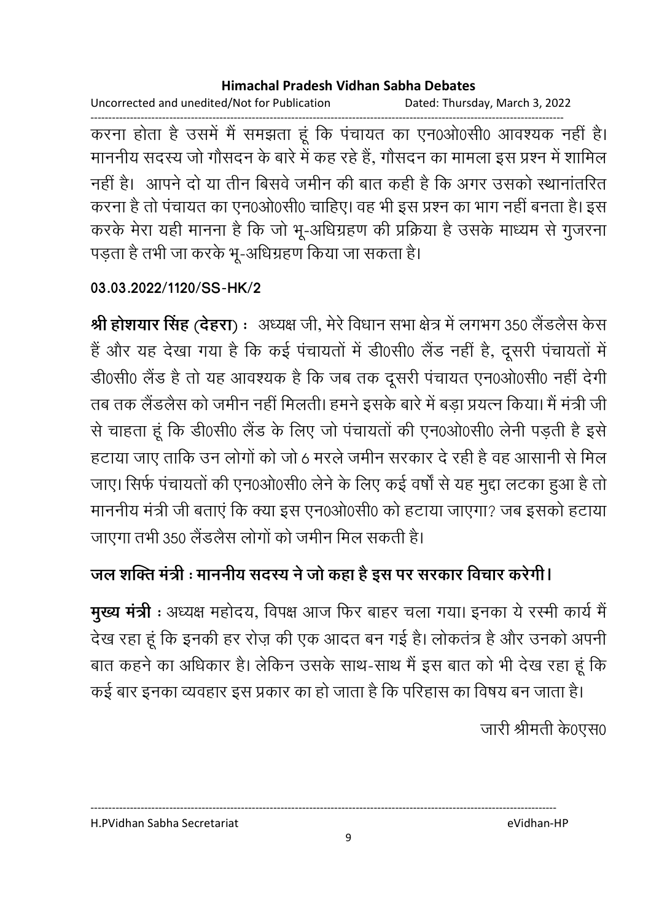Uncorrected and unedited/Not for Publication Dated: Thursday, March 3, 2022

------------------------------------------------------------------------------------------------------------------------------------ करना होता है उसमें मैं समझता हूं कि पंचायत का एन0ओ0सी0 आवश्यक नहीं है। माननीय सदस्य जो गौसदन के बारे में कह रहे हैं, गौसदन का मामला इस प्रश्न में शामिल नहीं हैं। आपने दो या तीन बिसवे जमीन की बात कहीं है कि अगर उसको स्थानातरित करना है तो पंचायत का एन0ओ0सी0 चाहिए। वह भी इस प्रश्न का भाग नहीं बनता है। इस करके मेरा यही मानना है कि जो भू-अधिग्रहण की प्रक्रिया है उसके माध्यम से गुजरना पड़ता है तभी जा करके भू-अधिग्रहण किया जा सकता है।

### **03.03.2022/1120/SS-HK/2**

**श्री होशयार सिंह (देहरा) :** अध्यक्ष जी, मेरे विधान सभा क्षेत्र में लगभग 350 लैंडलैस केस है और यह देखा गया है कि कई पंचायतों में डी0सी0 लैंड नहीं है, दूसरी पंचायतों में डी0सी0 लैंड है तो यह आवश्यक है कि जब तक दूसरी पंचायत एन0ओ0सी0 नहीं देंगी। तब तक लैडलैस को जमीन नहीं मिलती। हमने इसके बारे में बड़ा प्रयत्न किया। मैं मंत्री जी से चाहता हूं कि डी0सी0 लैंड के लिए जो पंचायतों की एन0ओ0सी0 लेनी पड़ती है इसे हटाया जाए तार्कि उन लोगों को जो 6 मरले जमीन सरकार दे रही है वह आसानी से मिल जाए। सिर्फ पंचायतों की एन0ओ0सी0 लेने के लिए कई वर्षों से यह मुद्दा लटका हुआ है तो माननीय मंत्री जी बताए कि क्या इस एन0ओ0सी0 को हटाया जाएगा? जब इसको हटाया | जाएगा तभी 350 लैंडलैस लोगों को जमीन मिल सकती है।

# <u>जल शक्ति मंत्री : माननीय संदरय ने जो कहा है इस पर सरकार विचार करेंगी।</u>

**मुख्य मंत्री** : अध्यक्ष महोदय, विपक्ष आज फिर बाहर चला गया। इनका ये रस्मी कार्य मैं देख रहा हूँ कि इनकी हर रोज़ की एक आदत बन गई है। लोकतंत्र है और उनको अपनी बात कहने का अधिकार है। लेकिन उसके साथ-साथ में इस बात को भी देख रहा हूं कि

कई बार इनका व्यवहार इस प्रकार का हो जाता है कि परिहास का विषय बन जाता है।

जारी श्रीमती के0एस0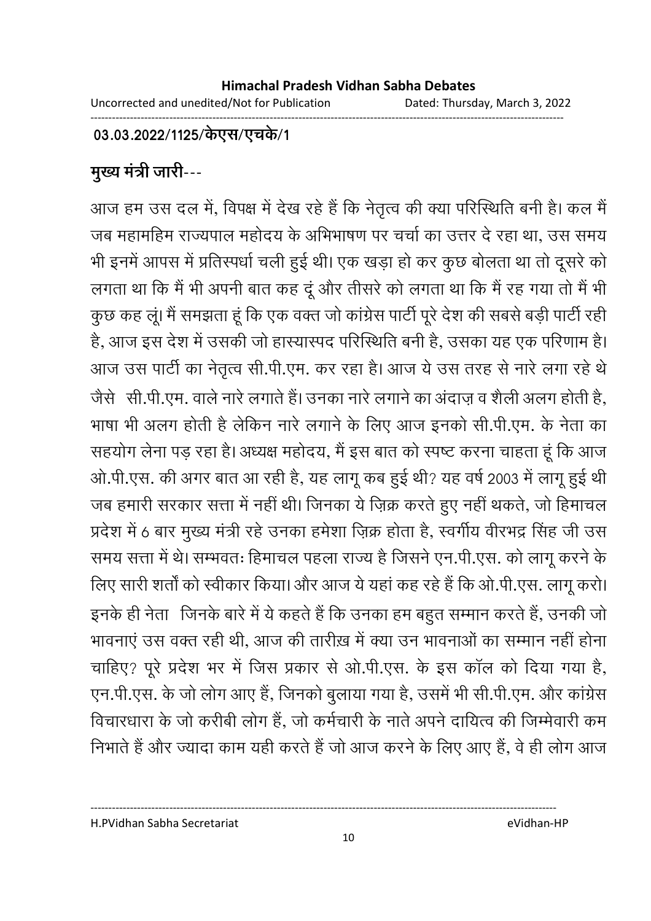### 03.03.2022/1125/केएस/एचके/1

# <u>मुख्य मंत्री जारी---</u>

आज हम उस दल में, विपक्ष में देख रहे हैं कि नेतृत्व की क्या परिस्थिति बनी हैं। कल मैं जब महामहिम राज्यपाल महोदय के अभिभाषण पर चर्चा का उत्तर दे रहा था. उस समय भी इनमें आपस में प्रतिस्पर्धा चली हुई थी। एक खड़ा हो कर कुछ बोलता था तो दूसरे को लगता था कि मैं भी अपनी बात कह दूं और तीसरे को लगता था कि मैं रह गया तो मैं भी कुछ कह लू। मैं समझता हूं कि एक वक्त जो कांग्रेस पार्टी पूरे देश की सबसे बड़ी पार्टी रही हैं, आज इस देश में उसकी जो हास्यास्पद परिस्थिति बनी है, उसका यह एक परिणाम है। आज उस पार्टी का नेतृत्व सी.पी.एम. कर रहा है। आज ये उस तरह से नारे लगा रहे थे जैसे -सी.पी.एम. वाले नारे लगाते हैं। उनका नारे लगाने का अदाज़ व शैली अलग होती है, ' भाषा भी अलग होती है लेकिन नारे लगाने के लिए आज इनको सी.पी.एम. के नेता का सहयोग लेना पड़ रहा है। अध्यक्ष महोदय, मैं इस बात को स्पष्ट करना चाहता हूं कि आज ओ.पी.एस. की अगर बात आ रही है, यह लागू कब हुई थी? यह वर्ष 2003 में लागू हुई थी जब हमारी सरकार सत्ता में नहीं थी। जिनका ये ज़िक्र करते हुए नहीं थकते, जो हिमाचल प्रदेश में 6 बार मुख्य मंत्री रहे उनका हमेशा ज़िक्र होता है, स्वर्गीय वीरभद्र सिंह जी उस समय सत्ता में थे। सम्भवतः हिमाचल पहला राज्य है जिसने एन.पी.एस. को लागू करने के लिए सारी शतों को स्वीकार किया। और आज ये यहां कह रहे हैं कि ओ.पी.एस. लागू करो। इनके ही नेता | जिनके बारे में ये कहते हैं कि उनका हम बहुत सम्मान करते हैं, उनकी जो भावनाए उस वक्त रही थी, आज की तारीख़ में क्या उन भावनाओं का सम्मान नहीं होना | चाहिए? पूरे प्रदेश भर में जिस प्रकार से ओ.पी.एस. के इस काल को दिया गया है, एन.पी.एस. के जो लोग आए हैं, जिनको बुलाया गया है, उसमें भी सी.पी.एम. और कांग्रेस विचारधारा के जो करीबी लोग है, जो कर्मचारी के नाते अपने दायित्व की जिम्मेवारी कम निभाते हैं और ज्यादा काम यहीं करते हैं जो आज करने के लिए आए हैं, वे ही लोग आज

H.PVidhan Sabha Secretariat eVidhan-HP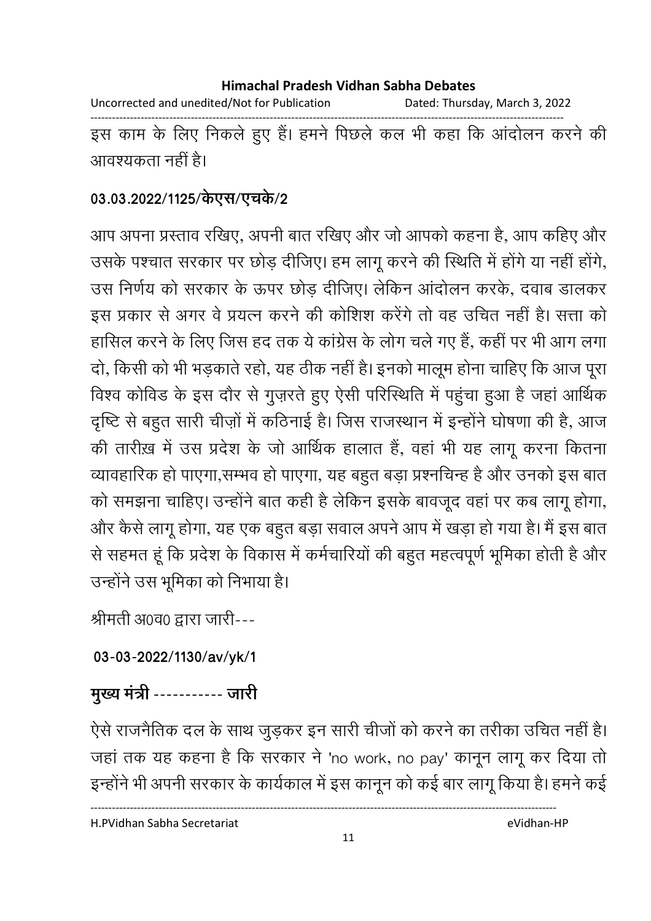Uncorrected and unedited/Not for Publication Dated: Thursday, March 3, 2022

------------------------------------------------------------------------------------------------------------------------------------ इस काम के लिए निकले हुए हैं। हमने पिछले कल भी कहा कि आंदोलन करने की आवश्यकता नहीं हैं।

### 03.03.2022/1125/केएस/एच**के/2**

आप अपना प्रस्ताव रखिए, अपनी बात रखिए और जो आपको कहना है, आप कहिए और उसके पश्चात सरकार पर छोड़ दीजिए। हम लागू करने की स्थिति में होंगे या नहीं होंगे, उस निर्णय को सरकार के ऊपर छोड़ दीजिए। लेकिन आंदोलन करके, दवाब डालकर इस प्रकार से अगर वे प्रयत्न करने की कोशिश करेंगे तो वह उचित नहीं है। सत्ता को हासिल करने के लिए जिस हद तक ये कांग्रेस के लोग चले गए हैं, कहीं पर भी आग लगा दो, किसी को भी भड़काते रहो, यह ठीक नहीं है। इनको मालूम होना चाहिए कि आज पूरा विश्व कोर्विड के इस दौर से गुज़रते हुए ऐसी परिस्थिति में पहुचा हुआ है जहां आर्थिक दृष्टि से बहुत सारी चीज़ों में कठिनाई है। जिस राजस्थान में इन्होंने घोषणा की हैं, आज की तारीख़ में उस प्रदेश के जो आर्थिक हालात है, वहां भी यह लागू करना कितना व्यावहारिक हो पाएगा,सम्भव हो पाएगा, यह बहुत बड़ा प्रश्नचिन्ह है और उनको इस बात को समझना चाहिए। उन्होंने बात कही है लेकिन इसके बावजूद वहां पर कब लागू होगा, और कैसे लागू होगा, यह एक बहुत बड़ा सवाल अपने आप में खड़ा हो गया है। मैं इस बात से सहमत हूं कि प्रदेश के विकास में कर्मचारियों की बहुत महत्वपूर्ण भूमिका होती है और उन्होंने उस भूमिका को निभाया है।

श्रीमती अ0व0 द्वारा जारी---

**03-03-2022/1130/av/yk/1**

मुख्य मंत्री ----------- जारी

ऐसे राजनैतिक दल के साथ जुड़कर इन सारी चीजों को करने का तरीका उचित नहीं है। जहां तक यह कहना है कि सरकार ने 'no work, no pay' कानून लागू कर दिया तो इन्होंने भी अपनी सरकार के कार्यकाल में इस कानून को कई बार लागू किया है। हमने कई

H.PVidhan Sabha Secretariat eVidhan-HP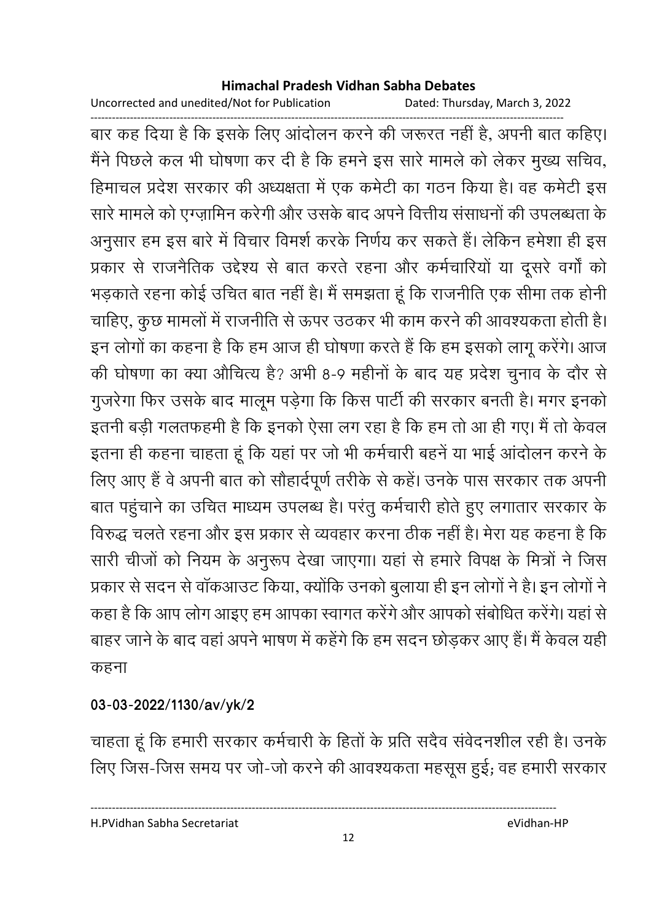Uncorrected and unedited/Not for Publication Dated: Thursday, March 3, 2022

------------------------------------------------------------------------------------------------------------------------------------ बार कह दिया है कि इसके लिए आदोलन करने की जरूरत नहीं है, अपनी बात कोहेए। मैंने पिछले कल भी घोषणा कर दी है कि हमने इस सारे मामले को लेकर मुख्य सचिव, हिमाचल प्रदेश सरकार की अध्यक्षता में एक कर्मेंटी का गठन किया है। वह कर्मेंटी इस सारे मामले को एंग्ज़ामिन करेगी और उसके बाद अपने वित्तीय संसाधनों की उपलब्धता के अनुसार हम इस बारे में विचार विमर्श करके निर्णय कर सकते हैं। लेकिन हमेशा ही इस प्रकार से राजनैतिक उद्देश्य से बात करते रहना और कर्मचारियों या दूसरे वर्गों को भड़काते रहना कोई उचित बात नहीं है। मैं समझता हूं कि राजनीति एक सीमा तक होनी चाहिए, कुछ मामलों में राजनीति से ऊपर उठकर भी काम करने की आवश्यकता होती है। इन लोगों का कहना है कि हम आज ही घोषणा करते हैं कि हम इसको लागू करेंगे। आज की घोषणा का क्या औचित्य है? अभी 8-9 महीनों के बाद यह प्रदेश चुनाव के दौर से गुजरेगा फिर उसके बाद मालूम पड़ेगा कि किस पार्टी की सरकार बनती है। मगर इनको इतनी बड़ी गलतफहमी है कि इनको ऐसा लग रहा है कि हम तो आ ही गए। मैं तो केवल इतना ही कहना चाहता हूं कि यहां पर जो भी कर्मचारी बहने या भाई आंदोलन करने के लिए आए हैं वे अपनी बात को सौहार्दपूर्ण तरीके से कहे। उनके पास सरकार तक अपनी बात पहुचाने का उचित माध्यम उपलब्ध है। परंतु कर्मचारी होते हुए लगातार सरकार के विरुद्ध चलते रहना और इस प्रकार से व्यवहार करना ठीक नहीं है। मेरा यह कहना है कि सारी चीजों को नियम के अनुरूप देखा जाएगा। यहां से हमारे विपक्ष के मित्रों ने जिस प्रकार से सदन से वाकआउट किया, क्योंकि उनको बुलाया ही इन लोगों ने हैं। इन लोगों ने कहा है कि आप लोग आइए हम आपका स्वागत करेंगे और आपको संबोधित करेंगे। यहां से बाहर जाने के बाद वहां अपने भाषण में कहेंगे कि हम सदन छोड़कर आए हैं। मैं केवल यहीं कहना

### **03-03-2022/1130/av/yk/2**

चाहता हूं कि हमारी सरकार कर्मचारी के हितों के प्रति संदैव सर्वेदनशील रही हैं। उनके लिए जिस-जिस समय पर जो-जो करने की आवश्यकता महसूस हुई; वह हमारी सरकार

H.PVidhan Sabha Secretariat eVidhan-HP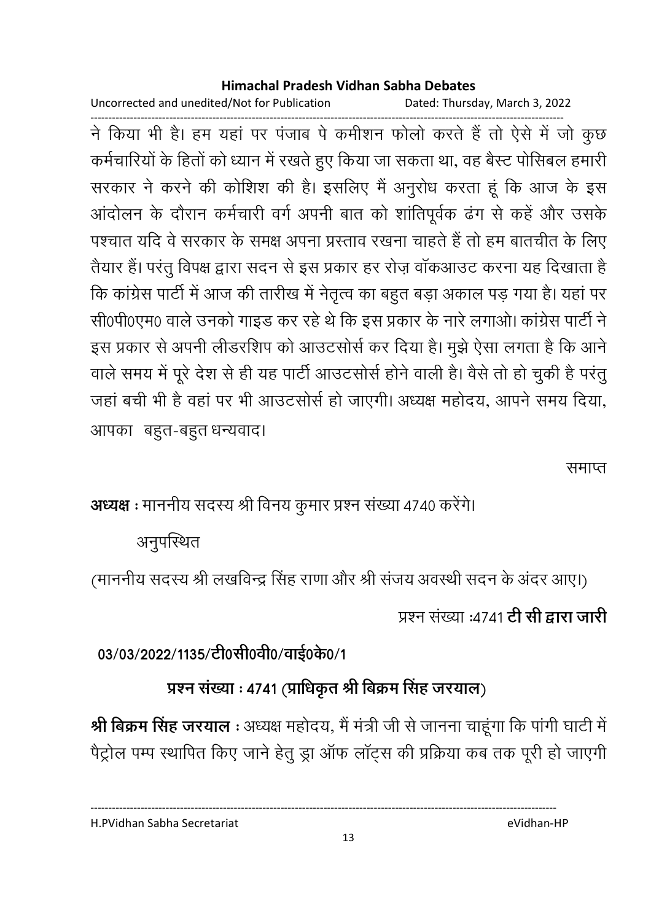Uncorrected and unedited/Not for Publication Dated: Thursday, March 3, 2022

------------------------------------------------------------------------------------------------------------------------------------ ने किया भी है। हम यहां पर पंजाब पे कमेशिन फोलों करते हैं तो ऐसे में जो कुछ कर्मचारियों के हितों को ध्यान में रखते हुए किया जा सकता था, वह बैस्ट पोसिबल हमारी सरकार ने करने की कोशिश की हैं। इसलिए मैं अनुरोध करता हूं कि आज के इस आदोलन के दौरान कर्मचारी वर्ग अपनी बात को शार्तिपूर्वक ढंग से कहें और उसकें पश्चात यदि वे सरकार के समक्ष अपना प्रस्ताव रखना चाहते हैं तो हम बातचीत के लिए तैयार है। परंतु विपक्ष द्वारा सदन से इस प्रकार हर रोज़ वाकआउट करना यह दिखाता है कि कांग्रेस पार्टी में आज की तारीख में नेतृत्व का बहुत बड़ा अकाल पड़ गया है। यहां पर सी0पी0एम0 वाले उनको गाइंड कर रहे थे कि इस प्रकार के नारे लगाओं। कांग्रेस पार्टी ने इस प्रकार से अपनी लेंडिरशिप को आउटसोर्स कर दिया है। मुझे ऐसा लगता है कि आने वाले समय में पूरे देश से ही यह पार्टी आउटसोर्स होने वाली हैं। वैसे तो हो चुकी है परंतु जहाँ बची भी है वहाँ पर भी आउटससि हो जाएगी। अध्यक्ष महोदय, आपने समय दिया, आपका बहुत-बहुत धन्यवाद।

समाप्त

**अध्यक्ष :** माननीय सदस्य श्री विनय कुमार प्रश्न संख्या 4740 करेंगे।

अनुपस्थित

(माननीय सदस्य श्री लखविन्द्र सिंह राणा और श्री सजय अवस्थी सदन के अदर आए।)

प्रश्न संख्या :4741 **टी सी द्वारा जारी** 

03/03/2022/1135/टी0सी0वी0/वाई0के0/1

# प्रश्न संख्या : 4741 (प्राधिकृत श्री बिक्रम सिंह जरयाल)

**श्री बिक्रम सिंह जरयाल** : अध्यक्ष महोदय, मैं मंत्री जी से जानना चाहूंगा कि पांगी घाटी में | पैट्रोल पम्प स्थापित किए जाने हेतु ड्रा आफ लाट्स की प्रक्रिया कब तक पूरी हो जाएगी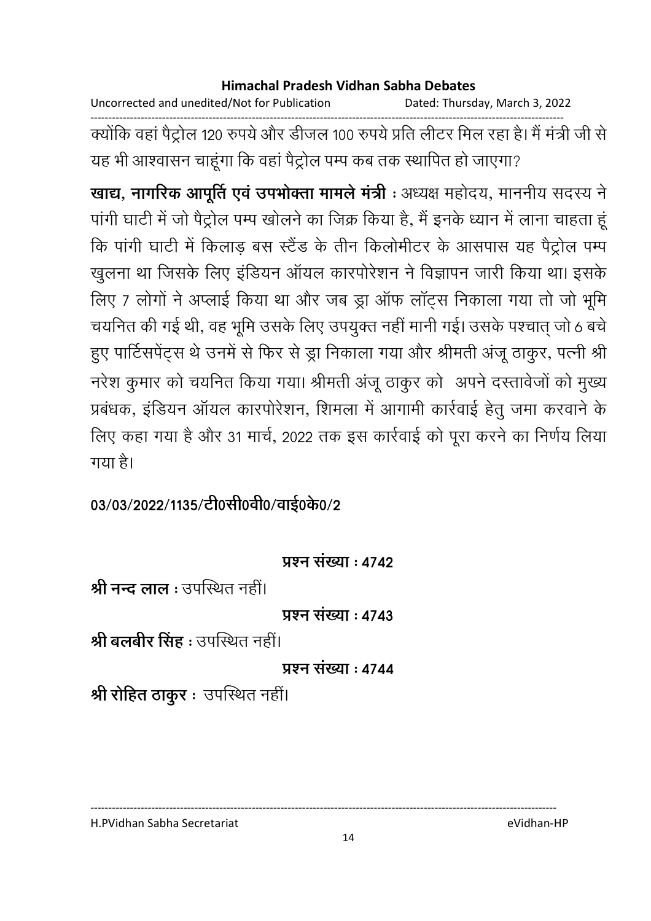Uncorrected and unedited/Not for Publication Dated: Thursday, March 3, 2022

------------------------------------------------------------------------------------------------------------------------------------ क्योंकि वहाँ पैट्रोल 120 रुपये और डीजल 100 रुपये प्रति लेटिर मिल रहा है। मैं मंत्री जी से यह भी आश्वासन चाहूंगा कि वहां पैट्रोल पम्प कब तक स्थापित हो जाएंगा?

**खाद्य, नागरिक आपूर्ति एव उपभोक्ता मामले मंत्री** : अध्यक्ष महोदय, माननीय सदस्य ने पांगी घाटी में जो पैट्रोल पम्प खोलने का जिक्र किया है, मैं इनके ध्यान में लाना चाहता हू कि पांगी घाटी में किलाड़ बस स्टैंड के तीन किलोमीटर के आसपास यह पैट्रोल पम्प खुलना था जिसके लिए इंडियन आयल कारपरिशन ने विज्ञापन जारी किया था। इसके लिए 7 लोगों ने अप्लाई किया था और जब ड्रा ऑफ लॉट्स निकाला गया तो जो भूमि चयनित की गई थी, वह भूमि उसके लिए उपयुक्त नहीं मानी गई। उसके पश्चात् जो 6 बचे हुए पार्टिसपेट्स थे उनमें से फिर से ड्रा निकाला गया और श्रीमती अजू ठाकुर, पत्नी श्री नरेश कुमार को चर्यानेत किया गया। श्रीमती अजू ठाकुर को अपने दस्तावेजों को मुख्य प्रबंधक, इंडियन आयल कारपरिशन, शिमला में आगामी कार्रवाई हेतु जमा करवाने के लिए कहा गया है और 31 मार्च, 2022 तक इस कार्रवाई को पूरा करने का निर्णय लिया गया है।

03/03/2022/1135/टी0सी0वी0/वाई0के0/2

### **प्रश्न संख्या : 4742**

**श्री नन्द लाल** : उपस्थित नहीं।

**प्रश्न संख्या: 4743** 

<mark>श्री बलबीर सिंह</mark> : उपस्थित नहीं।

**प्रश्न संख्या: 4744** 

**श्री रोहित ठाकुर** ः उपस्थित नहीं।

H.PVidhan Sabha Secretariat eVidhan-HP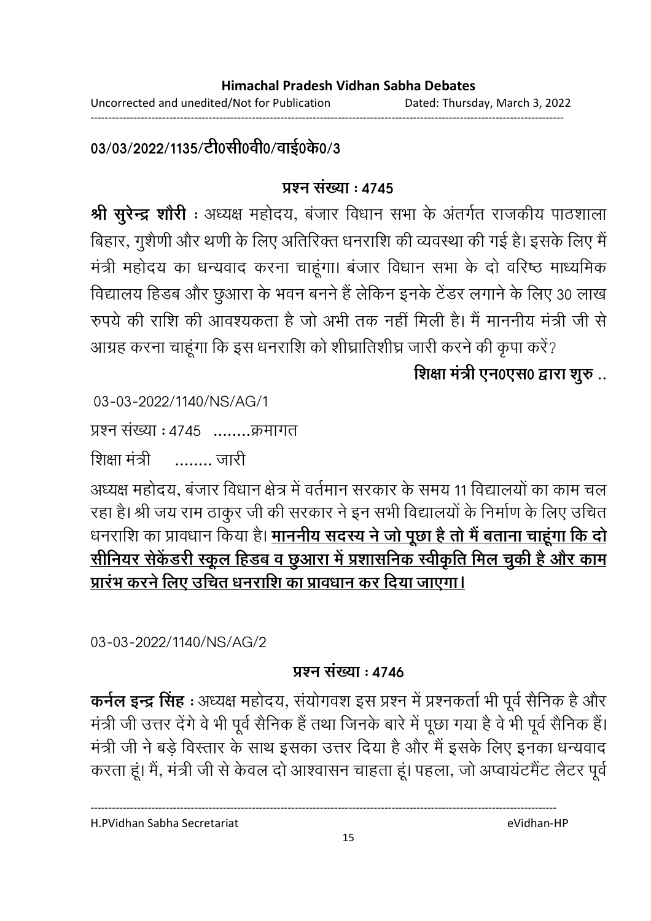03/03/2022/1135/टी0सी0वी0/वाई0के0/3

### **प्र**ष्ट्या : ४७४५

**श्री सुरेन्द्र शोरी** : अध्यक्ष महोदय, बजार विधान सभा के अंतर्गत राजकीय पाठशाला बिहार, गुशैणी और थणी के लिए अतिरिक्त धनराशि की व्यवस्था की गई है। इसके लिए मैं मंत्री महोदय का धन्यवाद करना चाहूंगा। बजार विधान सभा के दो वरिष्ठ माध्यमिक विद्यालय हिंडब और छुआरा के भवन बनने हैं लेकिन इनके टेंडर लगाने के लिए 30 लाख रुपये की राशि की आवश्यकता है जो अभी तक नहीं मिली है। मैं माननीय मंत्री जी से आंग्रह करना चाहूंगा कि इस धनराशि को शीघ्रातिशीघ्र जारी करने की कृपा करें?

शिक्षा मंत्री एन0एस0 द्वारा शुरु ..

03-03-2022/1140/NS/AG/1

प्रश्न संख्या : 4745 ........क्रमागत

शिक्षा मंत्री — …….. जारी

अध्यक्ष महोदय, बजार विधान क्षेत्र में वर्तमान सरकार के समय 11 विद्यालयों का काम चल रहा है। श्री जय राम ठाकुर जी की सरकार ने इन सभी विद्यालयों के निर्माण के लिए उचित धनराशि का प्रावधान किया है। <mark>माननीय सदस्य ने जो पूछा है तो मै बताना चाहूगा कि दो</mark> <u>सीनियर सेकेंडरी स्कूल हिंडब व छुआरा में प्रशासनिक स्वीकृति मिल चुकी है और काम</u> <u>प्रारंभ करने लिए उचित धनराशि का प्रावधान कर दिया जाएगा।</u>

03-03-2022/1140/NS/AG/2

### <u> प्रश्न संख्या : 4746</u>

**कर्नल इन्द्र सिंह** : अध्यक्ष महोदय, संयोगवंश इस प्रश्न में प्रश्नकर्ता भी पूर्व सैनिक है और मंत्री जी उत्तर देंगे वे भी पूर्व सैनिक है तथा जिनके बारे में पूछा गया है वे भी पूर्व सैनिक है। मंत्री जी ने बड़े विस्तार के साथ इसका उत्तर दिया है और मैं इसके लिए इनका धन्यवाद करता हूं। मैं, मंत्री जी से केवल दो आश्वासन चाहता हूं। पहला, जो अप्वायटमेंट लैटर पूर्व

H.PVidhan Sabha Secretariat eVidhan-HP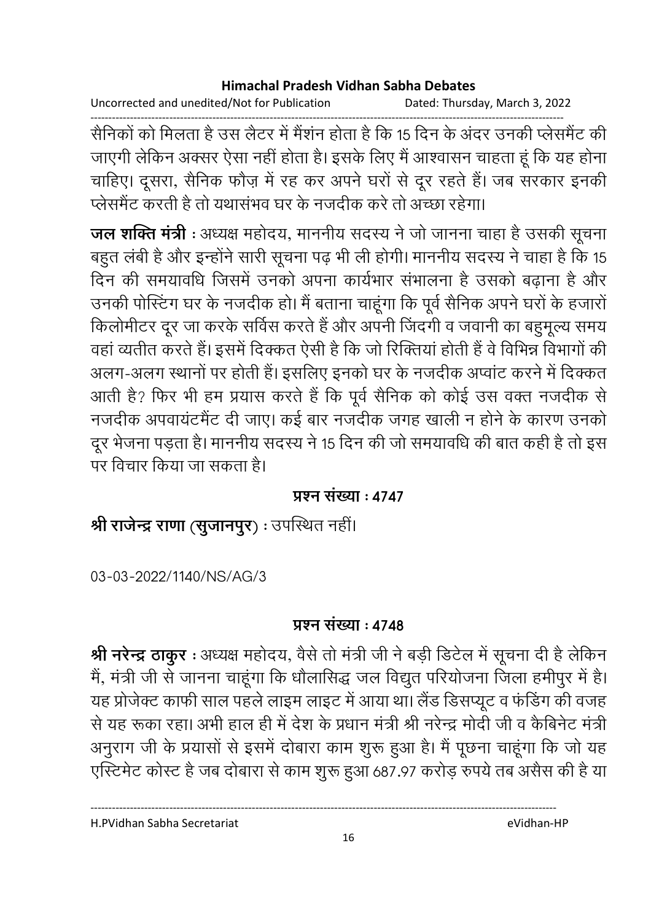Uncorrected and unedited/Not for Publication Dated: Thursday, March 3, 2022

------------------------------------------------------------------------------------------------------------------------------------ सैनिकों को मिलता है उस लैटर में मैशन होता है कि 15 दिन के अदर उनकी प्लेसमैंट की जाएंगी लेकिन अक्सर ऐसा नहीं होता है। इसके लिए मैं आश्वासन चाहता हूं कि यह होना चाहिए। दूसरा, सैनिक फौज़ में रह कर अपने घरों से दूर रहते हैं। जब सरकार इनकी प्लेसमैंट करती है तो यथासभव घर के नजदीक करें तो अच्छा रहेगा।

**जल शक्ति मंत्री** : अध्यक्ष महोदय, माननीय सदस्य ने जो जानना चाहा है उसकी सूचना | बहुत लंबी है और इन्होंने सारी सूचना पढ़ भी ली होगी। माननीय सदस्य ने चाहा है कि 15 दिन की समयावर्धि जिसमें उनको अपना कार्यभार संभालना है उसको बढ़ाना है और उनकी पोस्टिंग घर के नजदीक हो। मैं बताना चाहूंगा कि पूर्व सैनिक अपने घरों के हजारो किलोमीटर दूर जा करके संविस करते हैं और अपनी जिंदगी व जवानी का बहुमूल्य समय वहाँ व्यतीत करते हैं। इसमें दिक्कत ऐसी है कि जो रिक्तिया होती है वे विभिन्न विभागों की अलग-अलग स्थानों पर होती है। इसलिए इनको घर के नजदीक अप्वाट करने में दिक्कत आती है? फिर भी हम प्रयास करते हैं कि पूर्व सैनिक को कोई उस वक्त नजदीक से नजदीक अपवायटमैंट दी जाए। कई बार नजदीक जगह खाली न होने के कारण उनको दूर भेजना पड़ता है। माननीय सदस्य ने 15 दिन की जो समयावर्धि की बात कही है तो इस पर विचार किया जा सकता है।

### <u> प्रश्न संख्या : 4747</u>

**श्री राजेन्द्र राणा (सुजानपुर) :** उपस्थित नहीं।

03-03-2022/1140/NS/AG/3

### <u> प्रश्न संख्या : 4748</u>

**श्री नरेन्द्र ठाकुर** : अध्यक्ष महोदय, वैसे तो मंत्री जी ने बड़ी डिटेल में सूचना दी है लेकिन में, मंत्री जी से जानना चाहूंगा कि धौलासिद्ध जल विद्युत परियोजना जिला हमीपुर में हैं। यह प्रजिक्ट काफी साल पहले लाइम लाइट में आया था। लैंड डिसप्यूट व फंडिंग की वजह से यह रूका रहा। अभी हाल ही में देश के प्रधान मंत्री श्री नरेन्द्र मोदी जी व कैबिनेट मंत्री | अनुराग जी के प्रयासों से इसमें दोबारा काम शुरू हुआ है। मैं पूछना चाहूंगा कि जो यह एस्टिमेंट कोस्ट है जब दोबारा से काम शुरू हुआ 687.97 करोड़ रुपये तब असैस की है या

H.PVidhan Sabha Secretariat eVidhan-HP

16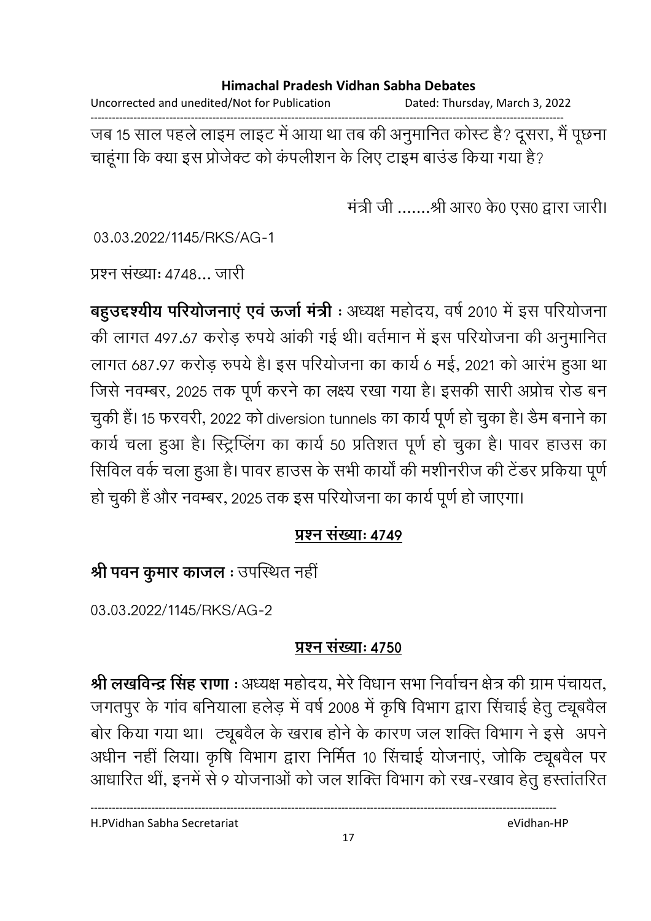Uncorrected and unedited/Not for Publication Dated: Thursday, March 3, 2022 ------------------------------------------------------------------------------------------------------------------------------------ जब 15 साल पहले लाइम लाइट में आया था तब की अनुमानित कोस्ट है? दूसरा, मैं पूछना

चाहूंगा कि क्या इस प्रजिक्ट को कंपलीशन के लिए टाइम बाउंड किया गया है?

मंत्री जी .......श्री आर0 के0 एस0 द्वारा जारी।

03.03.2022/1145/RKS/AG-1

प्रश्न संख्या: 4748... जारी

**बहुउद्दर्श्यीय परियोजनाए एव ऊर्जा मंत्री** : अध्यक्ष महोदय, वर्ष 2010 में इस परियोजना की लागत 497.67 करोड़ रुपये आकी गई थी। वर्तमान में इस परियोजना की अनुमानित लागत 687.97 करोड़ रुपये है। इस परियोजना का कार्य 6 मई, 2021 को आरंभ हुआ था जिसे नवम्बर, 2025 तक पूर्ण करने का लक्ष्य रखा गया है। इसकी सारी अप्रोच रोड बन चुकी है। 15 फरवरी, 2022 को diversion tunnels का कार्य पूर्ण हो चुका है। डैम बनाने का कार्य चला हुआ है। स्ट्रिप्लिंग का कार्य 50 प्रतिशत पूर्ण हो चुका है। पावर हाउस का सिविल वर्क चला हुआ है। पावर हाउस के सभी कार्यों की मशीनरीज की टेंडर प्रकिया पूर्ण हो चुकी है और नवम्बर, 2025 तक इस परियोजना का कार्य पूर्ण हो जाएगा।

### <u> प्रश्न संख्याः ४७४</u>९

श्री पवन कुमार काजल : उपस्थित नहीं

03.03.2022/1145/RKS/AG-2

### <u> प्रश्न संख्याः ४७५०</u>

**श्री लखविन्द्र सिंह राणा** : अध्यक्ष महोदय, मेरे विधान सभा निर्वाचन क्षेत्र की ग्राम पचायत, जगतपुर के गांव बनियाला हलेड़ में वर्ष 2008 में कृषि विभाग द्वारा सिचाई हेतु ट्यूबवैल बोर किया गया था। ट्यूबवैल के खराब होने के कारण जल शक्ति विभाग ने इसे अपने अर्धीन नहीं लिया। कृषि विभाग द्वारा निर्मित 10 सिंचाई योजनाए, जोकि ट्यूबवैल पर आधारित थी, इनमें से 9 योजनाओं को जल शक्ति विभाग को रख-रखाव हेतु हस्तातरित

H.PVidhan Sabha Secretariat eVidhan-HP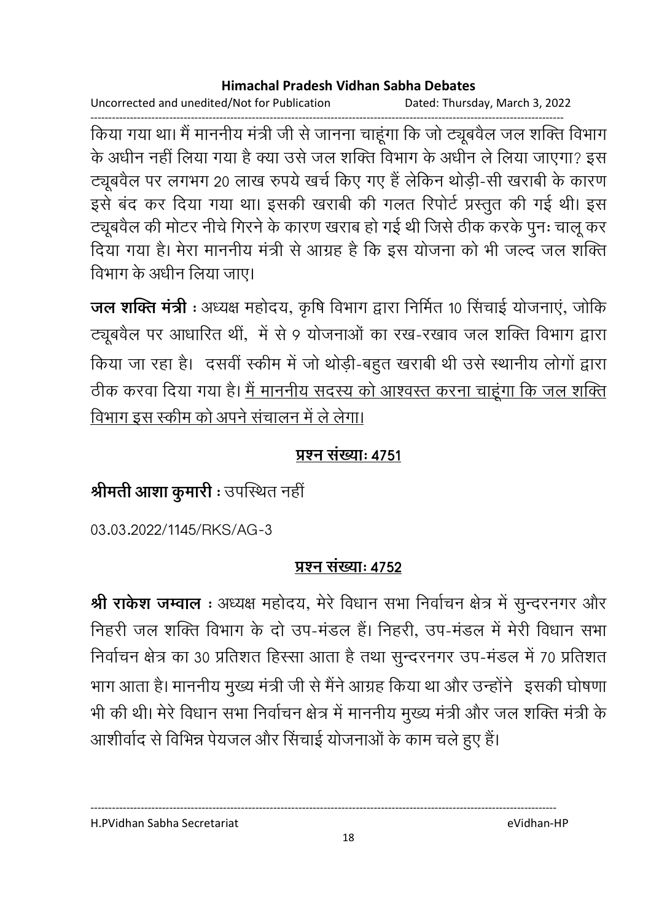Uncorrected and unedited/Not for Publication Dated: Thursday, March 3, 2022

------------------------------------------------------------------------------------------------------------------------------------ किया गया था। मैं माननीय मंत्री जी से जानना चाहूंगा कि जो ट्यूबवैल जल शक्ति विभाग के अर्धीन नहीं लिया गया है क्या उसे जल शक्ति विभाग के अर्धीन ले लिया जाएगा? इस ट्यूबवैल पर लगभग 20 लाख रुपर्य खर्च किए गए हैं लेकिन थोड़ी-सी खराबी के कारण इसे बंद कर दिया गया था। इसकी खराबी की गलत रिपोर्ट प्रस्तुत की गई थी। इस ट्यूबवैल की मोटर नीचे गिरने के कारण खराब हो गई थी जिसे ठीक करके पुनः चालू कर दिया गया है। मेरा माननीय मंत्री से आग्रह है कि इस योजना को भी जल्द जल शक्ति विभाग के अधीन लिया जाए।

**जल शक्ति मंत्री** : अध्यक्ष महोदय, कृषि विभाग द्वारा निर्मित १० सिचाई योजनाए, जोकि ट्यूबवैल पर आधारित थी, में से 9 योजनाओं का रख-रखाव जल शक्ति विभाग द्वारा किया जा रहा है। दसवीं स्कीम में जो थोड़ी-बहुत खराबी थी उसे स्थानीय लोगों द्वारा ठीक करवा दिया गया है। <u>मैं माननीय सदस्य को आश्वस्त करना चाहूंगा कि जल शक्ति</u> <u>विभाग इस स्कीम को अपने संचालन में ले लेगा।</u>

### <u> प्रश्न संख्याः ४७५१</u>

# श्रीमती आशा कुमारी : उपस्थित नहीं

03.03.2022/1145/RKS/AG-3

### <u> प्रश्न संख्याः 4752</u>

**श्री राकेश जम्वाल** : अध्यक्ष महोदय, मेरे विधान सभा निर्वाचन क्षेत्र में सुन्दरनगर और निहरी जल शक्ति विभाग के दो उप-मंडल हैं। निहरी, उप-मंडल में मेरी विधान सभा निर्वाचन क्षेत्र का 30 प्रतिशत हिस्सा आता है तथा सुन्दरनगर उप-मंडल में 70 प्रतिशत भाग आता है। माननीय मुख्य मंत्री जी से मैंने आग्रह किया था और उन्होंने ' इसकी घोषणा' भी की थी। मेरे विधान सभा निर्वाचन क्षेत्र में माननीय मुख्य मंत्री और जल शक्ति मंत्री के आशीर्वाद से विभिन्न पेयजल और सिचाई योजनाओं के काम चले हुए हैं।

H.PVidhan Sabha Secretariat eVidhan-HP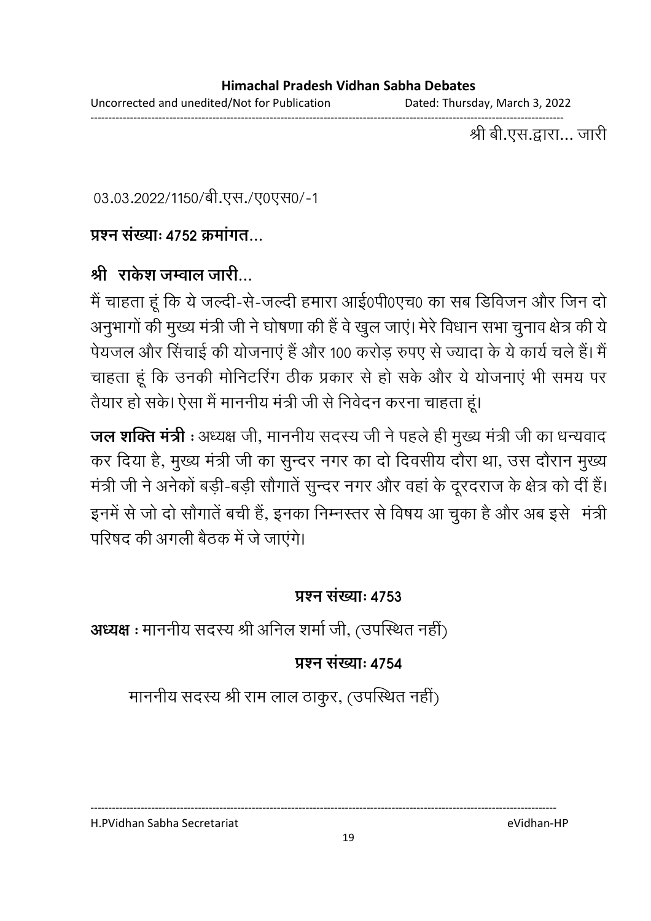Uncorrected and unedited/Not for Publication Dated: Thursday, March 3, 2022

------------------------------------------------------------------------------------------------------------------------------------ श्री बी.एस.द्वारा… जारी

03.03.2022/1150/बी.एस./ए0एस0/-1

### <u> प्रश्न संख्या: ४७५२ कमांगत प</u>

### श्री राकेश जम्वाल जारी...

मैं चाहता हूं कि ये जल्दी-से-जल्दी हमारा आई0पी0एच0 का सब डिविजन और जिन दो अनुभागों की मुख्य मंत्री जी ने घोषणा की है वे खुल जाए। मेरे विधान सभा चुनाव क्षेत्र की ये पेयजल और सिचाई की योजनाएं है और 100 करोड़ रुपए से ज्यादा के ये कार्य चले हैं। मैं चाहता हूं कि उनकी मोनिटरिंग ठीक प्रकार से हो सके और ये योजनाएं भी समय पर तैयार हो सके। ऐसा मैं माननीय मंत्री जी से निवेदन करना चाहता हूं।

**जल शक्ति मंत्री** : अध्यक्ष जी, माननीय सदस्य जी ने पहले ही मुख्य मंत्री जी का धन्यवाद कर दिया है, मुख्य मंत्री जी का सुन्दर नगर का दो दिवसीय दौरा था, उस दौरान मुख्य मंत्री जी ने अनेको बड़ी-बड़ी सौगाते सुन्दर नगर और वहां के दूरदराज के क्षेत्र को दी है। इनमें से जो दो सौगातें बची हैं, इनका निम्नस्तर से विषय आ चुका है और अब इसे "मंत्री परिषद की अगली बैठक में जे जाएंगे।

### **प्रश्न संख्या: 4753**

**अध्यक्ष** : माननीय सदस्य श्री अनिल शर्मा जी, (उपस्थित नहीं)

### **प्रश्न संख्या: 4754**

माननीय सदस्य श्री राम लाल ठाकुर, (उपस्थित नहीं)

H.PVidhan Sabha Secretariat eVidhan-HP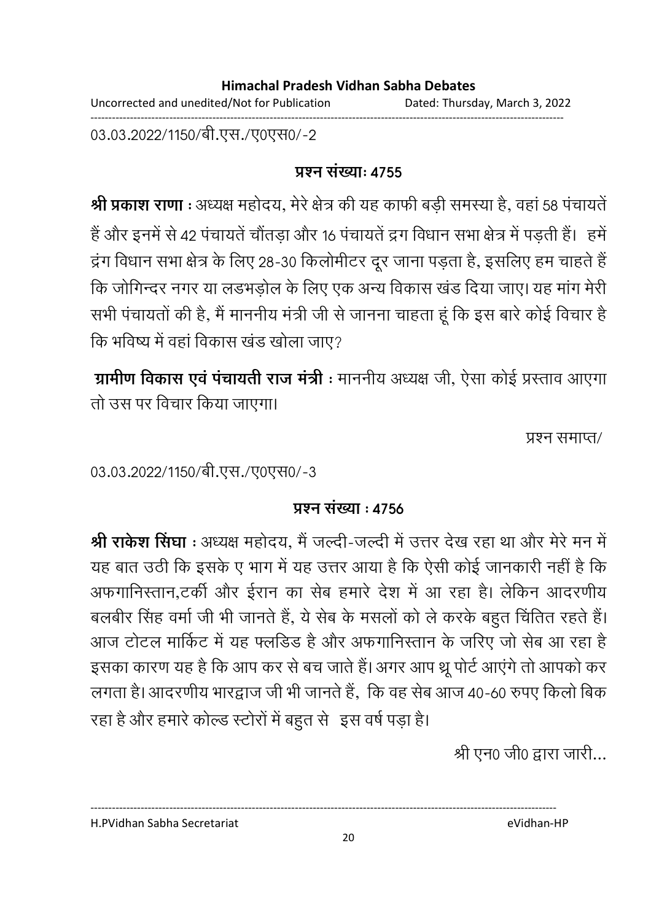Uncorrected and unedited/Not for Publication Dated: Thursday, March 3, 2022 ------------------------------------------------------------------------------------------------------------------------------------

03.03.2022/1150/बी.एस./ए0एस0/-2

### <u> प्रश्न संख्याः ४७५५</u>

**श्री प्रकाश राणा** : अध्यक्ष महोदय, मेरे क्षेत्र की यह काफी बड़ी समस्या है, वहां 58 पंचायते | है और इनमें से 42 पंचायते चौतड़ा और 16 पंचायते द्रंग विधान सभा क्षेत्र में पड़ती हैं। हमें द्रंग विधान सभा क्षेत्र के लिए 28-30 किलोमीटर दूर जाना पड़ता है, इसलिए हम चाहते हैं | कि जोगिन्दर नगर या लंडभंड़ोल के लिए एक अन्य विकास खंड दिया जाए। यह मांग मेरी सभी पंचायतों की है, मैं माननीय मंत्री जी से जानना चाहता हूं कि इस बारे कोई विचार हैं। कि भविष्य में वहां विकास खंड खोला जाए?

**ग्रामीण विकास एवं पचायती राज मंत्री** : माननीय अध्यक्ष जी, ऐसा कोई प्रस्ताव आएगा तो उस पर विचार किया जाएगा।

प्रश्न समाप्त/

03.03.2022/1150/बी.एस./ए0एस0/-3

### **प्रश्न संख्या : 4756**

**श्री राकेश सिंघा** : अध्यक्ष महोदय, मैं जल्दी-जल्दी में उत्तर देख रहा था और मेरे मन में यह बात उठी कि इसके ए भाग में यह उत्तर आया है कि ऐसी कोई जानकारी नहीं है कि अफगानिस्तान,टकी और ईरान का सेब हमारे देश में आ रहा है। लेकिन आदरणीय बलबीर सिंह वर्मा जी भी जानते हैं, ये सेब के मसलों को ले करके बहुत चिंतित रहते हैं। आज टोटल मार्किट में यह फ्लडिड है और अफगानिस्तान के जरिए जो सेब आ रहा है इसका कारण यह है कि आप कर से बच जाते हैं। अगर आप थ्रू पोर्ट आएंगे तो आपको कर लगता है। आदरणीय भारद्वाज जी भी जानते हैं, कि वह सेब आज 40-60 रुपए किलों बिंक रहा है और हमारे कोल्ड स्टोरों में बहुत से 'इस वर्ष पड़ा है।

श्री एन0 जी0 द्वारा जारी...

H.PVidhan Sabha Secretariat eVidhan-HP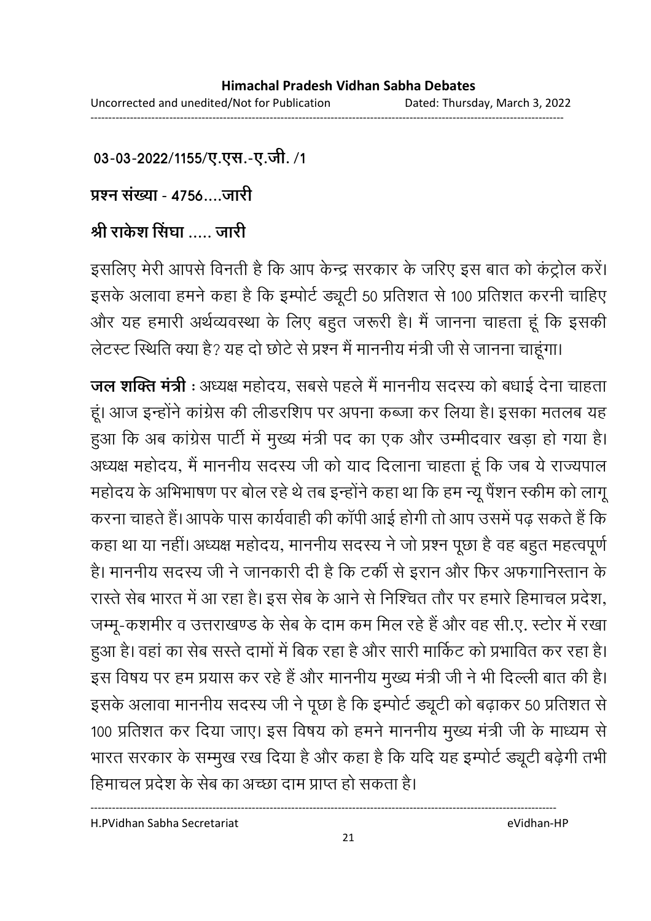03-03-2022/1155/ए.एस.-ए.जी. /1

<u> प्रश्न संख्या - 4756....जारी</u>

# श्री राकेश सिंघा ..... जारी

इसलिए मेरी आपसे विनती है कि आप केन्द्र सरकार के जरिए इस बात को कट्रोल करें। इसके अलावा हमने कहा है कि इम्पोर्ट ड्यूटी 50 प्रतिशत से 100 प्रतिशत करनी चाहिए और यह हमारी अर्थव्यवस्था के लिए बहुत जरूरी है। मैं जानना चाहता हूं कि इसकी लेटस्ट स्थिति क्या है? यह दो छोटे से प्रश्न मैं माननीय मंत्री जी से जानना चाहूगा।

**जल शक्ति मंत्री** : अध्यक्ष महोदय, सबसे पहले मैं माननीय सदस्य को बधाई देना चाहता। हूं। आज इन्होंने कांग्रेस की लेंडिरशिप पर अपना कब्जा कर लिया है। इसका मतलब यह हुआ कि अब कांग्रेस पार्टी में मुख्य मंत्री पद का एक और उम्मीदवार खड़ा हो गया है। अध्यक्ष महोदय, मैं माननीय सदस्य जी को याद दिलाना चाहता हूं कि जब ये राज्यपाल महोदय के अभिभाषण पर बोल रहे थे तब इन्होंने कहा था कि हम न्यू पैशन स्कीम को लागू करना चाहते हैं। आपके पास कार्यवाही की कापी आई होगी तो आप उसमें पढ़ सकते हैं कि कहा था या नही। अध्यक्ष महोदय, माननीय सदस्य ने जो प्रश्न पूछा है वह बहुत महत्वपूर्ण हैं। माननीय सदस्य जी ने जानकारी दी है कि टकी से इरान और फिर अफगानिस्तान के रास्ते सेब भारत में आ रहा है। इस सेब के आने से निश्चित तौर पर हमारे हिमाचल प्रदेश, जम्मू-कशमीर व उत्तराखण्ड के सेब के दाम कम मिल रहे हैं और वह सी.ए. स्टोर में रखा हुआ है। वहां का सेब संस्ते दामों में बिंक रहा है और सारी मार्किट को प्रभावित कर रहा है। इस विषय पर हम प्रयास कर रहे हैं और माननीय मुख्य मंत्री जी ने भी दिल्ली बात की है। इसके अलावा माननीय सदस्य जी ने पूछा है कि इम्पोर्ट ड्यूटी को बढ़ाकर 50 प्रतिशत से 100 प्रतिशत कर दिया जाए। इस विषय को हमने माननीय मुख्य मंत्री जी के माध्यम से भारत सरकार के सम्मुख रख दिया है और कहा है कि यदि यह इम्पोर्ट ड्यूटी बढ़ेगी तभी हिमाचल प्रदेश के सेब का अच्छा दाम प्राप्त हो सकता है।

H.PVidhan Sabha Secretariat eVidhan-HP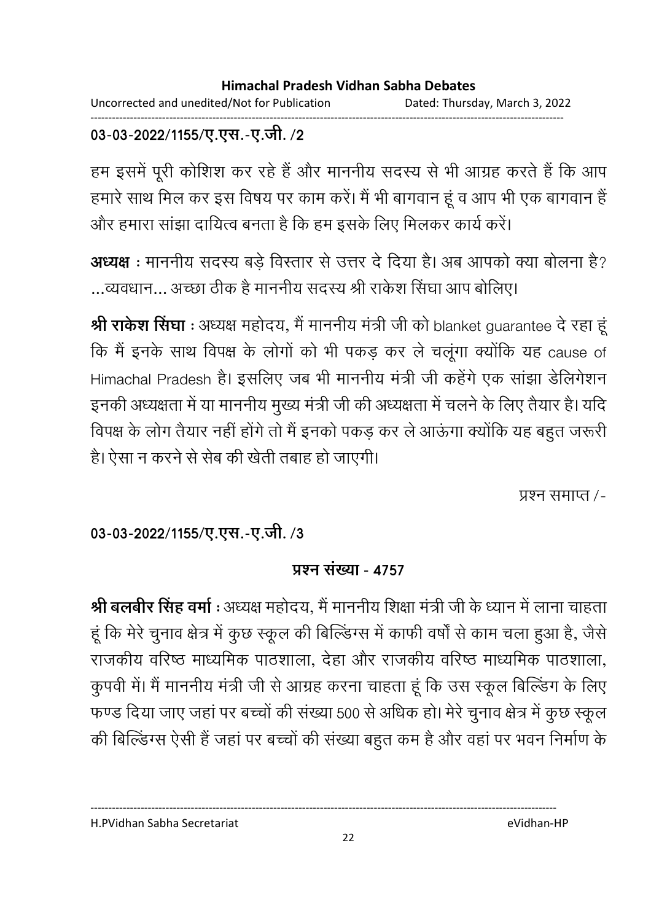Uncorrected and unedited/Not for Publication Dated: Thursday, March 3, 2022 ------------------------------------------------------------------------------------------------------------------------------------

### 03-03-2022/1155/ए.एस.-ए.जी. /2

हम इसमें पूरी कोशिश कर रहे हैं और माननीय सदस्य से भी आग्रह करते हैं कि आप हमारे साथ मिल कर इस विषय पर काम करें। मैं भी बागवान हूं व आप भी एक बागवान है और हमारा साझा दायित्व बनता है कि हम इसके लिए मिलकर कार्य करें।

**अध्यक्ष** : माननीय सदस्य बड़े विस्तार से उत्तर दे दिया है। अब आपको क्या बोलना है? ...व्यवधान... अच्छा ठीक है माननीय सदस्य श्री राकेश सिंघा आप बोलिए।

**श्री राकेश सिंघा** : अध्यक्ष महोदय, मैं माननीय मंत्री जी को blanket guarantee दें रहा हू कि मैं इनके साथ विपक्ष के लोगों को भी पकड़ कर ले चलूगा क्योंकि यह cause of Himachal Pradesh है। इसलिए जब भी माननीय मंत्री जी कहेंगे एक साझा डेलिंगेशन इनकी अध्यक्षता में या माननीय मुख्य मंत्री जी की अध्यक्षता में चलने के लिए तैयार है। यदि विपक्ष के लोग तैयार नहीं होंगे तो मैं इनको पकड़ कर ले आऊंगा क्योंकि यह बहुत जरूरी हैं। ऐसा न करने से सेब की खेती तबाह हो जाएगी।

प्रश्न समाप्त /-

03-03-2022/1155/ए.एस.-ए.जी. /3

### **प्रश्न संख्या - 4757**

**श्री बलबीर सिंह वर्मा :** अध्यक्ष महोदय, मैं माननीय शिक्षा मंत्री जी के ध्यान में लाना चाहता। हूं कि मेरे चुनाव क्षेत्र में कुछ स्कूल की बिल्डिंग्स में काफी वर्षों से काम चला हुआ है, जैसे राजकीय वरिष्ठ माध्यमिक पाठशाला, देहा और राजकीय वरिष्ठ माध्यमिक पाठशाला, कुपर्वी में। मैं माननीय मंत्री जी से आग्रह करना चाहता हूं कि उस स्कूल बिल्डिंग के लिए फण्ड दिया जाए जहां पर बच्चों की संख्या 500 से अधिक हो। मेरे चुनाव क्षेत्र में कुछ स्कूल की बिल्डिंग्स ऐसी है जहाँ पर बच्चों की संख्या बहुत कम है और वहाँ पर भवन निर्माण के

H.PVidhan Sabha Secretariat eVidhan-HP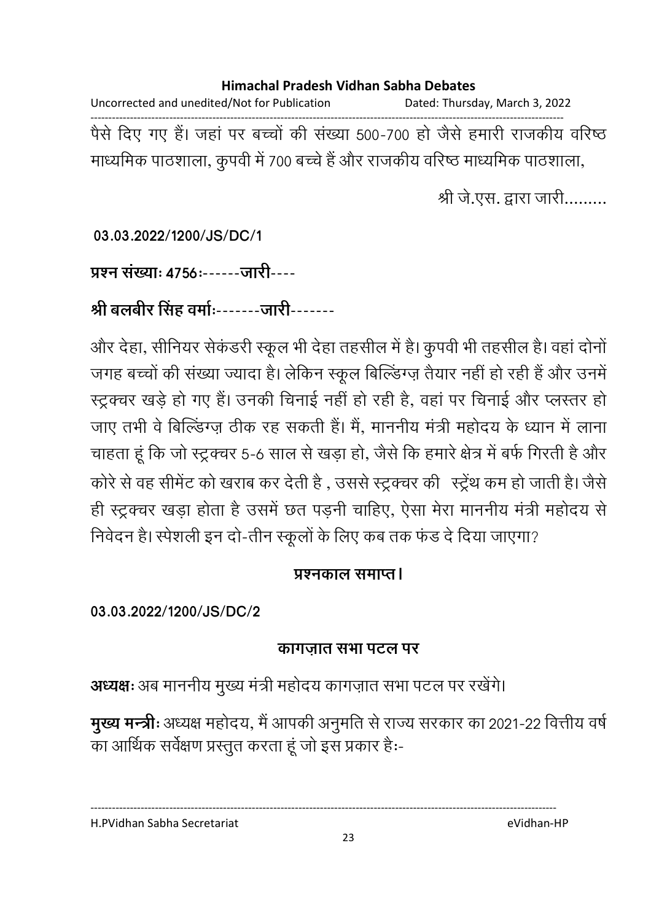Uncorrected and unedited/Not for Publication Dated: Thursday, March 3, 2022 ------------------------------------------------------------------------------------------------------------------------------------ पैसे दिए गए हैं। जहां पर बच्चों की संख्या 500-700 हो जैसे हमारी राजकीय वरिष्ठ माध्यमिक पाठशाला, कुंपवी में 700 बच्चे हैं और राजकीय वरिष्ठ माध्यमिक पाठशाला,

श्री जे.एस. द्वारा जारी.........

**03.03.2022/1200/JS/DC/1**

प्रश्न संख्याः **4756:------**जारी----

श्री बलबीर सिंह वर्मा:-------जारी-------

और देहा, सीनियर सेकंडरी स्कूल भी देहां तहसील में हैं। कुपवी भी तहसील हैं। वहां दोनों जगह बच्चों की संख्या ज्यादा है। लेकिन स्कूल बिल्डिंग्ज़ तैयार नहीं हो रही है और उनमें स्ट्रक्चर खड़े हो गए हैं। उनकी चिनाई नहीं हो रही है, वहां पर चिनाई और प्लस्तर हो जाए तभी वे बिल्डिंग्ज़ ठीक रह सकती है। मैं, माननीय मंत्री महोदय के ध्यान में लाना चाहता हूँ कि जो स्ट्रक्चर 5-6 साल से खड़ा हो, जैसे कि हमारे क्षेत्र में बर्फ गिरती है और - - -ह "[ L -! ह , E- >yZ >y"? ह ,! ह4 ,- ही स्ट्रक्चर खड़ा होता है उसमें छत पड़नी चाहिए, ऐसा मेरा माननीय मंत्री महोदय से निवेदन है। स्पेशली इन दो-तीन स्कूलों के लिए कब तक फंड दें दिया जाएगा?

### <u> प्रश्नकाल समाप्त।</u>

**03.03.2022/1200/JS/DC/2**

### <u>कागजात सभा पटल पर</u>

**अध्यक्षः** अब माननीय मुख्य मंत्री महोदय कागज़ात सभा पटल पर रखेंगे।

**मुख्य मन्त्रीः** अध्यक्ष महोदय, मै आपकी अनुमति से राज्य सरकार का 2021-22 वित्तीय वर्षे का आर्थिक सर्वेक्षण प्रस्तुत करता हूँ जो इस प्रकार हैं:-

H.PVidhan Sabha Secretariat eVidhan-HP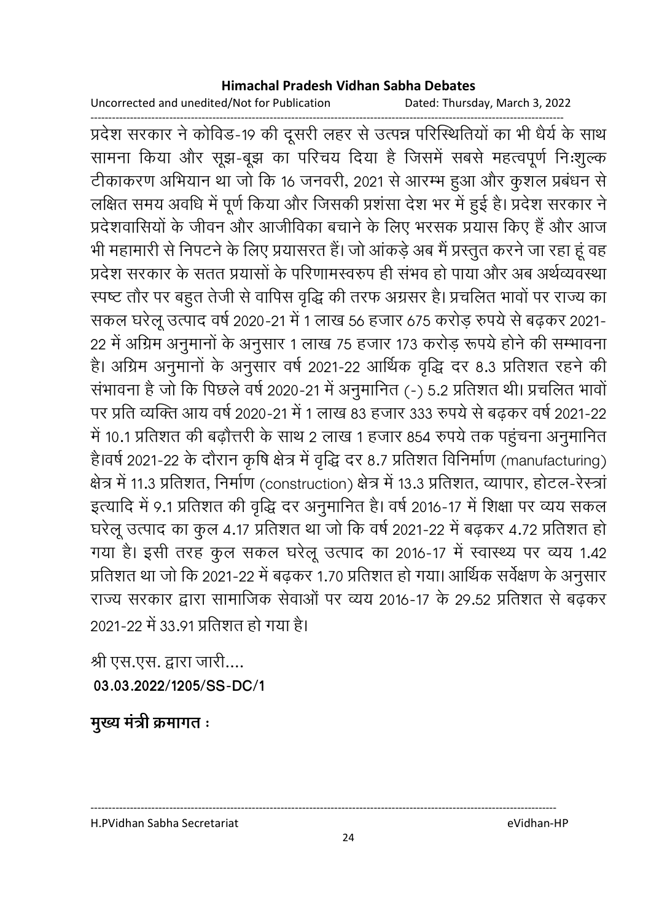Uncorrected and unedited/Not for Publication Dated: Thursday, March 3, 2022

------------------------------------------------------------------------------------------------------------------------------------ प्रदेश सरकार ने कोविड-19 की दूसरी लहर से उत्पन्न परिस्थितियों का भी धैर्य के साथ सामना किया और सूझ-बूझ का परिचय दिया है जिसमें सबसे महत्वपूर्ण निःशुल्क टीकाकरण अभियान था जो कि 16 जनवरी, 2021 से आरम्भ हुआ और कुशल प्रबंधन से लक्षित समय अवधि में पूर्ण किया और जिसकी प्रशंसा देश भर में हुई है। प्रदेश सरकार ने प्रदेशवासियों के जीवन और आजीविका बचाने के लिए भरसक प्रयास किए हैं और आज भी महामारी से निपटने के लिए प्रयासरत है। जो आकड़े अब मैं प्रस्तुत करने जा रहा हूं वह प्रदेश सरकार के सतत प्रयासों के परिणामस्वरुप ही संभव हो पाया और अब अर्थव्यवस्था स्पष्ट तौर पर बहुत तेजी से वापिस वृद्धि की तरफ अंग्रसर है। प्रचलित भावों पर राज्य का सकल घरेलू उत्पाद वर्ष 2020-21 में 1 लाख 56 हजार 675 करोड़ रुपये से बढ़कर 2021-22 में अग्रिम अनुमानों के अनुसार 1 लाख 75 हजार 173 करोड़ रूपये होने की सम्भावना हैं। अग्रिम अनुमानों के अनुसार वर्ष 2021-22 आर्थिक वृद्धि दर 8.3 प्रतिशत रहने की सभावना है जो कि पिछले वर्ष 2020-21 में अनुमानित (-) 5.2 प्रतिशत थी। प्रचलित भावो पर प्रति व्यक्ति आय वर्ष 2020-21 में 1 लाख 83 हजार 333 रुपये से बढ़कर वर्ष 2021-22 में 10.1 प्रतिशत की बढ़ौत्तरी के साथ 2 लाख 1 हजार 854 रुपये तक पहुंचना अनुमानित है।वर्ष 2021-22 के दौरान कृषि क्षेत्र में वृद्धि दर 8.7 प्रतिशत विनिर्माण (manufacturing) क्षेत्र में 11.3 प्रतिशत, निर्माण (construction) क्षेत्र में 13.3 प्रतिशत, व्यापार, होटल-रेस्त्रां इत्यादि में 9.1 प्रतिशत की वृद्धि दर अनुमानित है। वर्ष 2016-17 में शिक्षा पर व्यय सकल घरेलू उत्पाद का कुल 4.17 प्रतिशत था जो कि वर्ष 2021-22 में बढ़कर 4.72 प्रतिशत हो गया है। इसी तरह कुल सकल घरेलू उत्पाद का 2016-17 में स्वास्थ्य पर व्यय 1.42 प्रतिशत था जो कि 2021-22 में बढ़कर 1.70 प्रतिशत हो गया। आर्थिक सर्वेक्षण के अनुसार राज्य सरकार द्वारा सामाजिक सेवाओं पर व्यय 2016-17 के 29.52 प्रतिशत से बढ़कर 2021-22 में 33.91 प्रतिशत हो गया है।

श्री एस.एस. द्वारा जारी.... **03.03.2022/1205/SS-DC/1**

<u>मुख्य मंत्री क्रमागत :</u>

H.PVidhan Sabha Secretariat eVidhan-HP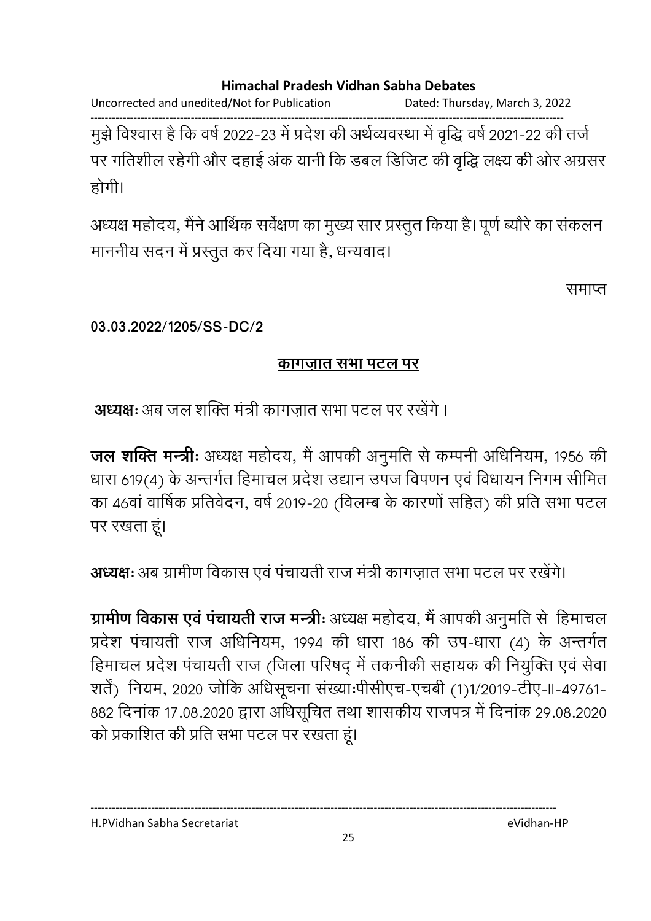Uncorrected and unedited/Not for Publication Dated: Thursday, March 3, 2022

------------------------------------------------------------------------------------------------------------------------------------ मुझे विश्वास है कि वर्ष 2022-23 में प्रदेश की अर्थव्यवस्था में वृद्धि वर्ष 2021-22 की तर्ज पर गतिशील रहेगी और दहाई अक यानी कि डबल डिजिट की वृद्धि लक्ष्य की ओर अंग्रसर होगी।

अध्यक्ष महोदय, मैंने आर्थिक सर्वेक्षण का मुख्य सार प्रस्तुत किया है। पूर्ण ब्यौरे का सकलन माननीय सदन में प्रस्तुत कर दिया गया है, धन्यवाद।

समाप्त

**03.03.2022/1205/SS-DC/2**

### <u>कागजात सभा पटल पर</u>

**अध्यक्ष:** अब जल शक्ति मंत्री कांगज़ात सभा पटल पर रखेंगे ।

**जल शक्ति मन्त्रीः** अध्यक्ष महोदय, मै आपकी अनुमति से कम्पनी अधिनियम, 1956 की धारा 619(4) के अन्तर्गत हिमाचल प्रदेश उद्यान उपज विपणन एवं विधायन निगम सीमित का 46वा वार्षिक प्रतिवेदन, वर्ष 2019-20 (विलम्ब के कारणों सहित) की प्रति सभा पटल पर रखता हूं।

**अध्यक्षः** अब ग्रामीण विकास एवं पचायती राज मंत्री कांगज़ात सभा पटल पर रखेंगे।

**ग्रामीण विकास एवं पचायती राज मन्त्रीः** अध्यक्ष महोदय, मैं आपकी अनुमति से हिमाचल प्रदेश पंचायती राज अधिनियम, 1994 की धारा 186 की उप-धारा (4) के अन्तर्गत हिमाचल प्रदेश पंचायती राज (जिला परिषद् में तकनीकी सहायक की नियुक्ति एवं सेवा) शते) नियम, 2020 जोकि अधिसूचना संख्याःपीसीएच-एचबी (1)1/2019-टीए-II-49761-882 दिनाक 17.08.2020 द्वारा अधिसूचित तथा शासकीय राजपत्र में दिनाक 29.08.2020 को प्रकाशित की प्रति सभा पटल पर रखता हूं।

H.PVidhan Sabha Secretariat eVidhan-HP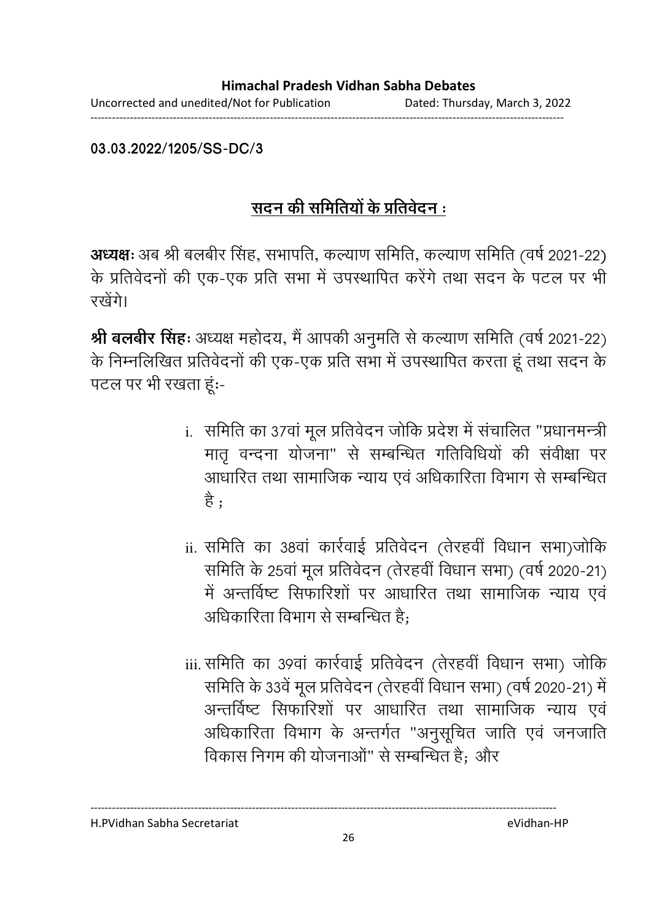**03.03.2022/1205/SS-DC/3**

# <u>सदन की समितियों के प्रतिवेदन :</u>

**अध्यक्षः** अब श्री बलबीर सिंह, सभापति, कल्याण समिति, कल्याण समिति (वर्ष 2021-22) के प्रतिवेदनों की एक-एक प्रति सभा में उपस्थापित करेंगे तथा सदन के पटल पर भी रखेंगे।

**श्री बलबीर सिंह:** अध्यक्ष महोदय, मैं आपकी अनुमति से कल्याण समिति (वर्ष 2021-22) के निम्नलिखित प्रतिवेदनों की एक-एक प्रति सभा में उपस्थापित करता हूं तथा सदन के पटल पर भी रखता हूं:-

- i. समिति का 37वां मूल प्रतिवेदन जोकि प्रदेश में संचालित "प्रधानमन्त्री मातृ वन्दना योजना" से सम्बन्धित गतिविधियों की सर्वीक्षा पर आधारित तथा सामाजिक न्याय एवं अधिकारिता विभाग से सम्बन्धित ह ;
- ii. समिति का 38वां कार्रवाई प्रतिवेदन (तेरहवीं विधान सभा)जोकि समिति के 25वां मूल प्रतिवेदन (तेरहवी विधान सभा) (वर्ष 2020-21) में अन्तविष्ट सिफारिशों पर आधारित तथा सामाजिक न्याय एवं अधिकारिता विभाग से सम्बन्धित हैं;
- iii. समिति का ३९वां कार्रवाई प्रतिवेदन (तेरहवीं विधान सभा) जोकि समिति के 33वें मूल प्रतिवेदन (तेरहवी विधान सभा) (वर्ष 2020-21) में अन्तविष्ट सिफारिशो पर आधारित तथा सामाजिक न्याय एवं अधिकारिता विभाग के अन्तर्गत "अनुसूचित जाति एवं जनजाति विकास निगम की योजनाओ" से सम्बन्धित हैं; और

H.PVidhan Sabha Secretariat eVidhan-HP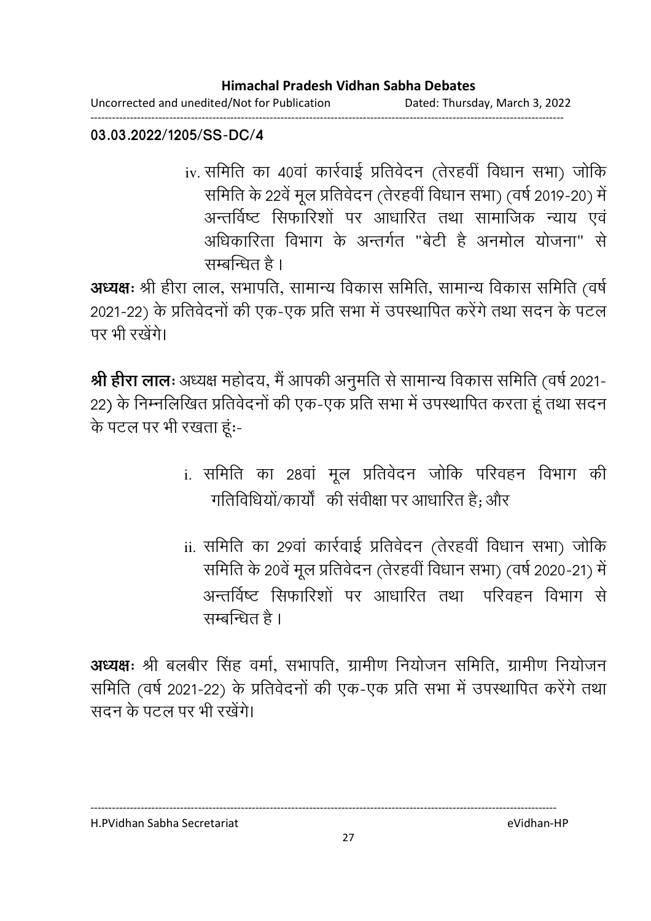Uncorrected and unedited/Not for Publication Dated: Thursday, March 3, 2022 ------------------------------------------------------------------------------------------------------------------------------------

#### **03.03.2022/1205/SS-DC/4**

iv. समिति का 40वां कार्रवाई प्रतिवेदन (तेरहवीं विधान सभा) जोकि समिति के 22वें मूल प्रतिवेदन (तेरहवी विधान सभा) (वर्ष 2019-20) में अन्तविष्ट सिफारिशो पर आधारित तथा सामाजिक न्याय एवं अधिकारिता विभाग के अन्तर्गत "बेटी है अनमोल योजना" से सम्बन्धित है ।

**अध्यक्षः** श्री हीरा लाल, सभापति, सामान्य विकास समिति, सामान्य विकास समिति (वर्षे) 2021-22) के प्रतिवेदनों की एक-एक प्रति सभा में उपस्थापित करेंगे तथा सदन के पटल पर भी रखेंगे।

**श्री हीरा लालः** अध्यक्ष महोदय, मैं आपकी अनुमति से सामान्य विकास समिति (वर्ष 2021-22) के निम्नलिखित प्रतिवेदनों की एक-एक प्रति सभा में उपस्थापित करता हूं तथा सदन के पटल पर भी रखता हूं:-

- i. समिति का 28वां मूल प्रतिवेदन जोकि परिवहन विभाग की गतिविधियो/कार्यो की सर्वीक्षा पर आधारित है; और
- ii. समिति का 29वां कार्रवाई प्रतिवेदन (तेरहवीं विधान सभा) जोकि समिति के 20वे मूल प्रतिवेदन (तेरहवी विधान सभा) (वर्ष 2020-21) में अन्तविष्ट सिफारिशो पर आधारित तथा परिवहन विभाग से सम्बन्धित है ।

**अध्यक्षः** श्री बलबीर सिंह वर्मा, सभापति, ग्रामीण निर्याजन समिति, ग्रामीण निर्याजन समिति (वर्षे 2021-22) के प्रतिवेदनों की एक-एक प्रति सभा में उपस्थापित करेंगे तथा सदन के पटल पर भी रखेंगे।

H.PVidhan Sabha Secretariat eVidhan-HP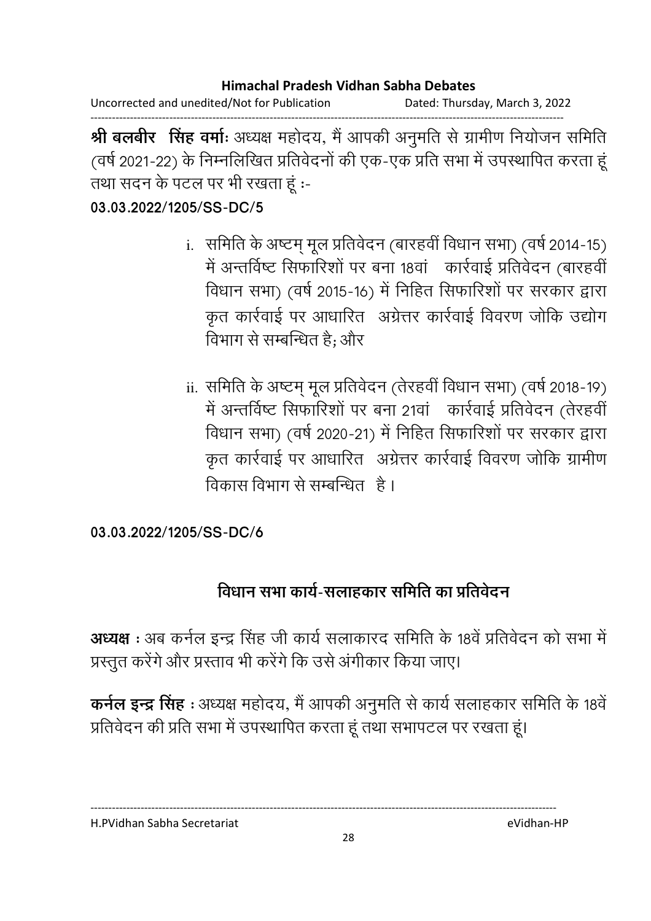Uncorrected and unedited/Not for Publication Dated: Thursday, March 3, 2022 ------------------------------------------------------------------------------------------------------------------------------------

**श्री बलबीर सिंह वर्माः** अध्यक्ष महोदय, मै आपकी अनुमति से ग्रामीण नियोजन समिति । (वर्ष 2021-22) के निम्नलिखित प्रतिवेदनों की एक-एक प्रति सभा में उपस्थापित करता हू तथा सदन के पटल पर भी रखता हूं :-

**03.03.2022/1205/SS-DC/5**

- i. ! - i[² .\$ 5!-- (ह-F ) (-P 2014-15) में अन्तविष्ट सिफारिशों पर बना 18वा - कार्रवाई प्रतिवेदन (बारहवीं विधान सभा) (वर्ष 2015-16) में निहित सिफारिशों पर सरकार द्वारा कृत कार्रवाई पर आधारित अंग्रेत्तर कार्रवाई विवरण जोकि उद्योग। विभाग से सम्बन्धित हैं; और
- ii. समिति के अष्टम् मूल प्रतिवेदन (तेरहवीं विधान सभा) (वर्ष 2018-19) में अन्तविष्ट सिफारिशों पर बना 21वा ) कार्रवाई प्रतिवेदन (तेरहवीं विधान सभा) (वर्ष 2020-21) में निहित सिफारिशों पर सरकार द्वारा कृत कार्रवाई पर आधारित अंग्रेत्तर कार्रवाई विवरण जोकि ग्रामीण विकास विभाग से सम्बन्धित | है ।

**03.03.2022/1205/SS-DC/6**

# विधान सभा कार्य-सलाहकार समिति का प्रतिवेदन

**अध्यक्ष :** अब कर्नल इन्द्र सिंह जी कार्य सलाकारद समिति के 18वें प्रतिवेदन को सभा में प्रस्तुत करेंगे और प्रस्ताव भी करेंगे कि उसे अंगीकार किया जाए।

**कर्नल इन्द्र सिंह** : अध्यक्ष महोदय, मैं आपकी अनुमति से कार्य सलाहकार समिति के 18वें प्रतिवेदन की प्रति सभा में उपस्थापित करता हूं तथा सभापटल पर रखता हूं।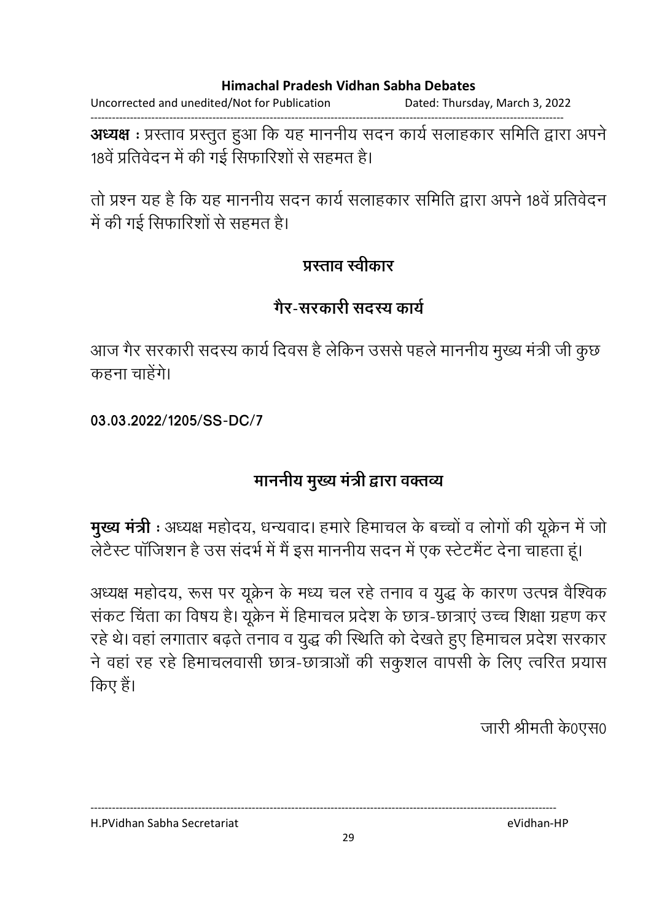Uncorrected and unedited/Not for Publication Dated: Thursday, March 3, 2022

------------------------------------------------------------------------------------------------------------------------------------ **अध्यक्ष** : प्रस्ताव प्रस्तुत हुआ कि यह माननीय सदन कार्य सलाहकार समिति द्वारा अपने 18वें प्रतिवेदन में की गई सिफारिशों से सहमत हैं।

तो प्रश्न यह है कि यह माननीय सदन कार्य सलाहकार समिति द्वारा अपने 18वें प्रतिवेदन में की गई सिफारिशों से सहमत हैं।

### प्रस्ताव स्वीकार

## <u>गैर-सरकारी सदस्य कार्य</u>

आज गैर सरकारी सदस्य कार्य दिवस है लेकिन उससे पहले माननीय मुख्य मंत्री जी कुछ। कहना चाहेंगे।

**03.03.2022/1205/SS-DC/7**

# माननीय मुख्य मंत्री द्वारा वक्तव्य

**मुख्य मंत्री** : अध्यक्ष महोदय, धन्यवाद। हमारे हिमाचल के बच्चों व लोगों की यूक्रेन में जो लेटैस्ट पाजिशन है उस सदर्भ में मैं इस माननीय सदन में एक स्टेटमैंट देना चाहता हूं।

अध्यक्ष महोदय, रूस पर यूक्रेन के मध्य चल रहे तनाव व युद्ध के कारण उत्पन्न वैश्विक सकट चिंता का विषय है। यूक्रेन में हिमाचल प्रदेश के छात्र-छात्राएं उच्च शिक्षा ग्रहण कर रहे थे। वहां लगातार बढ़ते तनाव व युद्ध की स्थिति को देखते हुए हिमाचल प्रदेश सरकार ने वहां रह रहे हिमाचलवासी छात्र-छात्राओं की संकुशल वापसी के लिए त्वरित प्रयास किए हैं।

जारी श्रीमती के0एस0

---------------------------------------------------------------------------------------------------------------------------------- H.PVidhan Sabha Secretariat eVidhan-HP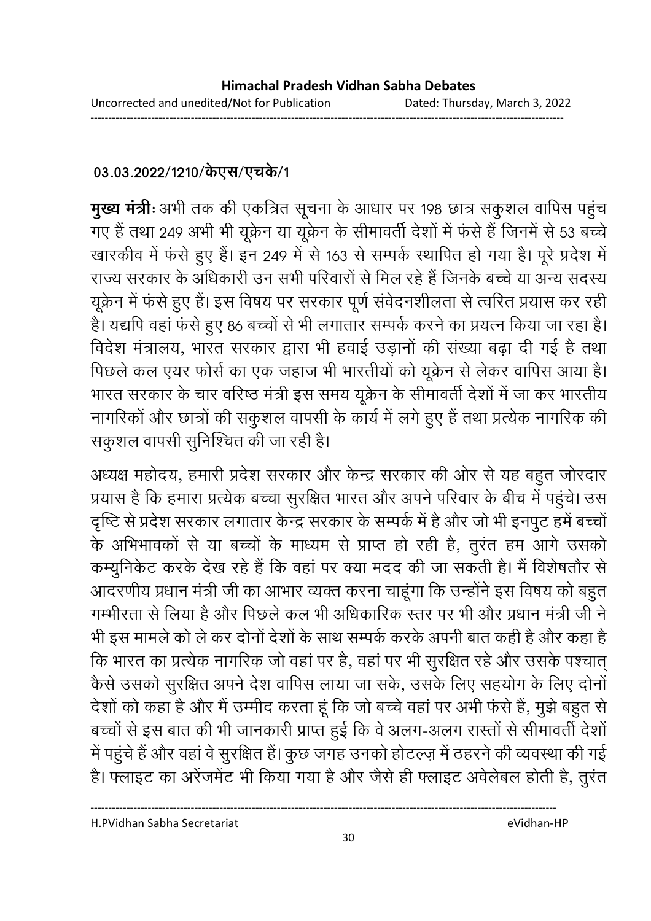### 03.03.2022/1210/केएस/एचके/1

**मुख्य मंत्रीः** अभी तक की एकत्रित सूचना के आधार पर 198 छात्र सकुशल वापिस पहुच गए हैं तथा 249 अभी भी यूक्रेन या यूक्रेन के सीमावती देशों में फर्स है जिनमें से 53 बच्चे खारकीव में फर्स हुए हैं। इन 249 में से 163 से सम्पर्क स्थापित हो गया है। पूरे प्रदेश में राज्य सरकार के अधिकारी उन सभी परिवारों से मिल रहे हैं जिनके बच्चे या अन्य सदस्य यूक्रेन में फर्स हुए हैं। इस विषय पर सरकार पूर्ण सर्वेदनशीलता से त्वरित प्रयास कर रही हैं। यद्यपि वहां फर्स हुए 86 बच्चों से भी लगातार सम्पर्क करने का प्रयत्न किया जा रहा है। विदेश मंत्रालय, भारत सरकार द्वारा भी हवाई उड़ांनों की संख्या बढ़ा दी गई है तथा पिछले कल एयर फोर्स का एक जहाज भी भारतीयों को यूक्रेन से लेकर वापिस आया है। भारत सरकार के चार वरिष्ठ मंत्री इस समय यूक्रेन के सीमावती देशों में जा कर भारतीय नागरिको और छात्रों की सकुशल वापसी के कार्य में लगे हुए हैं तथा प्रत्येक नागरिक की सकुशल वापसी सुनिश्चित की जा रही है।

अध्यक्ष महोदय, हमारी प्रदेश सरकार और केन्द्र सरकार की ओर से यह बहुत जोरदार प्रयास है कि हमारा प्रत्येक बच्चा सुरक्षित भारत और अपने परिवार के बीच में पहुंचे। उस दृष्टि से प्रदेश सरकार लगातार केन्द्र सरकार के सम्पर्क में हैं और जो भी इनपुट हमें बच्चों | के अभिभावकों से या बच्चों के माध्यम से प्राप्त हो रही है, तुरंत हम आगे उसको कम्युनिकेट करके देख रहे हैं कि वहां पर क्या मदद की जा सकती है। मैं विशेषतौर से आदरणीय प्रधान मंत्री जी का आभार व्यक्त करना चाहूंगा कि उन्होंने इस विषय को बहुत। गम्भीरता से लिया है और पिछले कल भी अधिकारिक स्तर पर भी और प्रधान मंत्री जी ने भी इस मामले को ले कर दोनों देशों के साथ सम्पर्क करके अपनी बात कही है और कहा है कि भारत का प्रत्येक नागरिक जो वहां पर हैं, वहां पर भी सुरक्षित रहे और उसके पश्चात् कैसे उसको सुरक्षित अपने देश वापिस लाया जा सके, उसके लिए सहयोग के लिए दोनो देशों को कहा है और मैं उम्मीद करता हूँ कि जो बच्चे वहां पर अभी फर्स हैं, मुझे बहुत से बच्चों से इस बात की भी जानकारी प्राप्त हुई कि वे अलग-अलग रास्तों से सीमावती देशों में पहुंचे हैं और वहां वे सुरक्षित है। कुछ जगह उनको होटल्ज़ में ठहरने की व्यवस्था की गई हैं। फ्लाइट का अरेजमेंट भी किया गया है और जैसे ही फ्लाइट अवेलेबल होती है, तुरंत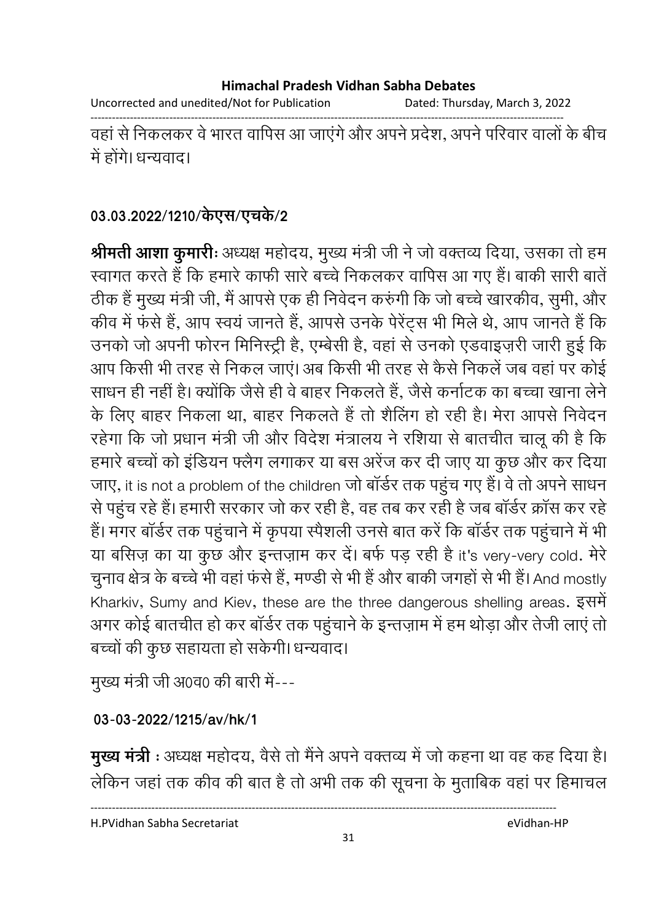Uncorrected and unedited/Not for Publication Dated: Thursday, March 3, 2022

------------------------------------------------------------------------------------------------------------------------------------

वहां से निकलकर वे भारत वापिस आ जाएंगे और अपने प्रदेश, अपने परिवार वालों के बीच में होंगे। धन्यवाद।

### 03.03.2022/1210/केएस/एच**के/2**

**श्रीमती आशा कुमारीः** अध्यक्ष महोदय, मुख्य मंत्री जी ने जो वक्तव्य दिया, उसका तो हम स्वागत करते हैं कि हमारे काफी सारे बच्चे निकलकर वापिस आ गए है। बाकी सारी बातें ठीक है मुख्य मंत्री जी, मैं आपसे एक ही निवेदन करुंगी कि जो बच्चे खारकीव, सुमी, और कीव में फर्स हैं, आप स्वयं जानते हैं, आपसे उनके पेरेट्स भी मिले थे, आप जानते हैं कि उनको जो अपनी फोरन मिनिस्ट्री है, एम्बेसी है, वहां से उनको एडवाइज़री जारी हुई कि आप किसी भी तरह से निकल जाए। अब किसी भी तरह से कैसे निकले जब वहां पर कोई साधन ही नहीं है। क्योंकि जैसे ही वे बाहर निकलते हैं, जैसे कर्नाटक का बच्चा खाना लेने के लिए बाहर निकला था, बाहर निकलते हैं तो शैलिंग हो रही है। मेरा आपसे निर्वेदन रहेगा कि जो प्रधान मंत्री जी और विदेश मंत्रालय ने रशिया से बातचीत चालू की है कि हमारे बच्चों को इंडियन फ्लैग लगाकर या बस अरेज कर दी जाए या कुछ और कर दिया जाए, it is not a problem of the children जो बार्डर तक पहुच गए हैं। वे तो अपने साधन से पहुंच रहे हैं। हमारी सरकार जो कर रही है, वह तब कर रही है जब बार्डर क्रास कर रहे हैं। मगर बार्डर तक पहुंचाने में कृपया स्पैशली उनसे बात करें कि बार्डर तक पहुंचाने में भी या बर्सिज़ का या कुछ और इन्तज़ाम कर दें। बर्फ पड़ रही हैं it's very-very cold. मेरे चुनाव क्षेत्र के बच्चे भी वहां फर्स है, मण्डी से भी है और बाकी जगहों से भी है। And mostly Kharkiv, Sumy and Kiev, these are the three dangerous shelling areas. इसमें अगर कोई बातचीत हो कर बार्डर तक पहुचाने के इन्तज़ाम में हम थोड़ा और तेजी लाए तो बच्चों की कुछ सहायता हो सकेगी। धन्यवाद।

मुख्य मंत्री जी अ0व0 की बारी में---

### **03-03-2022/1215/av/hk/1**

**मुख्य मंत्री** : अध्यक्ष महोदय, वैसे तो मैंने अपने वक्तव्य में जो कहना था वह कह दिया है। लेकिन जहाँ तक कीव की बात है तो अभी तक की सूचना के मुताबिक वहां पर हिमाचल

H.PVidhan Sabha Secretariat eVidhan-HP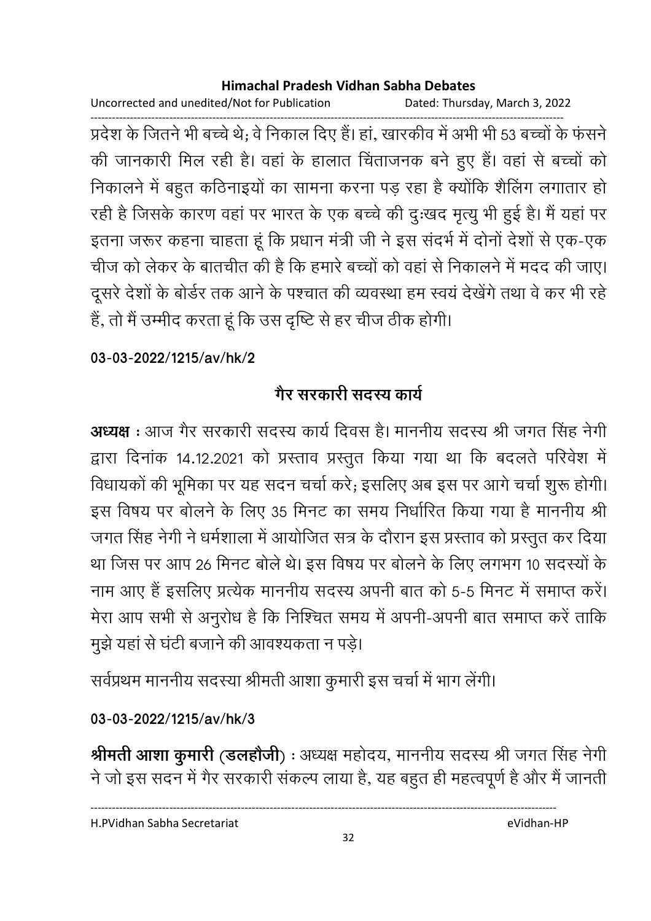Uncorrected and unedited/Not for Publication Dated: Thursday, March 3, 2022

------------------------------------------------------------------------------------------------------------------------------------ प्रदेश के जितने भी बच्चे थे; वे निकाल दिए हैं। हा, खारकीव में अभी भी 53 बच्चों के फसने की जानकारी मिल रही है। वहां के हालात चिंताजनक बने हुए हैं। वहां से बच्चों को निकालने में बहुत कठिनाइयों का सामना करना पड़ रहा है क्योंकि शैलिंग लगातार हो रही है जिसके कारण वहां पर भारत के एक बच्चे की दुःखद मृत्यु भी हुई है। मैं यहां पर इतना जरूर कहना चाहता हूं कि प्रधान मंत्री जी ने इस सदर्भ में दोनों देशों से एक-एक चीज को लेकर के बातचीत की है कि हमारे बच्चों को वहां से निकालने में मदद की जाए। दूसरे देशों के बोर्डर तक आने के पश्चात की व्यवस्था हम स्वयं देखेंगे तथा वे कर भी रहे है, तो मैं उम्मीद करता हूं कि उस दृष्टि से हर चीज ठीक होगी।

**03-03-2022/1215/av/hk/2**

# <u>गैर सरकारी संदस्य कार्य</u>

**अध्यक्ष** : आज गैर सरकारी सदस्य कार्य दिवस है। माननीय सदस्य श्री जगत सिंह नेगी द्वारा दिनाक 14.12.2021 को प्रस्ताव प्रस्तुत किया गया था कि बदलते परिवेश में विधायकों की भूमिका पर यह सदन चर्चा करे; इसलिए अब इस पर आगे चर्चा शुरू होगी। इस विषय पर बोलने के लिए 35 मिनट का समय निर्धारित किया गया है माननीय श्री जगत सिंह नेगी ने धर्मशाला में आयोजित सत्र के दौरान इस प्रस्ताव को प्रस्तुत कर दिया था जिस पर आप 26 मिनट बोले थे। इस विषय पर बोलने के लिए लगभग 10 सदस्यों के नाम आए हैं इसलिए प्रत्येक माननीय सदस्य अपनी बात को 5-5 मिनट में समाप्त करें। मेरा आप सभी से अनुरोध है कि निश्चित समय में अपनी-अपनी बात समाप्त करें ताकि मुझे यहां से घंटी बजाने की आवश्यकता न पड़े।

सर्वप्रथम माननीय सदस्या श्रीमती आशा कुमारी इस चर्चा में भाग लेगी।

# **03-03-2022/1215/av/hk/3**

**श्रीमती आशा कुमारी (डलहोजी)** : अध्यक्ष महोदय, माननीय सदस्य श्री जगत सिंह नेगी ने जो इस सदन में गैर सरकारी सकल्प लाया है, यह बहुत ही महत्वपूर्ण है और मैं जानती

----------------------------------------------------------------------------------------------------------------------------------

H.PVidhan Sabha Secretariat eVidhan-HP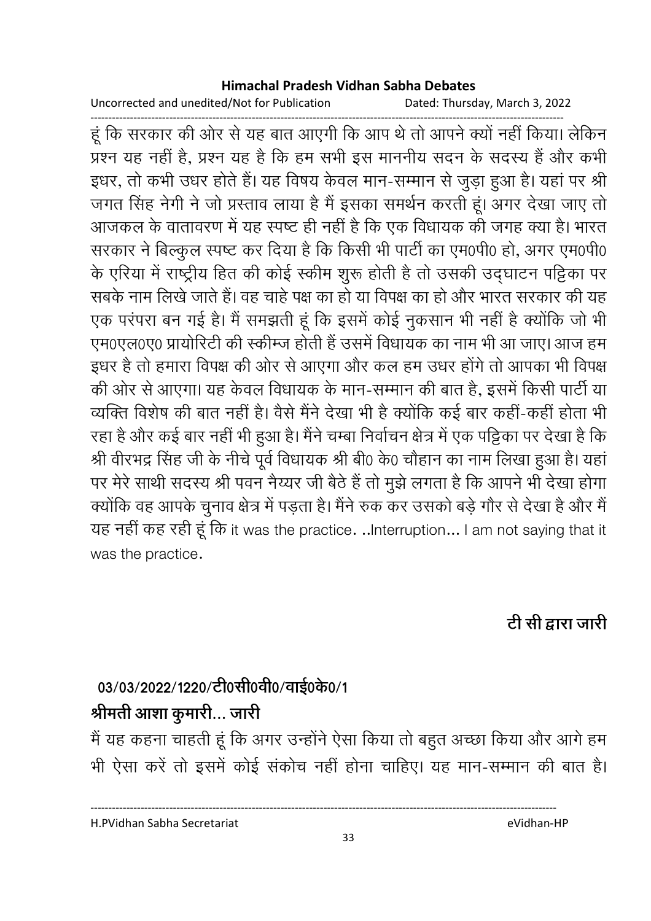Uncorrected and unedited/Not for Publication Dated: Thursday, March 3, 2022

------------------------------------------------------------------------------------------------------------------------------------ हूं कि सरकार की ओर से यह बात आएगी कि आप थे तो आपने क्यों नहीं किया। लेकिन प्रश्न यह नहीं है, प्रश्न यह है कि हम सभी इस माननीय सदन के सदस्य है और कभी इधर, तो कभी उधर होते हैं। यह विषय केवल मान-सम्मान से जुड़ा हुआ है। यहां पर श्री जगत सिंह नेगी ने जो प्रस्ताव लाया है मैं इसका समर्थन करती हूं। अगर देखा जाए तो आजकल के वातावरण में यह स्पष्ट ही नहीं है कि एक विधायक की जगह क्या है। भारत सरकार ने बिल्कुल स्पष्ट कर दिया है कि किसी भी पार्टी का एम0पी0 हो, अगर एम0पी0 के एरिया में राष्ट्रीय हित की कोई स्कीम शुरू होती है तो उसकी उद्घाटन पट्टिका पर सबके नाम लिखे जाते हैं। वह चाहें पक्ष का हो या विपक्ष का हो और भारत सरकार की यह एक परपरा बन गई है। मैं समझती हूं कि इसमें कोई नुकसान भी नहीं है क्योंकि जो भी एम0एल0ए0 प्रायोरिटी की स्कीम्ज होती है उसमें विधायक का नाम भी आ जाए। आज हम इधर है तो हमारा विपक्ष की ओर से आएगा और कल हम उधर होंगे तो आपका भी विपक्ष की ओर से आएगा। यह केवल विधायक के मान-सम्मान की बात है, इसमें किसी पार्टी या व्यक्ति विशेष की बात नहीं हैं। वैसे मैंने देखा भी है क्योंकि कई बार कहीं-कहीं होता भी रहा है और कई बार नहीं भी हुआ है। मैंने चम्बा निर्वाचन क्षेत्र में एक पट्टिका पर देखा है कि श्री वीरभद्र सिंह जी के नीचे पूर्व विधायक श्री बी0 के0 चौहान का नाम लिखा हुआ है। यहां पर मेरे साथी सदस्य श्री पवन नैय्यर जी बैठे हैं तो मुझे लगता है कि आपने भी देखा होगा क्योंकि वह आपके चुनाव क्षेत्र में पड़ता है। मैंने रुक कर उसको बड़े गौर से देखा है और मैं यह नहीं कह रही हूं कि it was the practice. ..Interruption... I am not saying that it was the practice.

### टी सी द्वारा जारी

# 03/03/2022/1220/टी0सी0वी0/वाई0के0/1

# श्रीमती आशा कुमारी... जारी

में यह कहना चाहती हूं कि अगर उन्होंने ऐसा किया तो बहुत अच्छा किया और आगे हम भी ऐसा करें तो इसमें कोई सकोच नहीं होना चाहिए। यह मान-सम्मान की बात हैं।

H.PVidhan Sabha Secretariat eVidhan-HP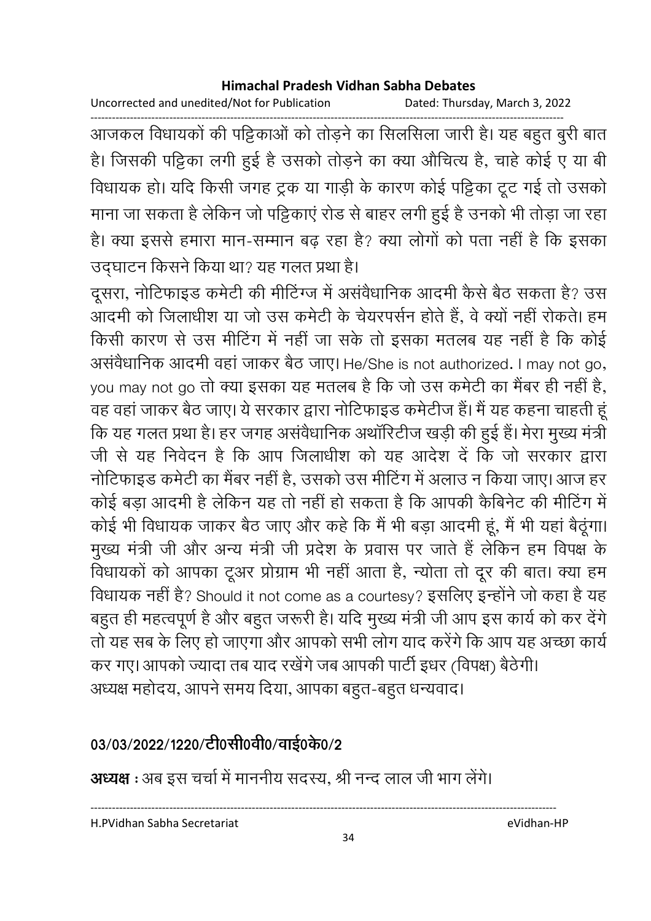Uncorrected and unedited/Not for Publication Dated: Thursday, March 3, 2022

------------------------------------------------------------------------------------------------------------------------------------ आजकल विधायकों की पट्टिकाओं को तोड़ने का सिलसिला जारी है। यह बहुत बुरी बात हैं। जिसकी पट्टिका लगी हुई है उसको तोड़ने का क्या औचित्य है, चाहे कोई ए या बी विधायक हो। यदि किसी जगह ट्रक या गाड़ी के कारण कोई पट्टिका टूट गई तो उसको माना जा सकता है लेकिन जो पट्टिकाए रोड से बाहर लगी हुई है उनको भी तोड़ा जा रहा। है। क्या इससे हमारा मान-सम्मान बढ़ रहा है? क्या लोगों को पता नहीं है कि इसका उद्घाटन किसने किया था? यह गलत प्रथा है।

दूसरा, नोटिफाइंड कर्मटी की मीटिंग्ज में असवैधानिक आदमी कैसे बैठ सकता है? उस आदमी को जिलाधीश या जो उस कर्मटी के चेयरपसेन होते हैं, वे क्यों नहीं रोकते। हम किसी कारण से उस मीटिंग में नहीं जा सके तो इसका मतलब यह नहीं है कि कोई असर्वेधानिक आदमी वहा जाकर बैठ जाए। He/She is not authorized. I may not go, you may not go तो क्या इसका यह मतलब है कि जो उस कमेटी का मैबर ही नहीं है, वह वहां जाकर बैठ जाए। ये सरकार द्वारा नोटिफाइंड कर्मटीज है। मैं यह कहना चाहती हू कि यह गलत प्रथा है। हर जगह असवैधानिक अथारिटीज खड़ी की हुई है। मेरा मुख्य मंत्री जी से यह निवेदन हैं कि आप जिलाधीश को यह आदेश दें कि जो सरकार द्वारा नोटिफाइंड कर्मटी का मैंबर नहीं है, उसको उस मीटिंग में अलाउ न किया जाए। आज हर कोई बड़ा आदमी है लेकिन यह तो नहीं हो सकता है कि आपकी कैबिनेट की मीटिंग में कोई भी विधायक जाकर बैठ जाए और कहें कि मैं भी बड़ा आदमी हूं, मैं भी यहां बैठूंगा। मुख्य मंत्री जी और अन्य मंत्री जी प्रदेश के प्रवास पर जाते हैं लेकिन हम विपक्ष के विधायको को आपका टूअर प्रोग्राम भी नहीं आता है, न्योता तो दूर की बात। क्या हम विधायक नहीं है? Should it not come as a courtesy? इसलिए इन्होंने जो कहा है यह बहुत ही महत्वपूर्ण है और बहुत जरूरी है। यदि मुख्य मंत्री जी आप इस कार्य को कर देंगे। तो यह सब के लिए हो जाएगा और आपको सभी लोग याद करेंगे कि आप यह अच्छा कार्य कर गए। आपको ज्यादा तब याद रखेंगे जब आपकी पार्टी इधर (विपक्ष) बैठेंगी। अध्यक्ष महोदय, आपने समय दिया, आपका बहुत-बहुत धन्यवाद।

# 03/03/2022/1220/टी0सी0वी0/वाई0के0/2

**अध्यक्ष** : अब इस चर्चा में माननीय सदस्य, श्री नन्द लाल जी भाग लेंगे।

H.PVidhan Sabha Secretariat eVidhan-HP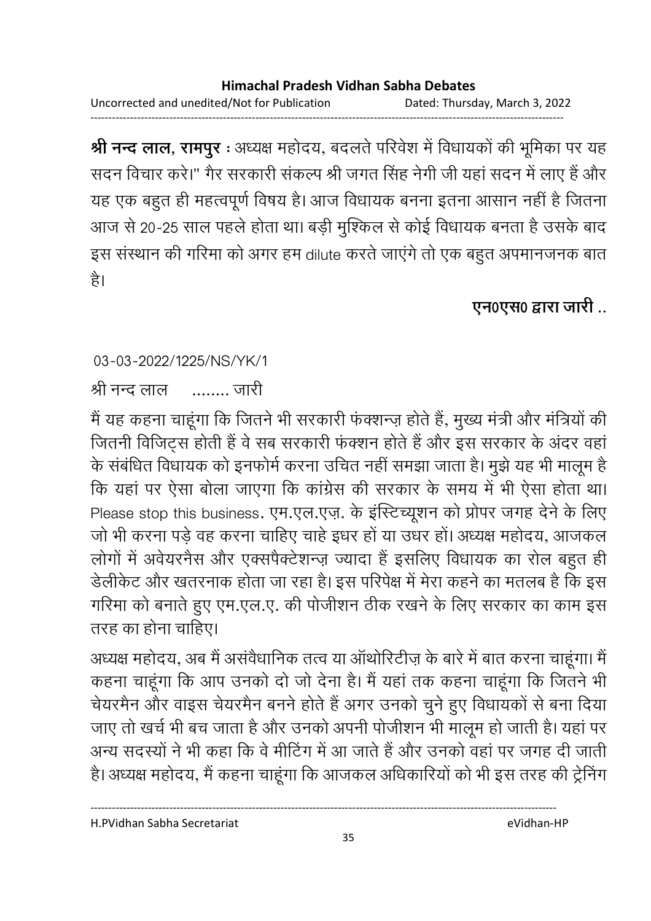------------------------------------------------------------------------------------------------------------------------------------

**श्री नन्द लाल, रामपुर** : अध्यक्ष महोदय, बदलते परिवेश में विधायकों की भूमिका पर यह सदन विचार करें।" गैर सरकारी सकल्प श्री जगत सिंह नेगी जी यहाँ सदन में लाए हैं और यह एक बहुत ही महत्वपूर्ण विषय है। आज विधायक बनना इतना आसान नहीं है जितना आज से 20-25 साल पहले होता था। बड़ी मुश्किल से कोई विधायक बनता है उसके बाद इस संस्थान की गरिमा को अगर हम dilute करते जाएंगे तो एक बहुत अपमानजनक बात है।

# **एन0एस0 द्वारा जारी** ..

### 03-03-2022/1225/NS/YK/1

श्री नन्द लाल \ \$\$ ........ ,

में यह कहना चाहूंगा कि जितने भी सरकारी फक्शन्ज़ होते हैं, मुख्य मंत्री और मंत्रियों की जितनी विजिट्स होती है वे सब सरकारी फक्शन होते है और इस सरकार के अंदर वहां। के संबंधित विधायक को इनफोर्म करना उचित नहीं समझा जाता है। मुझे यह भी मालूम है कि यहां पर ऐसा बोला जाएगा कि कांग्रेस की सरकार के समय में भी ऐसा होता था। Please stop this business. एम.एल.एज़. के इंस्टिच्यूशन को प्रोपर जगह देने के लिए जों भी करना पड़े वह करना चाहिए चाहे इंधर हो या उधर हो। अध्यक्ष महोदय, आजकल लोगों में अवैयरनैस और एक्सपैक्टेशन्ज़ ज्यादा है इसलिए विधायक का रोल बहुत ही डेलेकिट और खतरनाक होता जा रहा है। इस परिपेक्ष में मेरा कहने का मतलब है कि इस गरिमा को बनाते हुए एम.एल.ए. की पोजीशन ठीक रखने के लिए सरकार का काम इस तरह का होना चाहिए।

अध्यक्ष महोदय, अब मैं असवैधानिक तत्व या आर्थारिटीज़ के बारे में बात करना चाहूगा। मैं कहना चाहूंगा कि आप उनको दो जो देना है। मैं यहां तक कहना चाहूंगा कि जितने भी चेयरमैन और वाइस चेयरमैन बनने होते हैं अगर उनको चुने हुए विधायकों से बना दिया जाए तो खर्च भी बच जाता है और उनको अपनी पोजीशन भी मालूम हो जाती है। यहां पर अन्य सदस्यों ने भी कहा कि वे मीटिंग में आ जाते हैं और उनको वहां पर जगह दी जाती. है। अध्यक्ष महोदय, मैं कहना चाहूंगा कि आजकल अधिकारियों को भी इस तरह की ट्रेनिंग

H.PVidhan Sabha Secretariat eVidhan-HP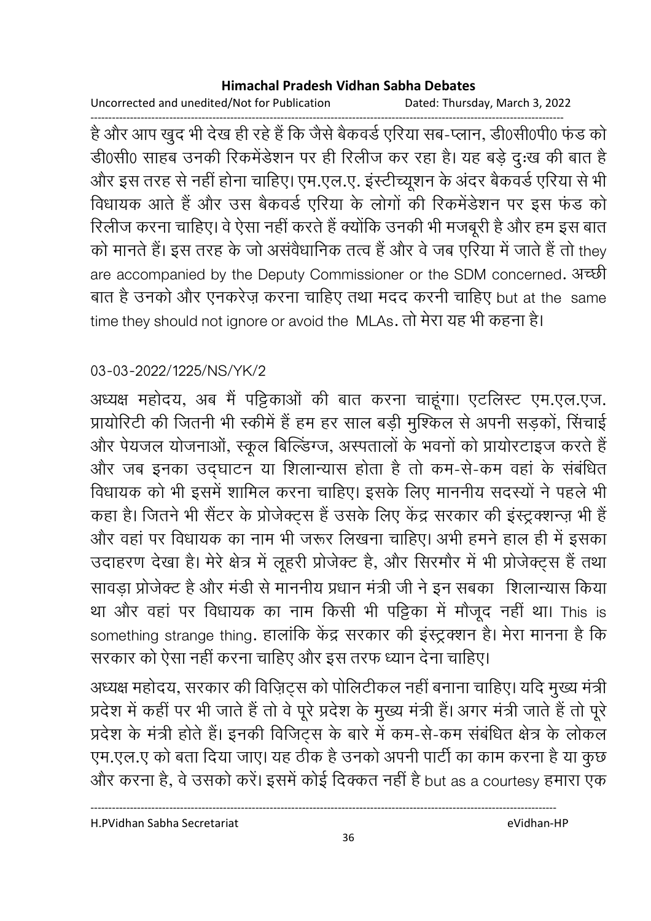Uncorrected and unedited/Not for Publication Dated: Thursday, March 3, 2022

------------------------------------------------------------------------------------------------------------------------------------ है और आप खुद भी देख ही रहे हैं कि जैसे बैकवर्ड एरिया सब-प्लान, डी0सी0पी0 फंड को डी0सी0 साहब उनकी रिकर्मेंडेशन पर ही रिलीज कर रहा है। यह बड़े दु:ख की बात है और इस तरह से नहीं होना चाहिए। एम.एल.ए. इंस्टेच्यिूशन के अंदर बैंकवर्ड एरिया से भी विधायक आते हैं और उस बैकवर्ड एरिया के लोगों की रिकर्मेंडेशन पर इस फंड को रिलीज करना चाहिए। वे ऐसा नहीं करते हैं क्योंकि उनकी भी मजबूरी हैं और हम इस बात को मानते हैं। इस तरह के जो असवैधानिक तत्व है और वे जब एरिया में जातें हैं तो they are accompanied by the Deputy Commissioner or the SDM concerned. अच्छी बात है उनको और एनकरेज़ करना चाहिए तथा मदद करनी चाहिए but at the same time they should not ignore or avoid the MLAs. तो मेरा यह भी कहना है।

### 03-03-2022/1225/NS/YK/2

अध्यक्ष महोदय, अब मैं पट्टिकाओं की बात करना चाहूंगा। एटलिस्ट एम.एल.एज. प्रायोरिटी की जितनी भी स्कीमें है हम हर साल बड़ी मुश्किल से अपनी सड़को, सिचाई और पेयजल योजनाओं, स्कूल बिल्डिंग्ज, अस्पतालों के भवनों को प्रायोरटाइज करते हैं और जब इनका उद्घाटन या शिलान्यास होता है तो कम-से-कम वहां के संबंधित विधायक को भी इसमें शामिल करना चाहिए। इसके लिए माननीय सदस्यों ने पहले भी कहा है। जितने भी सैटर के प्रजिक्ट्स है उसके लिए केंद्र सरकार की इंस्ट्रक्शन्ज़ भी है और वहां पर विधायक का नाम भी जरूर लिखना चाहिए। अभी हमने हाल ही में इसका उदाहरण देखा है। मेरे क्षेत्र में लूहरी प्रजिक्ट हैं, और सिरमौर में भी प्रजिक्ट्स है तथा सावड़ा प्रोजेक्ट है और मर्डी से माननीय प्रधान मंत्री जी ने इन संबंका ंशिलान्यास किया था और वहां पर विधायक का नाम किसी भी पट्टिका में मौजूद नहीं था। This is something strange thing. हालांकि केंद्र सरकार की इस्ट्रक्शन है। मेरा मानना है कि सरकार को ऐसा नहीं करना चाहिए और इस तरफ ध्यान देना चाहिए।

अध्यक्ष महोदय, सरकार की विज़िट्स को पोलिटीकल नहीं बनाना चाहिए। यदि मुख्य मंत्री प्रदेश में कहीं पर भी जाते हैं तो वे पूरे प्रदेश के मुख्य मंत्री हैं। अगर मंत्री जाते हैं तो पूरें प्रदेश के मंत्री होते हैं। इनकी विजिट्स के बारे में कम-से-कम संबंधित क्षेत्र के लोकल एम.एल.ए को बता दिया जाए। यह ठीक है उनको अपनी पार्टी का काम करना है या कुछ और करना है, वे उसको करें। इसमें कोई दिक्कत नहीं है but as a courtesy हमारा एक

H.PVidhan Sabha Secretariat eVidhan-HP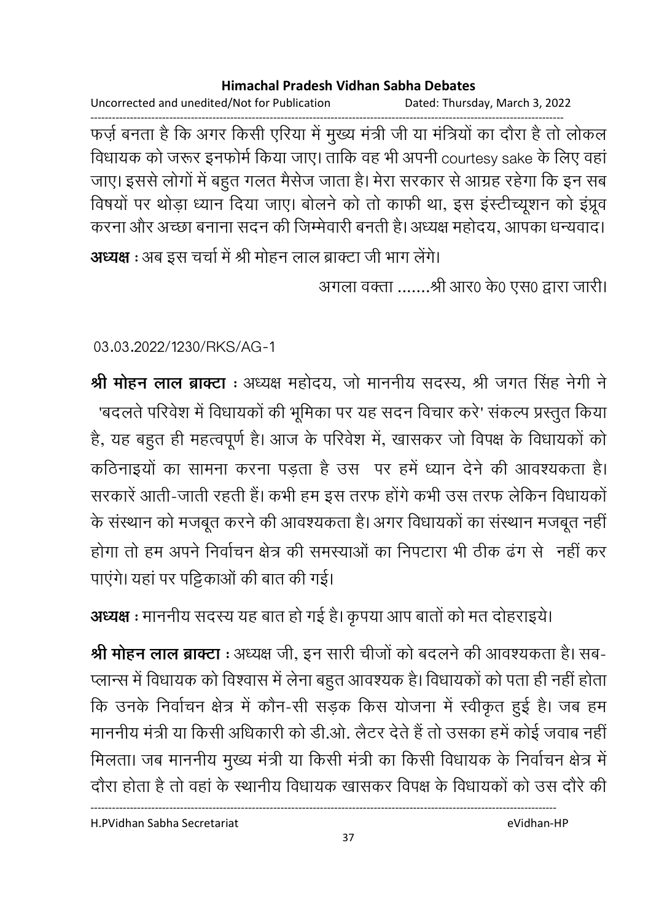Uncorrected and unedited/Not for Publication Dated: Thursday, March 3, 2022

------------------------------------------------------------------------------------------------------------------------------------ फर्ज़ बनता है कि अगर किसी एरिया में मुख्य मंत्री जी या मंत्रियों का दौरा है तो लोकल विधायक को जरूर इनफोर्म किया जाए। ताकि वह भी अपनी courtesy sake के लिए वहाँ जाए। इससे लोगों में बहुत गलत मैसेज जाता है। मेरा सरकार से आग्रह रहेगा कि इन सब विषयों पर थोड़ा ध्यान दिया जाए। बोलने को तो काफी था, इस इस्टीच्यूशन को इंप्रूव करना और अच्छा बनाना सदन की जिम्मेवारी बनती है। अध्यक्ष महोदय, आपका धन्यवाद।

**अध्यक्ष** : अब इस चर्चा में श्री मोहन लाल ब्राक्टा जी भाग लेंगे। अगला वक्ता .......श्री आर0 के0 एस0 द्वारा जारी।

03.03.2022/1230/RKS/AG-1

**श्री मोहन लाल ब्राक्टा** : अध्यक्ष महोदय, जो माननीय सदस्य, श्री जगत सिंह नेगी ने 'बंदलते परिवेश में विधायकों की भूमिका पर यह सदन विचार करें' सकल्प प्रस्तुत किया है, यह बहुत ही महत्वपूर्ण है। आज के परिवेश में, खासकर जो विपक्ष के विधायकों को कठिनाइयों का सामना करना पड़ता है उस पर हमें ध्यान देने की आवश्यकता है। सरकारे आती-जाती रहती है। कभी हम इस तरफ होंगे कभी उस तरफ लेकिन विधायको के संस्थान को मजबूत करने की आवश्यकता है। अगर विधायकों का संस्थान मजबूत नहीं | होगा तो हम अपने निर्वाचन क्षेत्र की समस्याओं का निपटारा भी ठीक ढंग से 'नहीं कर' पाएंगे। यहां पर पट्टिकाओं की बात की गई।

**अध्यक्ष :** माननीय सदस्य यह बात हो गई है। कृपया आप बातों को मत दोहराइयें।

**श्री मोहन लाल ब्राक्टा** : अध्यक्ष जी, इन सारी चीजों को बदलने की आवश्यकता है। सब-प्लान्स में विधायक को विश्वास में लेना बहुत आवश्यक है। विधायकों को पता ही नहीं होता। कि उनके निर्वाचन क्षेत्र में कौन-सी सड़क किस योजना में स्वीकृत हुई है। जब हम माननीय मंत्री या किसी अधिकारी को डी.ओ. लैटर देते हैं तो उसका हमें कोई जवाब नहीं | मिलता। जब माननीय मुख्य मंत्री या किसी मंत्री का किसी विधायक के निर्वाचन क्षेत्र में दौरा होता है तो वहां के स्थानीय विधायक खासकर विपक्ष के विधायकों को उस दौरे की

H.PVidhan Sabha Secretariat eVidhan-HP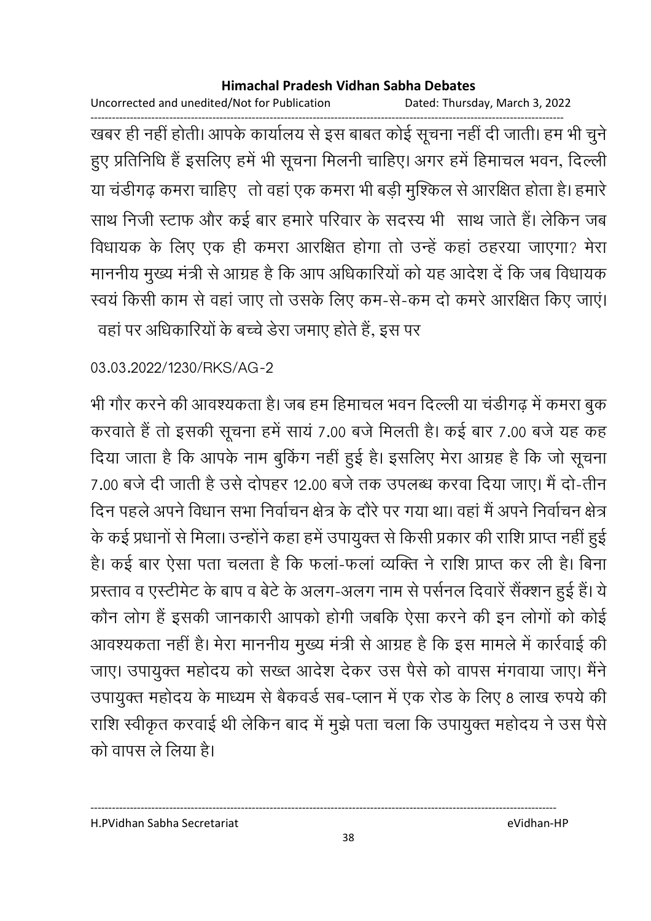Uncorrected and unedited/Not for Publication Dated: Thursday, March 3, 2022

------------------------------------------------------------------------------------------------------------------------------------ खबर ही नहीं होती। आपके कार्यालय से इस बाबत कोई सूचना नहीं दी जाती। हम भी चुने हुए प्रतिनिधि है इसलिए हमें भी सूचना मिलनी चाहिए। अगर हमें हिमाचल भवन, दिल्ली या चर्डीगढ़ कमरा चाहिए ) तो वहां एक कमरा भी बड़ी मुश्किल से आरक्षित होता है। हमारे | साथ निजी स्टाफ और कई बार हमारे परिवार के सदस्य भी साथ जाते हैं। लेकिन जब विधायक के लिए एक ही कमरा आरक्षित होगा तो उन्हें कहा ठहरया जाएगा? मेरा माननीय मुख्य मंत्री से आग्रह है कि आप अधिकारियों को यह आदेश दें कि जब विधायक स्वय किसी काम से वहां जाए तो उसके लिए कम-से-कम दो कमरे आरक्षित किए जाए। वहा पर अधिकारियों के बच्चे डेरा जमाए होते हैं, इस पर

### 03.03.2022/1230/RKS/AG-2

भी गौर करने की आवश्यकता है। जब हम हिमाचल भवन दिल्ली या चडीगढ़ में कमरा बुक करवाते हैं तो इसकी सूचना हमें साय 7.00 बजे मिलती है। कई बार 7.00 बजे यह कह दिया जाता है कि आपके नाम बुकिंग नहीं हुई है। इसलिए मेरा आग्रह है कि जो सूचना 7.00 बर्ज दी जाती है उसे दोपहर 12.00 बर्ज तक उपलब्ध करवा दिया जाए। मैं दो-तीन दिन पहले अपने विधान सभा निर्वाचन क्षेत्र के दौरे पर गया था। वहां मैं अपने निर्वाचन क्षेत्र के कई प्रधानों से मिला। उन्होंने कहा हमें उपायुक्त से किसी प्रकार की राशि प्राप्त नहीं हुई हैं। कई बार ऐसा पता चलता है कि फला-फला व्यक्ति ने राशि प्राप्त कर ली है। बिना प्रस्ताव व एस्टेमिट के बाप व बेटे के अलग-अलग नाम से पर्सनल दिवारे सैक्शन हुई है। ये कौन लोग है इसकी जानकारी आपको होगी जबकि ऐसा करने की इन लोगों को कोई आवश्यकता नहीं है। मेरा माननीय मुख्य मंत्री से आग्रह है कि इस मामले में कार्रवाई की जाए। उपायुक्त महोदय को सख्त आदेश देकर उस पैसे को वापस मगवाया जाए। मैंने उपायुक्त महोदय के माध्यम से बैकवर्ड सब-प्लान में एक रोड के लिए 8 लाख रुपये की राशि स्वीकृत करवाई थी लेकिन बाद में मुझे पता चला कि उपायुक्त महोदय ने उस पैसे को वापस ले लिया है।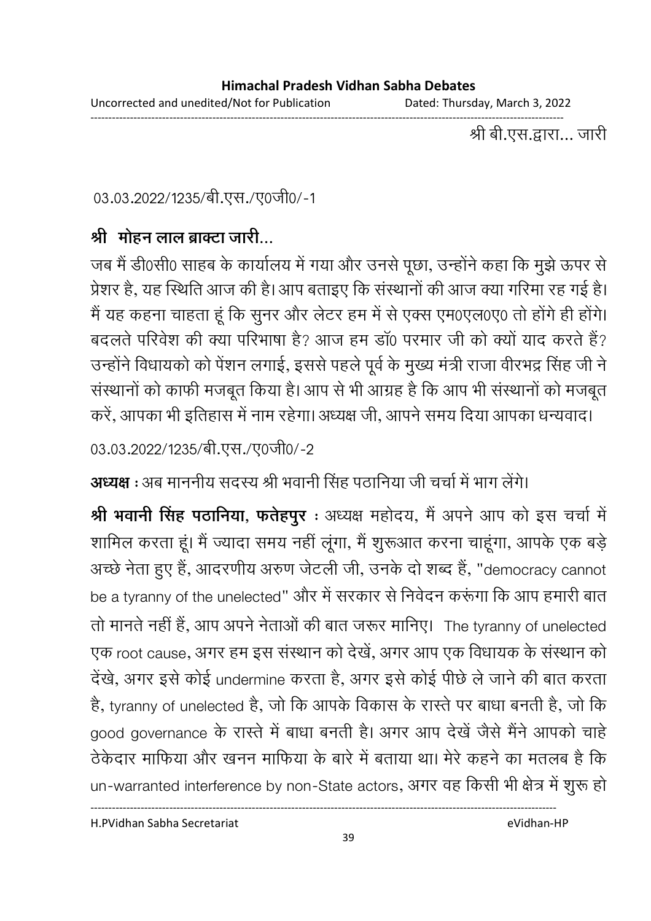Uncorrected and unedited/Not for Publication Dated: Thursday, March 3, 2022 ------------------------------------------------------------------------------------------------------------------------------------

श्री बी.एस.द्वारा… जारी

03.03.2022/1235/बी.एस./ए0जी0/-1

## श्री मोहन लाल ब्राक्टा जारी...

जब मैं डी0सी0 साहब के कार्यालय में गया और उनसे पूछा, उन्होंने कहा कि मुझे ऊपर से प्रेशर है, यह स्थिति आज की है। आप बताइए कि संस्थानों की आज क्या गरिमा रह गई है। मैं यह कहना चाहता हूं कि सुनर और लेटर हम में से एक्स एम0एल0ए0 तो होंगे ही होंगे। बदलते परिवेश की क्या परिभाषा है? आज हम डा0 परमार जी को क्यों याद करते हैं? उन्होंने विधायकों को पेशन लगाई, इससे पहले पूर्व के मुख्य मंत्री राजा वीरभद्र सिंह जी ने संस्थानों को काफी मजबूत किया है। आप से भी आग्रह है कि आप भी संस्थानों को मजबूत करे, आपका भी इतिहास में नाम रहेगा। अध्यक्ष जी, आपने समय दिया आपका धन्यवाद।

03.03.2022/1235/बी.एस./ए0जी0/-2

**अध्यक्ष :** अब माननीय सदस्य श्री भवानी सिंह पठानिया जी चर्चा में भाग लेंगे।

**श्री भवानी सिंह पठानिया, फतेहपुर** : अध्यक्ष महोदय, मैं अपने आप को इस चर्चा में शामिल करता हूं। मैं ज्यादा समय नहीं लूंगा, मैं शुरूआत करना चाहूंगा, आपके एक बड़े अच्छे नेता हुए है, आदरणीय अरुण जेटली जी, उनके दो शब्द है, "democracy cannot be a tyranny of the unelected" और में सरकार से निवेदन करूंगा कि आप हमारी बात तो मानते नहीं है, आप अपने नेताओं की बात जरूर मानिए। The tyranny of unelected एक root cause, अगर हम इस संस्थान को देखे, अगर आप एक विधायक के संस्थान को देखे, अगर इसे कोई undermine करता है, अगर इसे कोई पीछे ले जाने की बात करता है, tyranny of unelected है, जो कि आपके विकास के रास्ते पर बाधा बनती है, जो कि good governance के रास्ते में बांधा बनती हैं। अगर आप देखे जैसे मैंने आपको चाहें ठेकेदार माफिया और खनन माफिया के बारे में बताया था। मेरे कहने का मतलब है कि un-warranted interference by non-State actors, अगर वह किसी भी क्षेत्र में शुरू हो

H.PVidhan Sabha Secretariat eVidhan-HP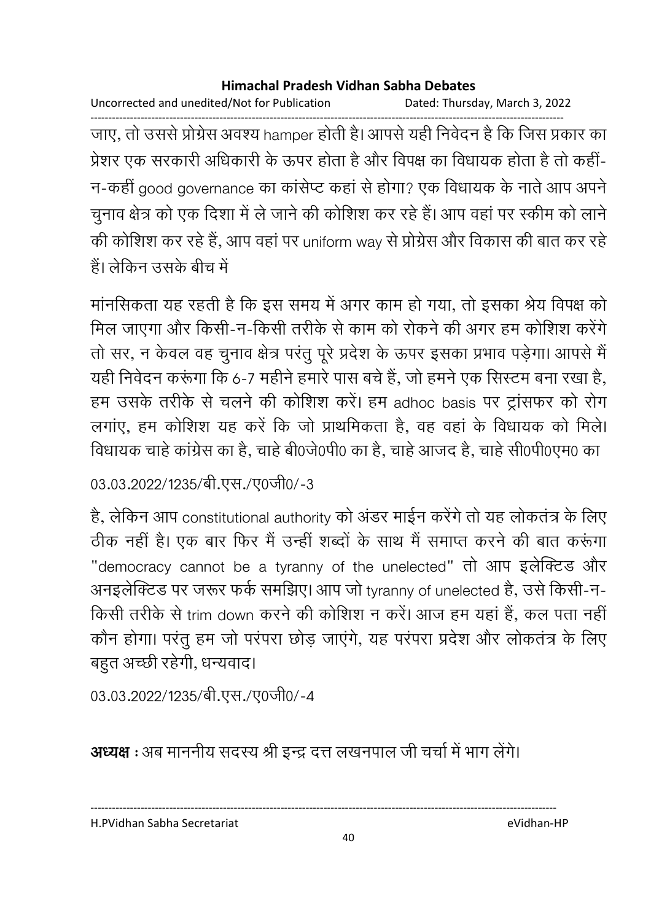Uncorrected and unedited/Not for Publication Dated: Thursday, March 3, 2022

------------------------------------------------------------------------------------------------------------------------------------ जाए, तो उससे प्रग्रिस अवश्य hamper होती है। आपसे यही निवेदन है कि जिस प्रकार का प्रेशर एक सरकारी अधिकारी के ऊपर होता है और विपक्ष का विधायक होता है तो कहीं-न-कही good governance का कार्सप्ट कहा से होगा? एक विधायक के नाते आप अपने चुनाव क्षेत्र को एक दिशा में ले जाने की कोशिश कर रहे हैं। आप वहां पर स्कीम को लाने की कोशिश कर रहे हैं, आप वहां पर uniform way से प्रग्रिस और विकास की बात कर रहे है। लेकिन उसके बीच में

मानसिकता यह रहती है कि इस समय में अगर काम हो गया, तो इसका श्रेय विपक्ष को मिल जाएगा और किसी-न-किसी तरीके से काम को रोकने की अगर हम कोशिश करेंगे। तो सर, न केवल वह चुनाव क्षेत्र परंतु पूरे प्रदेश के ऊपर इसका प्रभाव पड़ेगा। आपसे मैं यही निवेदन करूगा कि 6-7 महीने हमारे पास बचे हैं, जो हमने एक सिस्टम बना रखा है, हम उसके तरीके से चलने की कोशिश करें। हम adhoc basis पर ट्रांसफर को रोग लगाए, हम कोशिश यह करें कि जो प्राथमिकता है, वह वहां के विधायक को मिलें। विधायक चाहे कांग्रेस का है, चाहे बेoिजेoपी0 का है, चाहे आजद है, चाहे सीoपीoएम0 का

03.03.2022/1235/बी.एस./ए0जी0/-3

है, लेकिन आप constitutional authority को अंडर माईन करेंगे तो यह लोकतंत्र के लिए ठीक नहीं है। एक बार फिर मैं उन्ही शब्दों के साथ मैं समाप्त करने की बात करूंगा "democracy cannot be a tyranny of the unelected" तो आप इलेक्टिड और अनइलेक्टिड पर जरूर फर्क समर्झिए। आप जो tyranny of unelected है, उसे किसी-न-किसी तरीके से trim down करने की कोशिश न करें। आज हम यहां है, कल पता नहीं कौन होगा। परंतू हम जो परंपरा छोड़ जाएंगे, यह परंपरा प्रदेश और लोकतंत्र के लिए बहुत अच्छी रहेगी, धन्यवाद।

03.03.2022/1235/बी.एस./ए0जी0/-4

**अध्यक्ष :** अब माननीय सदस्य श्री इन्द्र दत्त लखनपाल जी चर्चा में भाग लेंगे।

----------------------------------------------------------------------------------------------------------------------------------

H.PVidhan Sabha Secretariat eVidhan-HP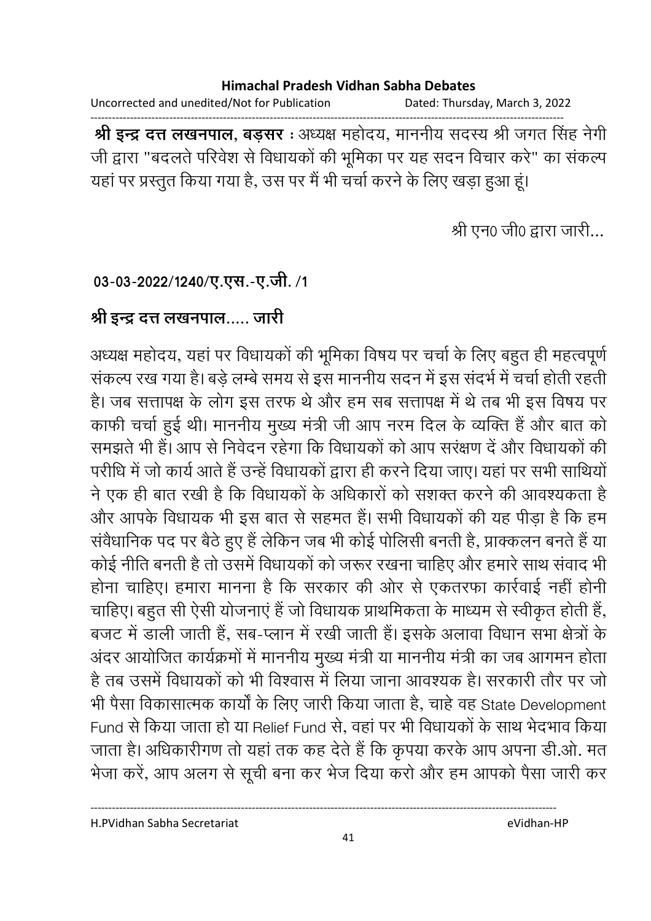Uncorrected and unedited/Not for Publication Dated: Thursday, March 3, 2022

------------------------------------------------------------------------------------------------------------------------------------ **श्री इन्द्र दत्त लखनपाल, बड़सर** : अध्यक्ष महोदय, माननीय सदस्य श्री जगत सिंह नेगी जी द्वारा "बदलते परिवेश से विधायकों की भूमिका पर यह सदन विचार करें" का सकल्प यहाँ पर प्रस्तुत किया गया है, उस पर मैं भी चर्चा करने के लिए खड़ा हुआ हूं।

श्री एन0 जी0 द्वारा जारी...

### 03-03-2022/1240/ए.एस.-ए.जी. /1

### श्री इन्द्र दत्त लखनपाल..... जारी

अध्यक्ष महोदय, यहां पर विधायकों की भूमिका विषय पर चर्चा के लिए बहुत ही महत्वपूर्ण सकल्प रख गया है। बड़े लम्बे समय से इस माननीय सदन में इस सदर्भ में चर्चा होती रहती. है। जब सत्तापक्ष के लोग इस तरफ थे और हम सब सत्तापक्ष में थे तब भी इस विषय पर काफी चर्चा हुई थी। माननीय मुख्य मंत्री जी आप नरम दिल के व्यक्ति है और बात को समझते भी है। आप से निवेदन रहेगा कि विधायकों को आप सरक्षण दें और विधायकों की परीधि में जो कार्य आते हैं उन्हें विधायकों द्वारा ही करने दिया जाए। यहां पर सभी साथियों | ने एक ही बात रखी है कि विधायकों के अधिकारों को संशक्त करने की आवश्यकता है और आपके विधायक भी इस बात से सहमत है। सभी विधायकों की यह पीड़ा है कि हम सर्वधानिक पद पर बैठे हुए हैं लेकिन जब भी कोई पोलिसी बनती है, प्राक्कलन बनते हैं या कोई नीति बनती है तो उसमें विधायकों को जरूर रखना चाहिए और हमारे साथ सवाद भी होना चाहिए। हमारा मानना है कि सरकार की ओर से एकतरफा कार्रवाई नहीं होनी चाहिए। बहुत सी ऐसी योजनाए हैं जो विधायक प्राथमिकता के माध्यम से स्वीकृत होती है, बजट में डाली जाती हैं, सब-प्लान में रखी जाती हैं। इसके अलावा विधान सभा क्षेत्रों के अंदर आयोजित कार्यक्रमों में माननीय मुख्य मंत्री या माननीय मंत्री का जब आगमन होता. है तब उसमें विधायकों को भी विश्वास में लिया जाना आवश्यक है। सरकारी तौर पर जो भी पैसा विकासात्मक कार्यों के लिए जारी किया जाता है, चाहें वह State Development Fund से किया जाता हो या Relief Fund से, वहा पर भी विधायकों के साथ भेदभाव किया जाता है। अधिकारीगण तो यहां तक कह देते हैं कि कृपया करके आप अपना डी.ओ. मत भेजा करे, आप अलग से सूची बना कर भेज दिया करो और हम आपको पैसा जारी कर

H.PVidhan Sabha Secretariat eVidhan-HP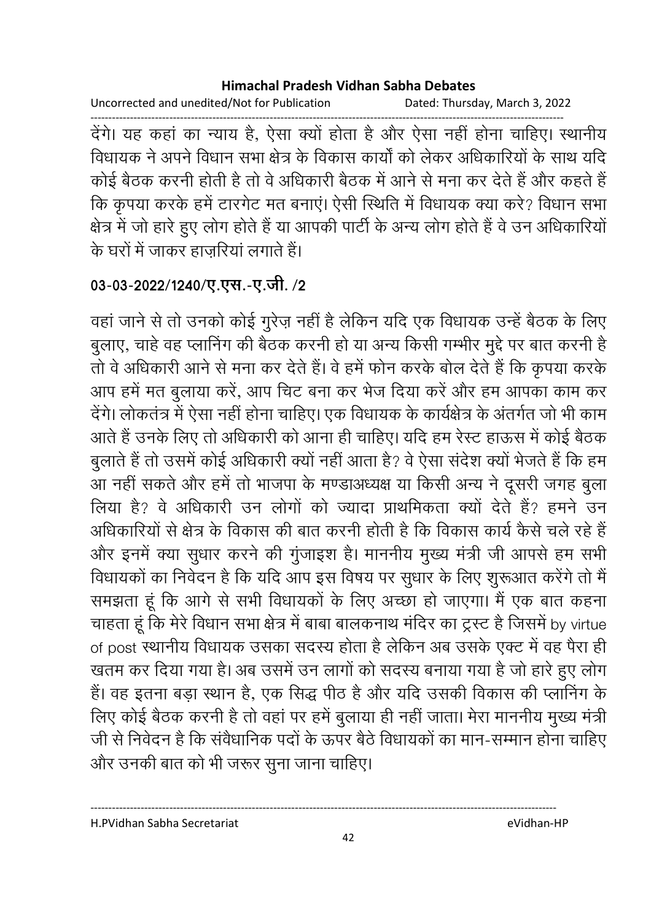Uncorrected and unedited/Not for Publication Dated: Thursday, March 3, 2022

------------------------------------------------------------------------------------------------------------------------------------ देगे। यह कहा का न्याय है, ऐसा क्यों होता है और ऐसा नहीं होना चाहिए। स्थानीय विधायक ने अपने विधान सभा क्षेत्र के विकास कार्यों को लेकर अधिकारियों के साथ यदि कोई बैठक करनी होती है तो वे अधिकारी बैठक में आने से मना कर देते हैं और कहते हैं . कि कृपया करके हमें टारगेट मत बनाए। ऐसी स्थिति में विधायक क्या करें? विधान सभा क्षेत्र में जो हारे हुए लोग होते हैं या आपकी पार्टी के अन्य लोग होते हैं वे उन अधिकारियो के घरों में जाकर हाजरियां लगाते हैं।

## 03-03-2022/1240/ए.एस.-ए.जी. /2

वहाँ जाने से तो उनको कोई गुरेज़ नहीं है लेकिन यदि एक विधायक उन्हें बैठक के लिए बुलाए, चाहे वह प्लानिंग की बैठक करनी हो या अन्य किसी गम्भीर मुद्दे पर बात करनी हैं-तों वे अधिकारी आने से मना कर देते हैं। वे हमें फोन करके बोल देते हैं कि कृपया करके आप हमें मत बुलाया करें, आप चिट बना कर भेज दिया करें और हम आपका काम कर देंगे। लोकतंत्र में ऐसा नहीं होना चाहिए। एक विधायक के कार्यक्षेत्र के अंतर्गत जो भी काम आते हैं उनके लिए तो अधिकारी को आना ही चाहिए। यदि हम रेस्ट हाऊस में कोई बैठक बुलाते हैं तो उसमें कोई अधिकारी क्यों नहीं आता है? वे ऐसा सर्देश क्यों भेजते हैं कि हम आ नहीं सकते और हमें तो भाजपा के मण्डाअध्यक्ष या किसी अन्य ने दूसरी जगह बुला लिया है? वे अधिकारी उन लोगों को ज्यादा प्राथमिकता क्यों देते हैं? हमने उन आंधकारियों से क्षेत्र के विकास की बात करनी होती है कि विकास कार्य कैसे चले रहे हैं। और इनमें क्या सुधार करने की गुजाइश है। माननीय मुख्य मंत्री जी आपसे हम सभी विधायकों का निवेदन है कि यदि आप इस विषय पर सुधार के लिए शुरूआत करेंगे तो मैं समझता हूं कि आगे से सभी विधायकों के लिए अच्छा हो जाएगा। मैं एक बात कहना चाहता हूँ कि मेरे विधान सभा क्षेत्र में बाबा बालकनाथ मंदिर का ट्रस्ट है जिसमें by virtue of post स्थानीय विधायक उसका सदस्य होता है लेकिन अब उसके एक्ट में वह पैरा ही खतम कर दिया गया है। अब उसमें उन लागों को सदस्य बनाया गया है जो हारे हुए लोग हैं। वह इतना बड़ा स्थान है, एक सिद्ध पीठ है और यदि उसकी विकास की प्लानिंग के लिए कोई बैठक करनी है तो वहां पर हमें बुलाया ही नहीं जाता। मेरा माननीय मुख्य मंत्री जी से निवेदन है कि सर्वधानिक पर्दा के ऊपर बैठे विधायकों का मान-सम्मान होना चाहिए और उनकी बात को भी जरूर सुना जाना चाहिए।

H.PVidhan Sabha Secretariat eVidhan-HP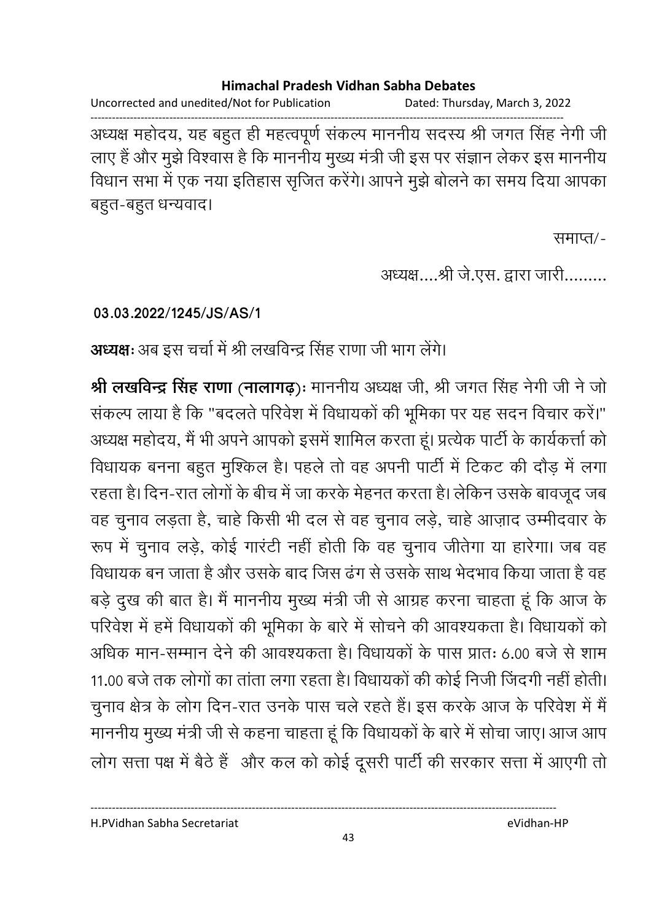Uncorrected and unedited/Not for Publication Dated: Thursday, March 3, 2022 ------------------------------------------------------------------------------------------------------------------------------------

अध्यक्ष महोदय, यह बहुत ही महत्वपूर्ण सकल्प माननीय सदस्य श्री जगत सिंह नेगी जी लाए हैं और मुझे विश्वास है कि माननीय मुख्य मंत्री जी इस पर सज्ञान लेकर इस माननीय विधान सभा में एक नया इतिहास सृजित करेंगे। आपने मुझे बोलने का समय दिया आपका बहुत-बहुत धन्यवाद।

समाप्त/-

अध्यक्ष….श्री जे.एस. द्वारा जारी………

**03.03.2022/1245/JS/AS/1**

**अध्यक्षः** अब इस चर्चा में श्री लखविन्द्र सिंह राणा जी भाग लेंगे।

**श्री लखविन्द्र सिंह राणा (नालागढ़):** माननीय अध्यक्ष जी, श्री जगत सिंह नेगी जी ने जो सकल्प लाया है कि "बदलते परिवेश में विधायकों की भूमिका पर यह सदन विचार करें।" अध्यक्ष महोदय, मैं भी अपने आपको इसमें शामिल करता हूं। प्रत्येक पार्टी के कार्यकर्त्ता को विधायक बनना बहुत मुश्किल है। पहले तो वह अपनी पार्टी में टिकट की दौड़ में लगा रहता है। दिन-रात लोगों के बीच में जा करके मेहनत करता है। लेकिन उसके बावजूद जब वह चुनाव लड़ता है, चाहें किसी भी दल से वह चुनाव लड़े, चाहे आज़ाद उम्मीदवार के रूप में चुनाव लड़े, कोई गारटी नहीं होती कि वह चुनाव जीतेगा या हारेगा। जब वह विधायक बन जाता है और उसके बाद जिस ढंग से उसके साथ भेदभाव किया जाता है वह बड़े दुख की बात है। मैं माननीय मुख्य मंत्री जी से आग्रह करना चाहता हूं कि आज के परिवेश में हमें विधायकों की भूमिका के बारे में सोचने की आवश्यकता है। विधायकों को आंधक मान-सम्मान देने की आवश्यकता है। विधायकों के पास प्रातः 6.00 बजे से शाम 11.00 बर्ज तक लोगों का ताता लगा रहता है। विधायकों की कोई निजी जिंदगी नहीं होती। चुनाव क्षेत्र के लोग दिन-रात उनके पास चले रहते हैं। इस करके आज के परिवेश में मैं माननीय मुख्य मंत्री जी से कहना चाहता हूं कि विधायकों के बारे में सोचा जाए। आज आप लोग सत्ता पक्ष में बैठे हैं और कल को कोई दूसरी पार्टी की सरकार सत्ता में आएगी तो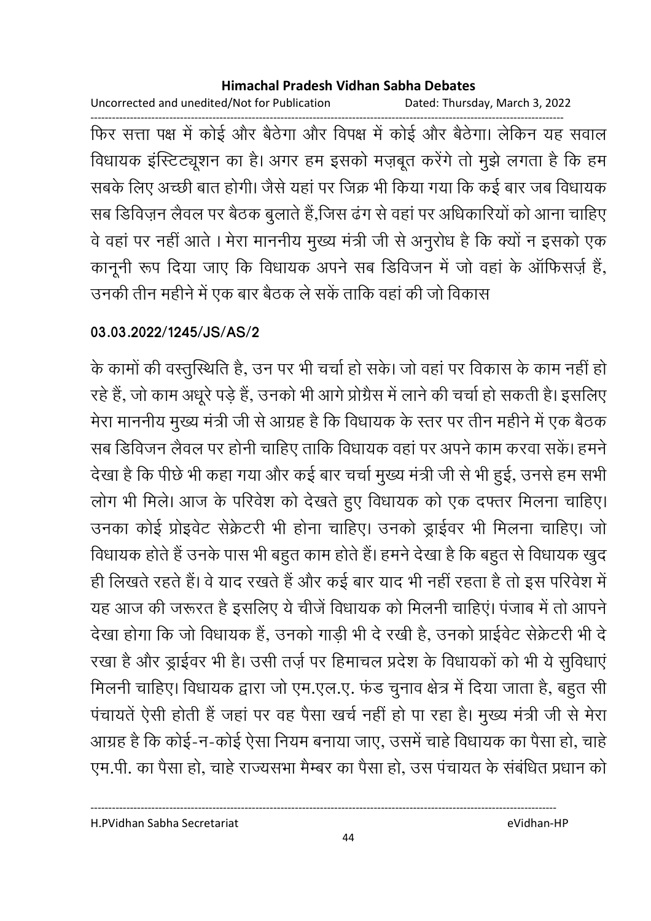Uncorrected and unedited/Not for Publication Dated: Thursday, March 3, 2022

------------------------------------------------------------------------------------------------------------------------------------ फिर सत्ता पक्ष में कोई और बैठेंगा और विपक्ष में कोई और बैठेंगा। लेकिन यह सवाल विधायक इस्टिट्यूशन का है। अगर हम इसको मज़बूत करेंगे तो मुझे लगता है कि हम सबके लिए अच्छी बात होगी। जैसे यहां पर जिक्र भी किया गया कि कई बार जब विधायक सब डिविज़न लैवल पर बैठक बुलाते हैं,जिस ढंग से वहां पर अधिकारियों को आना चाहिए वे वहां पर नहीं आते । मेरा माननीय मुख्य मंत्री जी से अनुरोध है कि क्यों न इसको एक कानूनी रूप दिया जाए कि विधायक अपने सब डिविजन में जो वहां के आफिसज़ें हैं, उनकी तीन महीने में एक बार बैठक ले सके ताकि वहां की जो विकास

### **03.03.2022/1245/JS/AS/2**

के कामों की वस्तुरिथेति हैं, उन पर भी चर्चा हो सके। जो वहां पर विकास के काम नहीं हो रहे हैं, जो काम अधूरे पड़े हैं, उनको भी आगे प्रोग्रेस में लाने की चर्चा हो सकती है। इसलिए मेरा माननीय मुख्य मंत्री जी से आग्रह है कि विधायक के स्तर पर तीन महीने में एक बैठक सब डिविजन लैवल पर होनी चाहिए ताकि विधायक वहां पर अपने काम करवा सके। हमने देखा है कि पीछे भी कहा गया और कई बार चर्चा मुख्य मंत्री जी से भी हुई, उनसे हम सभी लोग भी मिले। आज के परिवेश को देखते हुए विधायक को एक दफ्तर मिलना चाहिए। उनका कोई प्रोइवेंट सेक्रेंटरी भी होना चाहिए। उनको ड्राईवर भी मिलना चाहिए। जो विधायक होते हैं उनके पास भी बहुत काम होते हैं। हमने देखा है कि बहुत से विधायक खुद ही लिखते रहते हैं। वे याद रखते हैं और कई बार याद भी नहीं रहता है तो इस परिवेश में यह आज की जरूरत है इसलिए ये चीजे विधायक को मिलनी चाहिए। पंजाब में तो आपने देखा होगा कि जो विधायक है, उनको गाड़ी भी दे रखी है, उनको प्राइवेट सेक्रेटरी भी दे रखा है और ड्राईवर भी है। उसी तर्ज़ पर हिमाचल प्रदेश के विधायकों को भी ये सुविधाए मिलनी चाहिए। विधायक द्वारा जो एम.एल.ए. फंड चुनाव क्षेत्र में दिया जाता है, बहुत सी पचायते ऐसी होती है जहां पर वह पैसा खर्च नहीं हो पा रहा है। मुख्य मंत्री जी से मेरा आग्रह है कि कोई-न-कोई ऐसा नियम बनाया जाए, उसमें चाहे विधायक का पैसा हो, चाहे एम.पी. का पैसा हो, चाहे राज्यसभा मैम्बर का पैसा हो, उस पचायत के संबंधित प्रधान को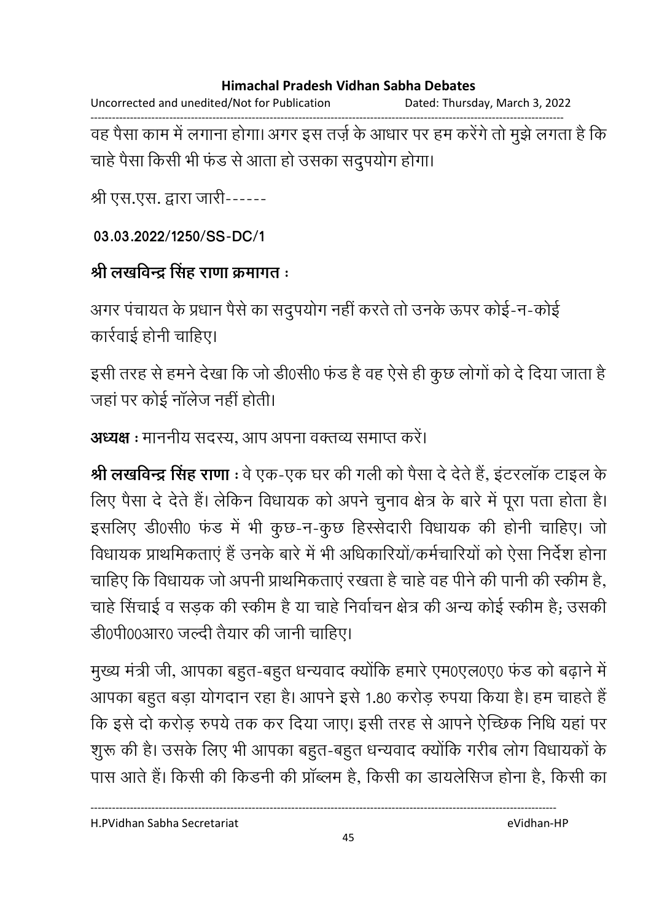Uncorrected and unedited/Not for Publication Dated: Thursday, March 3, 2022 ------------------------------------------------------------------------------------------------------------------------------------ वह पैसा काम में लगाना होगा। अगर इस तर्ज़ के आधार पर हम करेंगे तो मुझे लगता है कि चाहे पैसा किसी भी फंड से आता हो उसका संदुपयोग होगा।

श्री एस.एस. द्वारा जारी------

**03.03.2022/1250/SS-DC/1**

# श्री लखविन्द्र सिंह राणा क्रमांगत <del>:</del>

अगर पंचायत के प्रधान पैसे का सदुपयोग नहीं करते तो उनके ऊपर कोई-न-कोई कार्रवाई होनी चाहिए।

इसी तरह से हमने देखा कि जो डी0सी0 फंड है वह ऐसे ही कुछ लोगों को दें दिया जाता है जहाँ पर कोई नालेज नहीं होती।

**अध्यक्ष :** माननीय सदस्य, आप अपना वक्तव्य समाप्त करें।

**श्री लखविन्द्र सिंह राणा** : वे एक-एक घर की गली को पैसा दें देते हैं, इंटरलाक टाइल के लिए पैसा दें देते हैं। लेकिन विधायक को अपने चुनाव क्षेत्र के बारे में पूरा पता होता है। इसलिए डी0सी0 फंड में भी कुछ-न-कुछ हिस्सेदारी विधायक की होनी चाहिए। जो विधायक प्राथमिकताएं हैं उनके बारे में भी अधिकारियो/कर्मचारियों को ऐसा निर्देश होना चाहिए कि विधायक जो अपनी प्राथमिकताएं रखता है चाहे वह पीने की पानी की स्कीम है, चाहे सिचाई व सड़क की स्कीम है या चाहे निर्वाचन क्षेत्र की अन्य कोई स्कीम है; उसकी डी0पी00आर0 जल्दी तैयार की जानी चाहिए।

मुख्य मंत्री जी, आपका बहुत-बहुत धन्यवाद क्योंकि हमारे एम0एल0ए0 फंड को बढ़ाने में आपका बहुत बड़ा योगदान रहा है। आपने इसे 1.80 करोड़ रुपया किया है। हम चाहते हैं कि इसे दो करोड़ रुपये तक कर दिया जाए। इसी तरह से आपने ऐच्छिक निधि यहां पर शुरू की है। उसके लिए भी आपका बहुत-बहुत धन्यवाद क्योंकि गरीब लोग विधायकों के पास आते हैं। किसी की किंडनी की प्राब्लम है, किसी का डायलेसिज होना है, किसी का

H.PVidhan Sabha Secretariat eVidhan-HP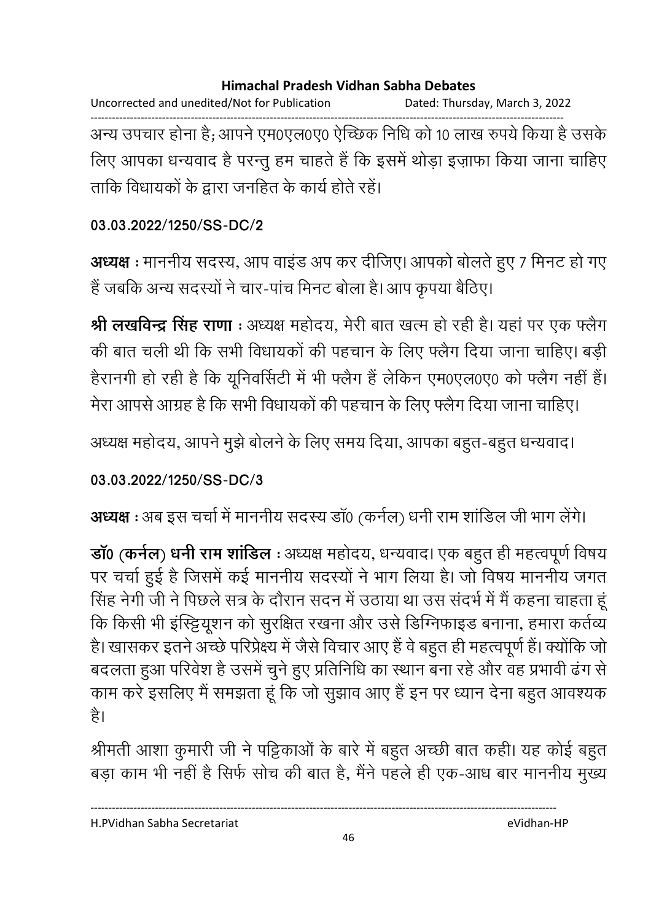Uncorrected and unedited/Not for Publication Dated: Thursday, March 3, 2022 ------------------------------------------------------------------------------------------------------------------------------------

अन्य उपचार होना है; आपने एम0एल0ए0 ऐच्छिक निधि को 10 लाख रुपये किया है उसके लिए आपका धन्यवाद है परन्तु हम चाहते हैं कि इसमें थोड़ा इज़ाफा किया जाना चाहिए ताकि विधायकों के द्वारा जनहित के कार्य होते रहे।

### **03.03.2022/1250/SS-DC/2**

**अध्यक्ष** : माननीय सदस्य, आप वाइंड अप कर दीजिए। आपको बोलते हुए 7 मिनट हो गए हैं जबकि अन्य सदस्यों ने चार-पांच मिनट बोला है। आप कृपया बैठिए।

**श्री लखविन्द्र सिंह राणा** : अध्यक्ष महोदय, मेरी बात खत्म हो रही है। यहां पर एक फ्लैग की बात चली थी कि सभी विधायकों की पहचान के लिए फ्लैग दिया जाना चाहिए। बड़ी हैरानगी हो रही है कि यूनिवर्सिटी में भी फ्लैंग है लेकिन एम0एल0ए0 को फ्लैंग नहीं है। मेरा आपर्स आग्रह है कि सभी विधायकों की पहचान के लिए फ्लैग दिया जाना चाहिए।

अध्यक्ष महोदय, आपने मुझे बोलने के लिए समय दिया, आपका बहुत-बहुत धन्यवाद।

### **03.03.2022/1250/SS-DC/3**

**अध्यक्ष** : अब इस चर्चा में माननीय सदस्य डा0 (कर्नल) धनी राम शाडिल जी भाग लेंगे।

**डाॅ0 (कर्नल) धर्नी राम शाडिल** : अध्यक्ष महोदय, धन्यवाद। एक बहुत ही महत्वपूर्ण विषय पर चर्चा हुई है जिसमें कई माननीय सदस्यों ने भाग लिया है। जो विषय माननीय जगत सिंह नेगी जी ने पिछले सत्र के दौरान सदन में उठाया था उस सदर्भ में मैं कहना चाहता हू कि किसी भी इस्ट्टियूशन को सुरक्षित रखना और उसे डिग्निफाइड बनाना, हमारा कर्तव्य है। खासकर इतने अच्छे परिप्रेक्ष्य में जैसे विचार आए हैं वे बहुत ही महत्वपूर्ण हैं। क्योंकि जो बदलता हुआ परिवेश हैं उसमें चुने हुए प्रतिनिधि का स्थान बना रहे और वह प्रभावी ढंग से काम करे इसलिए मैं समझता हूं कि जो सुझाव आए हैं इन पर ध्यान देना बहुत आवश्यक है।

श्रीमती आशा कुमारी जी ने पट्टिकाओं के बारे में बहुत अच्छी बात कही। यह कोई बहुत बड़ा काम भी नहीं है सिर्फ सोच की बात है, मैंने पहले ही एक-आध बार माननीय मुख्य

----------------------------------------------------------------------------------------------------------------------------------

H.PVidhan Sabha Secretariat eVidhan-HP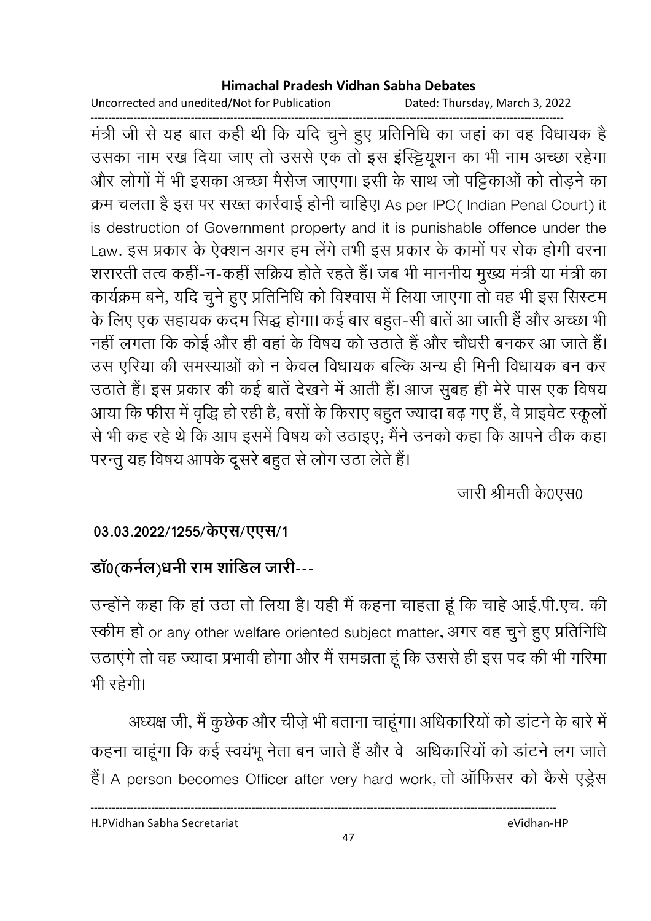Uncorrected and unedited/Not for Publication Dated: Thursday, March 3, 2022

------------------------------------------------------------------------------------------------------------------------------------ मंत्री जी से यह बात कहीं थी कि यदि चुने हुए प्रतिनिधि का जहां का वह विधायक हैं। उसका नाम रख दिया जाए तो उससे एक तो इस इस्ट्टियूशन का भी नाम अच्छा रहेगा. और लोगों में भी इसका अच्छा मैसेज जाएगा। इसी के साथ जो पट्टिकाओं को तोड़ने का क्रम चलता है इस पर सख्त कार्रवाई होनी चाहिए| As per IPC( Indian Penal Court) it is destruction of Government property and it is punishable offence under the Law. इस प्रकार के ऐक्शन अगर हम लेंगे तभी इस प्रकार के कामों पर रोक होंगी वरना शरारती तत्व कही-न-कही सक्रिय होते रहते हैं। जब भी माननीय मुख्य मंत्री या मंत्री का कार्यक्रम बने, यदि चुने हुए प्रतिनिधि को विश्वास में लिया जाएगा तो वह भी इस सिस्टम के लिए एक सहायक कदम सिद्ध होगा। कई बार बहुत-सी बातें आ जाती है और अच्छा भी नहीं लगता कि कोई और ही वहां के विषय को उठाते हैं और चौधरी बनकर आ जाते हैं। उस एरिया की समस्याओं को न केवल विधायक बल्कि अन्य ही मिनी विधायक बन कर उठाते हैं। इस प्रकार की कई बातें देखने में आती हैं। आज सुबह ही मेरे पास एक विषय आया कि फौस में वृद्धि हो रही है, बसों के किराएं बहुत ज्यादा बढ़ गए हैं, वे प्राइवेट स्कूलों से भी कह रहे थे कि आप इसमें विषय को उठाइए; मैंने उनको कहा कि आपने ठीक कहा परन्तु यह विषय आपके दूसरे बहुत से लोग उठा लेते हैं।

जारी श्रीमती के0एस0

# 03.03.2022/1255/केएस/एएस/1

# **डाॅ0(कर्नल)धर्नी राम शाडिल जारी---**

उन्होंने कहा कि हा उठा तो लिया है। यही मैं कहना चाहता हूं कि चाहें आई.पी.एच. की स्कीम हो or any other welfare oriented subject matter, अगर वह चुने हुए प्रतिनिधि उठाएंगे तो वह ज्यादा प्रभावी होगा और मैं समझता हूं कि उससे ही इस पद की भी गरिमा भी रहेगी।

अध्यक्ष जी, मैं कुछेक और चीज़े भी बताना चाहूंगा। अधिकारियों को डाटने के बारे में कहना चाहूंगा कि कई स्वयभू नेता बन जाते हैं और वे अधिकारियों को डाटनें लग जाते हैं। A person becomes Officer after very hard work, तो ऑफिसर को कैसे एड्रेस

H.PVidhan Sabha Secretariat eVidhan-HP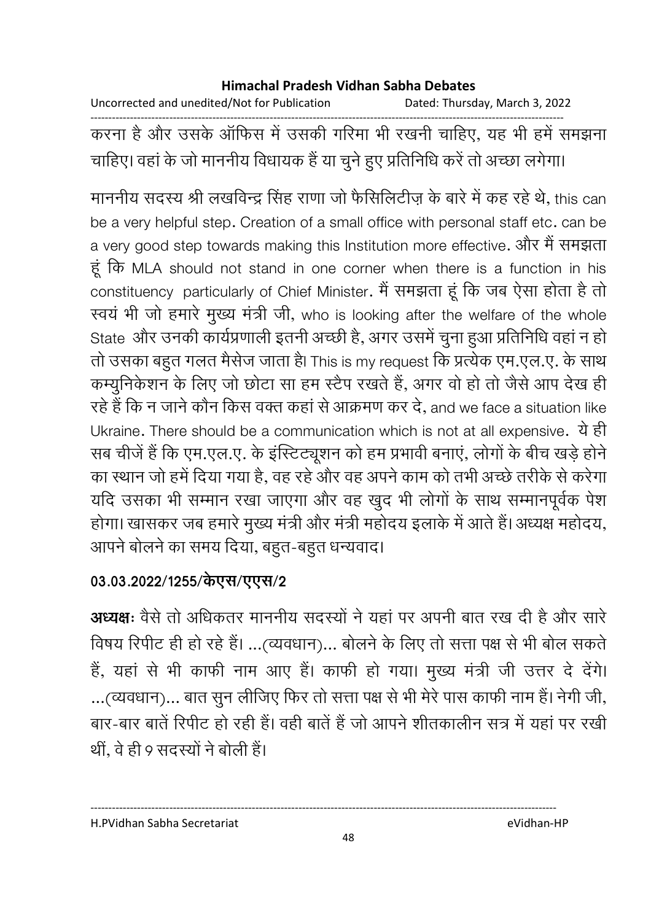Uncorrected and unedited/Not for Publication Dated: Thursday, March 3, 2022

------------------------------------------------------------------------------------------------------------------------------------ करना है और उसके आफिस में उसकी गरिमा भी रखनी चाहिए, यह भी हमें समझना चाहिए। वहां के जो माननीय विधायक है या चुने हुए प्रतिनिधि करें तो अच्छा लगेगा।

माननीय सदस्य श्री लखविन्द्र सिंह राणा जो फैसिलिटीज़ के बारे में कह रहे थे, this can be a very helpful step. Creation of a small office with personal staff etc. can be a very good step towards making this Institution more effective. और मैं समझता हूं कि MLA should not stand in one corner when there is a function in his constituency particularly of Chief Minister. मैं समझता हूं कि जब ऐसा होता है तो स्वय भी जो हमारे मुख्य मंत्री जी, who is looking after the welfare of the whole State और उनकी कार्यप्रणाली इतनी अच्छी है, अगर उसमें चुना हुआ प्रतिनिधि वहां न हो तो उसका बहुत गलत मैसेज जाता है। This is my request कि प्रत्येक एम.एल.ए. के साथ कम्युनिकेशन के लिए जो छोटा सा हम स्टैप रखते है, अगर वो हो तो जैसे आप देख ही रहे हैं कि न जाने कौन किस वक्त कहा से आक्रमण कर दें, and we face a situation like Ukraine. There should be a communication which is not at all expensive. ये ही सब चीजे हैं कि एम.एल.ए. के इस्टिट्यूशन को हम प्रभावी बनाए, लोगों के बीच खड़े होने का स्थान जो हमें दिया गया है, वह रहे और वह अपने काम को तभी अच्छे तरीके से करेगा यदि उसका भी सम्मान रखा जाएगा और वह खुद भी लोगों के साथ सम्मानपूर्वक पेश होगा। खासकर जब हमारे मुख्य मंत्री और मंत्री महोदय इलाके में आते हैं। अध्यक्ष महोदय, आपने बोलने का समय दिया, बहुत-बहुत धन्यवाद।

### 03.03.2022/1255/केएस/एएस/2

**अध्यक्षः** वैसे तो अधिकतर माननीय सदस्यों ने यहां पर अपनी बात रख दी है और सारें विषय रिपीट ही हो रहे हैं। …(व्यवधान)… बोलने के लिए तो सत्ता पक्ष से भी बोल सकते हैं, यहां से भी काफी नाम आए हैं। काफी हो गया। मुख्य मंत्री जी उत्तर दे देंगे। ...(व्यवधान)... बात सुन लीजिए फिर तो सत्ता पक्ष से भी मेरे पास काफी नाम है। नेगी जी, बार-बार बातें रिपीट हो रही है। वहीं बातें हैं जो आपने शीतकालीन सत्र में यहां पर रखीं थी, वे ही 9 सदस्यों ने बोली है।

H.PVidhan Sabha Secretariat eVidhan-HP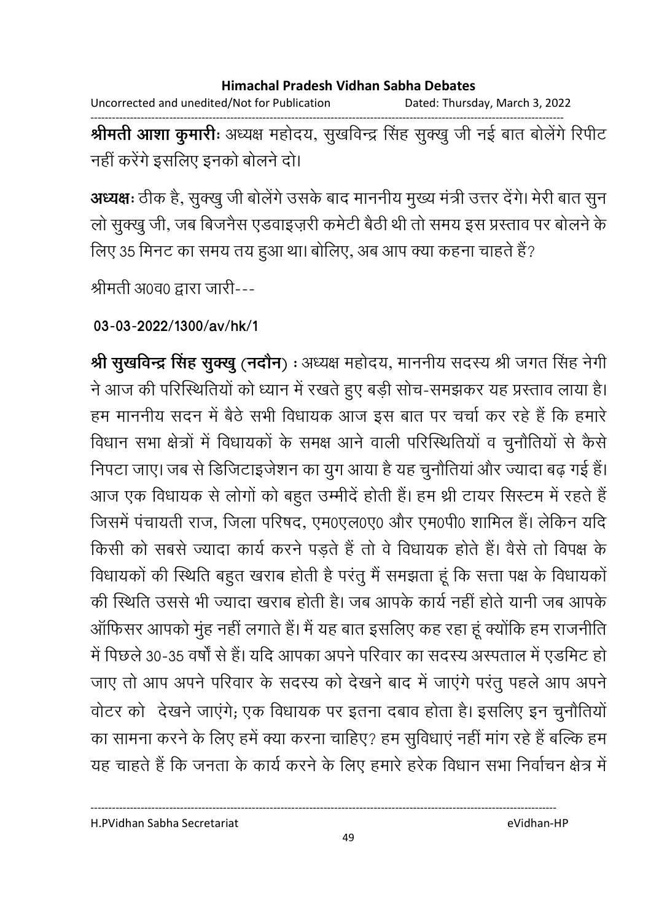Uncorrected and unedited/Not for Publication Dated: Thursday, March 3, 2022 ------------------------------------------------------------------------------------------------------------------------------------

**श्रीमती आशा कुमारीः** अध्यक्ष महोदय, सुखर्विन्द्र सिंह सुक्खु जी नई बात बोलेगे रिपीट नहीं करेंगे इसलिए इनको बोलने दो।

**अध्यक्षः** ठीक है, सुक्खु जी बोलेगे उसके बाद माननीय मुख्य मंत्री उत्तर देंगे। मेरी बात सुन लो सुक्खु जी, जब बिजनैस एंडवाइज़री कर्मटी बैठी थी तो समय इस प्रस्ताव पर बोलने के लिए 35 मिनट का समय तय हुआ था। बोलिए, अब आप क्या कहना चाहते हैं?

श्रीमती अ0व0 द्वारा जारी---

**03-03-2022/1300/av/hk/1**

**श्री सुखर्विन्द्र सिंह सुक्खु (नदौन)** : अध्यक्ष महोदय, माननीय सदस्य श्री जगत सिंह नेगी ने आज की परिस्थितियों को ध्यान में रखते हुए बड़ी सोच-समझकर यह प्रस्ताव लाया है। हम माननीय सदन में बैठे सभी विधायक आज इस बात पर चर्चा कर रहे हैं कि हमारें विधान सभा क्षेत्रों में विधायकों के समक्ष आने वाली परिस्थितियों व चुनौतियों से कैसे निपटा जाए। जब से डिजिटाइजेशन का युग आया है यह चुनौतियां और ज्यादा बढ़ गई हैं। आज एक विधायक से लोगों को बहुत उम्मीद होती है। हम थ्री टायर सिस्टम में रहते हैं जिसमें पंचायती राज, जिला परिषद, एम0एल0ए0 और एम0पी0 शामिल है। लेकिन यदि किसी को सबसे ज्यादा कार्य करने पड़ते हैं तो वे विधायक होते हैं। वैसे तो विपक्ष के विधायको की स्थिति बहुत खराब होती है परंतु मैं समझता हूँ कि सत्ता पक्ष के विधायको की स्थिति उससे भी ज्यादा खराब होती है। जब आपके कार्य नहीं होते यानी जब आपके आफिसर आपको मुह नहीं लगाते हैं। मैं यह बात इसलिए कह रहा हूं क्योंकि हम राजनीति | में पिछले 30-35 वर्षों से हैं। यदि आपका अपने परिवार का सदस्य अस्पताल में एंडमिट हो जाए तो आप अपने परिवार के सदस्य को देखने बाद में जाएंगे परंतु पहले आप अपने वोटर को देखने जाएंगे; एक विधायक पर इतना दबाव होता है। इसलिए इन चुनौतियो का सामना करने के लिए हमें क्या करना चाहिए? हम सुविधाए नहीं मांग रहे हैं बल्कि हम यह चाहते हैं कि जनता के कार्य करने के लिए हमारे हरेक विधान सभा निर्वाचन क्षेत्र में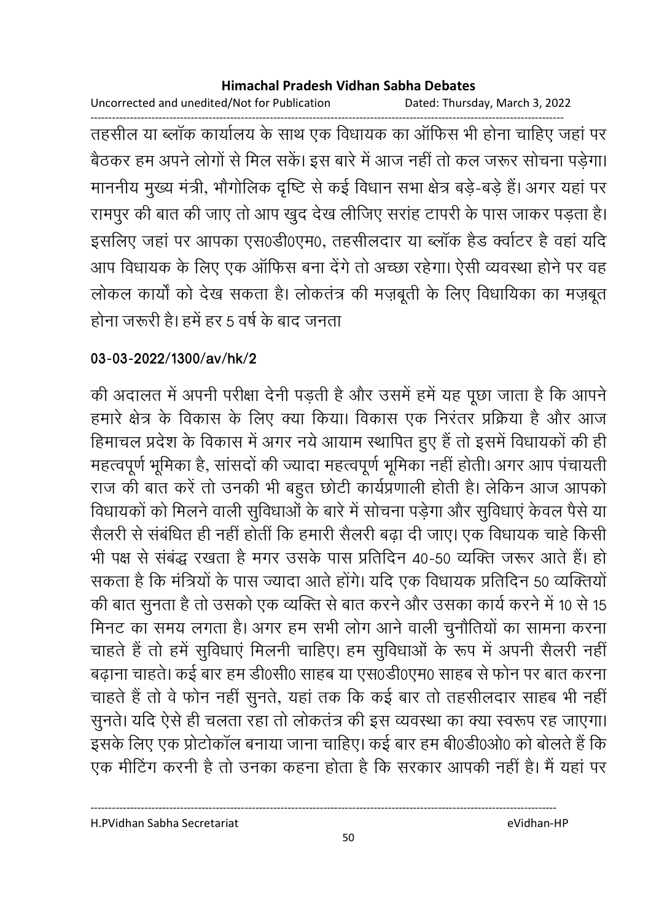Uncorrected and unedited/Not for Publication Dated: Thursday, March 3, 2022

------------------------------------------------------------------------------------------------------------------------------------ तहसील या ब्लाक कार्यालय के साथ एक विधायक का आफिस भी होना चाहिए जहां पर बैठकर हम अपने लोगों से मिल सकें। इस बारे में आज नहीं तो कल जरूर सोचना पड़ेगा। माननीय मुख्य मंत्री, भौगोलिक दृष्टि से कई विधान सभा क्षेत्र बड़े-बड़े हैं। अगर यहां पर रामपुर की बात की जाए तो आप खुद देख लीजिए सराह टापरी के पास जाकर पड़ता है। इसलिए जहां पर आपका एस0डी0एम0, तहसीलदार या ब्लाक हैंड क्वोटर हैं वहां यदि आप विधायक के लिए एक आफिस बना देंगे तो अच्छा रहेगा। ऐसी व्यवस्था होने पर वह लोकल कार्यों को देख सकता है। लोकतंत्र की मज़बूती के लिए विधार्यिका का मज़बूत होना जरूरी है। हमें हर 5 वर्ष के बाद जनता

## **03-03-2022/1300/av/hk/2**

की अदालत में अपनी परीक्षा देनी पड़ती है और उसमें हमें यह पूछा जाता है कि आपने हमारे क्षेत्र के विकास के लिए क्या किया। विकास एक निरतर प्रक्रिया है और आज हिमाचल प्रदेश के विकास में अगर नये आयाम स्थापित हुए हैं तो इसमें विधायकों की ही महत्वपूर्ण भूमिका है, सासदों की ज्यादा महत्वपूर्ण भूमिका नहीं होती। अगर आप पचायती राज की बात करें तो उनकी भी बहुत छोटी कार्यप्रणाली होती है। लेकिन आज आपको विधायको को मिलने वाली सुविधाओं के बारे में सोचना पड़ेगा और सुविधाएं केवल पैसे या सैलरी से संबंधित ही नहीं होती कि हमारी सैलरी बढ़ा दी जाए। एक विधायक चाहें किसी भी पक्ष से सबद्ध रखता है मगर उसके पास प्रतिदिन 40-50 व्यक्ति जरूर आते हैं। हो सकता है कि मंत्रियों के पास ज्यादा आते होंगे। यदि एक विधायक प्रतिदिन 50 व्यक्तियों | की बात सुनता है तो उसको एक व्यक्ति से बात करने और उसका कार्य करने में 10 से 15 मिनट का समय लगता है। अगर हम सभी लोग आने वाली चुनौतियों का सामना करना चाहते हैं तो हमें सुविधाएं मिलनी चाहिए। हम सुविधाओं के रूप में अपनी सैलरी नहीं बढ़ाना चाहते। कई बार हम डी0सी0 साहब या एस0डी0एम0 साहब से फोन पर बात करना चाहते हैं तो वे फोन नहीं सुनते, यहां तक कि कई बार तो तहसीलदार साहब भी नहीं सुनते। यदि ऐसे ही चलता रहा तो लोकतंत्र की इस व्यवस्था का क्या स्वरूप रह जाएगा। इसके लिए एक प्रोटोकाल बनाया जाना चाहिए। कई बार हम बी0डी0ओ0 को बोलते हैं कि एक मीटिंग करनी है तो उनका कहना होता है कि सरकार आपकी नहीं है। मैं यहां पर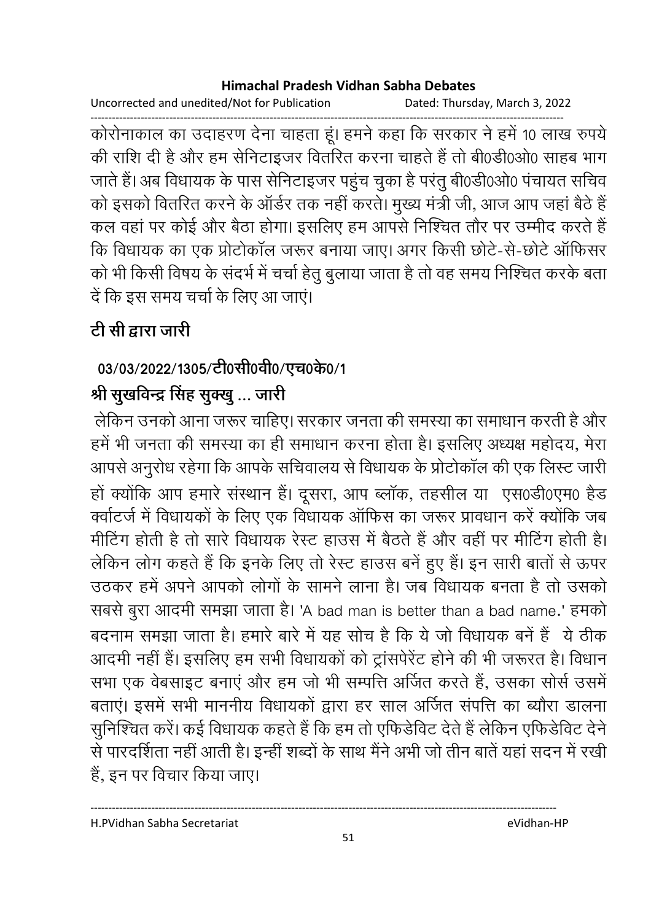Uncorrected and unedited/Not for Publication Dated: Thursday, March 3, 2022

------------------------------------------------------------------------------------------------------------------------------------ कोरोनाकाल का उदाहरण देना चाहता हूं। हमने कहा कि सरकार ने हमें 10 लाख रुपये की राशि दी है और हम सेनिटाइजर वितरित करना चाहते हैं तो बी0डी0ओ0 साहब भाग जाते हैं। अब विधायक के पास सेनिटाइजर पहुंच चुका है परंतु बी0डी0ओ0 पंचायत सचिव को इसको वितरित करने के आर्डर तक नहीं करते। मुख्य मंत्री जी, आज आप जहां बैठे हैं | कल वहां पर कोई और बैठा होगा। इसलिए हम आपसे निश्चित तौर पर उम्मीद करते हैं | कि विधायक का एक प्रतिकाल जरूर बनाया जाए। अगर किसी छोटे-से-छोटे आफिसर को भी किसी विषय के सदर्भ में चर्चा हेतु बुलाया जाता है तो वह समय निश्चित करके बता दें कि इस समय चर्चा के लिए आ जाएं।

# <u>टी सी द्वारा जारी</u>

# 03/03/2022/1305/टी0सी0वी0/एच0के0/1

# श्री सुखर्विन्द्र सिंह सुक्खु … जारी

लेकिन उनको आना जरूर चाहिए। सरकार जनता की समस्या का समाधान करती है और हमें भी जनता की समस्या का ही समाधान करना होता है। इसलिए अध्यक्ष महोदय, मेरा आपसे अनुरोध रहेगा कि आपके सचिवालय से विधायक के प्रोटोकाल की एक लिस्ट जारी-हो क्योंकि आप हमारे संस्थान है। दूसरा, आप ब्लाक, तहसील या एस0डी0एम0 हैंड क्वोटर्ज में विधायकों के लिए एक विधायक आफिस का जरूर प्रावधान करें क्योंकि जब मोटिंग होती है तो सारे विधायक रेस्ट हाउस में बैठतें हैं और वहीं पर मीटिंग होती हैं। लेकिन लोग कहते हैं कि इनके लिए तो रेस्ट हाउस बने हुए हैं। इन सारी बातों से ऊपर उठकर हमें अपने आपको लोगों के सामने लाना है। जब विधायक बनता है तो उसको सबसे बुरा आदमी समझा जाता है। 'A bad man is better than a bad name.' हमको बंदनाम समझा जाता है। हमारे बारे में यह सोच है कि ये जो विधायक बने हैं ये ठीक आदमी नहीं है। इसलिए हम सभी विधायकों को ट्रासपेरेट होने की भी जरूरत है। विधान सभा एक वेबसाइट बनाए और हम जो भी सम्पत्ति अजित करते हैं, उसका ससि उसमें बताए। इसमें सभी माननीय विधायकों द्वारा हर साल अजित संपत्ति का ब्यौरा डालना सुनिश्चित करें। कई विधायक कहते हैं कि हम तो एफिडीवेट देते हैं लेकिन एफिडीवेट देनें। से पारदर्शिता नहीं आती है। इन्हीं शब्दों के साथ मैंने अभी जो तीन बातें यहां सदन में रखीं | है, इन पर विचार किया जाए।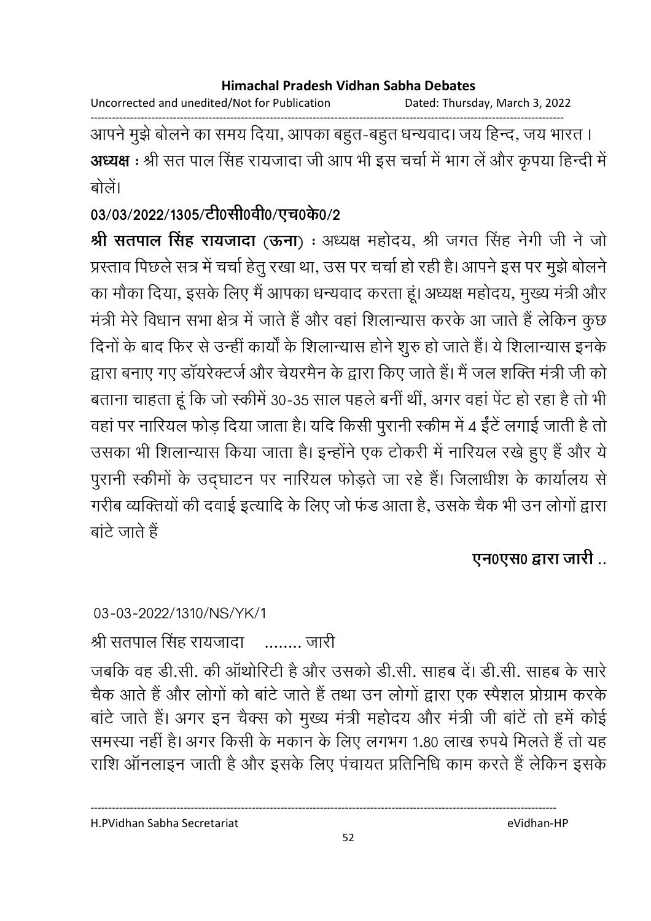Uncorrected and unedited/Not for Publication Dated: Thursday, March 3, 2022

------------------------------------------------------------------------------------------------------------------------------------ आपने मुझे बोलने का समय दिया, आपका बहुत-बहुत धन्यवाद। जय हिन्द, जय भारत । **अध्यक्ष** : श्री सत पाल सिंह रायजादा जी आप भी इस चर्चा में भाग ले और कृपया हिन्दी में बोलें।

03/03/2022/1305/टी0सी0वी0/एच0के0/2

**श्री सतपाल सिंह रायजादा** (**ऊना**) : अध्यक्ष महोदय, श्री जगत सिंह नेगी जी ने जो प्रस्ताव पिछले सत्र में चर्चा हेतु रखा था, उस पर चर्चा हो रही है। आपने इस पर मुझे बोलने का मौका दिया, इसके लिए मैं आपका धन्यवाद करता हूं। अध्यक्ष महोदय, मुख्य मंत्री और मंत्री मेरे विधान सभा क्षेत्र में जाते हैं और वहां शिलान्यास करके आ जाते हैं लेकिन कुछ दिनों के बाद फिर से उन्हीं कार्यों के शिलान्यास होने शुरु हो जाते हैं। ये शिलान्यास इनके द्वारा बनाए गए डायरेक्टर्ज और चेयरमैन के द्वारा किए जाते हैं। मैं जल शक्ति मंत्री जी को बताना चाहता हूं कि जो स्कीमें 30-35 साल पहले बनी थी, अगर वहां पेट हो रहा है तो भी वहां पर नारियल फोड़ दिया जाता है। यदि किसी पुरानी स्कीम में 4 ईंटे लगाई जाती है तो उसका भी शिलान्यास किया जाता है। इन्होंने एक टोकरी में नारियल रखें हुए हैं और ये पुरानी स्कीमों के उद्घाटन पर नारियल फोड़ते जा रहे हैं। जिलाधीश के कार्यालय से गरीब व्यक्तियों की दवाई इत्यादि के लिए जो फंड आता है, उसके चैंक भी उन लोगों द्वारा  $\overrightarrow{a}$  , जाते हैं

**एन0एस0 द्वारा जारी** ..

03-03-2022/1310/NS/YK/1

श्री सतपाल सिंह रायजांदा —……. जारी

जबकि वह डी.सी. की आर्थारिटी है और उसको डी.सी. साहब दें। डी.सी. साहब के सारे चैक आते हैं और लोगों को बांटे जाते हैं तथा उन लोगों द्वारा एक स्पैशल प्रोग्राम करके बार्ट जाते हैं। अगर इन चैक्स को मुख्य मंत्री महोदय और मंत्री जी बार्ट तो हमें कोई समस्या नहीं है। अगर किसी के मकान के लिए लगभग 1.80 लाख रुपये मिलते हैं तो यह राशि आनलाइन जाती है और इसके लिए पंचायत प्रतिनिधि काम करते हैं लेकिन इसके

52

H.PVidhan Sabha Secretariat eVidhan-HP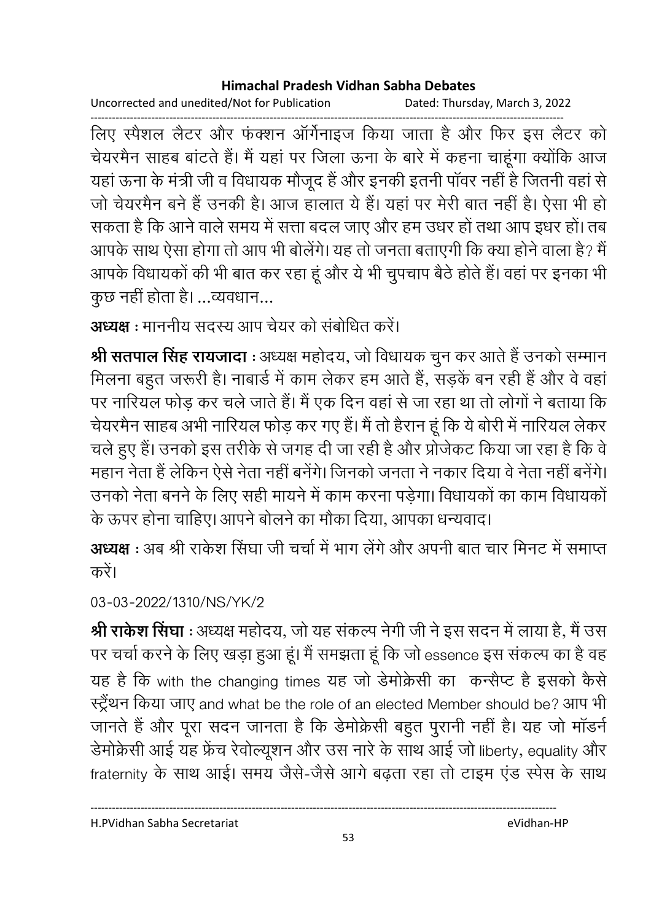Uncorrected and unedited/Not for Publication Dated: Thursday, March 3, 2022

------------------------------------------------------------------------------------------------------------------------------------ लिए स्पैशल लैटर और फंक्शन ऑर्गेनाइज किया जाता है और फिर इस लैटर को चेयरमैन साहब बांटते हैं। मैं यहां पर जिला ऊना के बारे में कहना चाहूंगा क्योंकि आज यहाँ ऊना के मंत्री जी व विधायक मौजूद है और इनकी इतनी पावर नहीं है जितनी वहाँ से जो चेयरमैन बर्ने हैं उनकी है। आज हालात ये हैं। यहां पर मेरी बात नहीं हैं। ऐसा भी हो सकता है कि आने वाले समय में सत्ता बदल जाए और हम उधर हो तथा आप इधर हो। तब आपके साथ ऐसा होगा तो आप भी बोलेंगे। यह तो जनता बताएंगी कि क्या होने वाला है? मैं | आपके विधायकों की भी बात कर रहा हूं और ये भी चुपचाप बैठे होते हैं। वहां पर इनका भी कुछ नहीं होता है। …व्यवधान…

**अध्यक्ष** : माननीय सदस्य आप चेयर को संबोधित करें।

**श्री सतपाल सिंह रायजादा** : अध्यक्ष महोदय, जो विधायक चुन कर आते हैं उनको सम्मान मिलना बहुत जरूरी है। नाबार्ड में काम लेकर हम आते हैं, सड़के बन रही है और वे वहां पर नारियल फोड़ कर चले जाते हैं। मैं एक दिन वहां से जा रहा था तो लोगों ने बताया कि चेयरमैन साहब अभी नारियल फौड़ कर गए है। मैं तो हैरान हूं कि ये बोरी में नारियल लेकर चले हुए हैं। उनको इस तरीके से जगह दी जा रही है और प्रजिकट किया जा रहा है कि वे महान नेता है लेकिन ऐसे नेता नहीं बनेगे। जिनको जनता ने नकार दिया वे नेता नहीं बनेगे। उनको नेता बनने के लिए सही मायने में काम करना पड़ेगा। विधायको का काम विधायको के ऊपर होना चाहिए। आपने बोलने का मौका दिया, आपका धन्यवाद।

**अध्यक्ष** : अब श्री राकेश सिंघा जी चर्चा में भाग लेंगे और अपनी बात चार मिनट में समाप्त करें।

03-03-2022/1310/NS/YK/2

**श्री राकेश सिंघा** : अध्यक्ष महोदय, जो यह सकल्प नेगी जी ने इस सदन में लाया है, मैं उस पर चर्चा करने के लिए खड़ा हुआ हूं। मैं समझता हूं कि जो essence इस सकल्प का है वह यह है कि with the changing times यह जो डेमोक्रेसी का कन्सैप्ट है इसको कैसे स्ट्रेथन किया जाए and what be the role of an elected Member should be? आप भी जानते हैं और पूरा सदन जानता है कि डेमोक्रेसी बहुत पुरानी नहीं है। यह जो मांडने र्डमक्रिसी आई यह फ्रेंच रेवॉल्यूशन और उस नारे के साथ आई जो liberty, equality और fraternity के साथ आई। समय जैसे-जैसे आगे बढ़ता रहा तो टाइम एंड स्पेस के साथ

H.PVidhan Sabha Secretariat eVidhan-HP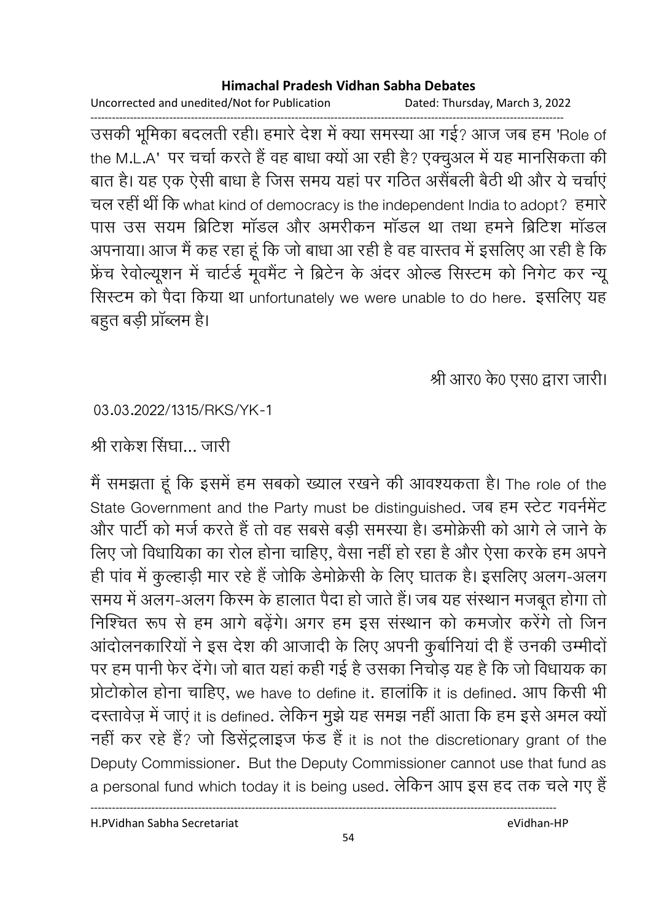Uncorrected and unedited/Not for Publication Dated: Thursday, March 3, 2022

------------------------------------------------------------------------------------------------------------------------------------ उसकी भूमिका बदलती रही। हमारे देश में क्या समस्या आ गई? आज जब हम 'Role of the M.L.A' पर चर्चा करते हैं वह बाधा क्यों आ रही है? एक्चुअल में यह मानसिकता की बात है। यह एक ऐसी बांधा है जिस समय यहां पर गठित असैबली बैठी थी और ये चर्चाएं चल रहीं थीं कि what kind of democracy is the independent India to adopt? हमारे पास उस सयम ब्रिटिश मांडल और अमरीकन मांडल था तथा हमने ब्रिटिश मांडल अपनाया। आज मैं कह रहा हूं कि जो बाधा आ रही है वह वास्तव में इसलिए आ रही है कि फ्रेंच रेवोल्यूशन में चार्टर्ड मूवमैंट ने ब्रिटेन के अंदर ओल्ड सिस्टम को निगेंट कर न्यू रिस्टम को पैदा किया था unfortunately we were unable to do here. इसलिए यह बहुत बड़ी प्राब्लम है।

श्री आर0 के0 एस0 द्वारा जारी।

03.03.2022/1315/RKS/YK-1

श्री राकेश सिंघा… जारी

मैं समझता हूं कि इसमें हम सबको ख्याल रखने की आवश्यकता है। The role of the State Government and the Party must be distinguished. जब हम स्टेट गवर्नमेंट और पार्टी को मर्ज करते हैं तो वह सबसे बड़ी समस्या है। डमक्रिसी को आगे ले जाने के लिए जो विधायिका का रोल होना चाहिए, वैसा नहीं हो रहा है और ऐसा करके हम अपने ही पाव में कुल्हाड़ी मार रहे हैं जोकि डेमोक्रेसी के लिए घातक है। इसलिए अलग-अलग समय में अलग-अलग किस्म के हालात पैदा हो जाते हैं। जब यह संस्थान मजबूत होगा तो निश्चित रूप से हम आगे बढ़ेंगे। अगर हम इस संस्थान को कमजोर करेंगे तो जिन आदोलनकारियों ने इस देश की आजादी के लिए अपनी कुंबोनिया दी है उनकी उम्मीदों पर हम पानी फेर देंगे। जो बात यहां कहीं गई है उसका निचोड़ यह है कि जो विधायक का प्रोटोकोल होना चाहिए, we have to define it. हालांकि it is defined. आप किसी भी दस्तावेज़ में जाए it is defined. लेकिन मुझे यह समझ नहीं आता कि हम इसे अमल क्यो नहीं कर रहे हैं? जो डिसेंट्रलाइज फंड हैं it is not the discretionary grant of the Deputy Commissioner. But the Deputy Commissioner cannot use that fund as a personal fund which today it is being used. लेकिन आप इस हद तक चले गए हैं

H.PVidhan Sabha Secretariat eVidhan-HP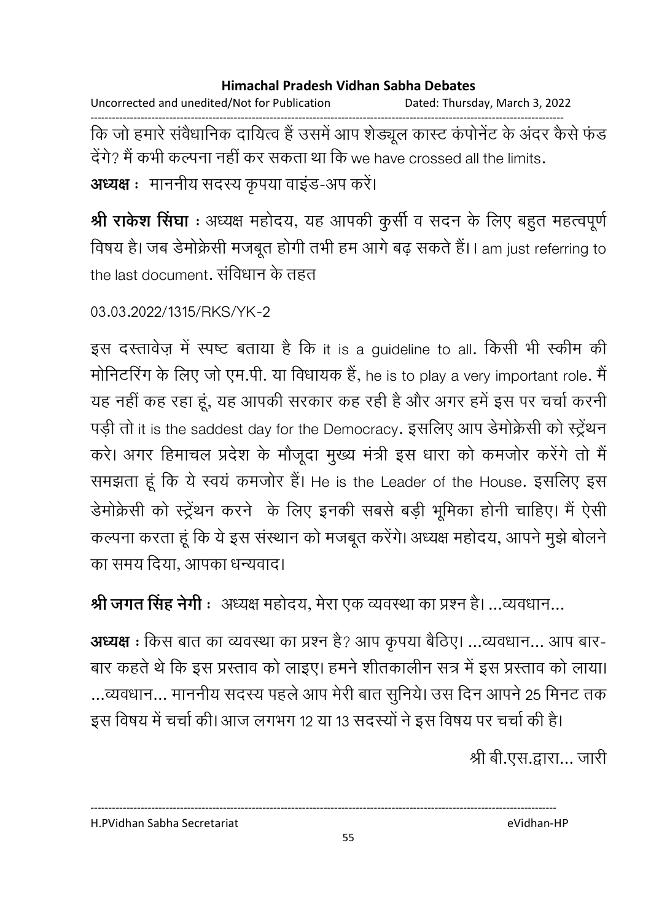Uncorrected and unedited/Not for Publication Dated: Thursday, March 3, 2022 ------------------------------------------------------------------------------------------------------------------------------------ कि जो हमारे सर्वधानिक दायित्व है उसमें आप शैड्यूल कास्ट कंपनिट के अंदर कैसे फंड देगे? मैं कभी कल्पना नहीं कर सकता था कि we have crossed all the limits. **अध्यक्ष** : माननीय सदस्य कृपया वाइंड-अप करें।

**श्री राकेश सिंघा** : अध्यक्ष महोदय, यह आपकी कुसी व सदन के लिए बहुत महत्वपूर्ण विषय है। जब डेमोक्रेसी मजबूत होगी तभी हम आगे बढ़ सकते हैं। I am just referring to the last document. सर्विधान के तहत

03.03.2022/1315/RKS/YK-2

इस दस्तावेज़ में स्पष्ट बताया है कि it is a guideline to all. किसी भी स्कीम की मोनिटरिंग के लिए जो एम.पी. या विधायक है, he is to play a very important role. मैं यह नहीं कह रहा हूं, यह आपकी सरकार कह रही है और अगर हमें इस पर चर्चा करनी पड़ी तो it is the saddest day for the Democracy. इसलिए आप डेमोक्रेसी को स्ट्रेथन करें। अगर हिमाचल प्रदेश के मौजूदा मुख्य मंत्री इस धारा को कमजोर करेंगे तो मैं समझता हूं कि ये स्वयं कमजोर हैं। He is the Leader of the House. इसलिए इस डेमोक्रेसी को स्ट्रेथन करने के लिए इनकी सबसे बड़ी भूमिका होनी चाहिए। मैं ऐसी कल्पना करता हूं कि ये इस संस्थान को मजबूत करेंगे। अध्यक्ष महोदय, आपने मुझे बोलने का समय दिया, आपका धन्यवाद।

**श्री जगत सिंह नेगी** ः अध्यक्ष महोदय, मेरा एक व्यवस्था का प्रश्न है। …व्यवधान…

**अध्यक्ष :** किस बात का व्यवस्था का प्रश्न है? आप कृपया बैठिए। …व्यवधान… आप बार-बार कहते थे कि इस प्रस्ताव को लाइए। हमने शीतकालीन सत्र में इस प्रस्ताव को लाया। ...व्यवधान... माननीय सदस्य पहले आप मेरी बात सुनिये। उस दिन आपने 25 मिनट तक

इस विषय में चर्चा की। आज लगभग 12 या 13 सदस्यों ने इस विषय पर चर्चा की है। श्री बी.एस.द्वारा… जारी

H.PVidhan Sabha Secretariat eVidhan-HP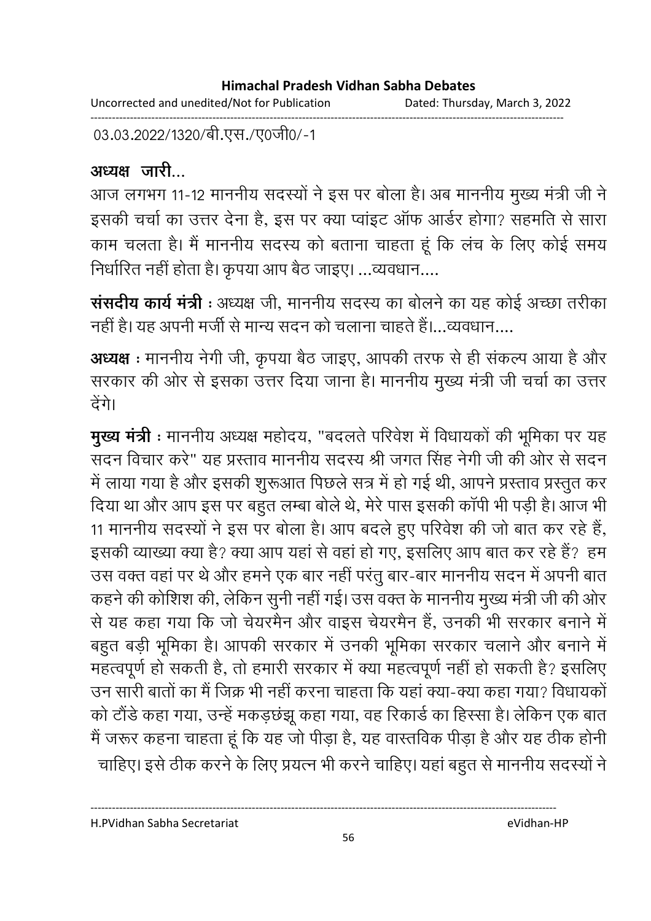Uncorrected and unedited/Not for Publication Dated: Thursday, March 3, 2022 ------------------------------------------------------------------------------------------------------------------------------------

03.03.2022/1320/बी.एस./ए0जी0/-1

# अध्यक्ष जारी

आज लगभग 11-12 माननीय सदस्यों ने इस पर बोला है। अब माननीय मुख्य मंत्री जी ने इसकी चर्चा का उत्तर देना है, इस पर क्या प्वाइट आफ आर्डर होगा? सहमति से सारा काम चलता है। मैं माननीय सदस्य को बताना चाहता हूँ कि लच के लिए कोई समय निर्धारित नहीं होता है। कृपया आप बैठ जाइए। …व्यवधान….

**संसदीय कार्य मंत्री** : अध्यक्ष जी, माननीय सदस्य का बोलने का यह कोई अच्छा तरीका नहीं है। यह अपनी मर्जी से मान्य सदन को चलाना चाहते हैं।…व्यवधान….

**अध्यक्ष :** माननीय नेगी जी, कृपया बैठ जाइए, आपकी तरफ से ही सकल्प आया है और सरकार की ओर से इसका उत्तर दिया जाना है। माननीय मुख्य मंत्री जी चर्चा का उत्तर ढेंगे।

**मुख्य मंत्री** : माननीय अध्यक्ष महोदय, "बदलते परिवेश में विधायकों की भूमिका पर यह सदन विचार करें" यह प्रस्ताव माननीय सदस्य श्री जगत सिंह नेगी जी की ओर से सदन में लाया गया है और इसकी शुरूआत पिछले सत्र में हो गई थी, आपने प्रस्ताव प्रस्तुत कर दिया था और आप इस पर बहुत लम्बा बोले थे, मेरे पास इसकी कापी भी पड़ी है। आज भी 11 माननीय सदस्यों ने इस पर बोला है। आप बदले हुए परिवेश की जो बात कर रहे हैं, इसकी व्याख्या क्या है? क्या आप यहां से वहां हो गए, इसलिए आप बात कर रहे हैं? हम उस वक्त वहां पर थे और हमने एक बार नहीं परंतु बार-बार माननीय सदन में अपनी बात कहने की कोशिश की, लेकिन सुनी नहीं गई। उस वक्त के माननीय मुख्य मंत्री जी की ओर से यह कहा गया कि जो चेयरमैन और वाइस चेयरमैन है, उनकी भी सरकार बनाने में बहुत बड़ी भूमिका है। आपकी सरकार में उनकी भूमिका सरकार चलाने और बनाने में महत्वपूर्ण हो सकती है, तो हमारी सरकार में क्या महत्वपूर्ण नहीं हो सकती है? इसलिए उन सारी बातों का मैं जिक्र भी नहीं करना चाहता कि यहां क्या-क्या कहा गया? विधायकों को टौर्ड कहा गया, उन्हें मकड़छझू कहा गया, वह रिकार्ड का हिस्सा है। लेकिन एक बात मैं जरूर कहना चाहता हूं कि यह जो पीड़ा है, यह वास्तविक पीड़ा है और यह ठीक होनी. चाहिए। इसे ठीक करने के लिए प्रयत्न भी करने चाहिए। यहां बहुत से माननीय सदस्यों ने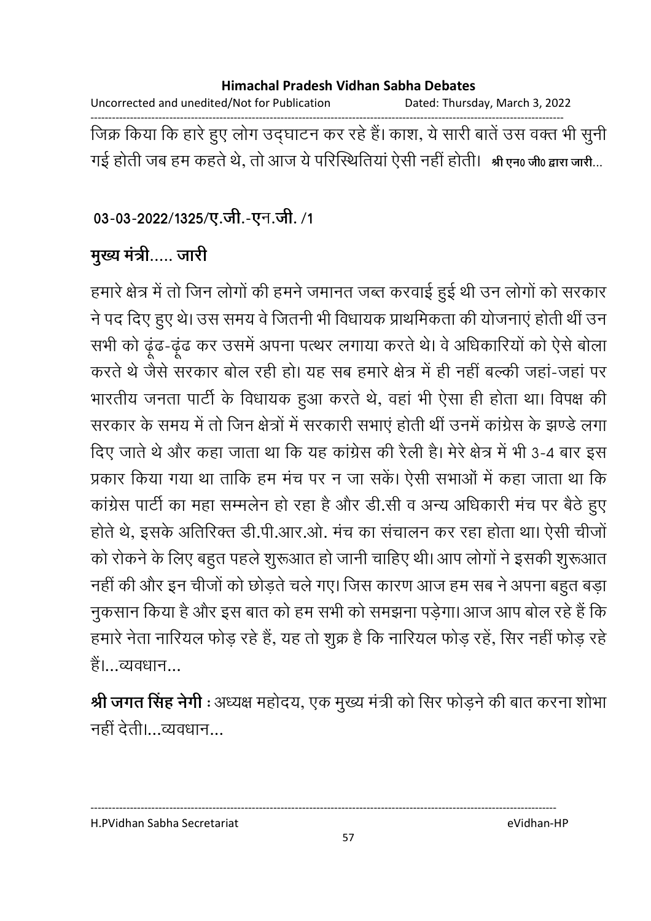Uncorrected and unedited/Not for Publication Dated: Thursday, March 3, 2022 ------------------------------------------------------------------------------------------------------------------------------------ जिक्र किया कि हारे हुए लोग उद्घाटन कर रहे हैं। काश, ये सारी बातें उस वक्त भी सुनी गई होती जब हम कहते थे, तो आज ये परिस्थितिया ऐसी नहीं होती। श्री एन0 जी0 द्वारा जारी...

03-03-2022/1325/ए.जी.-एन.जी. /1

**मुख्य मंत्री.....** जारी

हमारे क्षेत्र में तो जिन लोगों की हमने जमानत जब्त करवाई हुई थी उन लोगों को सरकार ने पद दिए हुए थे। उस समय वे जितनी भी विधायक प्राथमिकता की योजनाए होती थी उन सभी को ढ़ूढ-ढूढ कर उसमें अपना पत्थर लगाया करते थे। वे अधिकारियों को ऐसे बोला करते थे जैसे सरकार बोल रही हो। यह सब हमारे क्षेत्र में ही नहीं बल्की जहा-जहां पर भारतीय जनता पार्टी के विधायक हुआ करते थे, वहां भी ऐसा ही होता था। विपक्ष की सरकार के समय में तो जिन क्षेत्रों में सरकारी सभाएं होती थी उनमें कांग्रेस के झण्डे लगा दिए जाते थे और कहा जाता था कि यह कांग्रेस की रैली है। मेरे क्षेत्र में भी 3-4 बार इस प्रकार किया गया था तार्कि हम मंच पर न जा सके। ऐसी सभाओं में कहा जाता था कि कांग्रेस पार्टी का महा सम्मलेन हो रहा है और डी.सी व अन्य अधिकारी मच पर बैठे हुए होते थे, इसके अतिरिक्त डी.पी.आर.ओ. मच का संचालन कर रहा होता था। ऐसी चीजो को रोकने के लिए बहुत पहले शुरूआत हो जानी चाहिए थी। आप लोगों ने इसकी शुरूआत नहीं की और इन चीजों को छोड़ते चले गए। जिस कारण आज हम सब ने अपना बहुत बड़ा नुकसान किया है और इस बात को हम सभी को समझना पड़ेगा। आज आप बोल रहे हैं कि हमारे नेता नारियल फोड़ रहे हैं, यह तो शुक्र है कि नारियल फोड़ रहें, सिर नहीं फोड़ रहे है।…व्यवधान…

**श्री जगत सिंह नेगी** : अध्यक्ष महोदय, एक मुख्य मंत्री को सिर फोड़ने की बात करना शोभा नही देती।…व्यवधान…

H.PVidhan Sabha Secretariat eVidhan-HP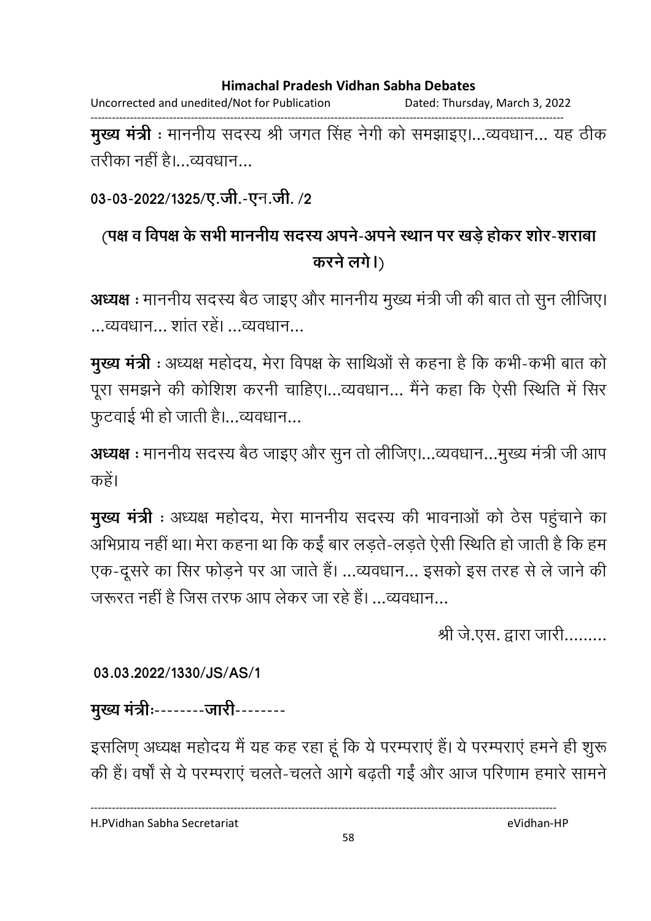Uncorrected and unedited/Not for Publication Dated: Thursday, March 3, 2022 ------------------------------------------------------------------------------------------------------------------------------------ **मुख्य मंत्री** : माननीय सदस्य श्री जगत सिंह नेगी को समझाइए।…व्यवधान… यह ठीक

तरीका नहीं हैं।…व्यवधान…

### 03-03-2022/1325/ए.जी.-एन.जी. /2

# (पक्ष व विपक्ष के सभी माननीय सदस्य अपने-अपने स्थान पर खड़े होकर शोर-शराबा  **B)**

**अध्यक्ष** : माननीय सदस्य बैठ जाइए और माननीय मुख्य मंत्री जी की बात तो सुन लीजिए। ...व्यवधान... शात रहे। ...व्यवधान...

**मुख्य मंत्री** : अध्यक्ष महोदय, मेरा विपक्ष के साथिओं से कहना है कि कभी-कभी बात को पूरा समझने की कोशिश करनी चाहिए।…व्यवधान… मैंने कहा कि ऐसी स्थिति में सिर फुटवाई भी हो जाती है।…व्यवधान…

**अध्यक्ष** : माननीय सदस्य बैठ जाइए और सुन तो लीजिए।…व्यवधान…मुख्य मंत्री जी आप कहें।

**मुख्य मंत्री** : अध्यक्ष महोदय, मेरा माननीय सदस्य की भावनाओं को ठेस पहुचाने का आभप्राय नहीं था। मेरा कहना था कि कई बार लड़ते-लड़ते ऐसी स्थिति हो जाती है कि हम एक-दूसरे का सिर फोड़ने पर आ जाते हैं। …व्यवधान… इसको इस तरह से ले जाने की जरूरत नहीं है जिस तरफ आप लेकर जा रहे हैं। …व्यवधान…

श्री जे.एस. द्वारा जारी.........

### **03.03.2022/1330/JS/AS/1**

मुख्य मंत्रीः--------जारी--------

इसलिण् अध्यक्ष महोदय में यह कह रहा हूं कि ये परम्पराएं हैं। ये परम्पराएं हमने ही शुरू की है। वर्षों से ये परम्पराए चलतें-चलतें आगे बढ़ती गई और आज परिणाम हमारे सामने

H.PVidhan Sabha Secretariat eVidhan-HP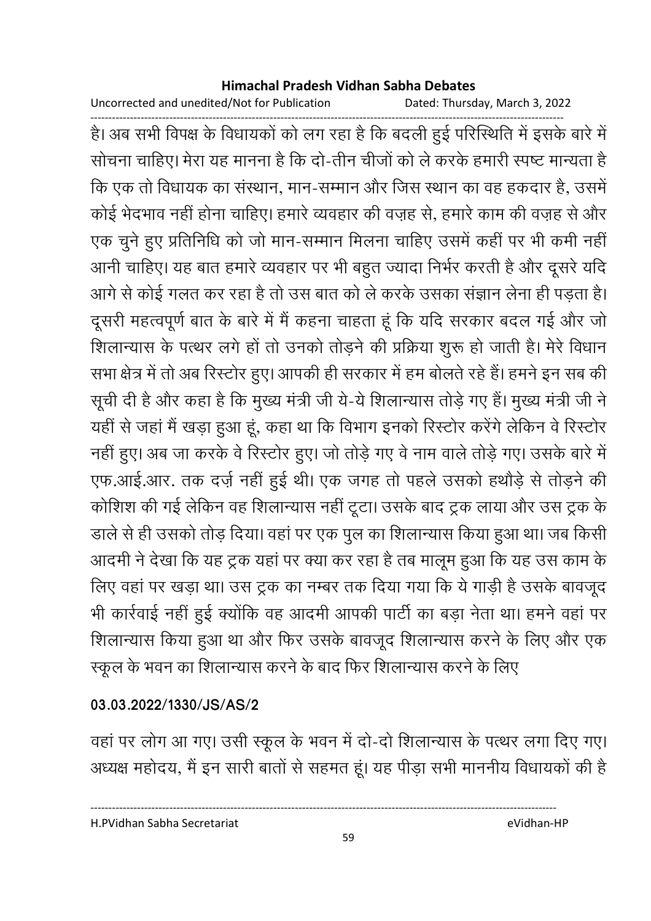Uncorrected and unedited/Not for Publication Dated: Thursday, March 3, 2022

------------------------------------------------------------------------------------------------------------------------------------ हैं। अब सभी विपक्ष के विधायकों को लग रहा है कि बदली हुई परिस्थिति में इसके बारे में सोचना चाहिए। मेरा यह मानना है कि दो-तीन चीजों को ले करके हमारी स्पष्ट मान्यता हैं-कि एक तो विधायक का संस्थान, मान-सम्मान और जिस स्थान का वह हकदार है, उसमें कोई भेदभाव नहीं होना चाहिए। हमारे व्यवहार की वज़ह से, हमारे काम की वज़ह से और एक चुने हुए प्रतिनिधि को जो मान-सम्मान मिलना चाहिए उसमें कहीं पर भी कमी नहीं आनी चाहिए। यह बात हमारे व्यवहार पर भी बहुत ज्यादा निर्भर करती है और दूसरे यदि आगे से कोई गलत कर रहा है तो उस बात को ले करके उसका सज्ञान लेना ही पड़ता है। दूसरी महत्वपूर्ण बात के बारे में मैं कहना चाहता हूं कि यदि सरकार बंदल गई और जो शिलान्यास के पत्थर लगे हो तो उनको तोड़ने की प्रक्रिया शुरू हो जाती है। मेरे विधान सभा क्षेत्र में तो अब रिस्टोर हुए। आपकी ही सरकार में हम बोलते रहे हैं। हमने इन सब की सूची दी है और कहा है कि मुख्य मंत्री जी ये-ये शिलान्यास तोड़े गए हैं। मुख्य मंत्री जी ने यही से जहां मैं खड़ा हुआ हूं, कहा था कि विभाग इनको रिस्टोर करेंगे लेकिन वे रिस्टोर नहीं हुए। अब जा करके वे रिस्टोर हुए। जो तोड़े गए वे नाम वाले तोड़े गए। उसके बारे में एफ.आई.आर. तक दर्ज़ नहीं हुई थी। एक जगह तो पहले उसको हथोड़े से तोड़ने की कोशिश की गई लेकिन वह शिलान्यास नहीं टूटा। उसके बाद ट्रक लाया और उस ट्रक के डाले से ही उसको तोड़ दिया। वहां पर एक पुल का शिलान्यास किया हुआ था। जब किसी आदमी ने देखा कि यह ट्रक यहां पर क्या कर रहा है तब मालूम हुआ कि यह उस काम के लिए वहां पर खड़ा था। उस ट्रक का नम्बर तक दिया गया कि ये गाड़ी है उसके बावजूद भी कार्रवाई नहीं हुई क्योंकि वह आदमी आपकी पार्टी का बड़ा नेता था। हमने वहां पर शिलान्यास किया हुआ था और फिर उसके बावजूद शिलान्यास करने के लिए और एक स्कूल के भवन का शिलान्यास करने के बाद फिर शिलान्यास करने के लिए

### **03.03.2022/1330/JS/AS/2**

वहां पर लोग आ गए। उसी स्कूल के भवन में दो-दो शिलान्यास के पत्थर लगा दिए गए। अध्यक्ष महोदय, मैं इन सारी बातों से सहमत हूं। यह पीड़ा सभी माननीय विधायकों की है

----------------------------------------------------------------------------------------------------------------------------------

H.PVidhan Sabha Secretariat eVidhan-HP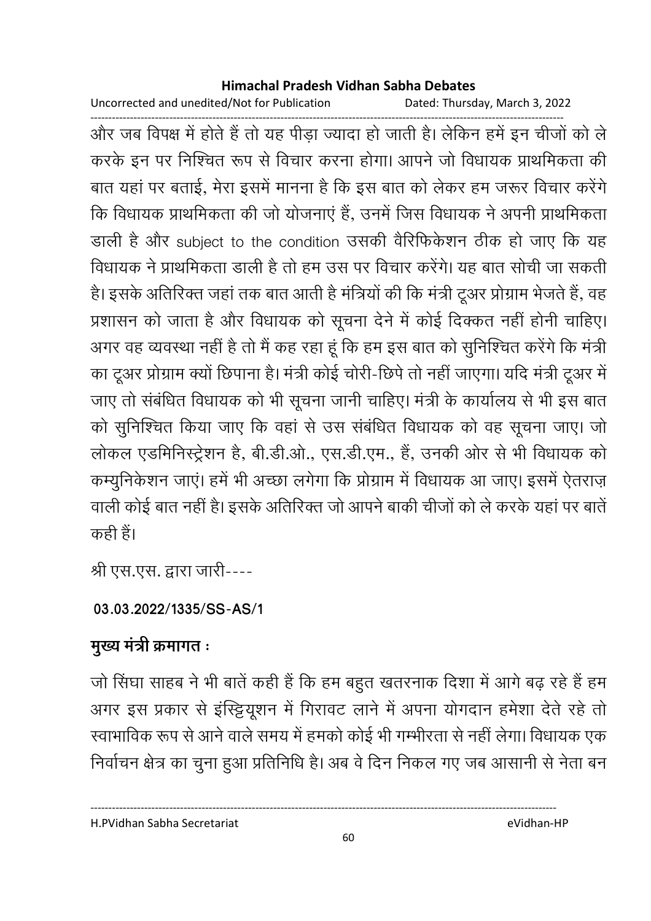Uncorrected and unedited/Not for Publication Dated: Thursday, March 3, 2022

------------------------------------------------------------------------------------------------------------------------------------ और जब विपक्ष में होते हैं तो यह पीड़ा ज्यादा हो जाती है। लेकिन हमें इन चीजों को ले करके इन पर निश्चित रूप से विचार करना होगा। आपने जो विधायक प्राथमिकता की बात यहां पर बताई, मेरा इसमें मानना है कि इस बात को लेकर हम जरूर विचार करेंगे। कि विधायक प्राथमिकता की जो योजनाएं हैं, उनमें जिस विधायक ने अपनी प्राथमिकता डाली है और subject to the condition उसकी वैरिफिकेशन ठीक हो जाए कि यह विधायक ने प्राथमिकता डाली है तो हम उस पर विचार करेंगे। यह बात सचिों जा सकती हैं। इसके अतिरिक्त जहां तक बात आती है मंत्रियों की कि मंत्री टूअर प्रोग्राम भेजते हैं, वह प्रशासन को जाता है और विधायक को सूचना देने में कोई दिक्कत नहीं होनी चाहिए। अगर वह व्यवस्था नहीं है तो मैं कह रहा हूं कि हम इस बात को सुनिश्चित करेंगे कि मंत्री. का टूअर प्रोग्राम क्यो छिपाना है। मंत्री कोई चोरी-छिपे तो नहीं जाएगा। यदि मंत्री टूअर में जाए तो संबंधित विधायक को भी सूचना जानी चाहिए। मंत्री के कार्यालय से भी इस बात को सुनिश्चित किया जाए कि वहां से उस संबंधित विधायक को वह सूचना जाए। जो लोकल एंडमिनिस्ट्रेशन है, बी.डी.ओ., एस.डी.एम., है, उनकी ओर से भी विधायक को कम्युनिकेशन जाए। हमें भी अच्छा लगेगा कि प्रोग्राम में विधायक आ जाए। इसमें ऐतराज़ वाली कोई बात नहीं है। इसके अतिरिक्त जो आपने बाकी चीजों को ले करके यहां पर बातें | कही है।

श्री एस.एस. द्वारा जारी----

# **03.03.2022/1335/SS-AS/1**

# **मुख्य मंत्री क्रमागत**ः

जो सिंघा साहब ने भी बातें कही है कि हम बहुत खतरनाक दिशा में आगे बढ़ रहे हैं हम अगर इस प्रकार से इस्ट्टियूशन में गिरावट लाने में अपना योगदान हमेशा देते रहे तो स्वाभाविक रूप से आने वाले समय में हमको कोई भी गम्भीरता से नहीं लेगा। विधायक एक निर्वाचन क्षेत्र का चुना हुआ प्रतिनिधि है। अब वे दिन निकल गए जब आसानी से नेता बन

H.PVidhan Sabha Secretariat eVidhan-HP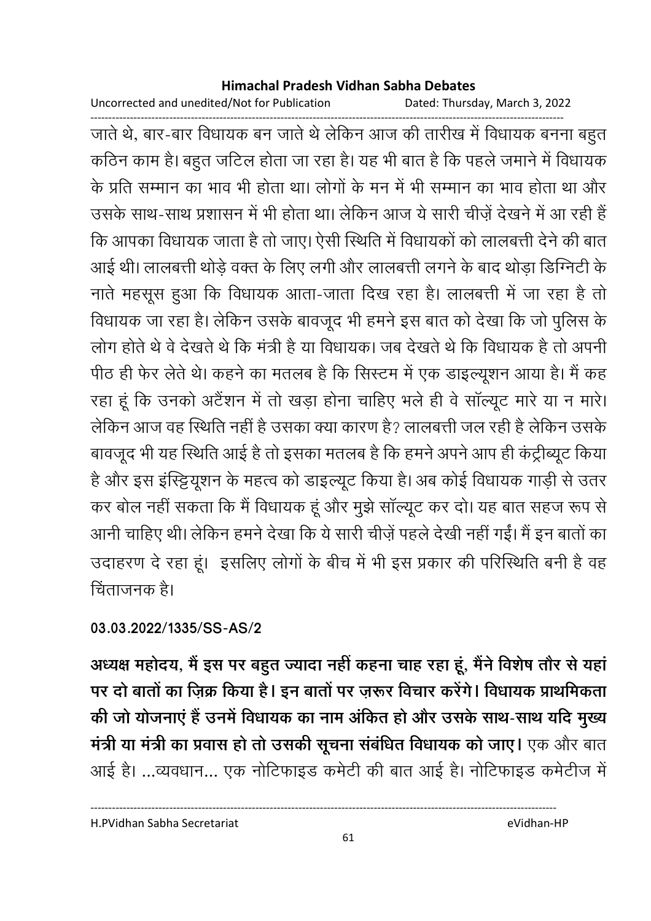Uncorrected and unedited/Not for Publication Dated: Thursday, March 3, 2022

------------------------------------------------------------------------------------------------------------------------------------ जाते थे, बार-बार विधायक बन जाते थे लेकिन आज की तारीख में विधायक बनना बहुत कठिन काम है। बहुत जटिल होता जा रहा है। यह भी बात है कि पहले जमाने में विधायक के प्रति सम्मान का भाव भी होता था। लोगों के मन में भी सम्मान का भाव होता था और उसके साथ-साथ प्रशासन में भी होता था। लेकिन आज ये सारी चीज़े देखने में आ रही हैं ' कि आपका विधायक जाता है तो जाए। ऐसी स्थिति में विधायकों को लालबत्ती देने की बात आई थी। लालबत्ती थोड़े वक्त के लिए लगी और लालबत्ती लगने के बाद थोड़ा डिग्निटी के नाते महसूस हुआ कि विधायक आता-जाता दिख रहा है। लालबत्ती में जा रहा है तो विधायक जा रहा है। लेकिन उसके बावजूद भी हमने इस बात को देखा कि जो पुलिस के लोग होते थे वे देखते थे कि मंत्री है या विधायक। जब देखते थे कि विधायक है तो अपनी पीठ ही फेर लेते थे। कहने का मतलब है कि सिस्टम में एक डाइल्यूशन आया है। मैं कह रहा हूं कि उनको अटैशन में तो खड़ा होना चाहिए भले ही वे साल्यूट मारे या न मारे। लेकिन आज वह स्थिति नहीं है उसका क्या कारण है? लालबत्ती जल रही है लेकिन उसके बावजूद भी यह स्थिति आई है तो इसका मतलब है कि हमने अपने आप ही कट्रीब्यूट किया। है और इस इस्ट्टियूशन के महत्व को डाइल्यूट किया है। अब कोई विधायक गाड़ी से उतर कर बोल नहीं सकता कि मैं विधायक हूं और मुझे साल्यूट कर दो। यह बात सहज रूप से आनी चाहिए थी। लेकिन हमने देखा कि ये सारी चीज़े पहले देखी नहीं गई। मैं इन बातों का उदाहरण दे रहा हूं। इसलिए लोगों के बीच में भी इस प्रकार की परिस्थिति बनी है वह ट्विंताजनक है।

**03.03.2022/1335/SS-AS/2**

अध्यक्ष महोदय, मैं इस पर बहुत ज्यादा नहीं कहना चाह रहा हूं, मैंने विशेष तौर से यहां पर दो बातों का ज़िक्र किया है। इन बातों पर ज़रूर विचार करेंगे। विधायक प्राथमिकता की जो योजनाएं है उनमें विधायक का नाम अर्कित हो और उसके साथ-साथ यदि मुख्य **मत्री या मत्री का प्रवास हो तो उसकी सूचना सबधित विधायक को जाए। एक और बात** आई है। …व्यवधान… एक नोटिफाइंड कमेटी की बात आई है। नोटिफाइंड कमेटीज में

H.PVidhan Sabha Secretariat eVidhan-HP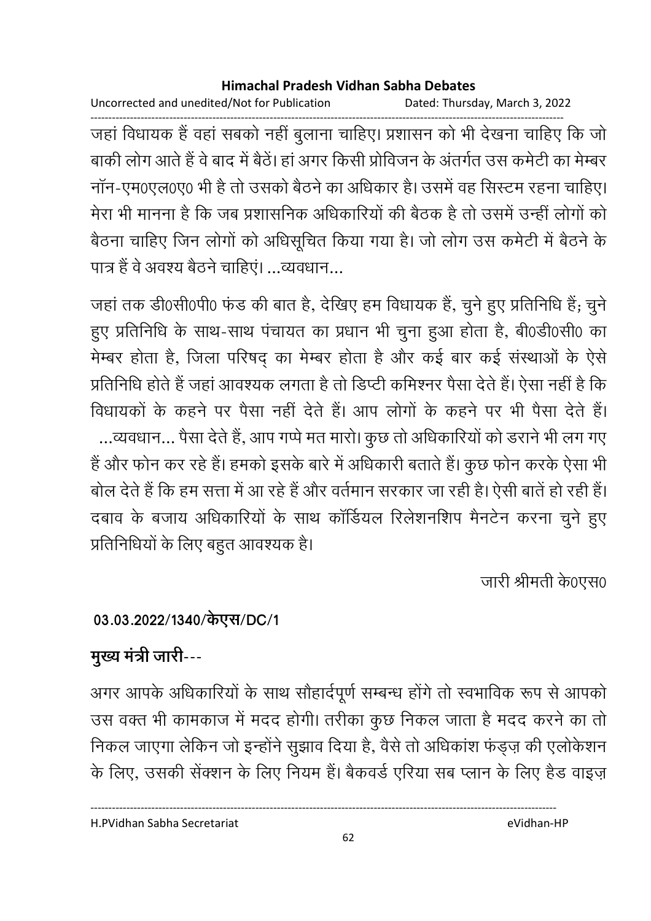Uncorrected and unedited/Not for Publication Dated: Thursday, March 3, 2022

------------------------------------------------------------------------------------------------------------------------------------ जहाँ विधायक है वहाँ सबको नहीं बुलाना चाहिए। प्रशासन को भी देखना चाहिए कि जो बाकी लोग आते हैं वे बाद में बैठे। हा अगर किसी प्रोविजन के अंतर्गत उस कमेटी का मेम्बर नान-एम0एल0ए0 भी है तो उसको बैठने का अधिकार है। उसमें वह सिस्टम रहना चाहिए। मेरा भी मानना है कि जब प्रशासनिक अधिकारियों की बैठक है तो उसमें उन्हीं लोगों को बैठना चाहिए जिन लोगों को अधिसूचित किया गया है। जो लोग उस कमेटी में बैठने के पात्र है वे अवश्य बैठने चाहिए। …व्यवधान…

जहां तक डी0सी0पी0 फंड की बात है, देखिए हम विधायक है, चुने हुए प्रतिनिधि है; चुने हुए प्रतिनिधि के साथ-साथ पंचायत का प्रधान भी चुना हुआ होता है, बी0डी0सी0 का मेम्बर होता है, जिला परिषद् का मेम्बर होता है और कई बार कई संस्थाओं के ऐसे प्रतिनिधि होते हैं जहां आवश्यक लगता है तो डिप्टी कमिश्नर पैसा देते हैं। ऐसा नहीं है कि विधायकों के कहने पर पैसा नहीं देते हैं। आप लोगों के कहने पर भी पैसा देते हैं। ...व्यवधान... पैसा देते है, आप गप्पे मत मारो। कुछ तो अधिकारियों को डराने भी लग गए है और फोन कर रहे हैं। हमको इसके बारे में अधिकारी बताते हैं। कुछ फोन करके ऐसा भी बोल देते हैं कि हम सत्ता में आ रहे हैं और वर्तमान सरकार जा रही है। ऐसी बातें हो रही हैं। दबाव के बजाय अधिकारियों के साथ कार्डियल रिलेशनर्शिप मैनटेन करना चुने हुए प्रतिनिधियों के लिए बहुत आवश्यक है।

जारी श्रीमती के0एस0

# **03.03.2022/1340/ //DC/1**

# **मुख्य मंत्री जारी---**

अगर आपके अधिकारियों के साथ सौहादेपूर्ण सम्बन्ध होंगे तो स्वभाविक रूप से आपको उस वक्त भी कामकाज में मदद होगी। तरीका कुछ निकल जाता है मदद करने का तो निकल जाएगा लेकिन जो इन्होंने सुझाव दिया है, वैसे तो अधिकाश फंड्ज़ की एलोकेशन के लिए, उसकी सेक्शन के लिए नियम है। बैकवर्ड एरिया सब प्लान के लिए हैंड वाइज़

H.PVidhan Sabha Secretariat eVidhan-HP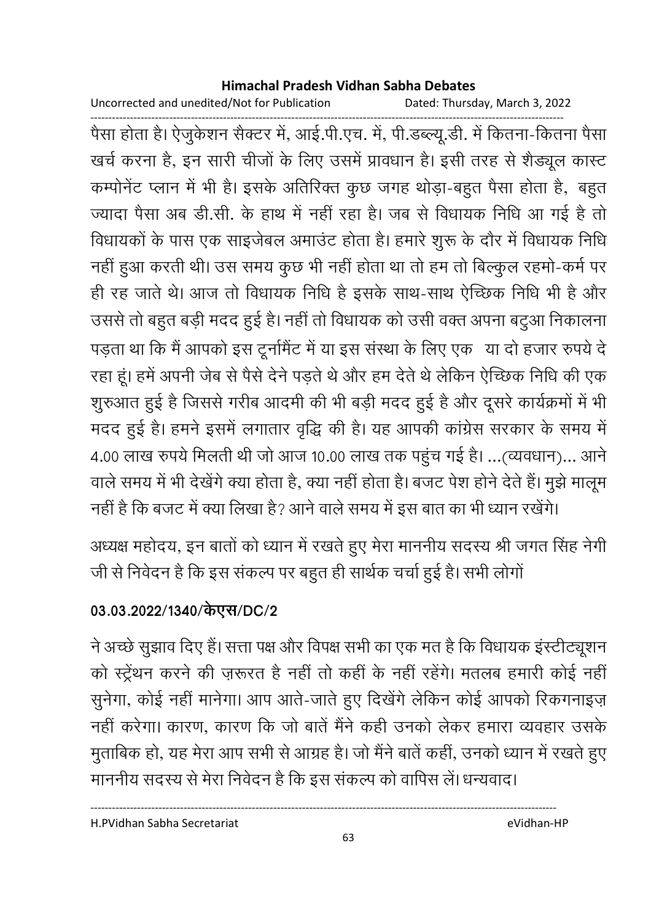Uncorrected and unedited/Not for Publication Dated: Thursday, March 3, 2022

------------------------------------------------------------------------------------------------------------------------------------ पैसा होता है। ऐजुर्कशन सैक्टर में, आई.पी.एच. में, पी.डब्ल्यू.डी. में कितना-कितना पैसा खर्च करना है, इन सारी चीजों के लिए उसमें प्रावधान है। इसी तरह से शैड्यूल कास्ट कम्पनिट प्लान में भी है। इसके अतिरिक्त कुछ जगह थोड़ा-बहुत पैसा होता है, बहुत ज्यादा पैसा अब डी.सी. के हाथ में नहीं रहा है। जब से विधायक निधि आ गई है तो विधायकों के पास एक साइजेंबल अमाउंट होता है। हमारे शुरू के दौर में विधायक निधि नहीं हुआ करती थी। उस समय कुछ भी नहीं होता था तो हम तो बिल्कुल रहमो-कर्म पर ही रह जाते थे। आज तो विधायक निधि है इसके साथ-साथ ऐच्छिक निधि भी है और उससे तो बहुत बड़ी मदद हुई है। नहीं तो विधायक को उसी वक्त अपना बटुआ निकालना पड़ता था कि मैं आपको इस टूर्नामैंट में या इस संस्था के लिए एक या दो हजार रुपये दे रहा हूं। हमें अपनी जेब से पैसे देने पड़ते थे और हम देते थे लेकिन ऐच्छिक निधि की एक शुरुआत हुई है जिससे गरीब आदमी की भी बड़ी मदद हुई है और दूसरे कार्यक्रमों में भी मदद हुई है। हमने इसमें लगातार वृद्धि की है। यह आपकी कांग्रेस सरकार के समय में 4.00 लाख रुपर्य मिलती थी जो आज 10.00 लाख तक पहुच गई है। …(व्यवधान)… आने वाले समय में भी देखेंगे क्या होता है, क्या नहीं होता है। बजट पेश होने देते हैं। मुझे मालूम नहीं है कि बजट में क्या लिखा है? आने वाले समय में इस बात का भी ध्यान रखेंगे।

अध्यक्ष महोदय, इन बातों को ध्यान में रखते हुए मेरा माननीय सदस्य श्री जगत सिंह नेगी जी से निवेदन है कि इस सकल्प पर बहुत ही सार्थक चर्चा हुई है। सभी लोगों

# **03.03.2022/1340/ //DC/2**

ने अच्छे सुझाव दिए हैं। सत्ता पक्ष और विपक्ष सभी का एक मत है कि विधायक इंस्टीट्यूशन | को स्ट्रेथन करने की ज़रूरत है नहीं तो कहीं के नहीं रहेंगे। मतलब हमारी कोई नहीं सुनेगा, कोई नहीं मानेगा। आप आते-जाते हुए दिखेंगे लेकिन कोई आपको रिकगनाइज़ नहीं करेगा। कारण, कारण कि जो बातें मैंने कहीं उनको लेकर हमारा व्यवहार उसके मुताबिक हो, यह मेरा आप सभी से आग्रह है। जो मैंने बाते कहीं, उनको ध्यान में रखते हुए माननीय सदस्य से मेरा निवेदन है कि इस सकल्प को वापिस ले। धन्यवाद।

H.PVidhan Sabha Secretariat eVidhan-HP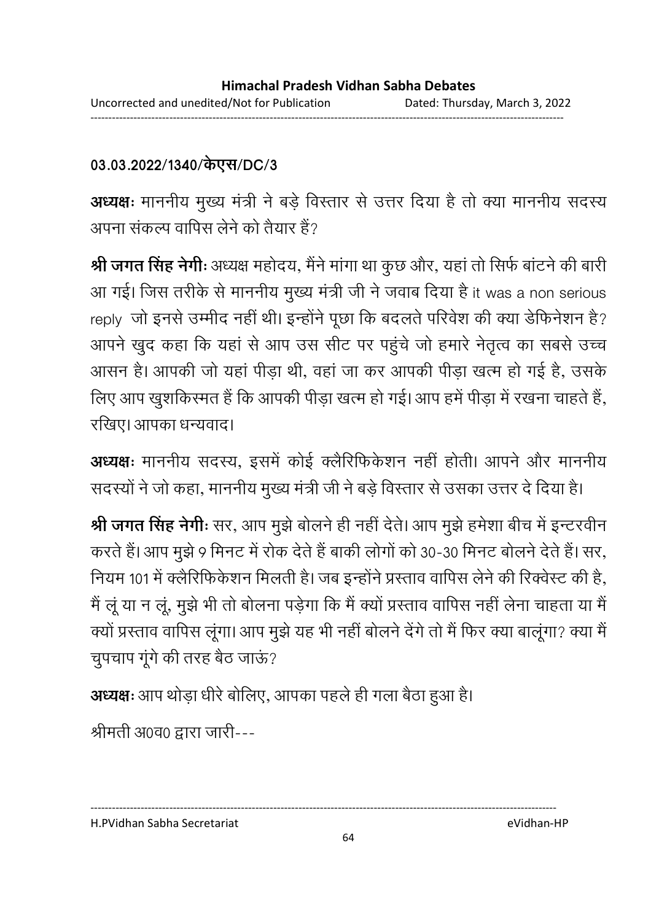## **03.03.2022/1340/ //DC/3**

**अध्यक्षः** माननीय मुख्य मंत्री ने बड़े विस्तार से उत्तर दिया है तो क्या माननीय सदस्य अपना सकल्प वापिस लेने को तैयार है?

**श्री जगत सिंह नेगीः** अध्यक्ष महोदय, मैंने मांगा था कुछ और, यहां तो सिर्फ बाटने की बारी आ गई। जिस तरीके से माननीय मुख्य मंत्री जी ने जवाब दिया है it was a non serious reply जो इनसे उम्मीद नहीं थी। इन्होंने पूछा कि बदलते परिवेश की क्या डेफिनेशन है? आपने खुद कहा कि यहां से आप उस सीट पर पहुंचे जो हमारे नेतृत्व का सबसे उच्च आसन है। आपकी जो यहां पीड़ा थी, वहां जा कर आपकी पीड़ा खत्म हो गई है, उसके लिए आप खुशकिरमत है कि आपकी पीड़ा खत्म हो गई। आप हमें पीड़ा में रखना चाहते हैं, रखिए। आपका धन्यवाद।

**अध्यक्षः** माननीय सदस्य, इसमें कोई क्लैरिफिकेशन नहीं होती। आपने और माननीय सदस्यों ने जो कहा, माननीय मुख्य मंत्री जी ने बड़े विस्तार से उसका उत्तर दें दिया है।

**श्री जगत सिंह नेगीः** सर, आप मुझे बोलने ही नहीं देते। आप मुझे हमेशा बीच में इन्टरवीन करते हैं। आप मुझे 9 मिनट में रोक देते हैं बाकी लोगों को 30-30 मिनट बोलने देते हैं। सर, नियम 101 में क्लैरिफिकेशन मिलती है। जब इन्होंने प्रस्ताव वार्पिस लेने की रिक्वेस्ट की है, मैं लू या न लू, मुझे भी तो बोलना पड़ेगा कि मैं क्यों प्रस्ताव वापिस नहीं लेना चाहता या मैं क्यों प्रस्ताव वापिस लूगा। आप मुझे यह भी नहीं बोलने देंगे तो मैं फिर क्या बालूगा? क्या मैं चुपचाप गूगे की तरह बैठ जाऊ?

**अध्यक्षः** आप थोड़ा धीरे बोलिए, आपका पहले ही गला बैठा हुआ है।

श्रीमती अ0व0 द्वारा जारी---

H.PVidhan Sabha Secretariat eVidhan-HP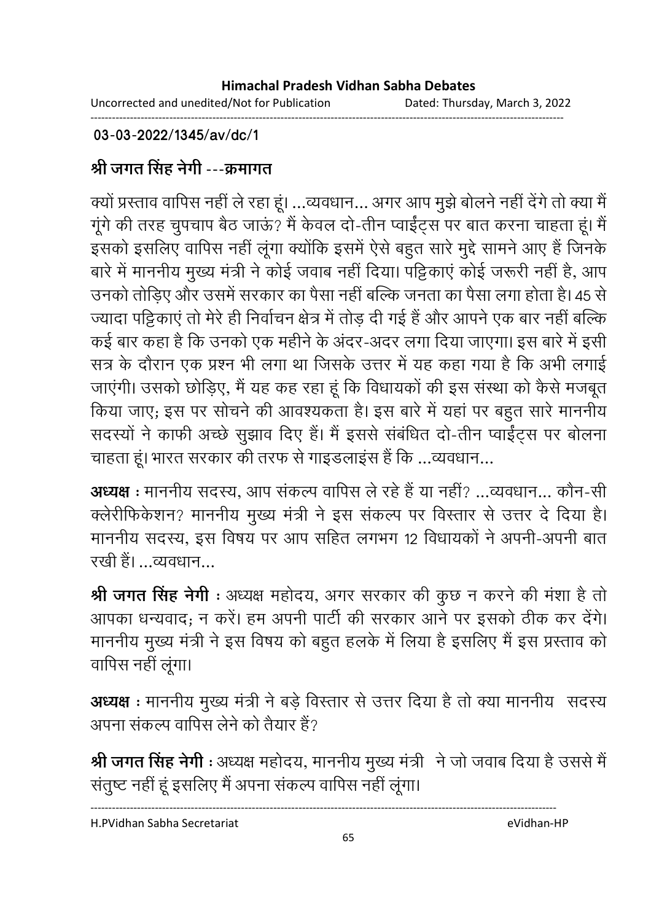Uncorrected and unedited/Not for Publication Dated: Thursday, March 3, 2022 ------------------------------------------------------------------------------------------------------------------------------------

### **03-03-2022/1345/av/dc/1**

# श्री जगत सिंह नेगी ---क्रमांगत

क्यों प्रस्ताव वापिस नहीं ले रहा हूं। …व्यवधान… अगर आप मुझे बोलने नहीं देंगे तो क्या मैं गूगे की तरह चुपचाप बैठ जाऊ? मैं केवल दो-तीन प्वाईट्स पर बात करना चाहता हूं। मैं इसको इसलिए वापिस नहीं लूगा क्योंकि इसमें ऐसे बहुत सारे मुद्दे सामने आए हैं जिनके बारे में माननीय मुख्य मंत्री ने कोई जवाब नहीं दिया। पट्टिकाए कोई जरूरी नहीं हैं, आप उनको तोड़िए और उसमें सरकार का पैसा नहीं बल्कि जनता का पैसा लगा होता है। 45 से ज्यादा पट्टिकाए तो मेरे ही निर्वाचन क्षेत्र में तोड़ दी गई है और आपने एक बार नहीं बल्कि कई बार कहा है कि उनको एक महीने के अदर-अदर लगा दिया जाएगा। इस बारे में इसी सत्र के दौरान एक प्रश्न भी लगा था जिसके उत्तर में यह कहा गया है कि अभी लगाई जाएगी। उसको छोड़िए, मैं यह कह रहा हूं कि विधायकों की इस संस्था को कैसे मजबूत किया जाए; इस पर सोचने की आवश्यकता है। इस बारे में यहां पर बहुत सारे माननीय सदस्यों ने काफी अच्छे सुझाव दिए हैं। मैं इससे संबंधित दो-तीन प्वाईट्स पर बोलना चाहता हूं। भारत सरकार की तरफ से गाइंडलाइस है कि …व्यवधान…

**अध्यक्ष** : माननीय सदस्य, आप सकल्प वार्पिस ले रहे है या नही? …व्यवधान… कौन-सी क्लेरीफिकेशन? माननीय मुख्य मंत्री ने इस संकल्प पर विस्तार से उत्तर दे दिया है। माननीय सदस्य, इस विषय पर आप सहित लगभग 12 विधायकों ने अपनी-अपनी बात रखी है। …व्यवधान…

**श्री जगत सिंह नेगी** : अध्यक्ष महोदय, अगर सरकार की कुछ न करने की मशा है तो आपका धन्यवाद; न करें। हम अपनी पार्टी की सरकार आने पर इसको ठीक कर देंगे। माननीय मुख्य मंत्री ने इस विषय को बहुत हलके में लिया है इसलिए मैं इस प्रस्ताव को वापिस नहीं लूगा।

 **:** 2@ B - M- ->! - EK ह ! Z > अपना सकल्प वापिस लेने को तैयार है?

**श्री जगत सिंह नेगी** : अध्यक्ष महोदय, माननीय मुख्य मंत्री ने जो जवाब दिया है उससे मैं सतुष्ट नहीं हूं इसलिए मैं अपना सकल्प वार्पिस नहीं लूगा।

----------------------------------------------------------------------------------------------------------------------------------

H.PVidhan Sabha Secretariat eVidhan-HP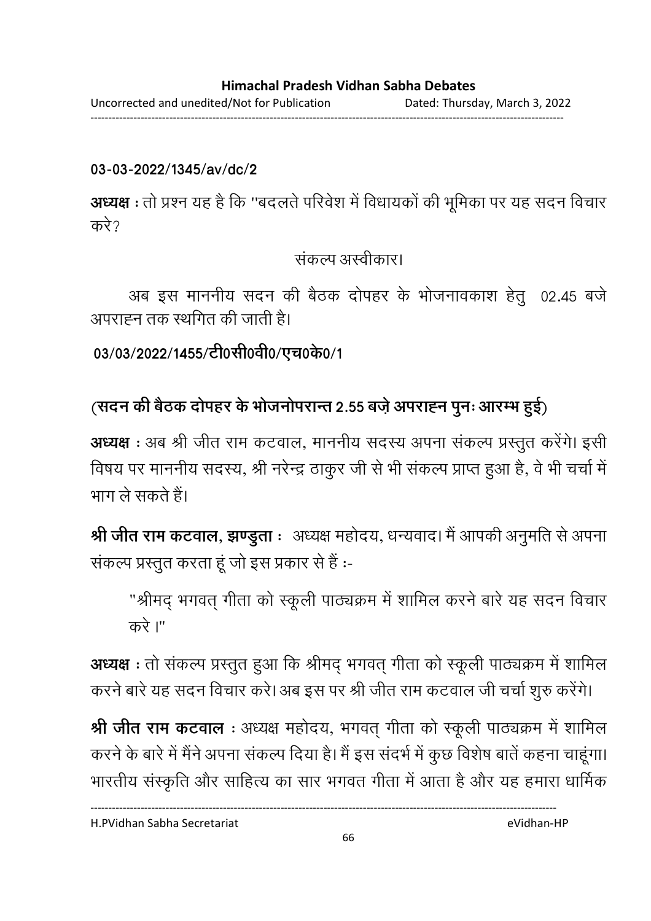------------------------------------------------------------------------------------------------------------------------------------

### **03-03-2022/1345/av/dc/2**

**अध्यक्ष** : तो प्रश्न यह है कि ''बदलते परिवेश में विधायकों की भूमिका पर यह सदन विचार करे $\gamma$ 

सकल्प अस्वीकार।

अब इस माननीय सदन की बैठक दोपहर के भोजनावकाश हेतु 02.45 बजे अपराह्न तक स्थगित की जाती है।

03/03/2022/1455/टी0सी0वी0/एच0के0/1

# (सदन की बैठक दोपहर के भोजनोपरान्त 2.55 बज़े अपराह्न पुनः आरम्भ हुई)

**अध्यक्ष** : अब श्री जीत राम कटवाल, माननीय सदस्य अपना सकल्प प्रस्तुत करेंगे। इसी विषय पर माननीय सदस्य, श्री नरेन्द्र ठाकुर जी से भी सकल्प प्राप्त हुआ है, वे भी चर्चा मे भाग ले सकते हैं।

**श्री जीत राम कटवाल, झण्डुता** ः अध्यक्ष महोदय, धन्यवाद। मै आपकी अनुमति से अपना संकल्प प्रस्तुत करता हूं जो इस प्रकार से हैं :-

"श्रीमद् भगवत् गीता को स्कूली पाठ्यक्रम में शामिल करने बारे यह सदन विचार  $\overrightarrow{ab}$  I"

**अध्यक्ष** : तो सकल्प प्रस्तुत हुआ कि श्रीमद् भगवत् गीता को स्कूली पाठ्यक्रम में शामिल करने बारे यह सदन विचार करें। अब इस पर श्री जीत राम कटवाल जी चर्चा शुरु करेंगे।

**श्री जीत राम कटवाल** : अध्यक्ष महोदय, भगवत् गीता को स्कूली पाठ्यक्रम में शामिल करने के बारे में मैंने अपना सकल्प दिया है। मैं इस सदभे में कुछ विशेष बातें कहना चाहूगा। भारतीय संस्कृति और साहित्य का सार भगवंत गीता में आता है और यह हमारा धार्मिक

H.PVidhan Sabha Secretariat eVidhan-HP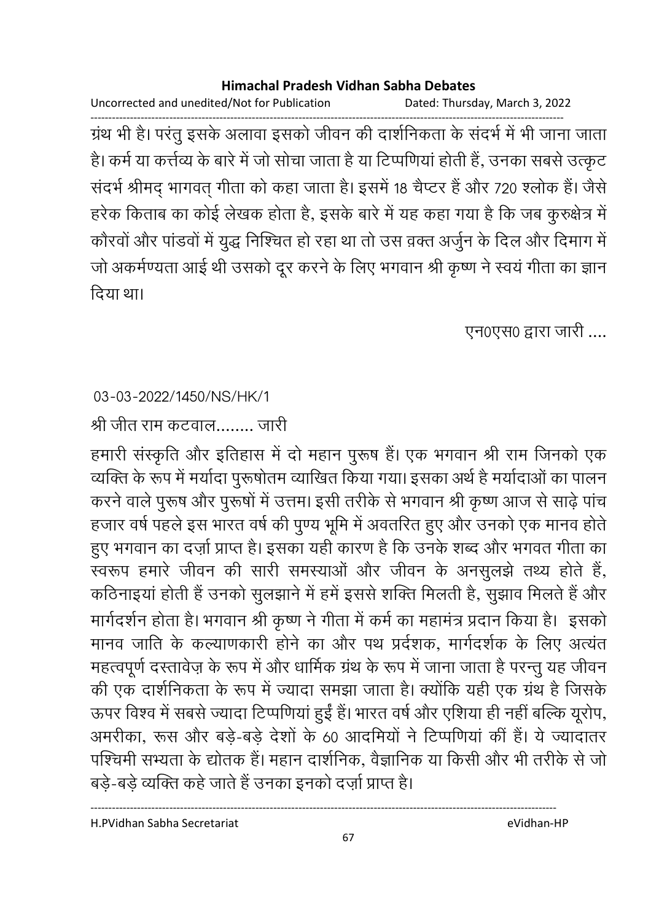Uncorrected and unedited/Not for Publication Dated: Thursday, March 3, 2022

------------------------------------------------------------------------------------------------------------------------------------ ग्रंथ भी है। परंतु इसके अलावा इसको जीवन की दाशनिकता के सदर्भ में भी जाना जाता हैं। कर्म या कर्त्तव्य के बारे में जो सोचा जाता है या टिप्पणिया होती हैं, उनका सबसे उत्कृट सदर्भ श्रीमद् भागवत् गीता को कहा जाता है। इसमें 18 चैप्टर है और 720 श्लोक है। जैसे हरेक किताब का कोई लेखक होता है, इसके बारे में यह कहा गया है कि जब कुरुक्षेत्र में कौरवों और पांडवों में युद्ध निश्चित हो रहा था तो उस वक्त अर्जुन के दिल और दिमांग में जो अकर्मण्यता आई थी उसको दूर करने के लिए भगवान श्री कृष्ण ने स्वयं गीता का ज्ञान दिया था।

एन0एस0 द्वारा जारी ....

### 03-03-2022/1450/NS/HK/1

श्री जीत राम कटवाल........ जारी

हमारी संस्कृति और इतिहास में दो महान पुरूष है। एक भगवान श्री राम जिनको एक व्यक्ति के रूप में मर्यादा पुरूषोतम व्याखित किया गया। इसका अर्थ है मर्यादाओं का पालन करने वाले पुरूष और पुरूषों में उत्तम। इसी तरीके से भगवान श्री कृष्ण आज से साढ़े पांच हजार वर्ष पहले इस भारत वर्ष की पुण्य भूमि में अवतरित हुए और उनको एक मानव होते. हुए भगवान का दज़ो प्राप्त है। इसका यही कारण है कि उनके शब्द और भगवत गीता का स्वरूप हमारे जीवन की सारी समस्याओं और जीवन के अनसुलझे तथ्य होते हैं, कठिनाइया होती है उनको सुलझाने में हमें इससे शक्ति मिलती है, सुझाव मिलते हैं और मार्गदर्शन होता है। भगवान श्री कृष्ण ने गीता में कर्म का महामंत्र प्रदान किया है। इसको मानव जाति के कल्याणकारी होने का और पथ प्रदेशक, मार्गदर्शक के लिए अत्यंत महत्वपूर्ण दस्तावेज़ के रूप में और धार्मिक ग्रंथ के रूप में जाना जाता है परन्तु यह जीवन की एक दार्शनिकता के रूप में ज्यादा समझा जाता है। क्योंकि यही एक ग्रंथ है जिसके ऊपर विश्व में सबसे ज्यादा टिप्पणिया हुई है। भारत वर्ष और एशिया ही नहीं बल्कि यूरोप, अमरीका, रूस और बड़े-बड़े देशों के 60 आदमियों ने टिप्पणिया की है। ये ज्यादांतर पश्चिमी सभ्यता के द्योतक है। महान दाशनिक, वैज्ञानिक या किसी और भी तरीके से जो बडे-बडे व्यक्ति कहे जाते हैं उनका इनको दर्ज़ा प्राप्त है।

H.PVidhan Sabha Secretariat eVidhan-HP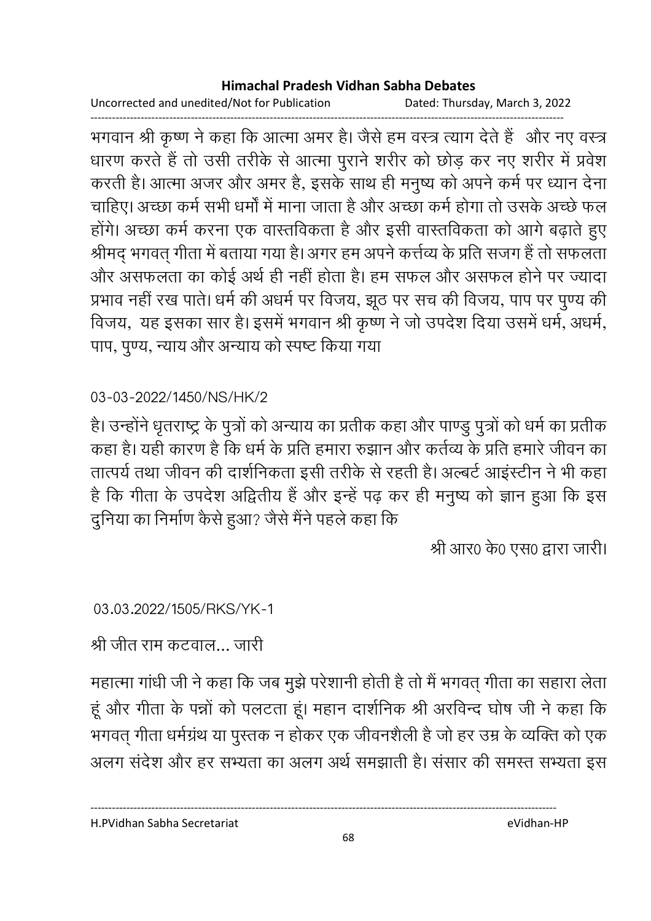Uncorrected and unedited/Not for Publication Dated: Thursday, March 3, 2022 ------------------------------------------------------------------------------------------------------------------------------------

भगवान श्री कृष्ण ने कहा कि आत्मा अमर है। जैसे हम वस्त्र त्याग देते हैं- और नए वस्त्र धारण करते हैं तो उसी तरीके से आत्मा पुराने शरीर को छोड़ कर नए शरीर में प्रवेश करती है। आत्मा अजर और अमर है, इसके साथ ही मनुष्य को अपने कर्म पर ध्यान देना चाहिए। अच्छा कर्म सभी धर्मा में माना जाता है और अच्छा कर्म होगा तो उसके अच्छे फल होंगे। अच्छा कर्म करना एक वास्तविकता है और इसी वास्तविकता को आगे बढ़ाते हुए श्रीमद् भगवत् गीता में बताया गया है। अगर हम अपने कर्त्तव्य के प्रति संजग है तो सफलता और असफलता का कोई अर्थ ही नहीं होता है। हम सफल और असफल होने पर ज्यादा प्रभाव नहीं रख पाते। धर्म की अधर्म पर विजय, झूठ पर सच की विजय, पाप पर पुण्य की विजय, यह इसका सार है। इसमें भगवान श्री कृष्ण ने जो उपदेश दिया उसमें धर्म, अधर्म, पाप, पुण्य, न्याय और अन्याय को स्पष्ट किया गया

## 03-03-2022/1450/NS/HK/2

हैं। उन्होंने धृतराष्ट्र के पुत्रों को अन्याय का प्रतीक कहा और पाण्डु पुत्रों को धर्म का प्रतीक कहा है। यही कारण है कि धर्म के प्रति हमारा रुझान और कर्तव्य के प्रति हमारे जीवन का तात्पर्य तथा जीवन की दार्शनिकता इसी तरीके से रहती है। अल्बर्ट आइस्टीन ने भी कहा है कि गीता के उपदेश अद्वितीय है और इन्हें पढ़ कर ही मनुष्य को ज्ञान हुआ कि इस दुनिया का निर्माण कैसे हुआ? जैसे मैंने पहले कहा कि

श्री आर0 के0 एस0 द्वारा जारी।

03.03.2022/1505/RKS/YK-1

श्री जीत राम कटवाल… जारी

महात्मा गांधी जी ने कहा कि जब मुझे परेशानी होती है तो मैं भगवत् गीता का सहारा लेता। हूं और गीता के पन्नों को पलटता हूं। महान दार्शनिक श्री अरविन्द घोष जी ने कहा कि भगवत् गीता धर्मग्रंथ या पुस्तक न होकर एक जीवनशैली है जो हर उम्र के व्यक्ति को एक अलग सर्दश और हर सभ्यता का अलग अर्थ समझाती है। संसार की समस्त सभ्यता इस

H.PVidhan Sabha Secretariat eVidhan-HP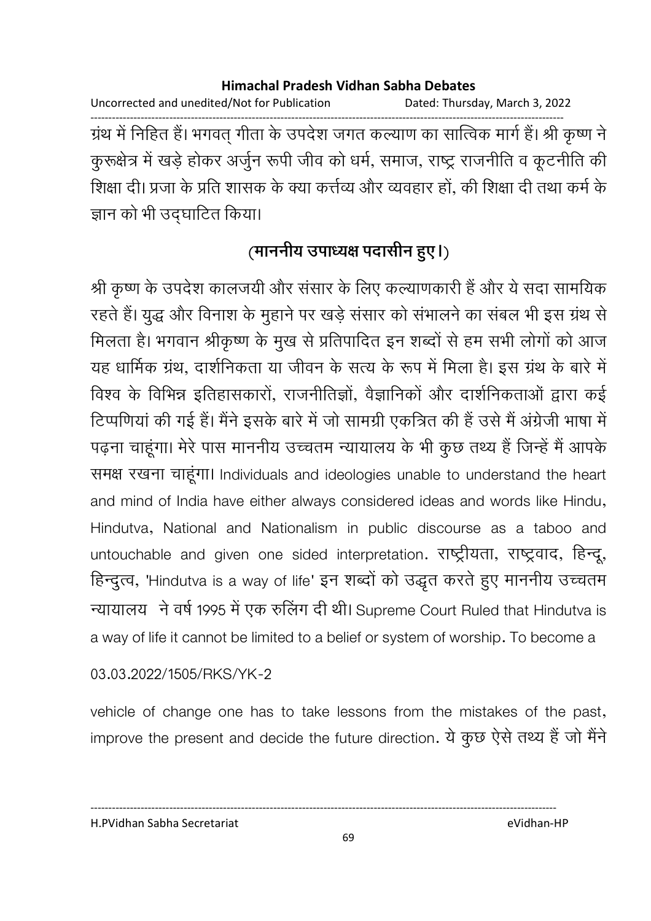Uncorrected and unedited/Not for Publication Dated: Thursday, March 3, 2022 ------------------------------------------------------------------------------------------------------------------------------------ ग्रंथ में निहित है। भगवत् गीता के उपदेश जगत कल्याण का सात्विक मार्ग है। श्री कृष्ण ने कुरूक्षेत्र में खड़े होकर अर्जुन रूपी जीव को धर्म, समाज, राष्ट्र राजनीति व कूटनीति की शिक्षा दी। प्रजा के प्रति शासक के क्या कत्तेव्य और व्यवहार हो, की शिक्षा दी तथा कर्म के ज्ञान को भी उद्घाटित किया।

# (माननीय उपाध्यक्ष पदासीन हुए।)

श्री कृष्ण के उपदेश कालजयी और संसार के लिए कल्याणकारी है और ये सदा सामयिक रहते हैं। युद्ध और विनाश के मुहाने पर खड़े ससार को सभालने का सबल भी इस ग्रंथ से मिलता है। भगवान श्रीकृष्ण के मुख से प्रतिपादित इन शब्दों से हम सभी लोगों को आज यह धार्मिक ग्रंथ, दार्शनिकता या जीवन के सत्य के रूप में मिला है। इस ग्रंथ के बारे में विश्व के विभिन्न इतिहासकारों, राजनीतिज्ञों, वैज्ञानिकों और दार्शनिकताओं द्वारा कई टिप्पणिया की गई है। मैंने इसके बारे में जो सामग्री एकत्रित की है उसे मैं अंग्रेजी भाषा में पढ़ना चाहूगा। मेरे पास माननीय उच्चतम न्यायालय के भी कुछ तथ्य है जिन्हें मैं आपके रामक्ष रखना चाहूंगा। Individuals and ideologies unable to understand the heart and mind of India have either always considered ideas and words like Hindu, Hindutva, National and Nationalism in public discourse as a taboo and untouchable and given one sided interpretation. राष्ट्रीयता, राष्ट्रवाद, हिन्दू, हिन्दुत्व, 'Hindutva is a way of life' इन शब्दों को उद्धृत करते हुए माननीय उच्चतम न्यायालय ने वर्ष 1995 में एक रुलिंग दी थी। Supreme Court Ruled that Hindutva is a way of life it cannot be limited to a belief or system of worship. To become a

03.03.2022/1505/RKS/YK-2

vehicle of change one has to take lessons from the mistakes of the past, improve the present and decide the future direction. ये कुछ ऐसे तथ्य हैं जो मैंने

#### H.PVidhan Sabha Secretariat eVidhan-HP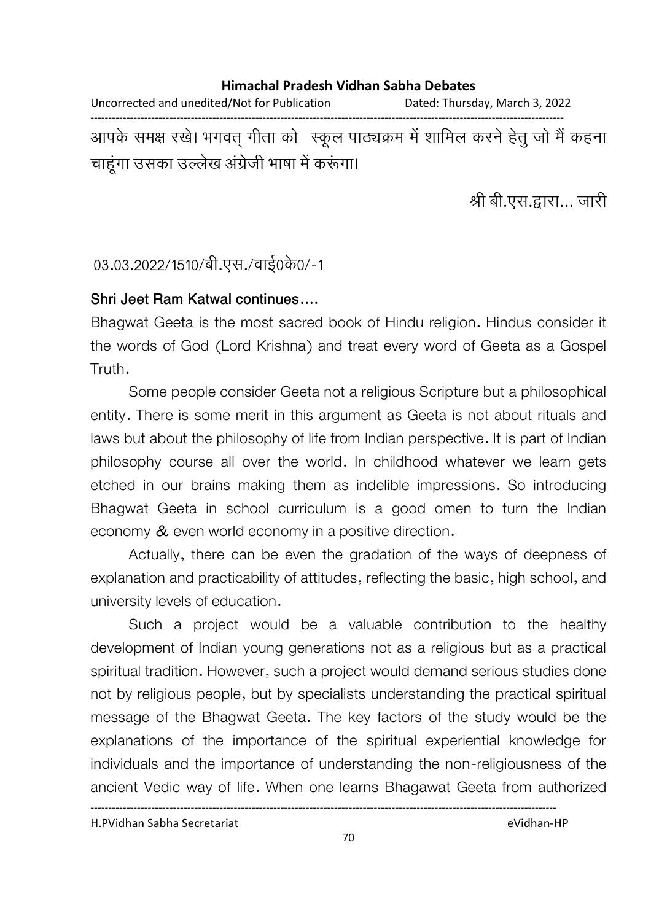#### **Himachal Pradesh Vidhan Sabha Debates**  Uncorrected and unedited/Not for Publication Dated: Thursday, March 3, 2022

------------------------------------------------------------------------------------------------------------------------------------ आपके समक्ष रखे। भगवत् गीता को स्कूल पाठ्यक्रम में शामिल करने हेतु जो मैं कहना चाहूंगा उसका उल्लेख अंग्रेजी भाषा में करूंगा।

श्री बी.एस.द्वारा… जारी

### 03.03.2022/1510/बी.एस./वाई0के0/-1

### **Shri Jeet Ram Katwal continues....**

Bhagwat Geeta is the most sacred book of Hindu religion. Hindus consider it the words of God (Lord Krishna) and treat every word of Geeta as a Gospel Truth.

Some people consider Geeta not a religious Scripture but a philosophical entity. There is some merit in this argument as Geeta is not about rituals and laws but about the philosophy of life from Indian perspective. It is part of Indian philosophy course all over the world. In childhood whatever we learn gets etched in our brains making them as indelible impressions. So introducing Bhagwat Geeta in school curriculum is a good omen to turn the Indian economy & even world economy in a positive direction.

Actually, there can be even the gradation of the ways of deepness of explanation and practicability of attitudes, reflecting the basic, high school, and university levels of education.

Such a project would be a valuable contribution to the healthy development of Indian young generations not as a religious but as a practical spiritual tradition. However, such a project would demand serious studies done not by religious people, but by specialists understanding the practical spiritual message of the Bhagwat Geeta. The key factors of the study would be the explanations of the importance of the spiritual experiential knowledge for individuals and the importance of understanding the non-religiousness of the ancient Vedic way of life. When one learns Bhagawat Geeta from authorized

H.PVidhan Sabha Secretariat eVidhan-HP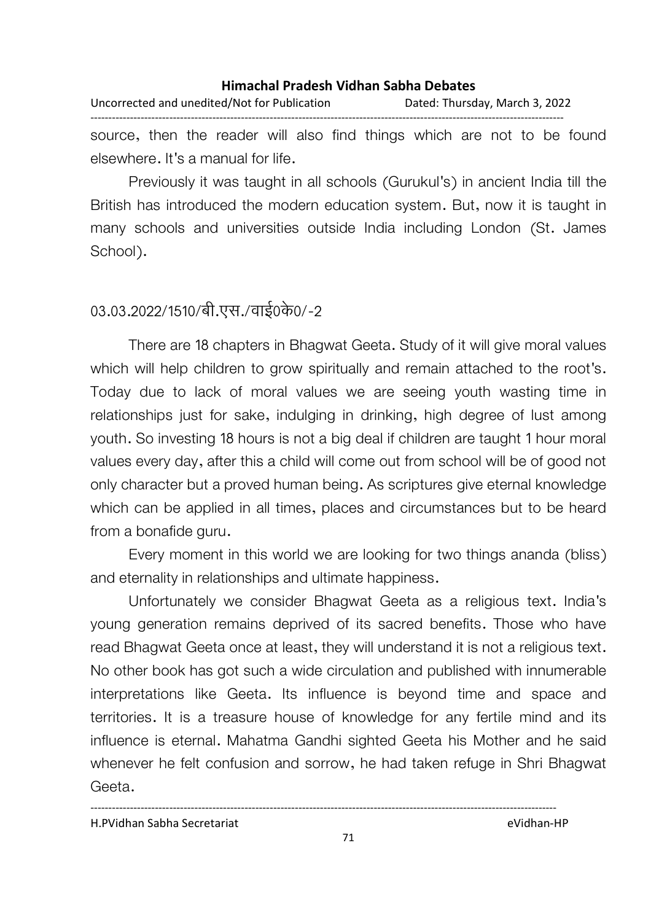Uncorrected and unedited/Not for Publication Dated: Thursday, March 3, 2022 ------------------------------------------------------------------------------------------------------------------------------------

source, then the reader will also find things which are not to be found elsewhere. It's a manual for life.

Previously it was taught in all schools (Gurukul's) in ancient India till the British has introduced the modern education system. But, now it is taught in many schools and universities outside India including London (St. James School).

### 03.03.2022/1510/बी.एस./वाई0के0/-2

There are 18 chapters in Bhagwat Geeta. Study of it will give moral values which will help children to grow spiritually and remain attached to the root's. Today due to lack of moral values we are seeing youth wasting time in relationships just for sake, indulging in drinking, high degree of lust among youth. So investing 18 hours is not a big deal if children are taught 1 hour moral values every day, after this a child will come out from school will be of good not only character but a proved human being. As scriptures give eternal knowledge which can be applied in all times, places and circumstances but to be heard from a bonafide guru.

Every moment in this world we are looking for two things ananda (bliss) and eternality in relationships and ultimate happiness.

Unfortunately we consider Bhagwat Geeta as a religious text. India's young generation remains deprived of its sacred benefits. Those who have read Bhagwat Geeta once at least, they will understand it is not a religious text. No other book has got such a wide circulation and published with innumerable interpretations like Geeta. Its influence is beyond time and space and territories. It is a treasure house of knowledge for any fertile mind and its influence is eternal. Mahatma Gandhi sighted Geeta his Mother and he said whenever he felt confusion and sorrow, he had taken refuge in Shri Bhagwat Geeta.

H.PVidhan Sabha Secretariat eVidhan-HP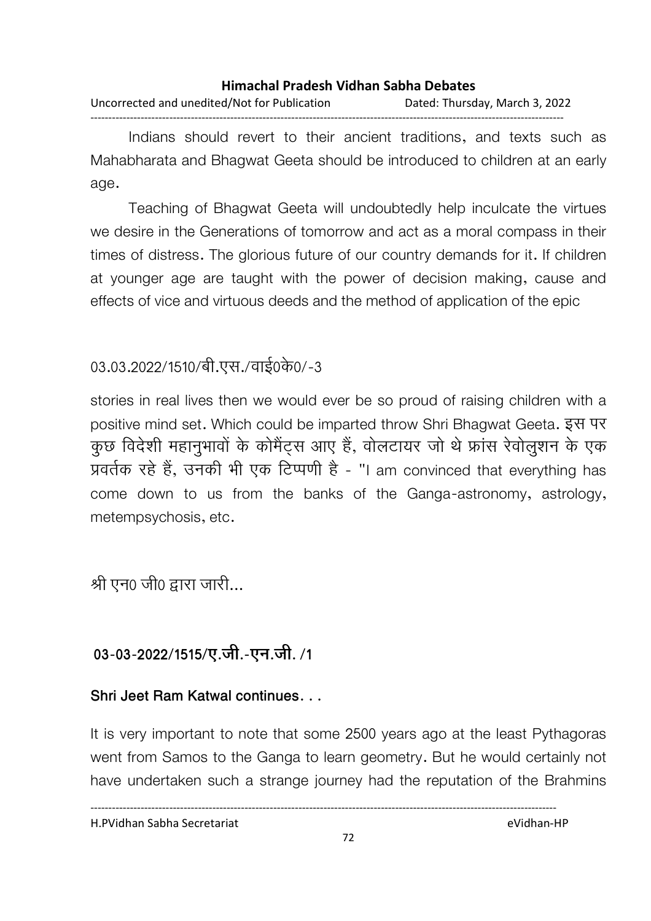#### **Himachal Pradesh Vidhan Sabha Debates**  Uncorrected and unedited/Not for Publication Dated: Thursday, March 3, 2022 ------------------------------------------------------------------------------------------------------------------------------------

Indians should revert to their ancient traditions, and texts such as Mahabharata and Bhagwat Geeta should be introduced to children at an early age.

Teaching of Bhagwat Geeta will undoubtedly help inculcate the virtues we desire in the Generations of tomorrow and act as a moral compass in their times of distress. The glorious future of our country demands for it. If children at younger age are taught with the power of decision making, cause and effects of vice and virtuous deeds and the method of application of the epic

### 03.03.2022/1510/बी.एस./वाई0के0/-3

stories in real lives then we would ever be so proud of raising children with a positive mind set. Which could be imparted throw Shri Bhagwat Geeta. इस पर कुछ विदेशी महानुभावों के कमिट्स आए हैं, वोलटायर जो थे फ्रास रेवोलुशन के एक प्रवर्तक रहे है, उनकी भी एक टिप्पणी है - "I am convinced that everything has come down to us from the banks of the Ganga-astronomy, astrology, metempsychosis, etc.

श्री एन0 जी0 द्वारा जारी...

# 03-03-2022/1515/ए.जी.-एन.जी. /1

### **Shri Jeet Ram Katwal continues. . .**

It is very important to note that some 2500 years ago at the least Pythagoras went from Samos to the Ganga to learn geometry. But he would certainly not have undertaken such a strange journey had the reputation of the Brahmins

H.PVidhan Sabha Secretariat eVidhan-HP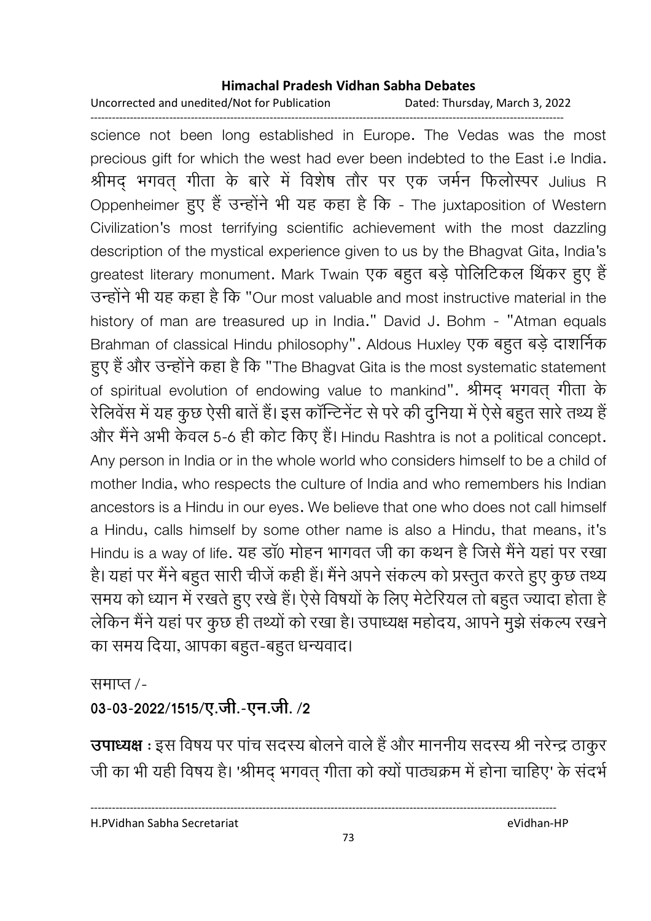Uncorrected and unedited/Not for Publication Dated: Thursday, March 3, 2022

------------------------------------------------------------------------------------------------------------------------------------

science not been long established in Europe. The Vedas was the most precious gift for which the west had ever been indebted to the East i.e India. श्रीमद् भगवत् गीता के बारे में विशेष तौर पर एक जर्मन फिलोस्पर Julius R Oppenheimer हुए है उन्होंने भी यह कहा है कि - The juxtaposition of Western Civilization's most terrifying scientific achievement with the most dazzling description of the mystical experience given to us by the Bhagvat Gita, India's greatest literary monument. Mark Twain एक बहुत बड़े पोलिटिकल थिंकर हुए हैं उन्होंने भी यह कहा है कि "Our most valuable and most instructive material in the history of man are treasured up in India." David J. Bohm - "Atman equals Brahman of classical Hindu philosophy". Aldous Huxley एक बहुत बड़े दाशर्निक हुए हैं और उन्होंने कहा है कि "The Bhagvat Gita is the most systematic statement of spiritual evolution of endowing value to mankind". श्रीमद् भगवत् गीता के रीलेवेस में यह कुछ ऐसी बाते हैं। इस कान्टिनेट से परे की दुनिया में ऐसे बहुत सारे तथ्य हैं-और मैंने अभी केवल 5-6 ही कोट किए हैं। Hindu Rashtra is not a political concept. Any person in India or in the whole world who considers himself to be a child of mother India, who respects the culture of India and who remembers his Indian ancestors is a Hindu in our eyes. We believe that one who does not call himself a Hindu, calls himself by some other name is also a Hindu, that means, it's Hindu is a way of life. यह डा0 मोहन भागवत जी का कथन है जिसे मैने यहां पर रखा है। यहां पर मैंने बहुत सारी चीजे कही है। मैंने अपने सकल्प को प्रस्तुत करते हुए कुछ तथ्य समय को ध्यान में रखते हुए रखे हैं। ऐसे विषयों के लिए मेटेरियल तो बहुत ज्यादा होता है लेकिन मैंने यहां पर कुछ ही तथ्यों को रखा है। उपाध्यक्ष महोदय, आपने मुझे सकल्प रखने का समय दिया, आपका बहुत-बहुत धन्यवाद।

समाप्त /-

03-03-2022/1515/ए.जी.-एन.जी. /2

**उपाध्यक्ष** : इस विषय पर पांच सदस्य बोलने वाले हैं और माननीय सदस्य श्री नरेन्द्र ठाकुर जी का भी यही विषय है। 'श्रीमद् भगवत् गीता को क्यों पाठ्यक्रम में होना चाहिए' के सदर्भ

H.PVidhan Sabha Secretariat eVidhan-HP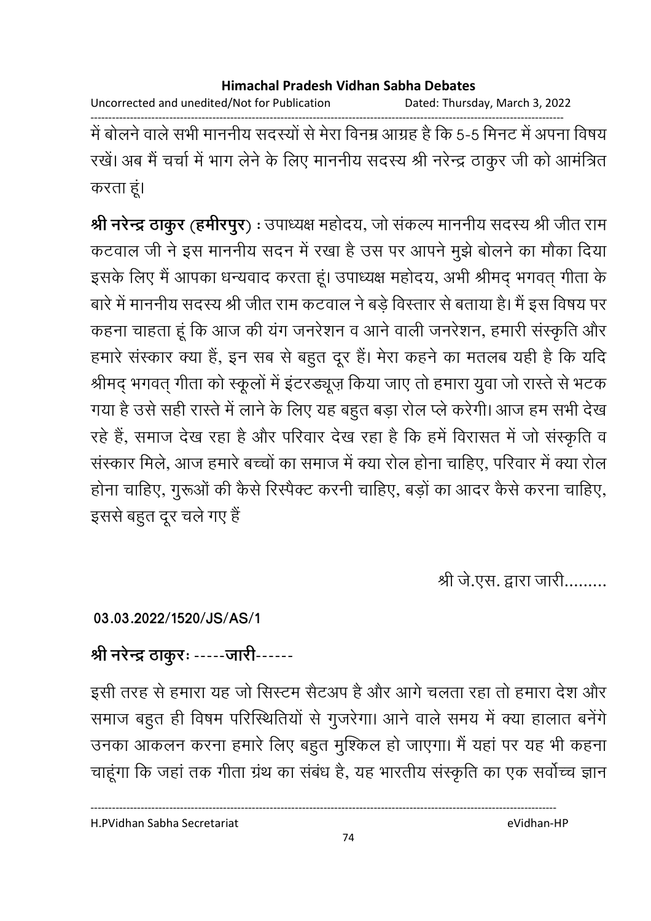Uncorrected and unedited/Not for Publication Dated: Thursday, March 3, 2022

------------------------------------------------------------------------------------------------------------------------------------ में बोलने वाले सभी माननीय सदस्यों से मेरा विनम्र आग्रह है कि 5-5 मिनट में अपना विषय रखे। अब मैं चर्चा में भाग लेने के लिए माननीय सदस्य श्री नरेन्द्र ठाकुर जी को आमंत्रित करता हं।

**श्री नरेन्द्र ठाकुर (हर्मीरपुर) :** उपाध्यक्ष महोदय, जो सकल्प माननीय सदस्य श्री जीत राम कटवाल जी ने इस माननीय सदन में रखा है उस पर आपने मुझे बोलने का मौका दिया इसके लिए मैं आपका धन्यवाद करता हूं। उपाध्यक्ष महोदय, अभी श्रीमद् भगवत् गीता के बारे में माननीय सदस्य श्री जीत राम कटवाल ने बड़े विस्तार से बताया है। मैं इस विषय पर कहना चाहता हूं कि आज की यंग जनरेशन व आने वाली जनरेशन, हमारी संस्कृति और हमारे संस्कार क्या है, इन सब से बहुत दूर है। मेरा कहने का मतलब यही है कि यदि श्रीमद् भगवत् गीता को स्कूलों में इटरड्यूज़ किया जाए तो हमारा युवा जो रास्ते से भटक गया है उसे सही रास्ते में लाने के लिए यह बहुत बड़ा रोल प्ले करेगी। आज हम सभी देख रहे हैं, समाज देख रहा है और परिवार देख रहा है कि हमें विरासत में जो संस्कृति व संस्कार मिले, आज हमारे बच्चों का समाज में क्या रोल होना चाहिए, परिवार में क्या रोल होना चाहिए, गुरूओं की कैसे रिस्पेक्ट करनी चाहिए, बड़ों का आदर कैसे करना चाहिए, इससे बहुत दूर चले गए हैं

श्री जे.एस. द्वारा जारी.........

**03.03.2022/1520/JS/AS/1**

## श्री नरेन्द्र ठाकुरः ------जारी------

इसी तरह से हमारा यह जो सिस्टम सैंटअप है और आगे चलता रहा तो हमारा देश और समाज बहुत ही विषम परिस्थितियों से गुजरेगा। आने वाले समय में क्या हालात बनेंगे। उनका आकलन करना हमारे लिए बहुत मुश्किल हो जाएगा। मैं यहां पर यह भी कहना चाहूंगा कि जहां तक गीता ग्रंथ का संबंध है, यह भारतीय संस्कृति का एक सर्वोच्च ज्ञान

74

----------------------------------------------------------------------------------------------------------------------------------

H.PVidhan Sabha Secretariat eVidhan-HP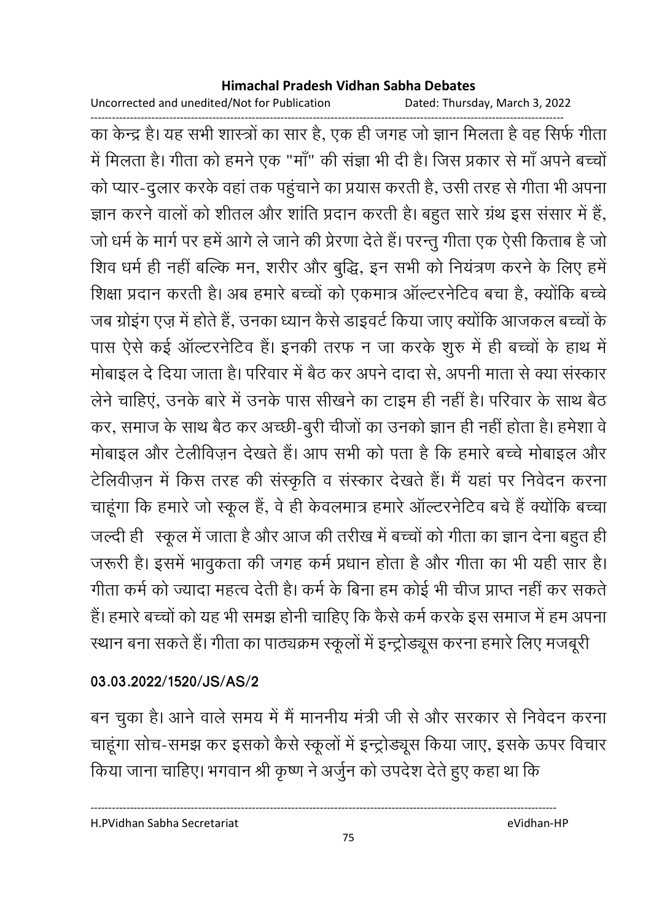Uncorrected and unedited/Not for Publication Dated: Thursday, March 3, 2022

------------------------------------------------------------------------------------------------------------------------------------ का केन्द्र है। यह सभी शास्त्रों का सार है, एक ही जगह जो ज्ञान मिलता है वह सिर्फ गीता में मिलता है। गीता को हमने एक "मा" की सज्ञा भी दी है। जिस प्रकार से मा अपने बच्चों को प्यार-दुलार करके वहां तक पहुचाने का प्रयास करती है, उसी तरह से गीता भी अपना ज्ञान करने वालों को शीतल और शांति प्रदान करती है। बहुत सारे ग्रंथ इस संसार में हैं, जो धर्म के मार्ग पर हमें आगे ले जाने की प्रेरणा देते हैं। परन्तु गीता एक ऐसी किताब है जो शिव धर्म ही नहीं बल्कि मन, शरीर और बुद्धि, इन सभी को नियंत्रण करने के लिए हमें शिक्षा प्रदान करती है। अब हमारे बच्चों को एकमात्र आल्टरनेटिव बचा है, क्योंकि बच्चे जब ग्रोइंग एज़ में होते हैं, उनका ध्यान कैसे डाइवर्ट किया जाए क्योंकि आजकल बच्चों के पास ऐसे कई आल्टरनेटिव है। इनकी तरफ न जा करके शुरु में ही बच्चों के हाथ में मोबाइल दें दिया जाता है। परिवार में बैठ कर अपने दादा से, अपनी माता से क्या संस्कार लेने चाहिए, उनके बारे में उनके पास सीखने का टाइम ही नहीं है। परिवार के साथ बैठ कर, समाज के साथ बैठ कर अच्छी-बुरी चीजों का उनको ज्ञान ही नहीं होता है। हमेशा वे मोबाइल और टेलीविज़न देखते हैं। आप सभी को पता है कि हमारे बच्चे मोबाइल और टेलिवीज़न में किस तरह की संस्कृति व संस्कार देखते हैं। मैं यहां पर निवेदन करना चाहूंगा कि हमारे जो स्कूल है, वे ही केवलमात्र हमारे आल्टरनीटेव बचे हैं क्योंकि बच्चा जल्दी ही । स्कूल में जाता है और आज की तरीख में बच्चों को गीता का ज्ञान देना बहुत ही। जरूरी है। इसमें भावुकता की जगह कर्म प्रधान होता है और गीता का भी यही सार है। गीता कर्म को ज्यादा महत्व देती है। कर्म के बिना हम कोई भी चीज प्राप्त नहीं कर सकतें है। हमारे बच्चों को यह भी समझ होनी चाहिए कि कैसे कर्म करके इस समाज में हम अपना रथान बना सकते हैं। गीता का पाठ्यक्रम स्कूलों में इन्ट्रोड्यूस करना हमारे लिए मजबूरी |

### **03.03.2022/1520/JS/AS/2**

बन चुका है। आने वाले समय में मैं माननीय मंत्री जी से और सरकार से निवेदन करना चाहूंगा सोच-समझ कर इसको कैसे स्कूलों में इन्ट्रोड्यूस किया जाए, इसके ऊपर विचार किया जाना चाहिए। भगवान श्री कृष्ण ने अर्जुन को उपदेश देते हुए कहा था कि

H.PVidhan Sabha Secretariat eVidhan-HP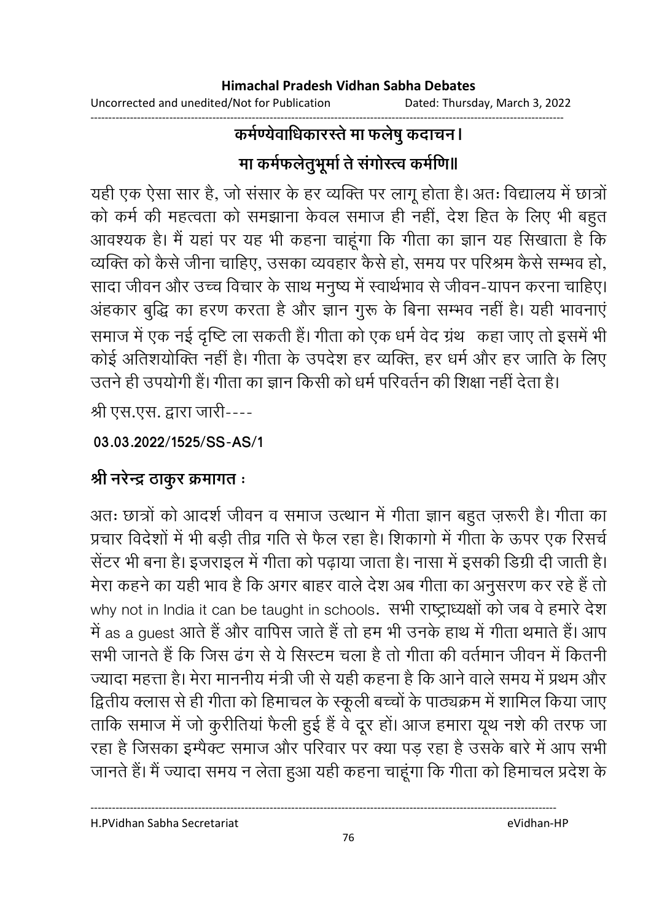Uncorrected and unedited/Not for Publication Dated: Thursday, March 3, 2022

### ------------------------------------------------------------------------------------------------------------------------------------ कर्मण्येवाधिकारस्ते मा फलेषु कदाचन। मा कर्मफलेतुभूमों ते संगोस्त्व कर्माणे॥

यही एक ऐसा सार है, जो संसार के हर व्यक्ति पर लागू होता है। अतः विद्यालय में छात्रो को कर्म की महत्वता को समझाना केवल समाज ही नहीं, देश हित के लिए भी बहुत आवश्यक है। मैं यहां पर यह भी कहना चाहूंगा कि गीता का ज्ञान यह सिखाता है कि व्यक्ति को कैसे जीना चाहिए, उसका व्यवहार कैसे हो, समय पर परिश्रम कैसे सम्भव हो, सादा जीवन और उच्च विचार के साथ मनुष्य में स्वार्थभाव से जीवन-यापन करना चाहिए। अहंकार बुद्धि का हरण करता है और ज्ञान गुरू के बिना सम्भव नहीं है। यही भावनाए समाज में एक नई दृष्टि ला सकती है। गीता को एक धर्म वेद ग्रंथ- कहा जाए तो इसमें भी कोई अतिशयोक्ति नहीं है। गीता के उपदेश हर व्यक्ति, हर धर्म और हर जाति के लिए उतने ही उपयोगी है। गीता का ज्ञान किसी को धर्म परिवर्तन की शिक्षा नहीं देता है।

श्री एस.एस. द्वारा जारी----

**03.03.2022/1525/SS-AS/1**

## श्री नरेन्द्र ठाकुर क्रमागत ः

अतः छात्रों को आदर्श जीवन व समाज उत्थान में गीता ज्ञान बहुत ज़रूरी है। गीता का प्रचार विदेशों में भी बड़ी तीव्र गति से फैल रहा है। शिकांगों में गीता के ऊपर एक रिसर्च सेंटर भी बना है। इजराइल में गीता को पढ़ाया जाता है। नासा में इसकी डिग्री दी जाती है। मेरा कहने का यही भाव है कि अगर बाहर वाले देश अब गीता का अनुसरण कर रहे हैं तो why not in India it can be taught in schools. सभी राष्ट्राध्यक्षों को जब वे हमारे देश में as a guest आते हैं और वार्पिस जाते हैं तो हम भी उनके हाथ में गीता थमाते हैं। आप सभी जानते हैं कि जिस ढंग से ये सिस्टम चला है तो गीता की वर्तमान जीवन में कितनी ज्यादा महत्ता है। मेरा माननीय मंत्री जी से यही कहना है कि आने वाले समय में प्रथम और द्वितीय क्लास से ही गीता को हिमाचल के स्कूली बच्चों के पाठ्यक्रम में शामिल किया जाए ताकि समाज में जो कुरीतिया फैली हुई है वे दूर हो। आज हमारा यूथ नशे की तरफ जा रहा है जिसका इम्पैक्ट समाज और परिवार पर क्या पड़ रहा है उसके बारे में आप सभी जानते हैं। मैं ज्यादा समय न लेता हुआ यही कहना चाहूंगा कि गीता को हिमाचल प्रदेश के

H.PVidhan Sabha Secretariat eVidhan-HP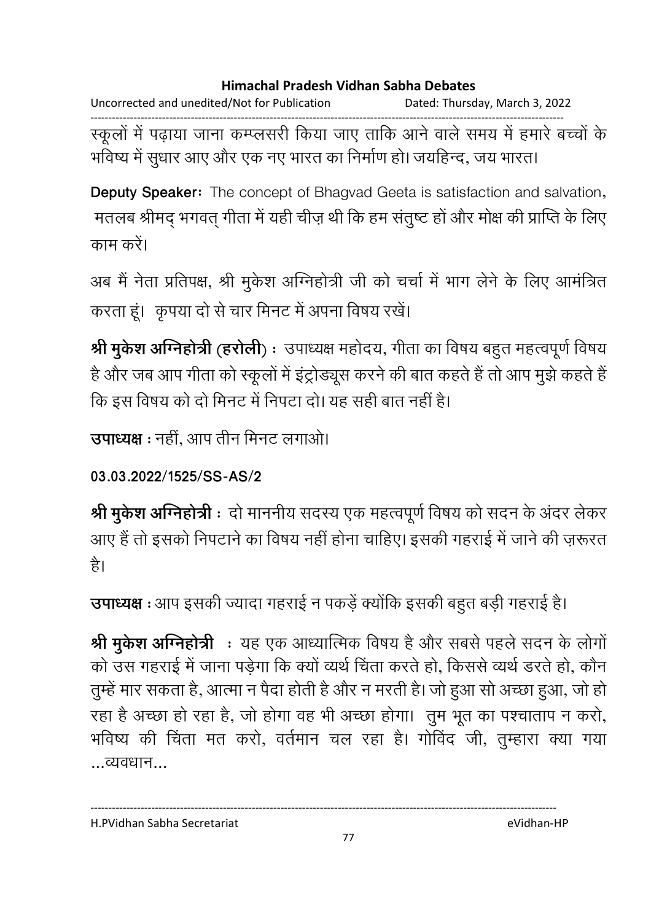Uncorrected and unedited/Not for Publication Dated: Thursday, March 3, 2022

------------------------------------------------------------------------------------------------------------------------------------ स्कूलों में पढ़ाया जाना कम्प्लसरी किया जाए तार्कि आने वाले समय में हमारे बच्चों के भविष्य में सुधार आए और एक नए भारत का निर्माण हो। जयहिन्द, जय भारत।

**Deputy Speaker:** The concept of Bhagvad Geeta is satisfaction and salvation, 'मतलब श्रीमद् भगवत् गीता में यही चीज़ थी कि हम सतुष्ट हो और मोक्ष की प्राप्ति के लिए काम करें।

अब मैं नेता प्रतिपक्ष, श्री मुकेश ओग्नेहोत्री जी को चर्चा में भाग लेने के लिए आमंत्रित करता हूं। कृपया दो से चार मिनट में अपना विषय रखें।

**श्री मुकेश अग्निहोत्री (हरोली**) : उपाध्यक्ष महोदय, गीता का विषय बहुत महत्वपूर्ण विषय है और जब आप गीता को स्कूलों में इंट्रोड्यूस करने की बात कहते हैं तो आप मुझे कहते हैं | कि इस विषय को दो मिनट में निपटा दो। यह सही बात नहीं है।

**उपाध्यक्ष** : नहीं, आप तीन मिनट लगाओ।

**03.03.2022/1525/SS-AS/2**

**श्री मुर्केश अग्निहोत्री** ः दो माननीय सदस्य एक महत्वपूर्ण विषय को सदन के अदर लेकर आए हैं तो इसको निपटाने का विषय नहीं होना चाहिए। इसकी गहराई में जाने की ज़रूरत है।

**उपाध्यक्ष** : आप इसकी ज्यादा गहराई न पकड़े क्योंकि इसकी बहुत बड़ी गहराई है।

**श्री मुकेश अग्निहोत्री :** यह एक आध्यात्मिक विषय है और सबसे पहले सदन के लोगो को उस गहराई में जाना पड़ेगा कि क्यों व्यर्थ चिंता करते हो, किससे व्यर्थ डरते हो, कौन तुम्हे मार सकता है, आत्मा न पैदा होती है और न मरती है। जो हुआ सो अच्छा हुआ, जो हो | रहा है अच्छा हो रहा है, जो होगा वह भी अच्छा होगा। तुम भूत का पश्चाताप न करो, भविष्य की चिंता मत करो, वर्तमान चल रहा है। गोविंद जी, तुम्हारा क्या गया ...व्यवधान...

----------------------------------------------------------------------------------------------------------------------------------

H.PVidhan Sabha Secretariat eVidhan-HP

77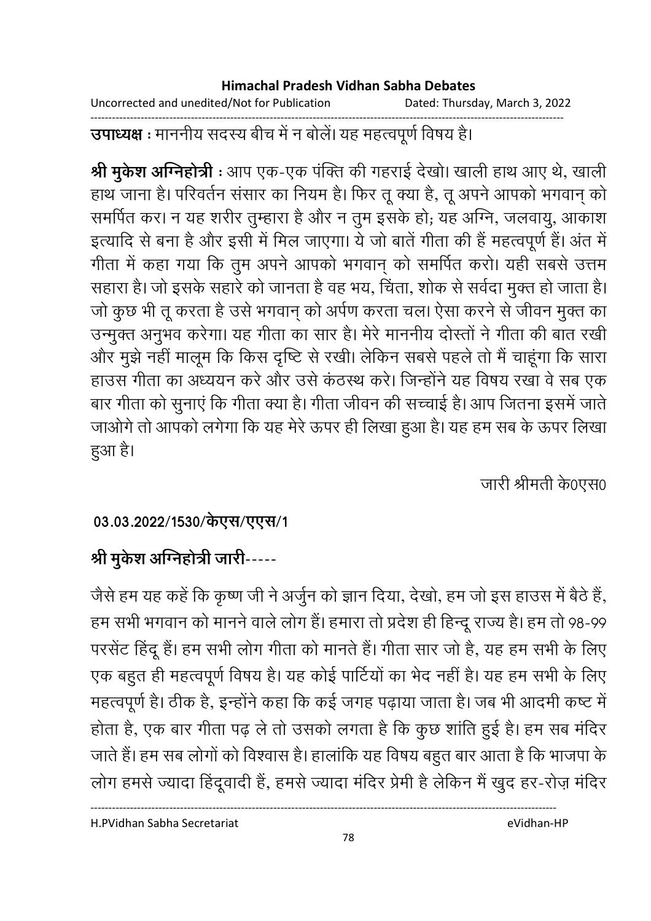Uncorrected and unedited/Not for Publication Dated: Thursday, March 3, 2022

------------------------------------------------------------------------------------------------------------------------------------ **उपाध्यक्ष** : माननीय सदस्य बीच में न बोले। यह महत्वपूर्ण विषय है।

**श्री मुकेश अग्निहोत्री** : आप एक-एक पक्ति की गहराई देखो। खाली हाथ आए थे, खाली हाथ जाना है। परिवर्तन संसार का नियम है। फिर तू क्या है, तू अपने आपको भगवान् को समर्पित कर। न यह शरीर तुम्हारा है और न तुम इसके हो; यह अग्नि, जलवायु, आकाश इत्यादि से बना है और इसी में मिल जाएगा। ये जो बाते गीता की है महत्वपूर्ण हैं। अत में गीता में कहा गया कि तुम अपने आपको भगवान् को समर्पित करो। यही सबसे उत्तम सहारा है। जो इसके सहारे को जानता है वह भय, चिंता, शोक से सर्वेदा मुक्त हो जाता है। जो कुछ भी तू करता है उसे भगवान् को अपेण करता चल। ऐसा करने से जीवन मुक्त का उन्मुक्त अनुभव करेगा। यह गीता का सार है। मेरे माननीय दोस्तों ने गीता की बात रखी और मुझे नहीं मालूम कि किस दृष्टि से रखी। लेकिन सबसे पहले तो मैं चाहूंगा कि सारा हाउस गीता का अध्ययन करें और उसे कठस्थ करें। जिन्होंने यह विषय रखा वे सब एक बार गीता को सुनाए कि गीता क्या है। गीता जीवन की सच्चाई है। आप जितना इसमें जातें | जाओंगे तो आपको लगेगा कि यह मेरे ऊपर ही लिखा हुआ है। यह हम सब के ऊपर लिखा हुआ है।

जारी श्रीमती के0एस0

### 03.03.2022/1530/केएस/एएस/1

## श्री मुकेश अग्निहोत्री जारी-----

जैसे हम यह कहें कि कृष्ण जी ने अर्जुन को ज्ञान दिया, देखो, हम जो इस हाउस में बैठे हैं, हम सभी भगवान को मानने वाले लोग है। हमारा तो प्रदेश ही हिन्दू राज्य है। हम तो 98-99 | परसेंट हिंदू है। हम सभी लोग गीता को मानते हैं। गीता सार जो है, यह हम सभी के लिए एक बहुत ही महत्वपूर्ण विषय है। यह कोई पार्टियों का भेद नहीं है। यह हम सभी के लिए महत्वपूर्ण हैं। ठीक है, इन्होंने कहा कि कई जगह पढ़ाया जाता है। जब भी आदमी कष्ट में होता है, एक बार गीता पढ़ ले तो उसको लगता है कि कुछ शांति हुई है। हम सब मंदिर जाते हैं। हम सब लोगों को विश्वास है। हालांकि यह विषय बहुत बार आता है कि भाजपा के लोग हमर्स ज्यादा हिंदूवादी है, हमसे ज्यादा मंदिर प्रेमी है लेकिन मैं खुद हर-रोज़ मंदिर

H.PVidhan Sabha Secretariat eVidhan-HP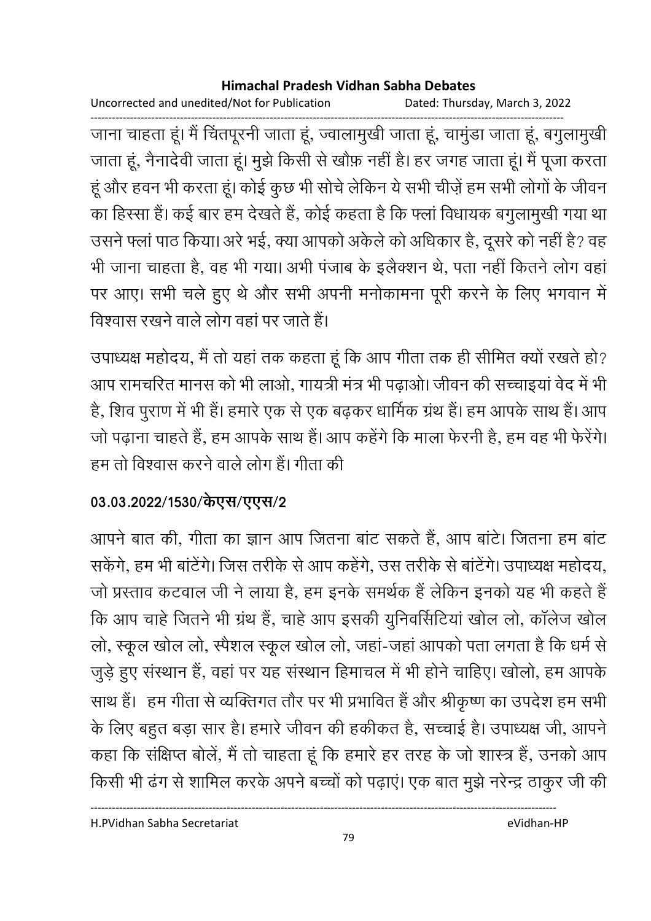Uncorrected and unedited/Not for Publication Dated: Thursday, March 3, 2022

------------------------------------------------------------------------------------------------------------------------------------ जाना चाहता हूं। मैं चितपूरनी जाता हूं, ज्वालामुखी जाता हूं, चामुंडा जाता हूं, बंगुलामुखी जाता हूं, नैनादेवी जाता हूं। मुझे किसी से खोफ़ नहीं हैं। हर जगह जाता हूं। मैं पूजा करता हूं और हवन भी करता हूं। कोई कुछ भी सोचें लेकिन ये सभी चीज़ें हम सभी लोगों के जीवन का हिस्सा है। कई बार हम देखते हैं, कोई कहता है कि फ्ला विधायक बगुलामुखी गया था उसने फ्ला पाठ किया। अरे भई, क्या आपको अर्कले को अधिकार है, दूसरे को नहीं है? वह भी जाना चाहता है, वह भी गया। अभी पंजाब के इलैक्शन थे, पता नहीं कितने लोग वहां पर आए। सभी चले हुए थे और सभी अपनी मनोकामना पूरी करने के लिए भगवान में विश्वास रखने वाले लोग वहां पर जाते हैं।

उपाध्यक्ष महोदय, मैं तो यहां तक कहता हूं कि आप गीता तक ही सीमित क्यों रखते हो? आप रामचरित मानस को भी लाओ, गायत्री मत्र भी पढ़ाओ। जीवन की सच्चाइया वेद में भी है, शिव पुराण में भी है। हमारे एक से एक बढ़कर धार्मिक ग्रंथ है। हम आपके साथ है। आप जो पढ़ाना चाहते हैं, हम आपके साथ है। आप कहेंगे कि माला फेरनी हैं, हम वह भी फेरेंगे। हम तो विश्वास करने वाले लोग है। गीता की

### 03.03.2022/1530/केएस/एएस/2

आपने बात की, गीता का ज्ञान आप जितना बाट सकते हैं, आप बाटे। जितना हम बाट सकेंगे, हम भी बाटेंगे। जिस तरीके से आप कहेंगे, उस तरीके से बाटेंगे। उपाध्यक्ष महोदय, जो प्रस्ताव कटवाल जी ने लाया है, हम इनके समर्थक है लेकिन इनको यह भी कहते हैं | कि आप चाहे जितने भी ग्रंथ है, चाहे आप इसकी युनिवर्सिटिया खोल लो, कालेज खोल लो, स्कूल खोल लो, स्पैशल स्कूल खोल लो, जहां-जहां आपको पता लगता है कि धर्म से जुड़े हुए संस्थान है, वहां पर यह संस्थान हिमाचल में भी होने चाहिए। खोलो, हम आपके साथ है। हम गीता से व्यक्तिगत तौर पर भी प्रभावित है और श्रीकृष्ण का उपदेश हम सभी । के लिए बहुत बड़ा सार है। हमारे जीवन की हकीकत है, सच्चाई है। उपाध्यक्ष जी, आपने कहा कि संक्षिप्त बोलें, मैं तो चाहता हूं कि हमारे हर तरह के जो शास्त्र हैं, उनको आप किसी भी ढंग से शामिल करके अपने बच्चों को पढ़ाए। एक बात मुझे नरेन्द्र ठाकुर जी की

H.PVidhan Sabha Secretariat eVidhan-HP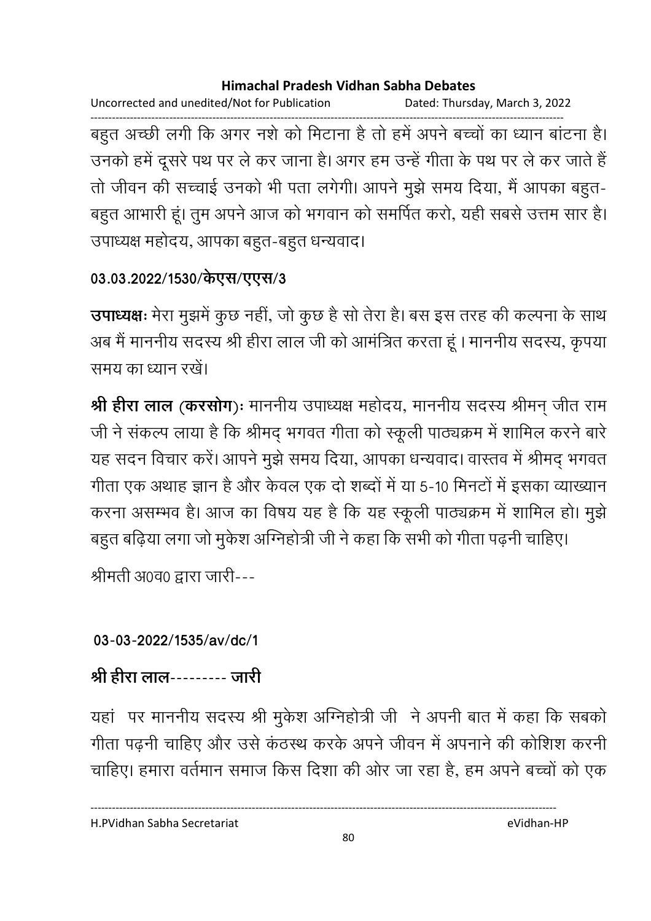Uncorrected and unedited/Not for Publication Dated: Thursday, March 3, 2022

------------------------------------------------------------------------------------------------------------------------------------ बहुत अच्छी लगी कि अगर नशे को मिटाना है तो हमें अपने बच्चों का ध्यान बाटना है। उनको हमें दूसरे पथ पर ले कर जाना है। अगर हम उन्हें गीता के पथ पर ले कर जाते हैं . तो जीवन की सच्चाई उनको भी पता लगेगी। आपने मुझे समय दिया, मैं आपका बहुत-बहुत आभारी हूं। तुम अपने आज को भगवान को समर्पित करों, यही सबसे उत्तम सार हैं। उपाध्यक्ष महोदय, आपका बहुत-बहुत धन्यवाद।

### 03.03.2022/1530/केएस/एएस/3

**उपाध्यक्षः** मेरा मुझमे कुछ नहीं, जो कुछ है सो तेरा है। बस इस तरह की कल्पना के साथ अब मैं माननीय सदस्य श्री हीरा लाल जी को आमंत्रित करता हूं । माननीय सदस्य, कृपया समय का ध्यान रखें।

**श्री हीरा लाल (करसोग**)ः माननीय उपाध्यक्ष महोदय, माननीय सदस्य श्रीमन् जीत राम जी ने सकल्प लाया है कि श्रीमद् भगवत गीता को स्कूली पाठ्यक्रम में शामिल करने बारे | यह सदन विचार करें। आपने मुझे समय दिया, आपका धन्यवाद। वास्तव में श्रीमद् भगवत गीता एक अथाह ज्ञान है और केवल एक दो शब्दों में या 5-10 मिनटों में इसका व्याख्यान करना असम्भव है। आज का विषय यह है कि यह स्कूली पाठ्यक्रम में शामिल हो। मुझे बहुत बढ़िया लगा जो मुकेश ओग्नेहोत्री जी ने कहा कि सभी को गीता पढ़नी चाहिए। श्रीमती अ0व0 द्वारा जारी---

### **03-03-2022/1535/av/dc/1**

## श्री हीरा लाल--------- जारी

यहाँ पर माननीय सदस्य श्री मुकेश ओग्नेहोत्री जी ने अपनी बात में कहा कि सबको गीता पढ़नी चाहिए और उसे कठस्थ करके अपने जीवन में अपनाने की कोशिश करनी चाहिए। हमारा वर्तमान समाज किस दिशा की ओर जा रहा है, हम अपने बच्चों को एक

H.PVidhan Sabha Secretariat eVidhan-HP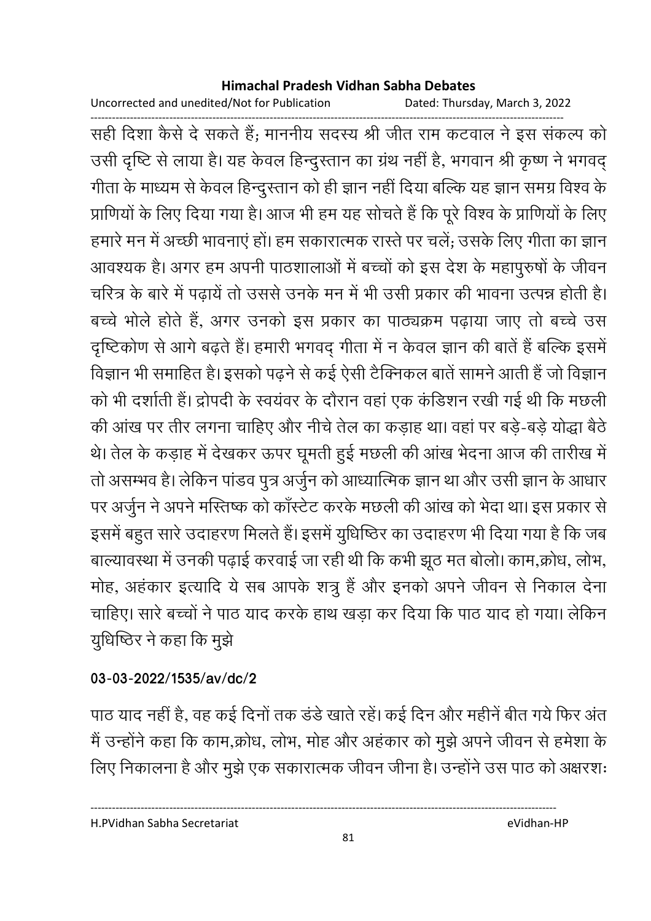Uncorrected and unedited/Not for Publication Dated: Thursday, March 3, 2022

------------------------------------------------------------------------------------------------------------------------------------ सही दिशा कैसे दे सकते हैं; माननीय सदस्य श्री जीत राम कटवाल ने इस सकल्प को उसी दृष्टि से लाया है। यह केवल हिन्दुस्तान का ग्रंथ नहीं है, भगवान श्री कृष्ण ने भगवद् गीता के माध्यम से केवल हिन्दुस्तान को ही ज्ञान नहीं दिया बल्कि यह ज्ञान समग्र विश्व के प्राणियों के लिए दिया गया है। आज भी हम यह सोचते हैं कि पूरे विश्व के प्राणियों के लिए हमारे मन में अच्छी भावनाए हो। हम सकारात्मक रास्ते पर चले; उसके लिए गीता का ज्ञान आवश्यक है। अगर हम अपनी पाठशालाओं में बच्चों को इस देश के महापुरुषों के जीवन चरित्र के बारे में पढ़ाये तो उससे उनके मन में भी उसी प्रकार की भावना उत्पन्न होती है। बच्चे भोले होते हैं, अगर उनको इस प्रकार का पाठ्यक्रम पढ़ाया जाए तो बच्चे उस दृष्टिकोण से आगे बढ़ते हैं। हमारी भगवद् गीता में न केवल ज्ञान की बाते हैं बल्कि इसमें विज्ञान भी समाहित है। इसको पढ़ने से कई ऐसी टैक्निकल बाते सामने आती है जो विज्ञान को भी दर्शाती है। द्रोपदी के स्वयंवर के दौरान वहां एक कडिशन रखी गई थी कि मछली की आख पर तीर लगना चाहिए और नीचे तेल का कड़ाह था। वहां पर बड़े-बड़े योद्धा बैठें थे। तेल के कड़ाह में देखकर ऊपर घूमती हुई मछली की आख भेदना आज की तारीख में तो असम्भव है। लेकिन पांडव पुत्र अर्जुन को आध्यात्मिक ज्ञान था और उसी ज्ञान के आधार पर अर्जुन ने अपने मस्तिष्क को कास्टेट करके मछली की आख को भेदा था। इस प्रकार से इसमें बहुत सारे उदाहरण मिलते हैं। इसमें युधिष्ठिर का उदाहरण भी दिया गया है कि जब बाल्यावस्था में उनकी पढ़ाई करवाई जा रही थी कि कभी झूठ मत बोलो। काम,क्रोध, लोभ, मोह, अहकार इत्यादि ये सब आपके शत्रु है और इनको अपने जीवन से निकाल देना चाहिए। सारे बच्चों ने पाठ याद करके हाथ खड़ा कर दिया कि पाठ याद हो गया। लेकिन यूधिष्ठिर ने कहा कि मुझे

### **03-03-2022/1535/av/dc/2**

पाठ याद नहीं है, वह कई दिनों तक डंडे खातें रहे। कई दिन और महीने बीत गयें फिर अत मैं उन्होंने कहा कि काम,क्रोध, लोभ, मोह और अहकार को मुझे अपने जीवन से हमेशा के लिए निकालना है और मुझे एक सकारात्मक जीवन जीना है। उन्होंने उस पाठ को अक्षरशः

H.PVidhan Sabha Secretariat eVidhan-HP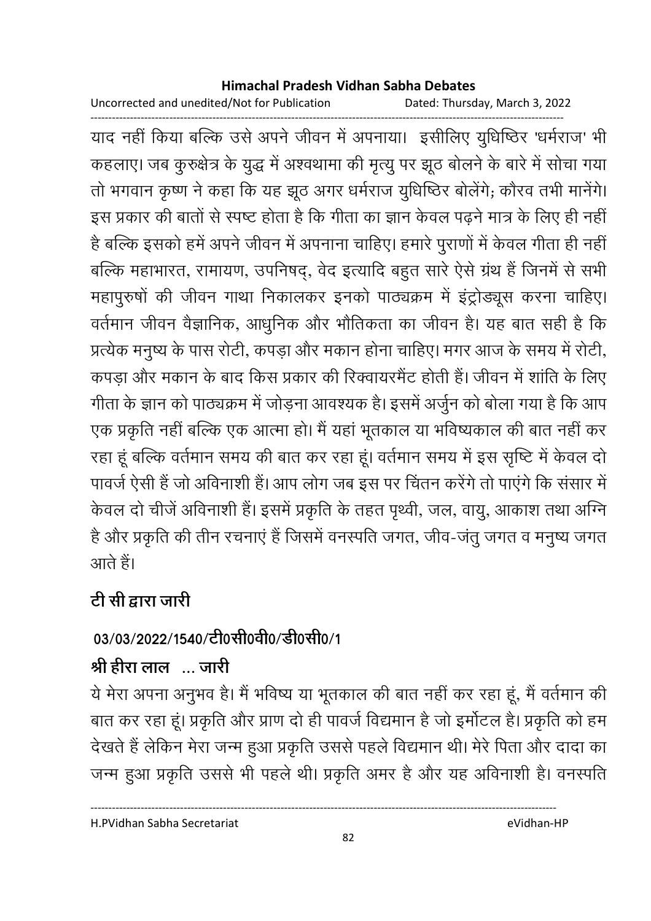Uncorrected and unedited/Not for Publication Dated: Thursday, March 3, 2022

------------------------------------------------------------------------------------------------------------------------------------ याद नहीं किया बल्कि उसे अपने जीवन में अपनाया। इसीलिए युधिष्ठिर 'धर्मराज' भी कहलाए। जब कुरुक्षेत्र के युद्ध में अश्वथामा की मृत्यु पर झूठ बोलने के बारे में सोचा गया तो भगवान कृष्ण ने कहा कि यह झूठ अगर धर्मराज युधिष्ठिर बोलेगे; कौरव तभी मानेगे। इस प्रकार की बातों से स्पष्ट होता है कि गीता का ज्ञान केवल पढ़ने मात्र के लिए ही नहीं। है बल्कि इसको हमें अपने जीवन में अपनाना चाहिए। हमारे पुराणों में केवल गीता ही नहीं | बल्कि महाभारत, रामायण, उपनिषद्, वेद इत्यादि बहुत सारे ऐसे ग्रंथ है जिनमें से सभी महापुरुषों की जीवन गाथा निकालकर इनको पाठ्यक्रम में इंट्रोड्यूस करना चाहिए। वर्तमान जीवन वैज्ञानिक, आधुनिक और भौतिकता का जीवन है। यह बात सही है कि प्रत्येक मनुष्य के पास रोटी, कंपड़ा और मकान होना चाहिए। मगर आज के समय में रोटी, कपड़ा और मकान के बाद किस प्रकार की रिक्वायरमैंट होती है। जीवन में शार्ति के लिए गीता के ज्ञान को पाठ्यक्रम में जोड़ना आवश्यक है। इसमें अर्जुन को बोला गया है कि आप एक प्रकृति नहीं बल्कि एक आत्मा हो। मैं यहां भूतकाल या भविष्यकाल की बात नहीं कर रहा हूं बल्कि वर्तमान समय की बात कर रहा हूं। वर्तमान समय में इस सृष्टि में केवल दो पावर्ज ऐसी है जो अविनाशी है। आप लोग जब इस पर चितन करेंगे तो पाएंगे कि संसार में केवल दो चीजे अविनाशी है। इसमें प्रकृति के तहत पृथ्वी, जल, वायु, आकाश तथा अग्नि है और प्रकृति की तीन रचनाएं है जिसमें वनस्पति जगत, जीव-जतु जगत व मनुष्य जगत आते हैं।

# टी सी द्वारा जारी

## 03/03/2022/1540/टी0सी0वी0/डी0सी0/1

# श्री हीरा लाल ... जारी

र्य मेरा अपना अनुभव है। मैं भविष्य या भूतकाल की बात नहीं कर रहा हूं, मैं वर्तमान की बात कर रहा हूं। प्रकृति और प्राण दो ही पावजे विद्यमान है जो इमोटल है। प्रकृति को हम देखते हैं लेकिन मेरा जन्म हुआ प्रकृति उससे पहले विद्यमान थी। मेरे पिता और दादा का जन्म हुआ प्रकृति उससे भी पहले थी। प्रकृति अमर है और यह अविनाशी है। वनस्पति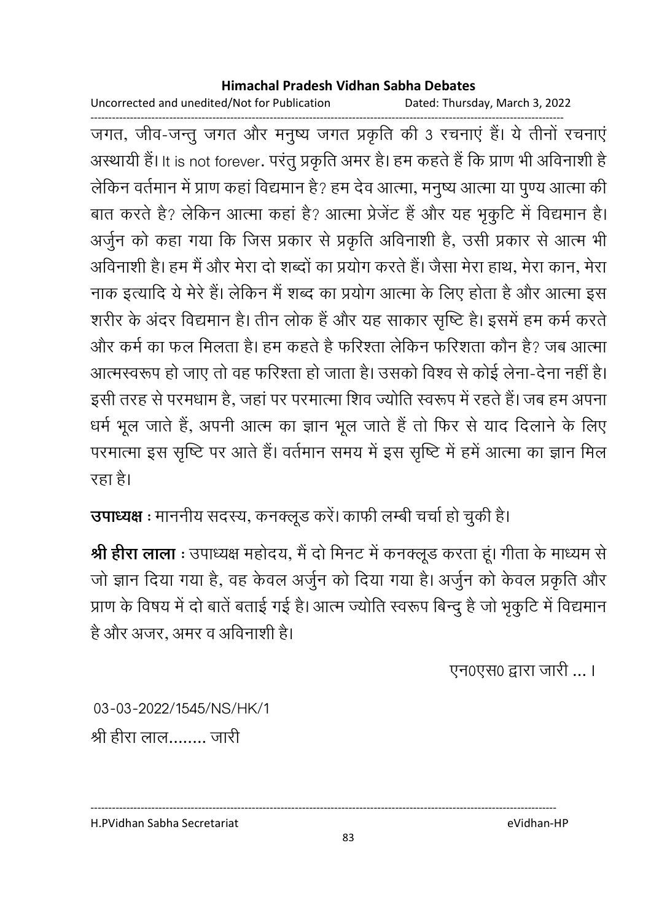Uncorrected and unedited/Not for Publication Dated: Thursday, March 3, 2022

------------------------------------------------------------------------------------------------------------------------------------ जगत, जीव-जन्तु जगत और मनुष्य जगत प्रकृति की 3 रचनाएं हैं। ये तीनों रचनाएं अस्थायी है। It is not forever. परंतु प्रकृति अमर है। हम कहते हैं कि प्राण भी अविनाशी है लेकिन वर्तमान में प्राण कहा विद्यमान है? हम देव आत्मा, मनुष्य आत्मा या पुण्य आत्मा की बात करते हैं? लेकिन आत्मा कहा है? आत्मा प्रेजेंट है और यह भृकुटि में विद्यमान है। अर्जुन को कहा गया कि जिस प्रकार से प्रकृति अविनाशी है, उसी प्रकार से आत्म भी आर्वेनाशी है। हम मैं और मेरा दो शब्दों का प्रयोग करते हैं। जैसा मेरा हाथ, मेरा कान, मेरा नाक इत्यादि ये मेरे हैं। लेकिन मैं शब्द का प्रयोग आत्मा के लिए होता है और आत्मा इस शरीर के अंदर विद्यमान है। तीन लोक है और यह साकार सृष्टि है। इसमें हम कर्म करते और कर्म का फल मिलता है। हम कहते है फरिश्ता लेकिन फरिशता कौन है? जब आत्मा आत्मस्वरूप हो जाए तो वह फरिश्ता हो जाता है। उसको विश्व से कोई लेना-देना नहीं है। इसी तरह से परमधाम हैं, जहां पर परमात्मा शिव ज्योति स्वरूप में रहते हैं। जब हम अपना धर्म भूल जाते हैं, अपनी आत्म का ज्ञान भूल जाते हैं तो फिर से याद दिलाने के लिए परमात्मा इस सृष्टि पर आते हैं। वर्तमान समय में इस सृष्टि में हमें आत्मा का ज्ञान मिल रहा है।

**उपाध्यक्ष** : माननीय सदस्य, कनक्लूड करें। काफी लम्बी चर्चा हो चुकी है।

**श्री हीरा लाला** : उपाध्यक्ष महोदय, मैं दो मिनट में कनक्लूड करता हूं। गीता के माध्यम से जो ज्ञान दिया गया है, वह केवल अर्जुन को दिया गया है। अर्जुन को केवल प्रकृति और प्राण के विषय में दो बातें बताई गई है। आत्म ज्योति स्वरूप बिन्दु हैं जो भृकुटि में विद्यमान है और अजर, अमर व अविनाशी है।

एन0एस0 द्वारा जारी ... ।

03-03-2022/1545/NS/HK/1 श्री हीरा लाल........ जारी

H.PVidhan Sabha Secretariat eVidhan-HP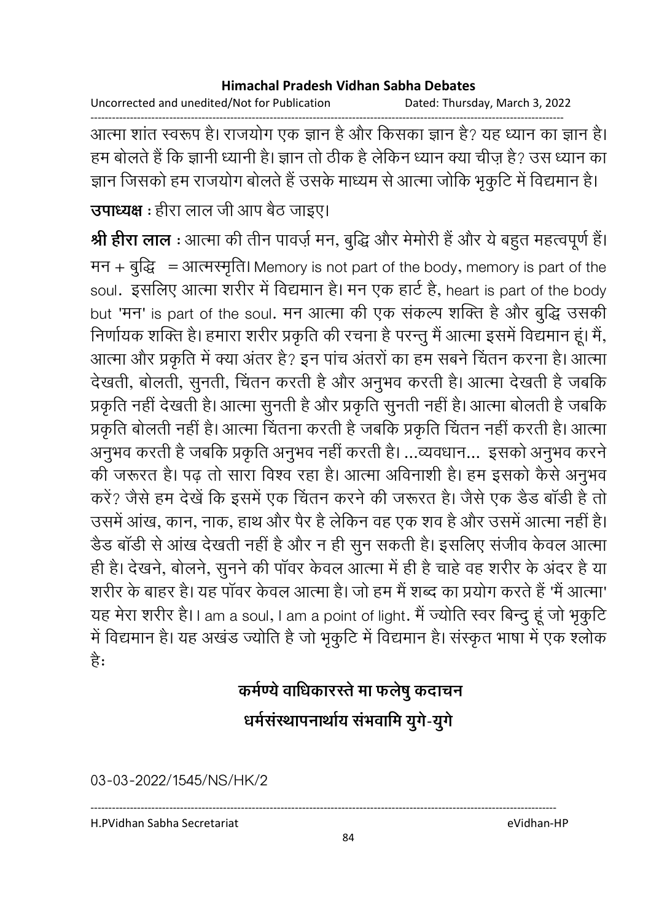Uncorrected and unedited/Not for Publication Dated: Thursday, March 3, 2022

------------------------------------------------------------------------------------------------------------------------------------ आत्मा शांत स्वरूप है। राजयोग एक ज्ञान है और किसका ज्ञान है? यह ध्यान का ज्ञान है। हम बोलते हैं कि ज्ञानी ध्यानी है। ज्ञान तो ठीक है लेकिन ध्यान क्या चीज़ है? उस ध्यान का ज्ञान जिसको हम राजयोग बोलते हैं उसके माध्यम से आत्मा जोकि भृकुटि में विद्यमान है।

**उपाध्यक्ष** : हीरा लाल जी आप बैठ जाइए।

**श्री हीरा लाल** : आत्मा की तीन पावज़े मन, बुद्धि और मेमोरी है और ये बहुत महत्वपूर्ण है। मन + बुद्धि = आत्मरमृति। Memory is not part of the body, memory is part of the soul. इसलिए आत्मा शरीर में विद्यमान है। मन एक हार्ट है, heart is part of the body but 'मन' is part of the soul. मन आत्मा की एक सकल्प शक्ति है और बुद्धि उसकी निर्णायक शक्ति है। हमारा शरीर प्रकृति की रचना है परन्तु मैं आत्मा इसमें विद्यमान हूं। मैं, आत्मा और प्रकृति में क्या अंतर है? इन पांच अंतरों का हम सबने चिंतन करना है। आत्मा देखती, बोलती, सुनती, चिंतन करती है और अनुभव करती है। आत्मा देखती है जबकि प्रकृति नहीं देखती है। आत्मा सुनती है और प्रकृति सुनती नहीं हैं। आत्मा बोलती है जबकि प्रकृति बोलती नहीं है। आत्मा चितना करती है जबकि प्रकृति चितन नहीं करती है। आत्मा अनुभव करती है जबकि प्रकृति अनुभव नहीं करती हैं। …व्यवधान… इसको अनुभव करने की जरूरत है। पढ़ तो सारा विश्व रहा है। आत्मा अविनाशी है। हम इसको कैसे अनुभव करें? जैसे हम देखें कि इसमें एक चितन करने की जरूरत है। जैसे एक डैंड बाडी है तो उसमें आख, कान, नाक, हाथ और पैर है लेकिन वह एक शव है और उसमें आत्मा नहीं हैं। उँड बाडी से आख देखती नहीं है और न ही सुन सकती है। इसलिए सजीव केवल आत्मा ही है। देखने, बोलने, सुनने की पावर केवल आत्मा में ही है चाहे वह शरीर के अंदर है या शरीर के बाहर है। यह पावर केवल आत्मा है। जो हम मैं शब्द का प्रयोग करते हैं 'मैं आत्मा' यह मेरा शरीर है।। am a soul, I am a point of light. मैं ज्योति स्वर बिन्दु हू जो भृकुटि में विद्यमान है। यह अखंड ज्योति है जो भृकुटि में विद्यमान है। संस्कृत भाषा में एक श्लोक ह:

# कर्मण्ये वाधिकारस्ते मा फलेषु कदाचन धर्मसंस्थापनाथोय सभवामि युगे-युगे

03-03-2022/1545/NS/HK/2

H.PVidhan Sabha Secretariat eVidhan-HP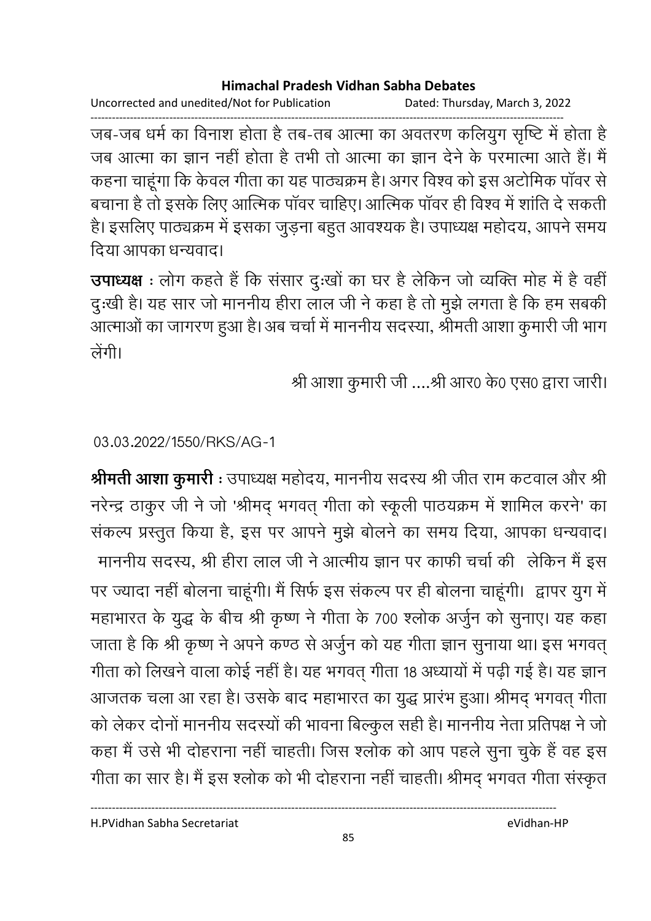Uncorrected and unedited/Not for Publication Dated: Thursday, March 3, 2022

------------------------------------------------------------------------------------------------------------------------------------ जब-जब धर्म का विनाश होता है तब-तब आत्मा का अवंतरण कलियुग सृष्टि में होता है जब आत्मा का ज्ञान नहीं होता है तभी तो आत्मा का ज्ञान देने के परमात्मा आते हैं। मैं कहना चाहूँगा कि केवल गीता का यह पाठ्यक्रम है। अगर विश्व को इस अटोमिक पावर से बचाना है तो इसके लिए आत्मिक पावर चाहिए। आत्मिक पावर ही विश्व में शार्ति दे सकती | हैं। इसलिए पाठ्यक्रम में इसका जुड़ना बहुत आवश्यक है। उपाध्यक्ष महोदय, आपने समय दिया आपका धन्यवाद।

**उपाध्यक्ष** : लोग कहते हैं कि संसार दुःखों का घर है लेकिन जो व्यक्ति मोह में है वहीं दुःखी है। यह सार जो माननीय हीरा लाल जी ने कहा है तो मुझे लगता है कि हम सबकी आत्माओं का जागरण हुआ है। अब चर्चा में माननीय सदस्या, श्रीमती आशा कुमारी जी भाग लेगी।

श्री आशा कुमारी जी ....श्री आर0 के0 एस0 द्वारा जारी।

03.03.2022/1550/RKS/AG-1

**श्रीमती आशा कुमारी** : उपाध्यक्ष महोदय, माननीय सदस्य श्री जीत राम कटवाल और श्री नरेन्द्र ठाकुर जी ने जो 'श्रीमद् भगवत् गीता को स्कूली पाठयक्रम में शामिल करने' का सकल्प प्रस्तुत किया है, इस पर आपने मुझे बोलने का समय दिया, आपका धन्यवाद। माननीय सदस्य, श्री हीरा लाल जी ने आत्मीय ज्ञान पर काफी चर्चा की लेकिन मैं इस पर ज्यादा नहीं बोलना चाहूँगी। मैं सिर्फ इस सकल्प पर ही बोलना चाहूँगी। द्वापर युग में महाभारत के युद्ध के बीच श्री कृष्ण ने गीता के 700 श्लोक अर्जुन को सुनाए। यह कहा जाता है कि श्री कृष्ण ने अपने कण्ठ से अर्जुन को यह गीता ज्ञान सुनाया था। इस भगवत् गीता को लिखने वाला कोई नहीं है। यह भगवत् गीता 18 अध्यायों में पढ़ी गई है। यह ज्ञान आजतक चला आ रहा है। उसके बाद महाभारत का युद्ध प्रारंभ हुआ। श्रीमद् भगवत् गीता को लेकर दोनो माननीय सदस्यों की भावना बिल्कुल सही है। माननीय नेता प्रतिपक्ष ने जो कहा मैं उसे भी दोहराना नहीं चाहती। जिस श्लोक को आप पहले सुना चुके हैं वह इस गीता का सार है। मैं इस श्लोक को भी दोहराना नहीं चाहती। श्रीमद् भगवत गीता संस्कृत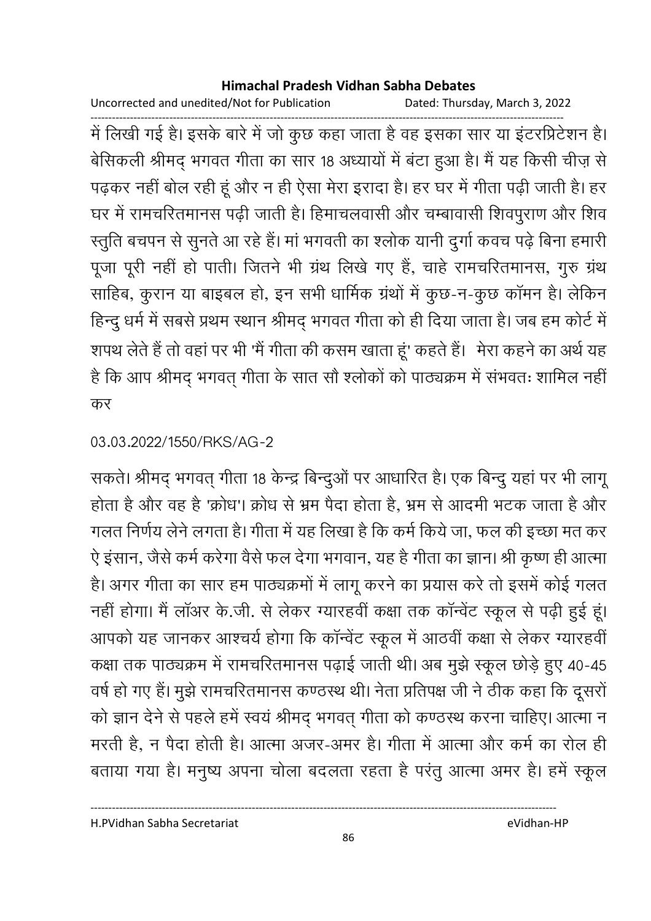Uncorrected and unedited/Not for Publication Dated: Thursday, March 3, 2022

------------------------------------------------------------------------------------------------------------------------------------ में लिखी गई है। इसके बारे में जो कुछ कहा जाता है वह इसका सार या इंटरप्रिटेशन हैं। बेसिकली श्रीमद् भगवत गीता का सार 18 अध्यायों में बटा हुआ है। मैं यह किसी चीज़ से पढ़कर नहीं बोल रही हूं और न ही ऐसा मेरा इरादा है। हर घर में गीता पढ़ी जाती है। हर घर में रामचरितमानस पढ़ी जाती है। हिमाचलवासी और चम्बावासी शिवपुराण और शिव स्तुति बचपन से सुनते आ रहे हैं। मा भगवती का श्लोक यानी दुर्गा कवच पढ़े बिना हमारी पूजा पूरी नहीं हो पाती। जितने भी ग्रंथ लिखे गए हैं, चाहे रामचरितमानस, गुरु ग्रंथ साहिब, कुरान या बाइबल हो, इन सभी धार्मिक ग्रंथों में कुछ-न-कुछ कामन है। लेकिन हिन्दु धर्म में सबसे प्रथम स्थान श्रीमद् भगवत गीता को ही दिया जाता है। जब हम कोर्ट में शपथ लेते हैं तो वहां पर भी 'मैं गीता की कसम खाता हूं' कहते हैं। मेरा कहने का अर्थ यह है कि आप श्रीमद् भगवत् गीता के सात सौ श्लोकों को पाठ्यक्रम में संभवतः शामिल नहीं | कर

### 03.03.2022/1550/RKS/AG-2

सकते। श्रीमद् भगवत् गीता १८ केन्द्र बिन्दुओं पर आधारित हैं। एक बिन्दु यहां पर भी लागू होता है और वह है 'क्रोध'। क्रोध से भ्रम पैदा होता है, भ्रम से आदमी भटक जाता है और गलत निर्णय लेने लगता है। गीता में यह लिखा है कि कर्म किये जा, फल की इच्छा मत कर ऐ इसान, जैसे कर्म करेगा वैसे फल देगा भगवान, यह है गीता का ज्ञान। श्री कृष्ण ही आत्मा हैं। अगर गीता का सार हम पाठ्यक्रमों में लागू करने का प्रयास करें तो इसमें कोई गलत नहीं होगा। मैं लाअर के.जी. से लेकर ग्यारहवीं कक्षा तक कान्वेट स्कूल से पढ़ी हुई हूं। आपको यह जानकर आश्चर्य होगा कि कान्वेट स्कूल में आठवीं कक्षा से लेकर ग्यारहवीं | कक्षा तक पाठ्यक्रम में रामचरितमानस पढ़ाई जाती थी। अब मुझे स्कूल छोड़े हुए 40-45 वर्ष हो गए हैं। मुझे रामचरितमानस कण्ठस्थ थी। नेता प्रतिपक्ष जी ने ठीक कहा कि दूसरो को ज्ञान देने से पहले हमें स्वयं श्रीमंद् भगवत् गीता को कण्ठस्थ करना चाहिए। आत्मा न मरती है, न पैदा होती है। आत्मा अजर-अमर है। गीता में आत्मा और कर्म का रोल ही बताया गया है। मनुष्य अपना चोला बदलता रहता है परंतु आत्मा अमर है। हमें स्कूल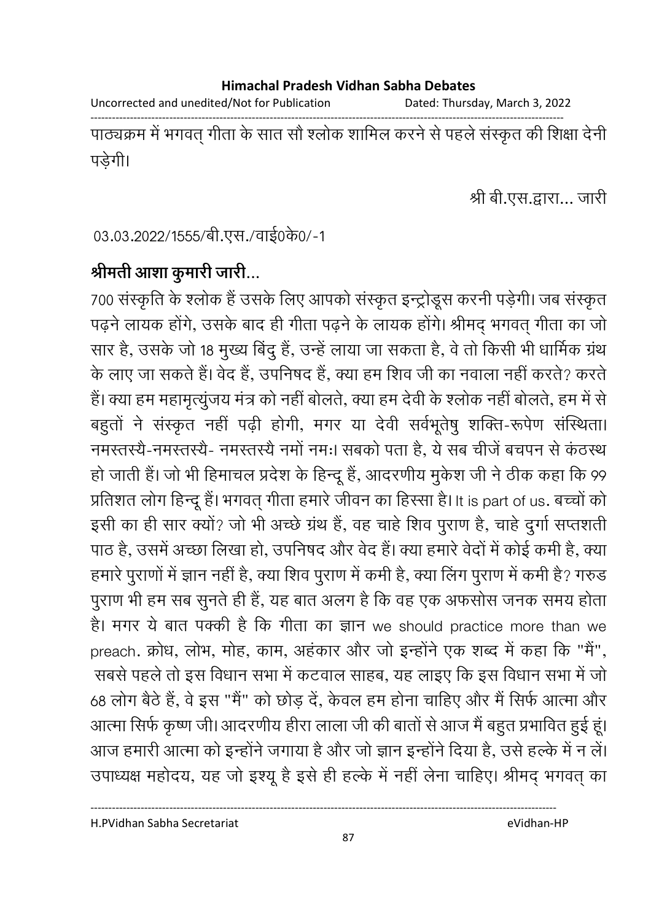Uncorrected and unedited/Not for Publication Dated: Thursday, March 3, 2022

------------------------------------------------------------------------------------------------------------------------------------ पाठ्यक्रम में भगवत् गीता के सात सौ श्लोक शामिल करने से पहले संस्कृत की शिक्षा देनी | पड़ेगी।

श्री बी.एस.द्वारा… जारी

03.03.2022/1555/बी.एस./वाई0के0/-1

## श्रीमती आशा कुमारी जारी...

700 संस्कृति के श्लोक है उसके लिए आपको संस्कृत इन्ट्रोडूस करनी पड़ेगी। जब संस्कृत पढ़ने लायक होंगे, उसके बाद ही गीता पढ़ने के लायक होंगे। श्रीमंद् भगवत् गीता का जो सार है, उसके जो 18 मुख्य बिंदु है, उन्हें लाया जा सकता है, वे तो किसी भी धार्मिक ग्रंथ के लाए जा सकते हैं। वेंद है, उपनिषद है, क्या हम शिव जी का नवाला नहीं करते? करते है। क्या हम महामृत्युजय मंत्र को नहीं बोलते, क्या हम देवी के श्लोक नहीं बोलते, हम में से बहुतो ने संस्कृत नहीं पढ़ी होगी, मगर या देवी सर्वभूतेषु शक्ति-रूपेण संस्थिता। नमस्तस्यै-नमस्तस्यै- नमस्तस्यै नमो नमः। सबको पता है, ये सब चीजे बचपन से कठस्थ हो जाती है। जो भी हिमाचल प्रदेश के हिन्दू है, आदरणीय मुकेश जी ने ठीक कहा कि 99 | प्रतिशत लोग हिन्दू है। भगवत् गीता हमारे जीवन का हिस्सा है। It is part of us. बच्चों को इसी का ही सार क्यों? जो भी अच्छे ग्रंथ है, वह चाहे शिव पुराण है, चाहे दुर्गा सप्तशती पाठ है, उसमें अच्छा लिखा हो, उपनिषद और वेद हैं। क्या हमारे वेदों में कोई कमी है, क्या हमारे पुराणों में ज्ञान नहीं हैं, क्या शिव पुराण में कमी है, क्या लिंग पुराण में कमी है? गरुड पुराण भी हम सब सुनते ही है, यह बात अलग है कि वह एक अफसोस जनक समय होता है। मगर ये बात पक्की है कि गीता का ज्ञान we should practice more than we preach. क्रोध, लोभ, मोह, काम, अहंकार और जो इन्होंने एक शब्द में कहा कि "मैं", .सबसे पहले तो इस विधान सभा में कटवाल साहब, यह लाइए कि इस विधान सभा में जो 68 लोग बैठे हैं, वे इस "मैं" को छोड़ दें, केवल हम होना चाहिए और मैं सिर्फ आत्मा और आत्मा सिर्फ कृष्ण जी। आदरणीय हीरा लाला जी की बातों से आज मैं बहुत प्रभावित हुई हूं। आज हमारी आत्मा को इन्होंने जगाया है और जो ज्ञान इन्होंने दिया है, उसे हल्के में न लें। उपाध्यक्ष महोदय, यह जो इश्यू है इसे ही हल्के में नहीं लेना चाहिए। श्रीमद् भगवत् का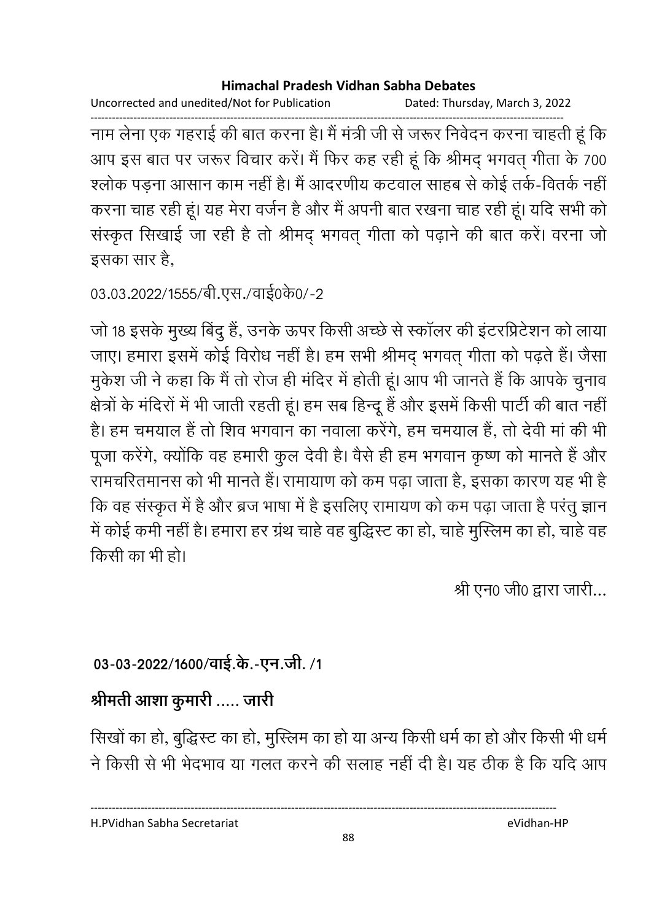```
Uncorrected and unedited/Not for Publication Dated: Thursday, March 3, 2022
```
------------------------------------------------------------------------------------------------------------------------------------ नाम लेना एक गहराई की बात करना है। मैं मंत्री जी से जरूर निर्वेदन करना चाहती हूं कि आप इस बात पर जरूर विचार करें। मैं फिर कह रही हूं कि श्रीमद् भगवत् गीता के 700-श्लोक पड़ना आसान काम नहीं है। मैं आंदरणीय कटवाल साहब से कोई तर्क-वितर्क नहीं | करना चाह रही हूं। यह मेरा वर्जन है और मैं अपनी बात रखना चाह रही हूं। यदि सभी को संस्कृत सिखाई जा रही है तो श्रीमंद् भगवत् गीता को पढ़ाने की बात करें। वरना जो इसका सार है,

```
03.03.2022/1555/बी.एस./वाई0के0/-2
```
जो 18 इसके मुख्य बिंदु हैं, उनके ऊपर किसी अच्छे से स्कालर की इंटरप्रिटेशन को लाया जाए। हमारा इसमें कोई विरोध नहीं है। हम सभी श्रीमद् भगवत् गीता को पढ़ते हैं। जैसा मुकेश जी ने कहा कि मैं तो रोज ही मंदिर में होती हूं। आप भी जानते हैं कि आपके चुनाव क्षेत्रों के मंदिरों में भी जाती रहती हूं। हम सब हिन्दू है और इसमें किसी पार्टी की बात नहीं। है। हम चमयाल है तो शिव भगवान का नवाला करेंगे, हम चमयाल है, तो देवी मा की भी पूजा करेंगे, क्योंकि वह हमारी कुल देवी है। वैसे ही हम भगवान कृष्ण को मानते हैं और रामचरितमानस को भी मानते हैं। रामायाण को कम पढ़ा जाता है, इसका कारण यह भी है कि वह संस्कृत में हैं और ब्रज भाषा में है इसलिए रामायण को कम पढ़ा जाता है परंतु ज्ञान में कोई कर्मी नहीं है। हमारा हर ग्रंथ चाहें वह बुद्धिस्ट का हो, चाहें मुस्लिम का हो, चाहे वह किसी का भी हो।

श्री एन0 जी0 द्वारा जारी...

## 03-03-2022/1600/वाई.के.-एन.जी. /1

## श्रीमती आशा कुमारी ..... जारी

सिखों का हो, बुद्धिस्ट का हो, मुस्लिम का हो या अन्य किसी धर्म का हो और किसी भी धर्म ने किसी से भी भेदभाव या गलत करने की सलाह नहीं दी है। यह ठीक है कि यदि आप

H.PVidhan Sabha Secretariat eVidhan-HP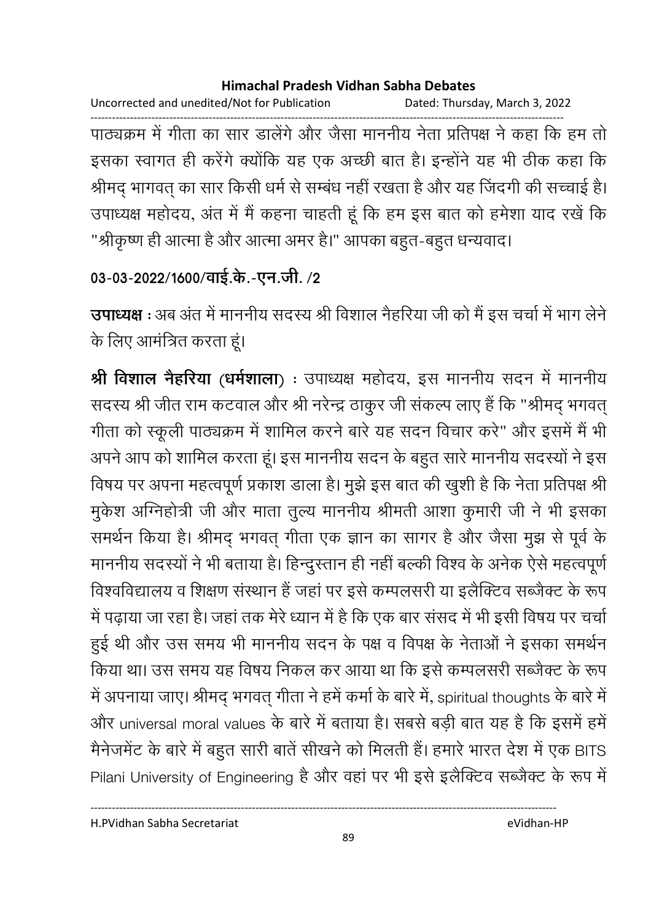Uncorrected and unedited/Not for Publication Dated: Thursday, March 3, 2022 ------------------------------------------------------------------------------------------------------------------------------------ पाठ्यक्रम में गीता का सार डालेंगे और जैसा माननीय नेता प्रतिपक्ष ने कहा कि हम तो इसका स्वागत ही करेंगे क्योंकि यह एक अच्छी बात है। इन्होंने यह भी ठीक कहा कि श्रीमद् भागवत् का सार किसी धर्म से सम्बंध नहीं रखता है और यह जिंदगी की सच्चाई है। उपाध्यक्ष महोदय, अंत में मैं कहना चाहती हूं कि हम इस बात को हमेशा याद रखे कि "श्रीकृष्ण ही आत्मा है और आत्मा अमर है।" आपका बहुत-बहुत धन्यवाद।

```
03-03-2022/1600/वाई.के.-एन.जी. /2
```
**उपाध्यक्ष** : अब अंत में माननीय सदस्य श्री विशाल नैहरिया जी को मैं इस चर्चा में भाग लेने | के लिए आमंत्रित करता हूं।

**श्री विशाल नैहरिया (धर्मशाला)** : उपाध्यक्ष महोदय, इस माननीय सदन में माननीय सदस्य श्री जीत राम कटवाल और श्री नरेन्द्र ठाकुर जी सकल्प लाए है कि "श्रीमद् भगवत् गीता को स्कूली पाठ्यक्रम में शामिल करने बारे यह सदन विचार करें" और इसमें मैं भी अपने आप को शामिल करता हूं। इस माननीय सदन के बहुत सारे माननीय सदस्यों ने इस विषय पर अपना महत्वपूर्ण प्रकाश डाला है। मुझे इस बात की खुशी है कि नेता प्रतिपक्ष श्री मुकेश ओग्नेहोत्री जी और माता तुल्य माननीय श्रीमती आशा कुमारी जी ने भी इसका समर्थन किया है। श्रीमद् भगवत् गीता एक ज्ञान का सागर है और जैसा मुझ से पूर्व के माननीय सदस्यों ने भी बताया है। हिन्दुस्तान ही नहीं बल्की विश्व के अनेक ऐसे महत्वपूर्ण विश्वविद्यालय व शिक्षण संस्थान है जहां पर इसे कम्पलसरी या इलैक्टिव सब्जैक्ट के रूप में पढ़ाया जा रहा है। जहां तक मेरे ध्यान में है कि एक बार संसद में भी इसी विषय पर चर्चा हुई थी और उस समय भी माननीय सदन के पक्ष व विपक्ष के नेताओं ने इसका समर्थन किया था। उस समय यह विषय निकल कर आया था कि इसे कम्पलसरी सब्जैक्ट के रूप में अपनाया जाए। श्रीमद् भगवत् गीता ने हमें कमों के बारे में, spiritual thoughts के बारे में और universal moral values के बारे में बताया है। सबसे बड़ी बात यह है कि इसमें हमें मैंनेजमेंट के बारे में बहुत सारी बाते सीखने को मिलती है। हमारे भारत देश में एक BITS Pilani University of Engineering है और वहा पर भी इसे इलैक्टिव सब्जैक्ट के रूप में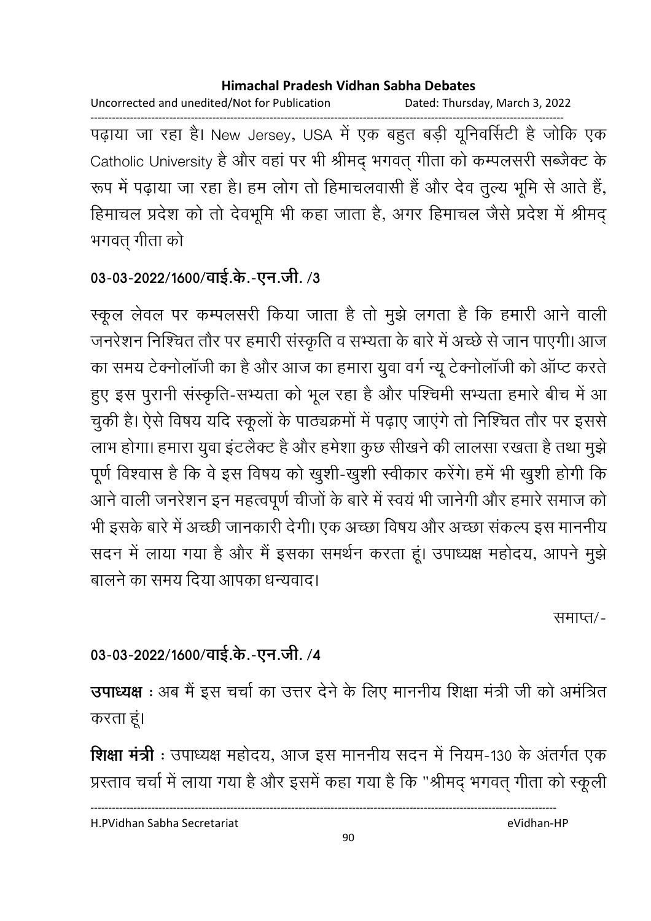Uncorrected and unedited/Not for Publication Dated: Thursday, March 3, 2022

------------------------------------------------------------------------------------------------------------------------------------ पढ़ाया जा रहा है। New Jersey, USA में एक बहुत बड़ी यूनिवर्सिटी है जोकि एक Catholic University है और वहां पर भी श्रीमद् भगवत् गीता को कम्पलसरी सब्जैक्ट के रूप में पढ़ाया जा रहा है। हम लोग तो हिमाचलवासी है और देव तुल्य भूमि से आते हैं, हिमाचल प्रदेश को तो देवभूमि भी कहा जाता है, अगर हिमाचल जैसे प्रदेश में श्रीमद् भगवत् गीता को

## 03-03-2022/1600/वाई.के.-एन.जी. /3

स्कूल लेवल पर कम्पलसरी किया जाता है तो मुझे लगता है कि हमारी आने वाली जनरेशन निश्चित तौर पर हमारी संस्कृति व सभ्यता के बारे में अच्छे से जान पाएगी। आज का समय टेक्नोलाजी का है और आज का हमारा युवा वर्ग न्यू टेक्नोलाजी को आप्ट करते। हुए इस पुरानी संस्कृति-सभ्यता को भूल रहा है और पश्चिमी सभ्यता हमारे बीच में आ चुकी है। ऐसे विषय यदि स्कूलों के पाठ्यक्रमों में पढ़ाए जाएंगे तो निश्चित तौर पर इससे लाभ होगा। हमारा युवा इटलैक्ट है और हमेशा कुछ सीखने की लालसा रखता है तथा मुझे पूर्ण विश्वास है कि वे इस विषय को खुशी-खुशी स्वीकार करेंगे। हमें भी खुशी होगी कि आने वाली जनरेशन इन महत्वपूर्ण चीजों के बारे में स्वयं भी जानेगी और हमारे समाज को भी इसके बारे में अच्छी जानकारी देंगी। एक अच्छा विषय और अच्छा सकल्प इस माननीय सदन में लाया गया है और मैं इसका समर्थन करता हूं। उपाध्यक्ष महोदय, आपने मुझे बालने का समय दिया आपका धन्यवाद।

समाप्त⁄-

### 03-03-2022/1600/वाई.के.-एन.जी. /4

**उपाध्यक्ष** : अब मैं इस चर्चा का उत्तर देने के लिए माननीय शिक्षा मंत्री जी को अमंत्रित करता हूं।

**शिक्षा मंत्री** : उपाध्यक्ष महोदय, आज इस माननीय सदन में नियम-130 के अंतर्गत एक प्रस्ताव चर्चा में लाया गया है और इसमें कहा गया है कि "श्रीमद् भगवत् गीता को स्कूली

H.PVidhan Sabha Secretariat eVidhan-HP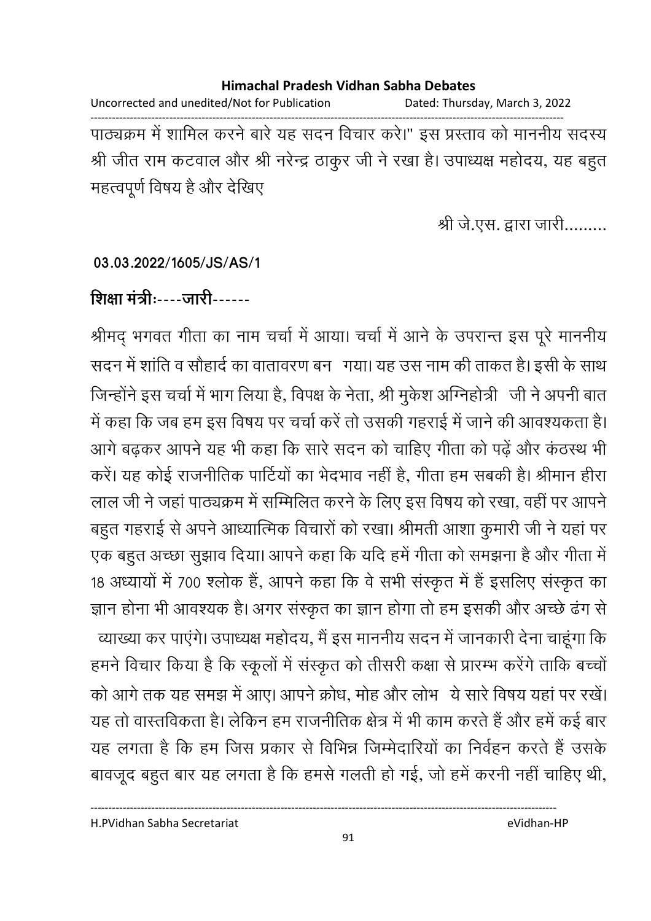Uncorrected and unedited/Not for Publication Dated: Thursday, March 3, 2022 ------------------------------------------------------------------------------------------------------------------------------------ पाठ्यक्रम में शामिल करने बारे यह सदन विचार करें।" इस प्रस्ताव को माननीय सदस्य श्री जीत राम कटवाल और श्री नरेन्द्र ठाकुर जी ने रखा है। उपाध्यक्ष महोदय, यह बहुत महत्वपूर्ण विषय है और देखिए |

श्री जे.एस. द्वारा जारी.........

#### **03.03.2022/1605/JS/AS/1**

## शिक्षा मंत्रीः----जारी------

श्रीमद् भगवत गीता का नाम चर्चा में आया। चर्चा में आने के उपरान्त इस पूरे माननीय सदन में शांति व सौहादे का वातावरण बन गया। यह उस नाम की ताकत है। इसी के साथ जिन्होंने इस चर्चा में भाग लिया है, विपक्ष के नेता, श्री मुकेश ओग्नेहोत्री ) जी ने अपनी बात में कहा कि जब हम इस विषय पर चर्चा करें तो उसकी गहराई में जाने की आवश्यकता है। आगे बढ़कर आपने यह भी कहा कि सारे सदन को चाहिए गीता को पढ़ें और कठस्थ भी करें। यह कोई राजनीतिक पार्टियों का भेदभाव नहीं हैं, गीता हम सबकी हैं। श्रीमान हीरा लाल जी ने जहां पाठ्यक्रम में सम्मिलित करने के लिए इस विषय को रखा, वहीं पर आपने | बहुत गहराई से अपने आध्यात्मिक विचारों को रखा। श्रीमती आशा कुमारी जी ने यहां पर एक बहुत अच्छा सुझाव दिया। आपने कहा कि यदि हमें गीता को समझना है और गीता में 18 अध्यायों में 700 श्लोक है, आपने कहा कि वे सभी संस्कृत में हैं इसलिए संस्कृत का ज्ञान होना भी आवश्यक है। अगर संस्कृत का ज्ञान होगा तो हम इसकी और अच्छे ढंग से व्याख्या कर पाएंगे। उपाध्यक्ष महोदय, मैं इस माननीय सदन में जानकारी देना चाहूंगा कि हमने विचार किया है कि स्कूलों में संस्कृत को तीसरी कक्षा से प्रारम्भ करेंगे ताकि बच्चों को आगे तक यह समझ में आए। आपने क्रोध, मोह और लोभ ये सारे विषय यहां पर रखें। यह तो वास्तविकता है। लेकिन हम राजनीतिक क्षेत्र में भी काम करते हैं और हमें कई बार यह लगता है कि हम जिस प्रकार से विभिन्न जिम्मेदारियों का निवेहन करते हैं उसके बावजूद बहुत बार यह लगता है कि हमसे गलती हो गई, जो हमें करनी नहीं चाहिए थी,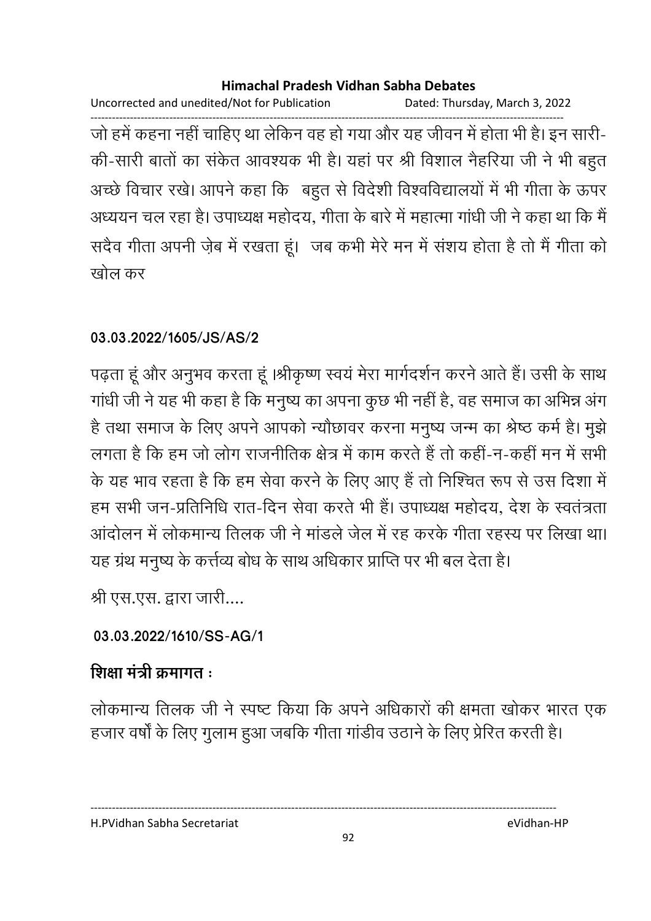Uncorrected and unedited/Not for Publication Dated: Thursday, March 3, 2022

------------------------------------------------------------------------------------------------------------------------------------ जो हमें कहना नहीं चाहिए था लेकिन वह हो गया और यह जीवन में होता भी है। इन सारी-की-सारी बातों का सकेत आवश्यक भी हैं। यहां पर श्री विशाल नैहरिया जी ने भी बहुत अच्छे विचार रखे। आपने कहा कि बहुत से विदेशी विश्वविद्यालयों में भी गीता के ऊपर अध्ययन चल रहा है। उपाध्यक्ष महोदय, गीता के बारे में महात्मा गांधी जी ने कहा था कि मैं। सदैव गीता अपनी ज़ेब में रखता हूं। जब कभी मेरे मन में सशय होता है तो मैं गीता को खोल कर

## **03.03.2022/1605/JS/AS/2**

पढ़ता हूं और अनुभव करता हूं ।श्रीकृष्ण स्वयं मेरा मार्गदर्शन करने आते हैं। उसी के साथ गांधी जी ने यह भी कहा है कि मनुष्य का अपना कुछ भी नहीं है, वह समाज का अभिन्न अग है तथा समाज के लिए अपने आपको न्यौछावर करना मनुष्य जन्म का श्रेष्ठ कर्म है। मुझे लगता है कि हम जो लोग राजनीतिक क्षेत्र में काम करते हैं तो कही-न-कहीं मन में सभी के यह भाव रहता है कि हम सेवा करने के लिए आए हैं तो निश्चित रूप से उस दिशा में हम सभी जन-प्रतिनिधि रात-दिन सेवा करते भी है। उपाध्यक्ष महोदय, देश के स्वतंत्रता आंदोलन में लोकमान्य तिलक जी ने मांडले जेल में रह करके गीता रहस्य पर लिखा था। यह ग्रंथ मनुष्य के कत्तेव्य बोध के साथ अधिकार प्राप्ति पर भी बल देता है।

श्री एस.एस. द्वारा जारी....

## **03.03.2022/1610/SS-AG/1**

## शिक्षा मंत्री क्रमांगत <del>:</del>

लोकमान्य तिलक जी ने स्पष्ट किया कि अपने अधिकारों की क्षमता खोकर भारत एक हजार वर्षों के लिए गुलाम हुआ जबकि गीता गांडीव उठाने के लिए प्रेरित करती है।

H.PVidhan Sabha Secretariat eVidhan-HP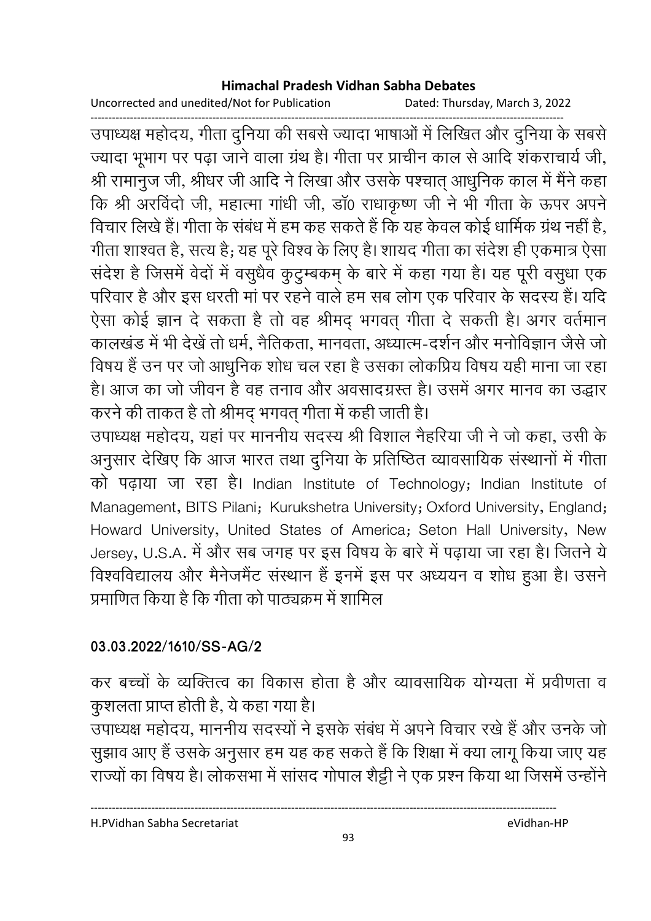Uncorrected and unedited/Not for Publication Dated: Thursday, March 3, 2022

------------------------------------------------------------------------------------------------------------------------------------ उपाध्यक्ष महोदय, गीता दुनिया की सबसे ज्यादा भाषाओं में लिखित और दुनिया के सबसे ज्यादा भूभाग पर पढ़ा जाने वाला ग्रंथ है। गीता पर प्राचीन काल से आदि शंकराचार्य जी, श्री रामानुज जी, श्रीधर जी आदि ने लिखा और उसके पश्चात् आधुनिक काल में मैंने कहा कि श्री अरविंदों जी, महात्मा गांधी जी, डा0 राधाकृष्ण जी ने भी गीता के ऊपर अपने विचार लिखे हैं। गीता के सबंध में हम कह सकते हैं कि यह केवल कोई धार्मिक ग्रंथ नहीं है, गीता शाश्वत है, सत्य है; यह पूरे विश्व के लिए हैं। शायद गीता का सर्देश ही एकमात्र ऐसा सर्देश है जिसमें वेदों में वसुधैव कुटुम्बकम् के बारे में कहा गया है। यह पूरी वसुधा एक परिवार है और इस धरती मा पर रहने वाले हम सब लोग एक परिवार के सदस्य है। यदि ऐसा कोई ज्ञान दे सकता है तो वह श्रीमद् भगवत् गीता दे सकती है। अगर वर्तमान कालखंड में भी देखे तो धर्म, नैतिकता, मानवता, अध्यात्म-दर्शन और मनोविज्ञान जैसे जो विषय है उन पर जो आधुनिक शोध चल रहा है उसका लोकप्रिय विषय यही माना जा रहा हैं। आज का जो जीवन है वह तनाव और अवसादग्रस्त है। उसमें अगर मानव का उद्धार करने की ताकत है तो श्रीमंद् भगवत् गीता में कहीं जाती हैं।

उपाध्यक्ष महोदय, यहां पर माननीय सदस्य श्री विशाल नैहरिया जी ने जो कहा, उसी के अनुसार देखिए कि आज भारत तथा दुनिया के प्रतिष्ठित व्यावसायिक संस्थानों में गीता को पढ़ाया जा रहा है। Indian Institute of Technology; Indian Institute of Management, BITS Pilani; Kurukshetra University; Oxford University, England; Howard University, United States of America; Seton Hall University, New Jersey, U.S.A. में और सब जगह पर इस विषय के बारे में पढ़ाया जा रहा है। जितने ये विश्वविद्यालय और मैनेजमैंट संस्थान है इनमें इस पर अध्ययन व शोध हुआ है। उसने प्रमाणित किया है कि गीता को पाठ्यक्रम में शामिल

### **03.03.2022/1610/SS-AG/2**

कर बच्चों के व्यक्तित्व का विकास होता है और व्यावसायिक योग्यता में प्रवीणता व कुशलता प्राप्त होती है, ये कहा गया है।

उपाध्यक्ष महोदय, माननीय सदस्यों ने इसके संबंध में अपने विचार रखें हैं और उनके जो सुझाव आए हैं उसके अनुसार हम यह कह सकते हैं कि शिक्षा में क्या लागू किया जाए यह राज्यों का विषय है। लोकसभा में सासद गोपाल शैट्टी ने एक प्रश्न किया था जिसमें उन्होंने |

H.PVidhan Sabha Secretariat eVidhan-HP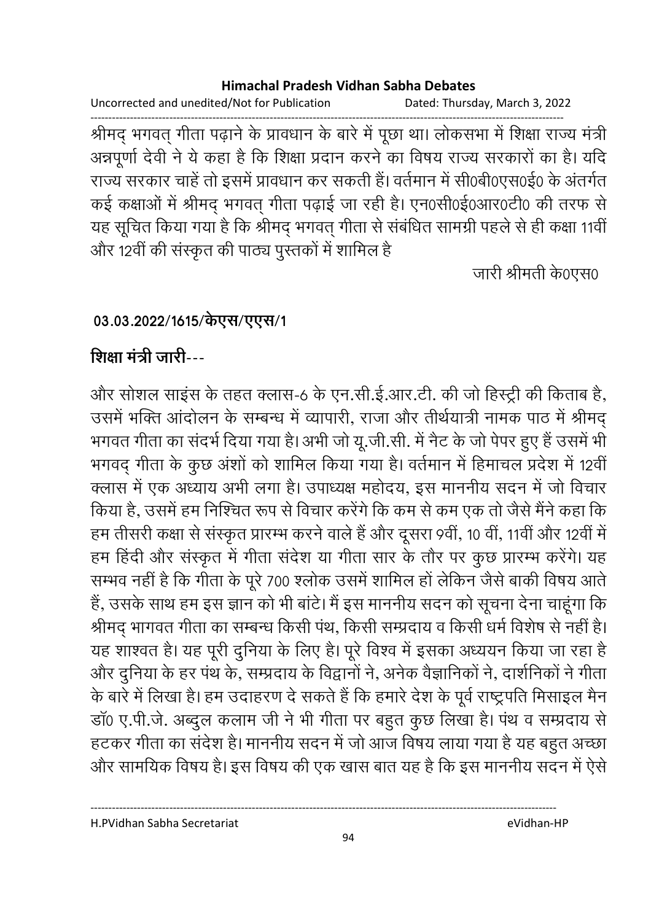Uncorrected and unedited/Not for Publication Dated: Thursday, March 3, 2022

------------------------------------------------------------------------------------------------------------------------------------ श्रीमद् भगवत् गीता पढ़ाने के प्रावधान के बारे में पूछा था। लोकसभा में शिक्षा राज्य मंत्री अन्नपूर्णा देवी ने ये कहा है कि शिक्षा प्रदान करने का विषय राज्य सरकारों का है। यदि राज्य सरकार चाहे तो इसमें प्रावधान कर सकती है। वर्तमान में सी0बी0एस0ई0 के अंतर्गत कई कक्षाओं में श्रीमद् भगवत् गीता पढ़ाई जा रही हैं। एन0सी0ई0आर0टी0 की तरफ से यह सूचित किया गया है कि श्रीमद् भगवत् गीता से संबंधित सामग्री पहले से ही कक्षा 11वीं और 12वीं की संस्कृत की पाठ्य पुस्तकों में शामिल हैं।

जारी श्रीमती के0एस0

### 03.03.2022/1615/केएस/एएस/1

## शिक्षा मंत्री जारी---

और सोशल साइस के तहत क्लास-6 के एन.सी.ई.आर.टी. की जो हिस्ट्री की किताब है, उसमें भक्ति आदोलन के सम्बन्ध में व्यापारी, राजा और तीर्थयात्री नामक पाठ में श्रीमद् भगवत गीता का सदर्भ दिया गया है। अभी जो यू.जी.सी. में नैट के जो पेपर हुए हैं उसमें भी भगवद् गीता के कुछ अशों को शामिल किया गया है। वर्तमान में हिमाचल प्रदेश में 12वीं क्लास में एक अध्याय अभी लगा है। उपाध्यक्ष महोदय, इस माननीय सदन में जो विचार किया है, उसमें हम निश्चित रूप से विचार करेंगे कि कम से कम एक तो जैसे मैंने कहा कि हम तीसरी कक्षा से संस्कृत प्रारम्भ करने वाले हैं और दूसरा 9वीं, 10 वीं, 11वीं और 12वीं में हम हिंदी और संस्कृत में गीता सर्देश या गीता सार के तौर पर कुछ प्रारम्भ करेंगे। यह सम्भव नहीं है कि गीता के पूरे 700 श्लोक उसमें शामिल हो लेकिन जैसे बाकी विषय आते. हैं, उसके साथ हम इस ज्ञान को भी बाटे। मैं इस माननीय सदन को सूचना देना चाहूगा कि श्रीमद् भागवत गीता का सम्बन्ध किसी पथ, किसी सम्प्रदाय व किसी धर्म विशेष से नहीं है। यह शाश्वत है। यह पूरी दुनिया के लिए हैं। पूरे विश्व में इसका अध्ययन किया जा रहा है और दुनिया के हर पथ के, सम्प्रदाय के विद्वानों ने, अनेक वैज्ञानिकों ने, दाशैनिकों ने गीता के बारे में लिखा है। हम उदाहरण दे सकते हैं कि हमारे देश के पूर्व राष्ट्रपति मिसाइल मैन डा0 ए.पी.जे. अब्दुल कलाम जी ने भी गीता पर बहुत कुछ लिखा है। पथ व सम्प्रदाय से हटकर गीता का सदेश है। माननीय सदन में जो आज विषय लाया गया है यह बहुत अच्छा और सामयिक विषय है। इस विषय की एक खास बात यह है कि इस माननीय सदन में ऐसे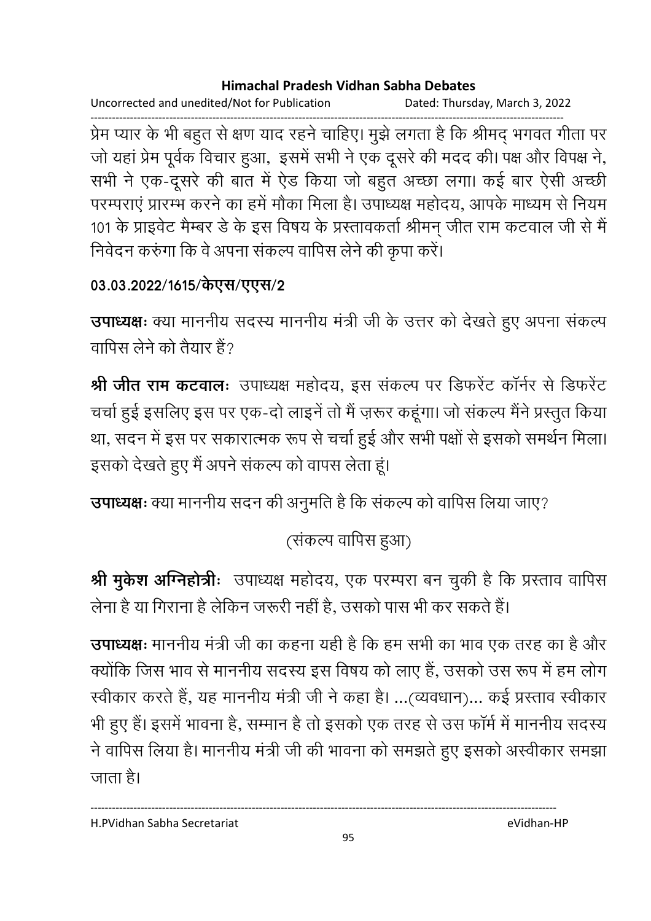Uncorrected and unedited/Not for Publication Dated: Thursday, March 3, 2022

------------------------------------------------------------------------------------------------------------------------------------ प्रेम प्यार के भी बहुत से क्षण याद रहने चाहिए। मुझे लगता है कि श्रीमद् भगवत गीता पर जो यहां प्रेम पूर्वक विचार हुआ, इसमें सभी ने एक दूसरे की मदद की। पक्ष और विपक्ष ने, सभी ने एक-दूसरे की बात में ऐंड किया जो बहुत अच्छा लगा। कई बार ऐसी अच्छी परम्पराएं प्रारम्भ करने का हमें मौका मिला है। उपाध्यक्ष महोदय, आपके माध्यम से नियम 101 के प्राइवेट मैम्बर डे के इस विषय के प्रस्तावकर्ता श्रीमन् जीत राम कटवाल जी से मै निवेदन करुंगा कि वे अपना सकल्प वापिस लेने की कृपा करें।

## 03.03.2022/1615/केएस/एएस/2

**उपाध्यक्षः** क्या माननीय सदस्य माननीय मंत्री जी के उत्तर को देखते हुए अपना सकल्प वापिस लेने को तैयार है?

**श्री जीत राम कटवाल:** उपाध्यक्ष महोदय, इस संकल्प पर डिफरेंट कॉर्नर से डिफरेंट चर्चा हुई इसलिए इस पर एक-दो लाइनें तो मैं ज़रूर कहूंगा। जो संकल्प मैंने प्रस्तुत किया था, सदन में इस पर सकारात्मक रूप से चर्चा हुई और सभी पक्षों से इसको समर्थन मिला। इसको देखते हुए मैं अपने सकल्प को वापस लेता हूं।

**उपाध्यक्षः** क्या माननीय सदन की अनुमति है कि सकल्प को वापिस लिया जाए?

(सकल्प वापिस हुआ)

**श्री मुकेश अग्निहोत्रीः** उपाध्यक्ष महोदय, एक परम्परा बन चुकी है कि प्रस्ताव वापिस लेना है या गिराना है लेकिन जरूरी नहीं है, उसको पास भी कर सकते हैं।

**उपाध्यक्षः** माननीय मंत्री जी का कहना यही है कि हम सभी का भाव एक तरह का है और क्योंकि जिस भाव से माननीय सदस्य इस विषय को लाए हैं, उसको उस रूप में हम लोग स्वीकार करते हैं, यह माननीय मंत्री जी ने कहा है। …(व्यवधान)… कई प्रस्ताव स्वीकार भी हुए हैं। इसमें भावना है, सम्मान है तो इसको एक तरह से उस फार्म में माननीय सदस्य ने वापिस लिया है। माननीय मंत्री जी की भावना को समझते हुए इसको अस्वीकार समझा जाता है।

H.PVidhan Sabha Secretariat eVidhan-HP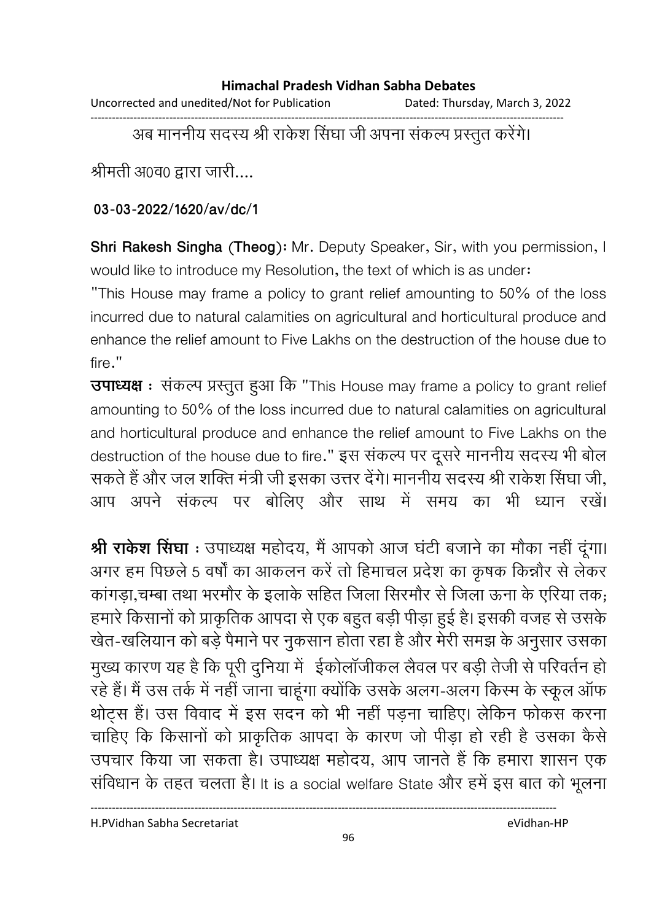Uncorrected and unedited/Not for Publication Dated: Thursday, March 3, 2022

------------------------------------------------------------------------------------------------------------------------------------

अब माननीय सदस्य श्री राकेश सिंघा जी अपना सकल्प प्रस्तुत करेंगे।

श्रीमती अ0व0 द्वारा जारी....

**03-03-2022/1620/av/dc/1**

**Shri Rakesh Singha (Theog):** Mr. Deputy Speaker, Sir, with you permission, I would like to introduce my Resolution, the text of which is as under:

"This House may frame a policy to grant relief amounting to 50% of the loss incurred due to natural calamities on agricultural and horticultural produce and enhance the relief amount to Five Lakhs on the destruction of the house due to fire."

**उपाध्यक्ष** : संकल्प प्रस्तुत हुआ कि "This House may frame a policy to grant relief amounting to 50% of the loss incurred due to natural calamities on agricultural and horticultural produce and enhance the relief amount to Five Lakhs on the destruction of the house due to fire." इस सकल्प पर दूसरे माननीय सदस्य भी बोल सकते हैं और जल शक्ति मंत्री जी इसका उत्तर देंगे। माननीय सदस्य श्री राकेश सिंघा जी, आप अपने सकल्प पर बोलिए और साथ में समय का भी ध्यान रखें।

**श्री राकेश सिंघा** : उपाध्यक्ष महोदय, मैं आपको आज घटी बजाने का मौका नहीं दूंगा। अगर हम पिछले 5 वर्षों का आकलन करें तो हिमाचल प्रदेश का कृषक किन्नौर से लेकर कांगड़ा,चम्बा तथा भरमौर के इलाके सहित जिला सिरमौर से जिला ऊना के एरिया तक; हमारे किसानों को प्राकृतिक आपदा से एक बहुत बड़ी पीड़ा हुई है। इसकी वजह से उसके खेत-खेलियान को बड़े पैमाने पर नुकसान होता रहा है और मेरी समझ के अनुसार उसका 2@ ^ ह ह . 2 " 3 \$S, \$ \$-\$ M !-, - -! ह रहे हैं। मैं उस तर्क में नहीं जाना चाहूंगा क्योंकि उसके अलग-अलग किस्म के स्कूल ऑफ थोट्स है। उस विवाद में इस सदन को भी नहीं पड़ना चाहिए। लेकिन फॉकस करना चाहिए कि किसानों को प्राकृतिक आपदा के कारण जो पीड़ा हो रही है उसका कैसे उपचार किया जा सकता है। उपाध्यक्ष महोदय, आप जानते हैं कि हमारा शासन एक सर्विधान के तहत चलता है। It is a social welfare State और हमें इस बात को भूलना

H.PVidhan Sabha Secretariat eVidhan-HP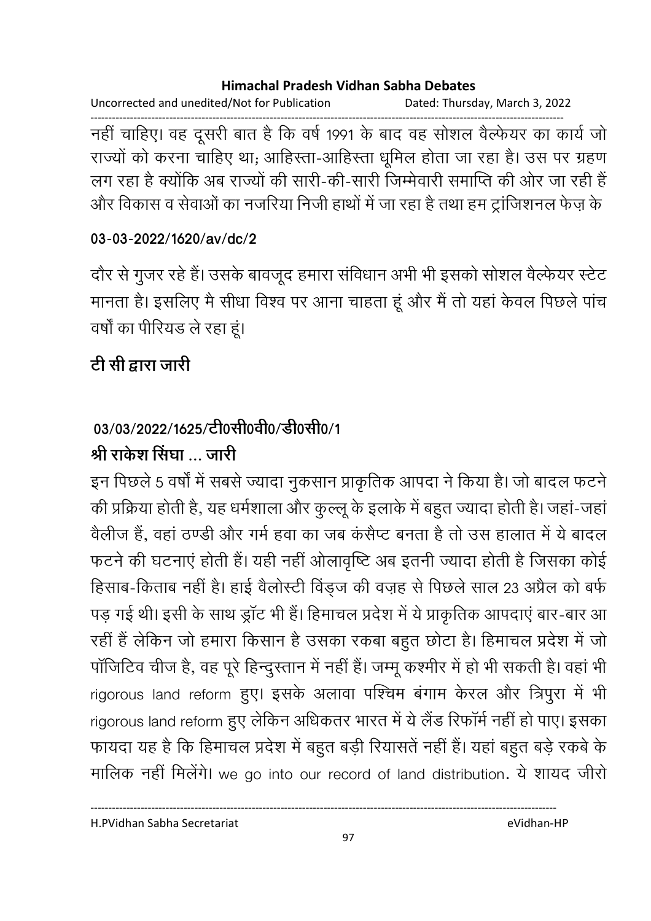Uncorrected and unedited/Not for Publication Dated: Thursday, March 3, 2022

------------------------------------------------------------------------------------------------------------------------------------ नहीं चाहिए। वह दूसरी बात है कि वर्ष 1991 के बाद वह सोशल वैल्फेयर का कार्य जो राज्यों को करना चाहिए था; आहिस्ता-आहिस्ता धूमिल होता जा रहा है। उस पर ग्रहण लग रहा है क्योंकि अब राज्यों की सारी-की-सारी जिम्मेवारी समाप्ति की ओर जा रही हैं-और विकास व सेवाओं का नजरिया निजी हाथों में जा रहा है तथा हम ट्राजिशनल फेज़ के

### **03-03-2022/1620/av/dc/2**

दौर से गुजर रहे हैं। उसके बावजूद हमारा सर्विधान अभी भी इसको सोशल वैल्फेयर स्टेट मानता है। इसलिए मैं सीधा विश्व पर आना चाहता हूं और मैं तो यहां केवल पिछले पांच वर्षा का पीरियंड ले रहा हूं।

## टी सी द्वारा जारी

# 03/03/2022/1625/टी0सी0वी0/डी0सी0/1

## श्री राकेश सिंघा … जारी

इन पिछले 5 वर्षों में सबसे ज्यादा नुकसान प्राकृतिक आपदा ने किया है। जो बादल फटने की प्रक्रिया होती है, यह धर्मशाला और कुल्लू के इलाके में बहुत ज्यादा होती है। जहा-जहां वैलीज है, वहां ठण्डी और गर्म हवा का जब कसैप्ट बनता है तो उस हालात में ये बादल फटने की घटनाएं होती है। यही नहीं ओलावृष्टि अब इतनी ज्यादा होती है जिसका कोई हिसाब-किताब नहीं है। हाई वैलोस्टी विंड्ज की वज़ह से पिछले साल 23 अप्रैल को बर्फ पड़ गई थी। इसी के साथ ड्रांट भी है। हिमाचल प्रदेश में ये प्राकृतिक आपदाएं बार-बार आ रहीं हैं लेकिन जो हमारा किसान है उसका रकबा बहुत छोटा है। हिमाचल प्रदेश में जो पाजिटिव चीज है, वह पूरे हिन्दुस्तान में नहीं है। जम्मू कश्मीर में हो भी सकती है। वहां भी rigorous land reform हुए। इसके अलावा पश्चिम बंगाम केरल और त्रिपुरा में भी rigorous land reform हुए लेकिन अधिकतर भारत में ये लैंड रिफॉर्म नहीं हो पाए। इसका फायदा यह है कि हिमाचल प्रदेश में बहुत बड़ी रियासते नहीं है। यहां बहुत बड़े रकबे के मालिक नहीं मिलेंगे। we go into our record of land distribution. ये शायद जीरो

H.PVidhan Sabha Secretariat eVidhan-HP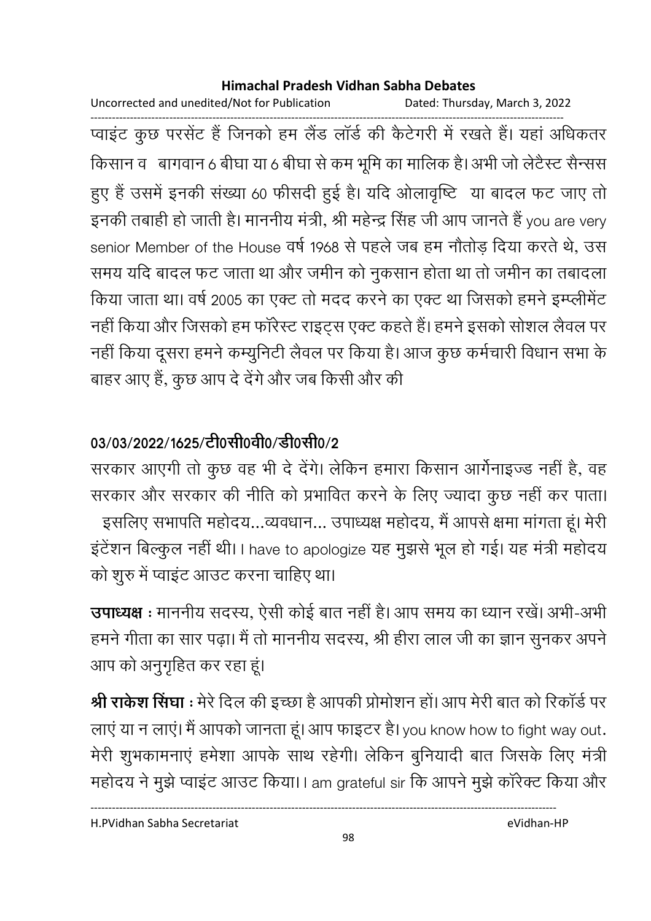Uncorrected and unedited/Not for Publication Dated: Thursday, March 3, 2022

------------------------------------------------------------------------------------------------------------------------------------ प्वाइट कुछ परसेंट हैं जिनको हम लैंड लार्ड की कैटेंगरी में रखते हैं। यहां अधिकतर किसान व | बागवान 6 बीघा या 6 बीघा से कम भूमि का मालिक है। अभी जो लेटैस्ट सैन्सस हुए हैं उसमें इनकी संख्या 60 फीसदी हुई है। यदि ओलावृष्टि या बादल फट जाए तो इनकी तबाही हो जाती है। माननीय मंत्री, श्री महेन्द्र सिंह जी आप जानते हैं you are very senior Member of the House वर्ष 1968 से पहले जब हम नौतोड़ दिया करते थे, उस समय यदि बादल फट जाता था और जमीन को नुकसान होता था तो जमीन का तबादला किया जाता था। वर्ष 2005 का एक्ट तो मदद करने का एक्ट था जिसको हमने इम्प्लीमेंट नहीं किया और जिसको हम फॉरेस्ट राइट्स एक्ट कहते हैं। हमने इसको सोशल लैवल पर नहीं किया दूसरा हमने कम्युनिटी लैवल पर किया है। आज कुछ कर्मचारी विधान सभा के बाहर आए हैं, कुछ आप दे देंगे और जब किसी और की

## 03/03/2022/1625/<u>टी</u>0सी0वी0/डी0सी0/2

सरकार आएगी तो कुछ वह भी दे देंगे। लेकिन हमारा किसान आर्गनाइज्ड नहीं हैं, वह सरकार और सरकार की नीति को प्रभावित करने के लिए ज्यादा कुछ नहीं कर पाता। . इसलिए सभापति महोदय…व्यवधान… उपाध्यक्ष महोदय, मै आपसे क्षमा मांगता हूं। मेरी इटेशन बिल्कुल नहीं थी। I have to apologize यह मुझर्स भूल हो गई। यह मंत्री महोदय को शुरु में प्वाइट आउट करना चाहिए था।

**उपाध्यक्ष** : माननीय सदस्य, ऐसी कोई बात नहीं है। आप समय का ध्यान रखे। अभी-अभी हमने गीता का सार पढ़ा। मैं तो माननीय सदस्य, श्री हीरा लाल जी का ज्ञान सुनकर अपने आप को अनुगृहित कर रहा हूं।

**श्री राकेश सिंघा** : मेरे दिल की इच्छा है आपकी प्रोमोशन हो। आप मेरी बात को रिकार्ड पर लाएं या न लाएं। मैं आपको जानता हूं। आप फाइटर है। you know how to fight way out. मेरी शुभकामनाएं हमेशा आपके साथ रहेंगी। लेकिन बुनियादी बात जिसके लिए मंत्री महोदय ने मुझे प्वाइट आउट किया।। am grateful sir कि आपने मुझे कारेक्ट किया और

H.PVidhan Sabha Secretariat eVidhan-HP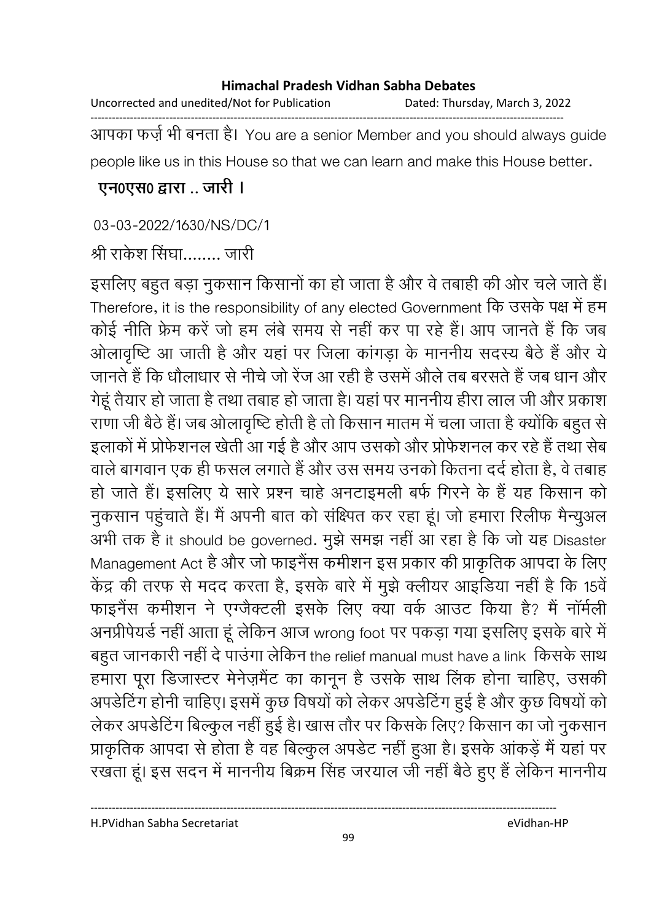| Uncorrected and unedited/Not for Publication | Dated: Thursday, March 3, 2022 |
|----------------------------------------------|--------------------------------|
|                                              |                                |

आपका फर्ज़ भी बनता है। You are a senior Member and you should always guide people like us in this House so that we can learn and make this House better.

### **एन0एस0 द्वारा .. जारी ।**

### 03-03-2022/1630/NS/DC/1

## श्री राकेश सिंघा…….. जारी

इसलिए बहुत बड़ा नुकसान किसानों का हो जाता है और वे तबाही की ओर चले जाते हैं। Therefore, it is the responsibility of any elected Government कि उसके पक्ष में हम कोई नीति फ्रेम करें जो हम लबे समय से नहीं कर पा रहे हैं। आप जानते हैं कि जब आलावृष्टि आ जाती है और यहां पर जिला कांगड़ा के माननीय सदस्य बैठे हैं और ये जानते हैं कि धौलाधार से नीचे जो रेज आ रही है उसमें औले तब बरसते हैं जब धान और गेहूँ तैयार हो जाता है तथा तबाह हो जाता है। यहाँ पर माननीय हीरा लाल जी और प्रकाश राणा जी बैठे हैं। जब ओलावृष्टि होती है तो किसान मातम में चला जाता है क्योंकि बहुत से इलाकों में प्रोफेशनल खेती आ गई है और आप उसको और प्रोफेशनल कर रहे हैं तथा सेंब वाले बागवान एक ही फसल लगाते हैं और उस समय उनको कितना दर्द होता है, वे तबाह हो जाते हैं। इसलिए ये सारे प्रश्न चाहे अनटाइमली बर्फ गिरने के है यह किसान को नुकसान पहुंचाते हैं। मैं अपनी बात को संक्ष्पित कर रहा हूं। जो हमारा रिलीफ मैन्युअल अभी तक है it should be governed. मुझे समझ नहीं आ रहा है कि जो यह Disaster Management Act है और जो फाइनैस कर्मीशन इस प्रकार की प्राकृतिक आपदा के लिए केंद्र की तरफ से मदद करता है, इसके बारे में मुझे क्लीयर आइंडिया नहीं है कि 15वें फाइनैस कर्माशन ने एंग्जैक्टली इसके लिए क्या वर्क आउट किया है? मैं नामेली अनप्रेपियर्ड नहीं आता हूं लेकिन आज wrong foot पर पकड़ा गया इसलिए इसके बारे में बहुत जानकारी नहीं दें पाउंगा लेकिन the relief manual must have a link किसके साथ हमारा पूरा डिजास्टर मेनेज़मैंट का कानून है उसके साथ लिंक होना चाहिए, उसकी अपडीटेंग होनी चाहिए। इसमें कुछ विषयों को लेकर अपडीटेंग हुई है और कुछ विषयों को लेकर अपडेटिंग बिल्कुल नहीं हुई है। खास तौर पर किसके लिए? किसान का जो नुकसान प्राकृतिक आपदा से होता है वह बिल्कुल अपर्डेट नहीं हुआ है। इसके आकड़े मैं यहां पर रखता हूं। इस सदन में माननीय बिक्रम सिंह जरयाल जी नहीं बैठे हुए हैं लेकिन माननीय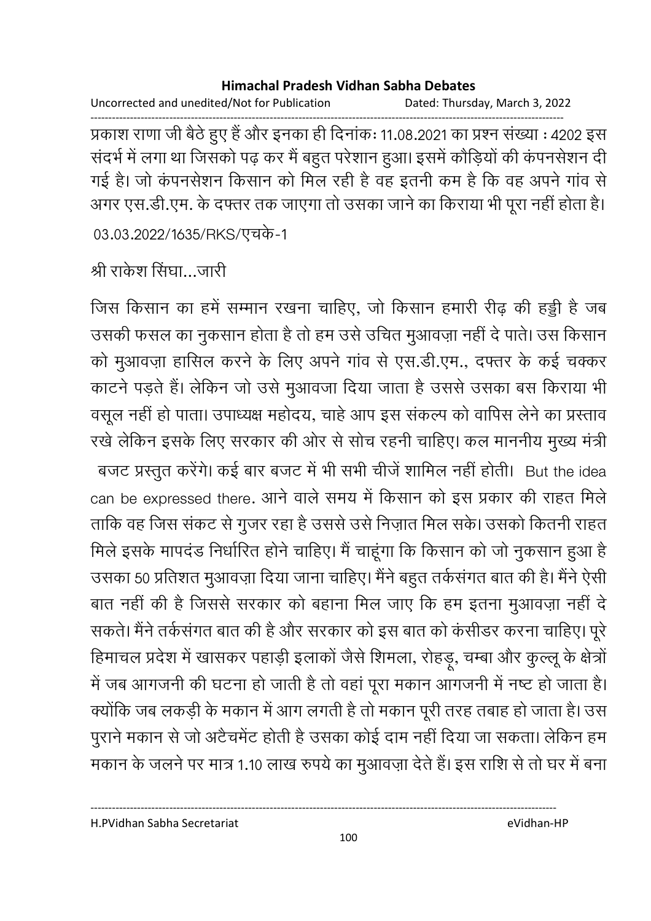Uncorrected and unedited/Not for Publication Dated: Thursday, March 3, 2022

------------------------------------------------------------------------------------------------------------------------------------ प्रकाश राणा जी बैठे हुए हैं और इनका ही दिनाकः 11.08.2021 का प्रश्न संख्या : 4202 इस सदर्भ में लगा था जिसको पढ़ कर मैं बहुत परेशान हुआ। इसमें कौड़ियों की कंपनसेशन दी गई है। जो कंपनसेशन किसान को मिल रही है वह इतनी कम है कि वह अपने गांव से अगर एस.डी.एम. के दफ्तर तक जाएगा तो उसका जाने का किराया भी पूरा नहीं होता है। 03.03.2022/1635/RKS/एचके-1

श्री राकेश सिंघा…जारी

जिस किसान का हमें सम्मान रखना चाहिए, जो किसान हमारी रीढ़ की हड्डी है जब उसकी फसल का नुकसान होता है तो हम उसे उचित मुआवज़ा नहीं दे पाते। उस किसान को मुआवज़ा हासिल करने के लिए अपने गाव से एस.डी.एम., दफ्तर के कई चक्कर काटने पड़ते हैं। लेकिन जो उसे मुआवजा दिया जाता है उससे उसका बस किराया भी वसूल नहीं हो पाता। उपाध्यक्ष महोदय, चाहे आप इस सकल्प को वापिस लेने का प्रस्ताव रखे लेकिन इसके लिए सरकार की ओर से सोच रहनी चाहिए। कल माननीय मुख्य मंत्री बजट प्रस्तुत करेंगे। कई बार बजट में भी सभी चीजे शामिल नहीं होती। But the idea can be expressed there. आने वाले समय में किसान को इस प्रकार की राहत मिले ताकि वह जिस सकट से गुजर रहा है उससे उसे निज़ात मिल सके। उसको कितनी राहत मिले इसके मापदंड निर्धारित होने चाहिए। मैं चाहूंगा कि किसान को जो नुकसान हुआ है उसका 50 प्रतिशत मुआवज़ा दिया जाना चाहिए। मैंने बहुत तर्कसगत बात की है। मैंने ऐसी बात नहीं की है जिससे सरकार को बहाना मिल जाए कि हम इतना मुआवज़ा नहीं दें सकते। मैंने तर्कसगत बात की है और सरकार को इस बात को कसींडर करना चाहिए। पूरे हिमाचल प्रदेश में खासकर पहाड़ी इलाको जैसे शिमला, रोहड़ू, चम्बा और कुल्लू के क्षेत्रो में जब आगजनी की घटना हो जाती है तो वहां पूरा मकान आगजनी में नष्ट हो जाता है। क्योंकि जब लकड़ी के मकान में आग लगती है तो मकान पूरी तरह तबाह हो जाता है। उस पुराने मकान से जो अटैचमेंट होती है उसका कोई दाम नहीं दिया जा सकता। लेकिन हम मकान के जलने पर मात्र 1.10 लाख रुपये का मुआवज़ा देते हैं। इस राशि से तो घर में बना

H.PVidhan Sabha Secretariat eVidhan-HP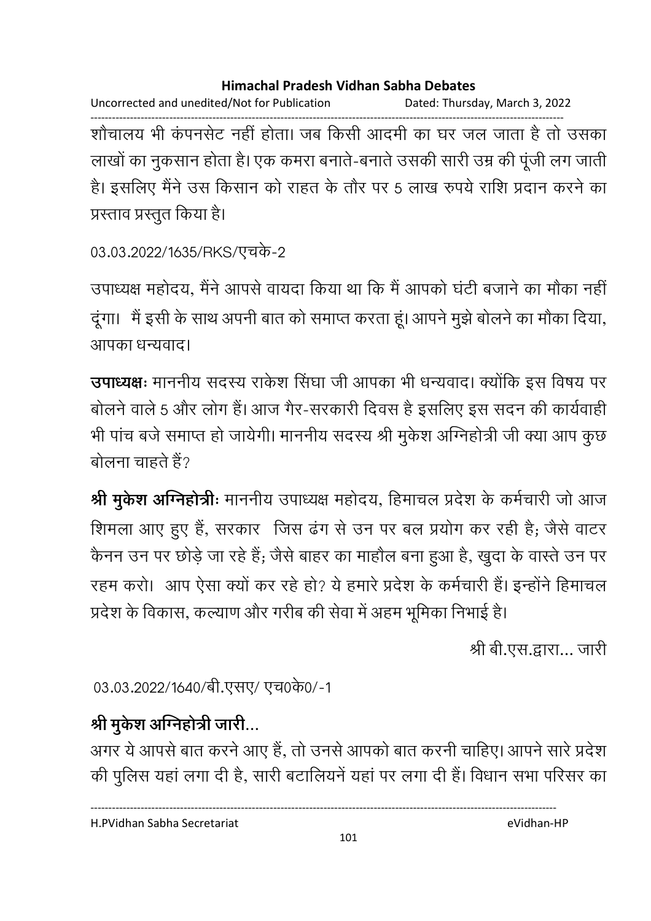Uncorrected and unedited/Not for Publication Dated: Thursday, March 3, 2022 ------------------------------------------------------------------------------------------------------------------------------------ शोंचालय भी कंपनसेंट नहीं होता। जब किसी आदमी का घर जल जाता है तो उसका लाखों का नुकसान होता है। एक कमरा बनाते-बनाते उसकी सारी उम्र की पूर्जी लग जाती है। इसलिए मैंने उस किसान को राहत के तौर पर 5 लाख रुपये राशि प्रदान करने का प्रस्ताव प्रस्तुत किया है।

```
03.03.2022/1635/RKS/एचके-2
```
उपाध्यक्ष महोदय, मैंने आपसे वायदा किया था कि मैं आपको घटी बजाने का मौका नहीं दूगा। मैं इसी के साथ अपनी बात को समाप्त करता हूं। आपने मुझे बोलने का मौका दिया, आपका धन्यवाद।

**उपाध्यक्षः** माननीय सदस्य राकेश सिंघा जी आपका भी धन्यवाद। क्योंकि इस विषय पर बोलने वाले 5 और लोग है। आज गैर-सरकारी दिवस है इसलिए इस सदन की कार्यवाही भी पांच बर्ज समाप्त हो जायेगी। माननीय सदस्य श्री मुकेश ओग्नेहोत्री जी क्या आप कुछ बोलना चाहते हैं?

**श्री मुर्कश अग्निहोत्रीः** माननीय उपाध्यक्ष महोदय, हिमाचल प्रदेश के कर्मचारी जो आज शिमला आए हुए हैं, सरकार जिस ढंग से उन पर बल प्रयोग कर रही है; जैसे वाटर कैनन उन पर छोड़े जा रहे हैं; जैसे बाहर का माहौल बना हुआ है, खुदा के वास्ते उन पर रहम करो। आप ऐसा क्यों कर रहे हो? ये हमारे प्रदेश के कर्मचारी हैं। इन्होंने हिमाचल प्रदेश के विकास, कल्याण और गरीब की सेवा में अहम भूमिका निभाई है।

श्री बी.एस.द्वारा… जारी

03.03.2022/1640/बी.एसए/ एच0के0/-1

# श्री मुकेश अग्निहोत्री जारी…

अगर ये आपर्स बात करने आए हैं, तो उनसे आपको बात करनी चाहिए। आपने सारे प्रदेश की पुलिस यहाँ लगा दी हैं, सारी बटालियने यहाँ पर लगा दी है। विधान सभा परिसर का

H.PVidhan Sabha Secretariat eVidhan-HP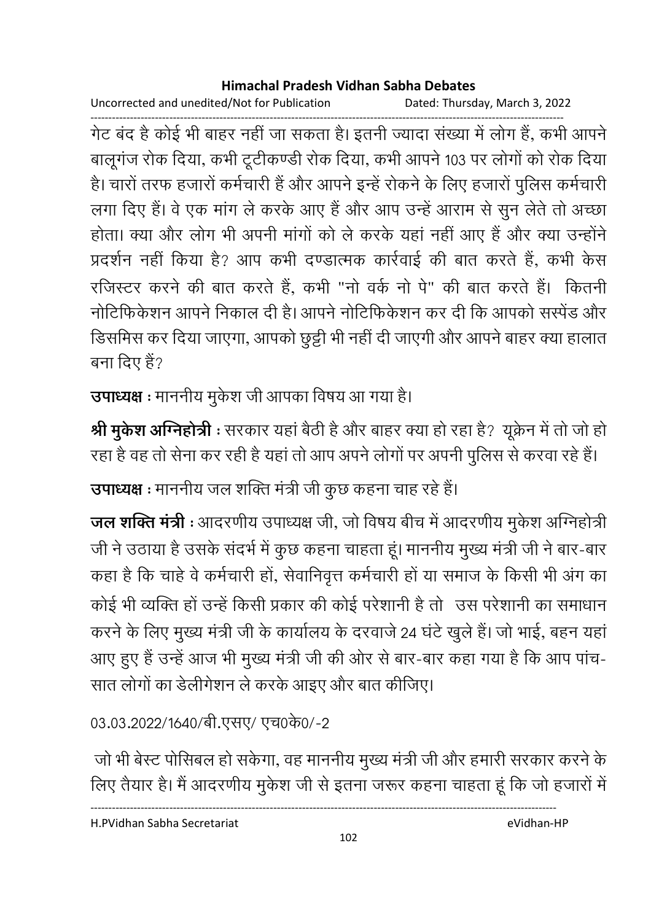Uncorrected and unedited/Not for Publication Dated: Thursday, March 3, 2022

------------------------------------------------------------------------------------------------------------------------------------ गेंट बंद है कोई भी बाहर नहीं जा सकता है। इतनी ज्यादा संख्या में लोग है, कभी आपने बालूगज रोक दिया, कभी टूटीकण्डी रोक दिया, कभी आपने 103 पर लोगों को रोक दिया। हैं। चारों तरफ हजारों कर्मचारी है और आपने इन्हें रोकने के लिए हजारों पुलिस कर्मचारी लगा दिए हैं। वे एक मांग ले करके आए हैं और आप उन्हें आराम से सुन लेते तो अच्छा होता। क्या और लोग भी अपनी मांगों को ले करके यहां नहीं आए हैं और क्या उन्होंने प्रदर्शन नहीं किया है? आप कभी दण्डात्मक कार्रवाई की बात करते हैं, कभी केस रजिस्टर करने की बात करते हैं, कभी "नों वर्क नों पें" की बात करते हैं। कितनी नोटिफिकेशन आपने निकाल दी है। आपने नोटिफिकेशन कर दी कि आपको सस्पेड और डिसमिस कर दिया जाएगा, आपको छुट्टी भी नहीं दी जाएगी और आपने बाहर क्या हालात बना दिए हैं?

**उपाध्यक्ष** : माननीय मुकेश जी आपका विषय आ गया है।

**श्री मुर्केश अग्निहोत्री :** सरकार यहाँ बैठी है और बाहर क्या हो रहा है? यूक्रेन में तो जो हो रहा है वह तो सेना कर रही है यहां तो आप अपने लोगों पर अपनी पुलिस से करवा रहे हैं।

**उपाध्यक्ष** : माननीय जल शक्ति मंत्री जी कुछ कहना चाह रहे हैं।

**जल शक्ति मंत्री** : आदरणीय उपाध्यक्ष जी, जो विषय बीच में आदरणीय मुकेश अग्निहोत्री जी ने उठाया है उसके सदर्भ में कुछ कहना चाहता हूं। माननीय मुख्य मंत्री जी ने बार-बार कहा है कि चाहे वे कर्मचारी हो, सेवानिवृत्त कर्मचारी हो या समाज के किसी भी अंग का कोई भी व्यक्ति हो उन्हें किसी प्रकार की कोई परेशानी है तो उस परेशानी का समाधान करने के लिए मुख्य मंत्री जी के कार्यालय के दरवाजे 24 घंटे खुले हैं। जो भाई, बहन यहां आए हुए हैं उन्हें आज भी मुख्य मंत्री जी की ओर से बार-बार कहा गया है कि आप पांच-सात लोगों का डेलेगिशन ले करके आइए और बात कीजिए।

03.03.2022/1640/बी.एसए/ एच0के0/-2

जों भी बेस्ट पोसिबल हो सकेगा, वह माननीय मुख्य मंत्री जी और हमारी सरकार करने के लिए तैयार है। मैं आदरणीय मुकेश जी से इतना जरूर कहना चाहता हूं कि जो हजारों में ।

H.PVidhan Sabha Secretariat eVidhan-HP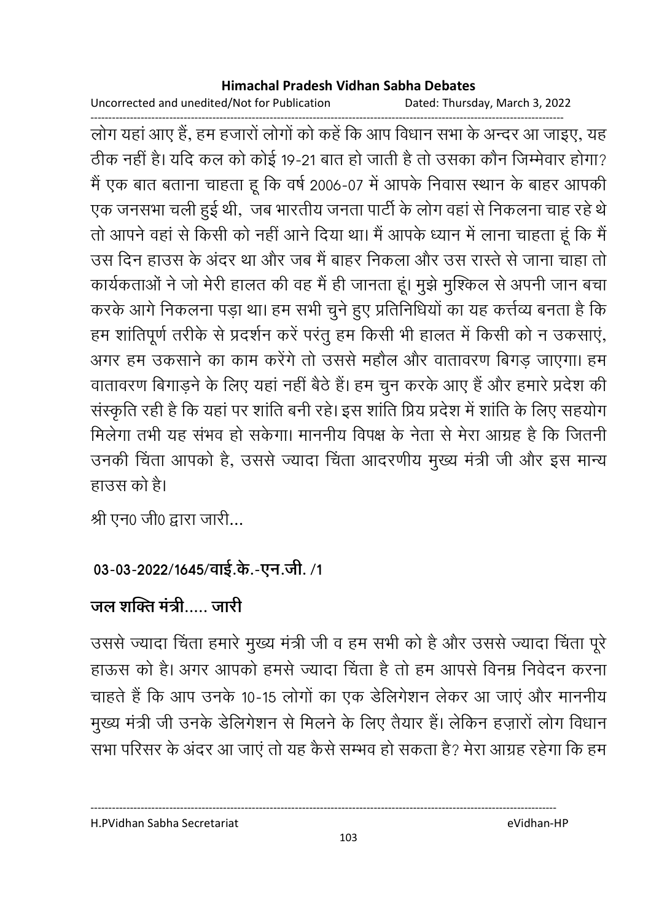Uncorrected and unedited/Not for Publication Dated: Thursday, March 3, 2022

------------------------------------------------------------------------------------------------------------------------------------ लोग यहाँ आए हैं, हम हजारों लोगों को कहें कि आप विधान सभा के अन्दर आ जाइए, यह ठीक नहीं है। यदि कल को कोई 19-21 बात हो जाती है तो उसका कौन जिम्मेवार होगा? में एक बात बताना चाहता हूं कि वर्ष 2006-07 में आपके निवास स्थान के बाहर आपकी एक जनसभा चली हुई थी, जब भारतीय जनता पार्टी के लोग वहां से निकलना चाह रहे थे | तो आपने वहां से किसी को नहीं आने दिया था। मैं आपके ध्यान में लाना चाहता हूं कि मैं उस दिन हाउस के अंदर था और जब मैं बाहर निकला और उस रास्ते से जाना चाहा तो कार्यकताओं ने जो मेरी हालत की वह मैं ही जानता हूं। मुझे मुश्किल से अपनी जान बचा करके आगे निकलना पड़ा था। हम सभी चुने हुए प्रतिनिधियों का यह कत्तेव्य बनता है कि हम शांतिपूर्ण तरीके से प्रदर्शन करें परंतु हम किसी भी हालत में किसी को न उकसाए, अगर हम उकसाने का काम करेंगे तो उससे महौल और वातावरण बिगड़ जाएगा। हम वातावरण बिगाड़ने के लिए यहां नहीं बैठे हैं। हम चुन करके आए हैं और हमारे प्रदेश की संस्कृति रही है कि यहां पर शांति बनी रहे। इस शांति प्रियं प्रदेश में शांति के लिए सहयोग मिलेगा तभी यह सभव हो सकेगा। माननीय विपक्ष के नेता से मेरा आग्रह है कि जितनी उनकी चिंता आपको है, उससे ज्यादा चिंता आदरणीय मुख्य मंत्री जी और इस मान्य हाउस को है।

श्री एन0 जी0 द्वारा जारी...

## 03-03-2022/1645/वाई.के.-एन.जी. /1

## जल शक्ति मंत्री….. जारी

उससे ज्यादा चिंता हमारे मुख्य मंत्री जी व हम सभी को है और उससे ज्यादा चिंता पूरे | हाऊस को है। अगर आपको हमर्स ज्यादा चिंता है तो हम आपसे विनम्र निर्वेदन करना चाहते हैं कि आप उनके 10-15 लोगों का एक डेलिंगेशन लेकर आ जाए और माननीय मुख्य मंत्री जी उनके डेलिंगेशन से मिलने के लिए तैयार है। लेकिन हज़ारों लोग विधान सभा परिसर के अंदर आ जाए तो यह कैसे सम्भव हो सकता है? मेरा आग्रह रहेगा कि हम

H.PVidhan Sabha Secretariat eVidhan-HP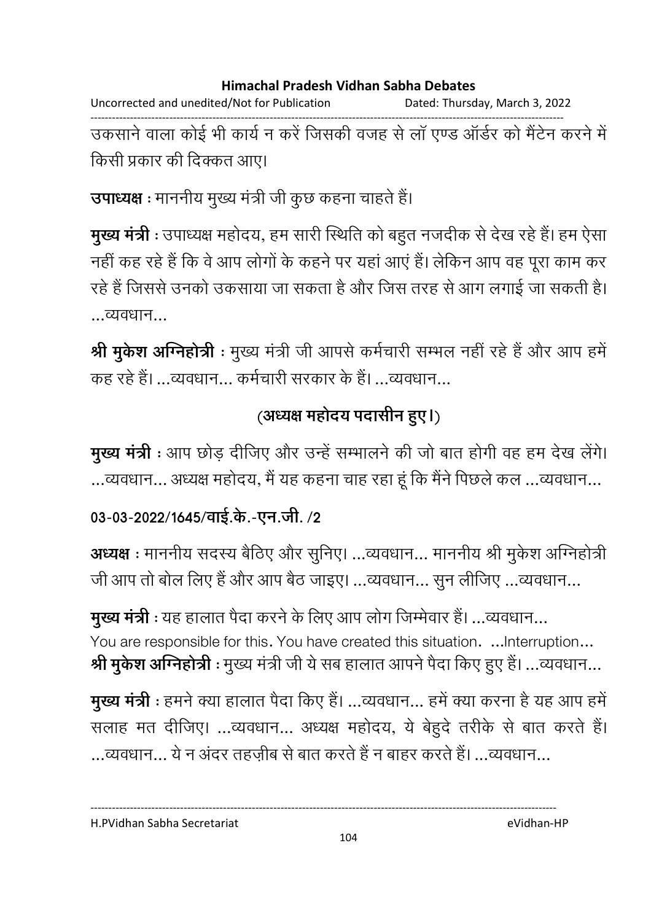Uncorrected and unedited/Not for Publication Dated: Thursday, March 3, 2022 ------------------------------------------------------------------------------------------------------------------------------------ उकसाने वाला कोई भी कार्य न करें जिसकी वजह से ला एण्ड आर्डर को मैंटेन करने में किसी प्रकार की दिक्कत आए।

**उपाध्यक्ष** : माननीय मुख्य मंत्री जी कुछ कहना चाहते हैं।

**मुख्य मंत्री** : उपाध्यक्ष महोदय, हम सारी स्थिति को बहुत नजदीक से देख रहे हैं। हम ऐसा नहीं कह रहे हैं कि वे आप लोगों के कहने पर यहां आए हैं। लेकिन आप वह पूरा काम कर रहे हैं जिससे उनको उकसाया जा सकता है और जिस तरह से आग लगाई जा सकती है। ...व्यवधान...

**श्री मुकेश अग्निहोत्री** : मुख्य मंत्री जी आपसे कर्मचारी सम्भल नहीं रहे हैं और आप हमें कह रहे हैं। …व्यवधान… कर्मचारी सरकार के हैं। …व्यवधान…

## (अध्यक्ष महोदय पदासीन हुए।)

**मुख्य मंत्री** : आप छोड़ दीजिए और उन्हें सम्भालने की जो बात होगी वह हम देख लेंगे। ...व्यवधान... अध्यक्ष महोदय, मै यह कहना चाह रहा हू कि मैंने पिछले कल ...व्यवधान...

### 03-03-2022/1645/वाई.के.-एन.जी. /2

**अध्यक्ष** : माननीय सदस्य बैठिए और सुनिए। …व्यवधान… माननीय श्री मुकेश अग्निहोत्री जी आप तो बोल लिए हैं और आप बैठ जाइए। …व्यवधान… सुन लीजिए …व्यवधान…

**मुख्य मंत्री** : यह हालात पैदा करने के लिए आप लोग जिम्मेवार है। …व्यवधान… You are responsible for this. You have created this situation. ...Interruption... **श्री मुकेश ओग्नेहोत्री** : मुख्य मंत्री जी ये सब हालात आपने पैदा किए हुए हैं। …व्यवधान…

**मुख्य मंत्री** : हमने क्या हालात पैदा किए है। …व्यवधान… हमें क्या करना है यह आप हमें | सलाह मत दीजिए। …व्यवधान… अध्यक्ष महोदय, ये बेहुदे तरीके से बात करते हैं। ...व्यवधान... ये न अंदर तहज़ीब से बात करते हैं न बाहर करते हैं। ...व्यवधान...

----------------------------------------------------------------------------------------------------------------------------------

H.PVidhan Sabha Secretariat eVidhan-HP